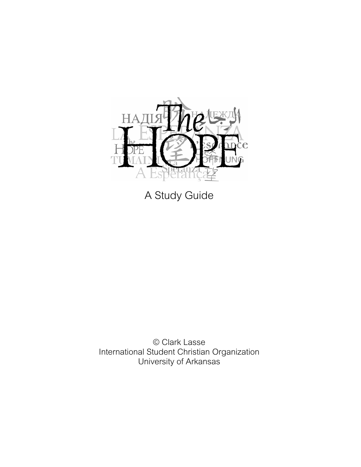

A Study Guide

© Clark Lasse International Student Christian Organization University of Arkansas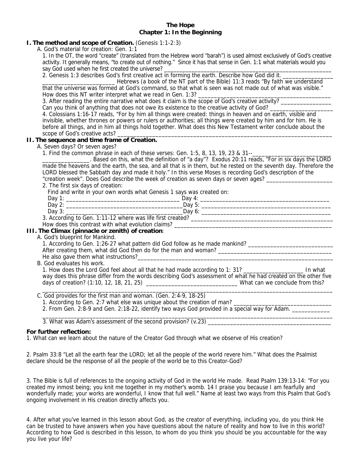# **The Hope Chapter 1: In the Beginning**

# **I. The method and scope of Creation.** (Genesis 1:1-2:3)

A. God's material for creation: Gen. 1:1

1. In the OT, the word "create" (translated from the Hebrew word "barah") is used almost exclusively of God's creative activity. It generally means, "to create out of nothing." Since it has that sense in Gen. 1:1 what materials would you say God used when he first created the universe?

2. Genesis 1:3 describes God's first creative act in forming the earth. Describe how God did it.

\_\_\_\_\_\_\_\_\_\_\_\_\_\_\_\_\_\_\_\_\_\_\_ Hebrews (a book of the NT part of the Bible) 11:3 reads "By faith we understand that the universe was formed at God's command, so that what is seen was not made out of what was visible." How does this NT writer interpret what we read in Gen. 1:3?

3. After reading the entire narrative what does it claim is the scope of God's creative activity?

Can you think of anything that does not owe its existence to the creative activity of God?

4. Colossians 1:16-17 reads, "For by him all things were created: things in heaven and on earth, visible and invisible, whether thrones or powers or rulers or authorities; all things were created by him and for him. He is before all things, and in him all things hold together. What does this New Testament writer conclude about the scope of God's creative acts?

# **II. The sequence and time frame of Creation.**

A. Seven days? Or seven ages?

1. Find the common phrase in each of these verses: Gen. 1:5, 8, 13, 19, 23 & 31--

\_\_\_\_\_\_\_\_\_\_\_\_\_\_\_. Based on this, what the definition of "a day"? Exodus 20:11 reads, "For in six days the LORD made the heavens and the earth, the sea, and all that is in them, but he rested on the seventh day. Therefore the LORD blessed the Sabbath day and made it holy." In this verse Moses is recording God's description of the "creation week". Does God describe the week of creation as seven days or seven ages?

2. The first six days of creation:

Find and write in your own words what Genesis 1 says was created on:

| Day                         |   | Day                    |  |
|-----------------------------|---|------------------------|--|
| Day<br><u>.</u>             |   | ∽<br>Day i<br>، پ      |  |
| Day<br>ູ.                   |   | Dav.<br>. ب            |  |
| <br>$\sim$<br>$\sim$ $\sim$ | . | $\mathbf{r}$<br>$\sim$ |  |

3. According to Gen. 1:11-12 where was life first created? \_\_\_\_\_\_\_\_\_\_\_\_\_\_\_\_\_\_\_\_\_\_

#### How does this contrast with what evolution claims? **III. The Climax (pinnacle or zenith) of creation**:

A. God's blueprint for Mankind.

1. According to Gen. 1:26-27 what pattern did God follow as he made mankind? \_\_\_\_\_\_\_\_\_\_\_\_\_\_\_\_\_\_\_\_\_\_\_\_\_\_\_

After creating them, what did God then do for the man and woman? He also gave them what instructions?

B. God evaluates his work.

1. How does the Lord God feel about all that he had made according to 1: 31? \_\_\_\_\_\_\_\_\_\_\_\_\_\_\_\_\_\_\_\_\_\_\_ In what way does this phrase differ from the words describing God's assessment of what he had created on the other five days of creation? (1:10, 12, 18, 21, 25) \_\_\_\_\_\_\_\_\_\_\_\_\_\_\_\_\_\_\_\_\_\_\_\_\_\_\_\_\_ What can we conclude from this?  $\bot$  , and the state of the state of the state of the state of the state of the state of the state of the state of the state of the state of the state of the state of the state of the state of the state of the state of th

C. God provides for the first man and woman. (Gen. 2:4-9, 18-25)

1. According to Gen. 2:7 what else was unique about the creation of man? \_\_\_\_\_\_\_

2. From Gen. 2:8-9 and Gen. 2:18-22, identify two ways God provided in a special way for Adam.

 $\bot$  , and the contribution of the contribution of the contribution of the contribution of the contribution of  $\bot$ 3. What was Adam's assessment of the second provision? (v.23)

# **For further reflection:**

1. What can we learn about the nature of the Creator God through what we observe of His creation?

2. Psalm 33:8 "Let all the earth fear the LORD; let all the people of the world revere him." What does the Psalmist declare should be the response of all the people of the world be to this Creator-God?

3. The Bible is full of references to the ongoing activity of God in the world He made. Read Psalm 139:13-14: "For you created my inmost being; you knit me together in my mother's womb. 14 I praise you because I am fearfully and wonderfully made; your works are wonderful, I know that full well." Name at least two ways from this Psalm that God's ongoing involvement in His creation directly affects you.

4. After what you've learned in this lesson about God, as the creator of everything, including you, do you think He can be trusted to have answers when you have questions about the nature of reality and how to live in this world? According to how God is described in this lesson, to whom do you think you should be you accountable for the way you live your life?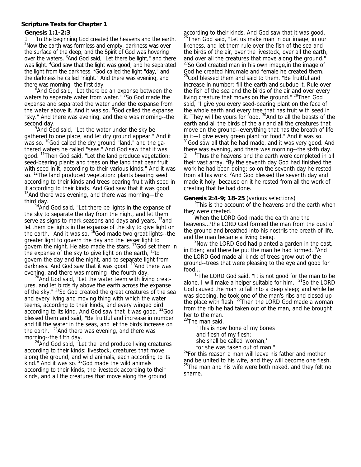# **Scripture Texts for Chapter 1**

# **Genesis 1:1-2:3**

1  $^{-1}$ In the beginning God created the heavens and the earth.<br><sup>2</sup>New the earth was farmless and empty darkness was over <sup>2</sup>Now the earth was formless and empty, darkness was over the surface of the deep, and the Spirit of God was hovering over the waters. <sup>3</sup>And God said, "Let there be light," and there was light. <sup>4</sup>God saw that the light was good, and he separated the light from the darkness. <sup>5</sup>God called the light "day," and the darkness he called "night." And there was evening, and there was morning--the first day.

<sup>6</sup> And God said, "Let there be an expanse between the waters to separate water from water." <sup>7</sup>So God made the expanse and separated the water under the expanse from the water above it. And it was so. <sup>8</sup>God called the expanse "sky." And there was evening, and there was morning--the second day.

 $9$ And God said, "Let the water under the sky be gathered to one place, and let dry ground appear." And it was so. <sup>10</sup>God called the dry ground "land," and the gathered waters he called "seas." And God saw that it was good. <sup>11</sup>Then God said, "Let the land produce vegetation: seed-bearing plants and trees on the land that bear fruit with seed in it, according to their various kinds." And it was so. <sup>12</sup>The land produced vegetation: plants bearing seed according to their kinds and trees bearing fruit with seed in it according to their kinds. And God saw that it was good.<br><sup>13</sup>And there was evening, and there was morning—the

third day.<br><sup>14</sup>And God said, "Let there be lights in the expanse of the sky to separate the day from the night, and let them serve as signs to mark seasons and days and years, <sup>15</sup>and let them be lights in the expanse of the sky to give light on the earth." And it was so. <sup>18</sup>God made two great lights--the greater light to govern the day and the lesser light to govern the night. He also made the stars. 17God set them in the expanse of the sky to give light on the earth,  $^{18}$ to govern the day and the night, and to separate light from darkness. And God saw that it was good. <sup>19</sup>And there was evening, and there was morning--the fourth day.<br><sup>20</sup>And God said, "Let the water teem with living creat-

ures, and let birds fly above the earth across the expanse of the sky." <sup>21</sup>So God created the great creatures of the sea and every living and moving thing with which the water teems, according to their kinds, and every winged bird according to its kind. And God saw that it was good. <sup>22</sup>God blessed them and said, "Be fruitful and increase in number and fill the water in the seas, and let the birds increase on the earth."  $23$ And there was evening, and there was morning--the fifth day.

 $24$ And God said, "Let the land produce living creatures according to their kinds: livestock, creatures that move along the ground, and wild animals, each according to its kind." And it was so.  $25$  God made the wild animals according to their kinds, the livestock according to their kinds, and all the creatures that move along the ground

according to their kinds. And God saw that it was good. <sup>26</sup>Then God said, "Let us make man in our image, in our likeness, and let them rule over the fish of the sea and the birds of the air, over the livestock, over all the earth, and over all the creatures that move along the ground." <sup>27</sup>So God created man in his own image, in the image of God he created him;male and female he created them.

<sup>28</sup>God blessed them and said to them, "Be fruitful and increase in number; fill the earth and subdue it. Rule over the fish of the sea and the birds of the air and over every living creature that moves on the ground." <sup>29</sup>Then God said, "I give you every seed-bearing plant on the face of the whole earth and every tree that has fruit with seed in it. They will be yours for food.  $30$ And to all the beasts of the earth and all the birds of the air and all the creatures that move on the ground--everything that has the breath of life in it—I give every green plant for food." And it was so. <sup>31</sup>God saw all that he had made, and it was very good. And there was evening, and there was morning--the sixth day. <sup>1</sup> Thus the heavens and the earth were completed in all their vast array. <sup>2</sup>By the seventh day God had finished the work he had been doing; so on the seventh day he rested from all his work. <sup>3</sup>And God blessed the seventh day and made it holy, because on it he rested from all the work of creating that he had done.

#### **Genesis 2:4-9; 18-25** (various selections)

<sup>4</sup>This is the account of the heavens and the earth when they were created.

 When the LORD God made the earth and the heavens...<sup>7</sup> the LORD God formed the man from the dust of the ground and breathed into his nostrils the breath of life, and the man became a living being.

<sup>8</sup>Now the LORD God had planted a garden in the east, in Eden; and there he put the man he had formed. <sup>9</sup>And the LORD God made all kinds of trees grow out of the ground--trees that were pleasing to the eye and good for food…

<sup>18</sup>The LORD God said, "It is not good for the man to be alone. I will make a helper suitable for him." <sup>21</sup>So the LORD God caused the man to fall into a deep sleep; and while he was sleeping, he took one of the man's ribs and closed up the place with flesh. <sup>22</sup>Then the LORD God made a woman from the rib he had taken out of the man, and he brought her to the man.

<sup>23</sup>The man said,

"This is now bone of my bones and flesh of my flesh;

she shall be called 'woman,'

for she was taken out of man."

<sup>24</sup>For this reason a man will leave his father and mother and be united to his wife, and they will become one flesh.  $25$ The man and his wife were both naked, and they felt no shame.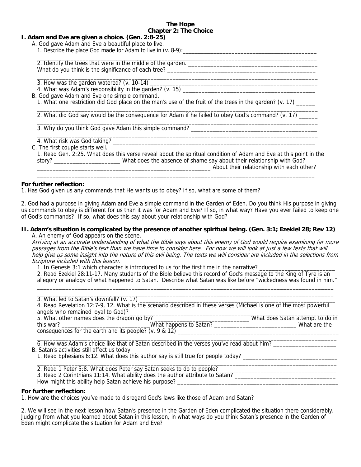#### **The Hope Chapter 2: The Choice**

\_\_\_\_\_\_\_\_\_\_\_\_\_\_\_\_\_\_\_\_\_\_\_\_\_\_\_\_\_\_\_\_\_\_\_\_\_\_\_\_\_\_\_\_\_\_\_\_\_\_\_\_\_\_\_\_\_\_\_\_\_\_\_\_\_\_\_\_\_\_\_\_\_\_\_\_\_\_\_\_\_\_\_\_\_\_\_\_\_

 $\frac{1}{2}$  ,  $\frac{1}{2}$  ,  $\frac{1}{2}$  ,  $\frac{1}{2}$  ,  $\frac{1}{2}$  ,  $\frac{1}{2}$  ,  $\frac{1}{2}$  ,  $\frac{1}{2}$  ,  $\frac{1}{2}$  ,  $\frac{1}{2}$  ,  $\frac{1}{2}$  ,  $\frac{1}{2}$  ,  $\frac{1}{2}$  ,  $\frac{1}{2}$  ,  $\frac{1}{2}$  ,  $\frac{1}{2}$  ,  $\frac{1}{2}$  ,  $\frac{1}{2}$  ,  $\frac{1$ 

# **I. Adam and Eve are given a choice. (Gen. 2:8-25)**

- A. God gave Adam and Eve a beautiful place to live.
	- 1. Describe the place God made for Adam to live in (v. 8-9):

\_\_\_\_\_\_\_\_\_\_\_\_\_\_\_\_\_\_\_\_\_\_\_\_\_\_\_\_\_\_\_\_\_\_\_\_\_\_\_\_\_\_\_\_\_\_\_\_\_\_\_\_\_\_\_\_\_\_\_\_\_\_\_\_\_\_\_\_\_\_\_\_\_\_\_\_\_\_\_\_\_\_\_\_\_\_\_\_\_\_\_\_ 2. Identify the trees that were in the middle of the garden. \_\_\_\_\_\_\_\_\_\_\_\_\_\_\_\_\_\_\_\_\_\_\_\_\_\_\_\_\_\_\_\_\_\_\_\_\_\_\_\_\_ What do you think is the significance of each tree? \_\_\_\_\_\_\_\_\_\_\_\_\_\_\_\_\_\_\_\_\_\_\_\_\_\_\_\_\_\_\_\_\_\_\_\_\_\_\_\_\_\_\_\_\_\_\_

3. How was the garden watered? (v. 10-14) \_\_\_\_\_\_\_\_\_\_\_\_\_\_\_\_\_\_\_\_\_\_\_\_\_\_\_\_\_\_\_\_\_\_\_\_\_\_\_\_\_\_\_\_\_\_\_\_\_\_\_\_\_

4. What was Adam's responsibility in the garden? (v. 15)  $\frac{1}{2}$  and  $\frac{1}{2}$  and  $\frac{1}{2}$  and  $\frac{1}{2}$  and  $\frac{1}{2}$  and  $\frac{1}{2}$  and  $\frac{1}{2}$  and  $\frac{1}{2}$  and  $\frac{1}{2}$  and  $\frac{1}{2}$  and  $\frac{1}{2}$  and  $\frac{1}{2}$ 

B. God gave Adam and Eve one simple command.

1. What one restriction did God place on the man's use of the fruit of the trees in the garden? (v. 17) \_\_\_\_\_\_

 $\frac{1}{2}$  ,  $\frac{1}{2}$  ,  $\frac{1}{2}$  ,  $\frac{1}{2}$  ,  $\frac{1}{2}$  ,  $\frac{1}{2}$  ,  $\frac{1}{2}$  ,  $\frac{1}{2}$  ,  $\frac{1}{2}$  ,  $\frac{1}{2}$  ,  $\frac{1}{2}$  ,  $\frac{1}{2}$  ,  $\frac{1}{2}$  ,  $\frac{1}{2}$  ,  $\frac{1}{2}$  ,  $\frac{1}{2}$  ,  $\frac{1}{2}$  ,  $\frac{1}{2}$  ,  $\frac{1$ 

 $\frac{1}{2}$  ,  $\frac{1}{2}$  ,  $\frac{1}{2}$  ,  $\frac{1}{2}$  ,  $\frac{1}{2}$  ,  $\frac{1}{2}$  ,  $\frac{1}{2}$  ,  $\frac{1}{2}$  ,  $\frac{1}{2}$  ,  $\frac{1}{2}$  ,  $\frac{1}{2}$  ,  $\frac{1}{2}$  ,  $\frac{1}{2}$  ,  $\frac{1}{2}$  ,  $\frac{1}{2}$  ,  $\frac{1}{2}$  ,  $\frac{1}{2}$  ,  $\frac{1}{2}$  ,  $\frac{1$ 

 $\frac{1}{2}$  ,  $\frac{1}{2}$  ,  $\frac{1}{2}$  ,  $\frac{1}{2}$  ,  $\frac{1}{2}$  ,  $\frac{1}{2}$  ,  $\frac{1}{2}$  ,  $\frac{1}{2}$  ,  $\frac{1}{2}$  ,  $\frac{1}{2}$  ,  $\frac{1}{2}$  ,  $\frac{1}{2}$  ,  $\frac{1}{2}$  ,  $\frac{1}{2}$  ,  $\frac{1}{2}$  ,  $\frac{1}{2}$  ,  $\frac{1}{2}$  ,  $\frac{1}{2}$  ,  $\frac{1$ 2. What did God say would be the consequence for Adam if he failed to obey God's command? (v. 17) \_\_\_\_\_\_

 $\mathcal{L}_\text{max} = \frac{1}{2} \frac{1}{2} \frac{1}{2} \frac{1}{2} \frac{1}{2} \frac{1}{2} \frac{1}{2} \frac{1}{2} \frac{1}{2} \frac{1}{2} \frac{1}{2} \frac{1}{2} \frac{1}{2} \frac{1}{2} \frac{1}{2} \frac{1}{2} \frac{1}{2} \frac{1}{2} \frac{1}{2} \frac{1}{2} \frac{1}{2} \frac{1}{2} \frac{1}{2} \frac{1}{2} \frac{1}{2} \frac{1}{2} \frac{1}{2} \frac{1}{2} \frac{1}{2} \frac{1}{$ 

3. Why do you think God gave Adam this simple command? \_\_\_\_\_\_\_\_\_\_\_\_\_\_\_\_\_\_\_\_\_\_\_\_\_\_

4. What risk was God taking? \_\_\_\_\_\_\_\_\_\_\_\_\_\_\_\_\_\_\_\_\_\_\_\_\_\_\_\_\_\_\_\_\_\_\_\_\_\_\_\_\_\_\_\_\_\_\_\_\_\_\_\_\_\_\_\_\_\_\_\_\_\_\_\_

C. The first couple starts well.

1. Read Gen. 2:25. What does this verse reveal about the spiritual condition of Adam and Eve at this point in the story? \_\_\_\_\_\_\_\_\_\_\_\_\_\_\_\_\_\_\_\_\_ What does the absence of shame say about their relationship with God? \_\_\_\_\_\_\_\_\_\_\_\_\_\_\_\_\_\_\_\_\_\_\_\_\_\_\_\_\_\_\_\_\_\_\_\_\_\_\_\_\_\_\_\_\_\_\_\_\_\_\_\_\_\_\_ About their relationship with each other?

# **For further reflection:**

1. Has God given us any commands that He wants us to obey? If so, what are some of them?

2. God had a purpose in giving Adam and Eve a simple command in the Garden of Eden. Do you think His purpose in giving us commands to obey is different for us than it was for Adam and Eve? If so, in what way? Have you ever failed to keep one of God's commands? If so, what does this say about your relationship with God?

#### **II. Adam's situation is complicated by the presence of another spiritual being. (Gen. 3:1; Ezekiel 28; Rev 12)** A. An enemy of God appears on the scene.

Arriving at an accurate understanding of what the Bible says about this enemy of God would require examining far more passages from the Bible's text than we have time to consider here. For now we will look at just a few texts that will help give us some insight into the nature of this evil being. The texts we will consider are included in the selections from Scripture included with this lesson.

1. In Genesis 3:1 which character is introduced to us for the first time in the narrative?

2. Read Ezekiel 28:11-17. Many students of the Bible believe this record of God's message to the King of Tyre is an allegory or analogy of what happened to Satan. Describe what Satan was like before "wickedness was found in him." \_\_\_\_\_\_\_\_\_\_\_\_\_\_\_\_\_\_\_\_\_\_\_\_\_\_\_\_\_\_\_\_\_\_\_\_\_\_\_\_\_\_\_\_\_\_\_\_\_\_\_\_\_\_\_\_\_\_\_\_\_\_\_\_\_\_\_\_\_\_\_\_\_\_\_\_\_\_\_\_\_\_\_\_\_\_\_\_\_\_\_\_\_\_

| 4. Read Revelation 12:7-9, 12. What is the scenario described in these verses (Michael is one of the most powerful |                                  |
|--------------------------------------------------------------------------------------------------------------------|----------------------------------|
|                                                                                                                    |                                  |
|                                                                                                                    | What does Satan attempt to do in |
|                                                                                                                    | What are the                     |
| consequences for the earth and its people? (v. 9 & 12)                                                             |                                  |
|                                                                                                                    |                                  |

6. How was Adam's choice like that of Satan described in the verses you've read about him? \_\_\_\_\_\_\_\_\_\_\_\_\_\_\_\_\_\_\_

B. Satan's activities still affect us today.

- 1. Read Ephesians 6:12. What does this author say is still true for people today? \_\_\_\_\_\_\_\_\_\_\_\_\_\_\_\_\_\_\_\_\_\_\_\_\_\_\_\_
- 2. Read 1 Peter 5:8. What does Peter say Satan seeks to do to people? \_\_\_\_\_\_\_\_\_\_\_\_\_\_\_\_\_\_\_\_\_\_\_\_\_\_\_\_\_\_\_\_\_\_\_\_\_
- 3. Read 2 Corinthians 11:14. What ability does the author attribute to Satan? \_\_\_\_\_\_\_\_\_\_\_\_\_\_\_\_\_\_\_\_\_\_\_\_\_\_\_\_\_\_\_\_

How might this ability help Satan achieve his purpose? \_\_\_\_\_\_\_\_\_\_\_\_\_\_\_\_\_\_\_\_\_\_\_\_\_

# **For further reflection:**

1. How are the choices you've made to disregard God's laws like those of Adam and Satan?

2. We will see in the next lesson how Satan's presence in the Garden of Eden complicated the situation there considerably. Judging from what you learned about Satan in this lesson, in what ways do you think Satan's presence in the Garden of Eden might complicate the situation for Adam and Eve?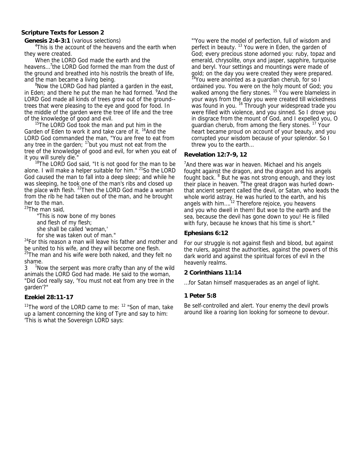# **Scripture Texts for Lesson 2**

**Genesis 2:4-3:1** (various selections)

<sup>4</sup>This is the account of the heavens and the earth when they were created.

 When the LORD God made the earth and the heavens...<sup>7</sup>the LORD God formed the man from the dust of the ground and breathed into his nostrils the breath of life, and the man became a living being.

<sup>8</sup>Now the LORD God had planted a garden in the east, in Eden; and there he put the man he had formed. <sup>9</sup>And the LORD God made all kinds of trees grow out of the ground- trees that were pleasing to the eye and good for food. In the middle of the garden were the tree of life and the tree of the knowledge of good and evil.<br><sup>15</sup>The LORD God took the man and put him in the

Garden of Eden to work it and take care of it. <sup>16</sup>And the LORD God commanded the man, "You are free to eat from any tree in the garden;  $17$  but you must not eat from the tree of the knowledge of good and evil, for when you eat of

it you will surely die."<br> $18$ The LORD God said, "It is not good for the man to be alone. I will make a helper suitable for him." <sup>21</sup>So the LORD God caused the man to fall into a deep sleep; and while he was sleeping, he took one of the man's ribs and closed up the place with flesh. <sup>22</sup>Then the LORD God made a woman from the rib he had taken out of the man, and he brought her to the man.

<sup>23</sup>The man said,

"This is now bone of my bones

and flesh of my flesh;

she shall be called 'woman,'

for she was taken out of man."

 $24$ For this reason a man will leave his father and mother and be united to his wife, and they will become one flesh.

<sup>25</sup>The man and his wife were both naked, and they felt no shame.

3 <sup>1</sup> Now the serpent was more crafty than any of the wild animals the LORD God had made. He said to the woman, "Did God really say, 'You must not eat from any tree in the garden'?"

# **Ezekiel 28:11-17**

<sup>11</sup>The word of the LORD came to me:  $12$  "Son of man, take up a lament concerning the king of Tyre and say to him: 'This is what the Sovereign LORD says:

"'You were the model of perfection, full of wisdom and perfect in beauty.<sup>13</sup> You were in Eden, the garden of God; every precious stone adorned you: ruby, topaz and emerald, chrysolite, onyx and jasper, sapphire, turquoise and beryl. Your settings and mountings were made of gold; on the day you were created they were prepared.  $14$ You were anointed as a guardian cherub, for so I ordained you. You were on the holy mount of God; you walked among the fiery stones. <sup>15</sup> You were blameless in your ways from the day you were created till wickedness was found in you. <sup>16</sup> Through your widespread trade you were filled with violence, and you sinned. So I drove you in disgrace from the mount of God, and I expelled you, O guardian cherub, from among the fiery stones. <sup>17</sup> Your heart became proud on account of your beauty, and you corrupted your wisdom because of your splendor. So I threw you to the earth…

# **Revelation 12:7-9, 12**

<sup>7</sup> And there was war in heaven. Michael and his angels fought against the dragon, and the dragon and his angels fought back. <sup>8</sup> But he was not strong enough, and they lost their place in heaven. <sup>9</sup> The great dragon was hurled downthat ancient serpent called the devil, or Satan, who leads the whole world astray. He was hurled to the earth, and his angels with him....<sup>12</sup> Therefore rejoice, you heavens and you who dwell in them! But woe to the earth and the sea, because the devil has gone down to you! He is filled with fury, because he knows that his time is short."

# **Ephesians 6:12**

For our struggle is not against flesh and blood, but against the rulers, against the authorities, against the powers of this dark world and against the spiritual forces of evil in the heavenly realms.

# **2 Corinthians 11:14**

…for Satan himself masquerades as an angel of light.

# **1 Peter 5:8**

Be self-controlled and alert. Your enemy the devil prowls around like a roaring lion looking for someone to devour.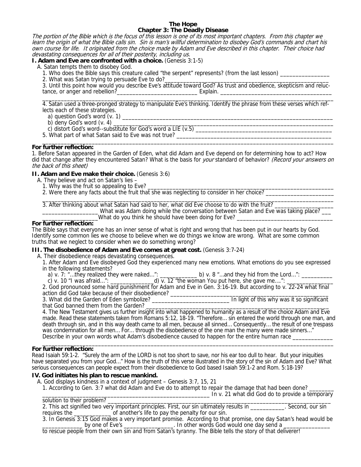#### **The Hope Chapter 3: The Deadly Disease**

The portion of the Bible which is the focus of this lesson is one of its most important chapters. From this chapter we learn the origin of what the Bible calls sin. Sin is man's willful determination to disobey God's commands and chart his own course for life. It originated from the choice made by Adam and Eve described in this chapter. Their choice had devastating consequences for all of their posterity, including us.

# **I. Adam and Eve are confronted with a choice.** (Genesis 3:1-5)

A. Satan tempts them to disobey God.

1. Who does the Bible says this creature called "the serpent" represents? (from the last lesson)

2. What was Satan trying to persuade Eve to do?

 3. Until this point how would you describe Eve's attitude toward God? As trust and obedience, skepticism and reluc tance, or anger and rebellion?\_\_\_\_\_\_\_\_\_\_\_\_\_\_\_\_\_\_\_\_\_\_\_\_\_\_ Explain. \_\_\_\_\_\_\_\_\_\_\_\_\_\_\_\_\_\_\_\_\_\_\_\_\_\_\_\_\_\_\_\_\_\_\_\_

 $\frac{1}{2}$  ,  $\frac{1}{2}$  ,  $\frac{1}{2}$  ,  $\frac{1}{2}$  ,  $\frac{1}{2}$  ,  $\frac{1}{2}$  ,  $\frac{1}{2}$  ,  $\frac{1}{2}$  ,  $\frac{1}{2}$  ,  $\frac{1}{2}$  ,  $\frac{1}{2}$  ,  $\frac{1}{2}$  ,  $\frac{1}{2}$  ,  $\frac{1}{2}$  ,  $\frac{1}{2}$  ,  $\frac{1}{2}$  ,  $\frac{1}{2}$  ,  $\frac{1}{2}$  ,  $\frac{1$  4. Satan used a three-pronged strategy to manipulate Eve's thinking. Identify the phrase from these verses which ref lects each of these strategies.

- a) question God's word  $(v. 1)$   $\_\_$  b) deny God's word  $(v. 4)$
- b) deny God's word (v. 4) \_\_\_\_\_\_\_\_\_\_\_\_\_\_\_\_\_\_\_\_\_\_\_\_\_\_\_\_\_\_\_\_\_\_\_\_\_\_\_\_\_\_\_\_\_\_\_\_\_\_\_\_\_\_\_\_\_\_\_\_\_\_\_\_\_\_\_\_\_\_\_
- c) distort God's word--substitute for God's word a LIE (v.5) \_\_\_\_\_\_\_\_\_\_\_\_\_\_\_\_\_\_\_\_\_\_\_\_\_\_\_\_\_\_\_\_\_\_\_\_\_\_\_\_\_\_\_\_
- 5. What part of what Satan said to Eve was not true?  $\overline{\phantom{a}}$  ,  $\overline{\phantom{a}}$  ,  $\overline{\phantom{a}}$  ,  $\overline{\phantom{a}}$  ,  $\overline{\phantom{a}}$  ,  $\overline{\phantom{a}}$  ,  $\overline{\phantom{a}}$  ,  $\overline{\phantom{a}}$  ,  $\overline{\phantom{a}}$  ,  $\overline{\phantom{a}}$  ,  $\overline{\phantom{a}}$  ,  $\overline{\phantom{a}}$  ,  $\overline{\phantom{a}}$  ,  $\overline{\phantom{a}}$  ,  $\overline{\phantom{a}}$  ,  $\overline{\phantom{a}}$

# **For further reflection:**

1. Before Satan appeared in the Garden of Eden, what did Adam and Eve depend on for determining how to act? How did that change after they encountered Satan? What is the basis for your standard of behavior? (Record your answers on the back of this sheet)

# **II. Adam and Eve make their choice.** (Genesis 3:6)

- A. They believe and act on Satan's lies
	- 1. Why was the fruit so appealing to Eve?
	- 2. Were there any facts about the fruit that she was neglecting to consider in her choice?

\_\_\_\_\_\_\_\_\_\_\_\_\_\_\_\_\_\_\_\_\_\_\_\_\_\_\_\_\_\_\_\_\_\_\_\_\_\_\_\_\_\_\_\_\_\_\_\_\_\_\_\_\_\_\_\_\_\_\_\_\_\_\_\_\_\_\_\_\_\_\_\_\_\_\_\_\_\_\_\_\_\_\_\_\_\_\_\_\_\_\_\_\_\_ 3. After thinking about what Satan had said to her, what did Eve choose to do with the fruit? \_\_\_\_\_\_\_\_\_\_\_\_\_\_\_\_\_\_ What was Adam doing while the conversation between Satan and Eve was taking place? \_\_\_ \_\_\_\_\_\_\_\_\_\_\_\_\_\_\_\_\_\_What do you think he should have been doing for Eve? \_\_\_\_\_\_\_\_\_\_\_\_\_\_\_\_\_\_\_\_\_\_\_\_\_\_\_\_\_\_\_

# **For further reflection:**

The Bible says that everyone has an inner sense of what is right and wrong that has been put in our hearts by God. Identify some common lies we choose to believe when we do things we know are wrong. What are some common truths that we neglect to consider when we do something wrong?

# **III. The disobedience of Adam and Eve comes at great cost. (Genesis 3:7-24)**

A. Their disobedience reaps devastating consequences.

- 1. After Adam and Eve disobeyed God they experienced many new emotions. What emotions do you see expressed in the following statements?
- a) v. 7: "...they realized they were naked…":  $\frac{1}{2}$  b) v. 8 "...and they hid from the Lord…":  $\frac{1}{2}$

c) v. 10 "I was afraid…": \_\_\_\_\_\_\_\_\_\_\_\_\_\_\_\_\_d) v. 12 "the woman You put here, she gave me….": \_\_\_\_\_\_\_\_\_\_\_\_\_\_\_\_\_

 2. God pronounced some hard punishment for Adam and Eve in Gen. 3:16-19. But according to v. 22-24 what final action did God take because of their disobedience? \_\_\_\_\_\_\_\_\_\_\_\_\_\_\_\_\_\_\_\_\_\_\_\_\_\_\_\_\_\_\_\_\_\_\_\_\_\_\_\_\_\_\_\_\_\_\_\_\_\_\_

 3. What did the Garden of Eden symbolize? \_\_\_\_\_\_\_\_\_\_\_\_\_\_\_\_\_\_\_\_\_\_\_\_\_ In light of this why was it so significant that God banned them from the Garden?

4. The New Testament gives us further insight into what happened to humanity as a result of the choice Adam and Eve made. Read these statements taken from Romans 5:12, 18-19. "Therefore… sin entered the world through one man, and death through sin, and in this way death came to all men, because all sinned… Consequently… the result of one trespass was condemnation for all men... For... through the disobedience of the one man the many were made sinners..." Describe in your own words what Adam's disobedience caused to happen for the entire human race \_\_\_\_\_\_\_

#### \_\_\_\_\_\_\_\_\_\_\_\_\_\_\_\_\_\_\_\_\_\_\_\_\_\_\_\_\_\_\_\_\_\_\_\_\_\_\_\_\_\_\_\_\_\_\_\_\_\_\_\_\_\_\_\_\_\_\_\_\_\_\_\_\_\_\_\_\_\_\_\_\_\_\_\_\_\_\_\_\_\_\_\_\_\_\_\_\_\_\_\_\_\_ **For further reflection:**

Read Isaiah 59:1-2. "Surely the arm of the LORD is not too short to save, nor his ear too dull to hear. But your iniquities have separated you from your God…" How is the truth of this verse illustrated in the story of the sin of Adam and Eve? What serious consequences can people expect from their disobedience to God based Isaiah 59:1-2 and Rom. 5:18-19?

# **IV. God initiates his plan to rescue mankind.**

A. God displays kindness in a context of judgment – Genesis 3:7, 15, 21

1. According to Gen. 3:7 what did Adam and Eve do to attempt to repair the damage that had been done?

 \_\_\_\_\_\_\_\_\_\_\_\_\_\_\_\_\_\_\_\_\_\_\_\_\_\_\_\_\_\_\_\_\_\_\_\_\_\_\_\_\_\_\_\_\_\_\_\_\_\_\_\_\_\_ In v. 21 what did God do to provide a temporary solution to their problem?

2. This act signified two very important principles. First, our sin ultimately results in \_\_\_\_\_\_\_\_\_\_\_. Second, our sin requires the \_\_\_\_\_\_\_\_\_\_\_\_ of another's life to pay the penalty for our sin.

 3. In Genesis 3:15 God makes a very important promise. According to that promise, one day Satan's head would be \_\_\_\_\_\_\_\_\_\_\_\_\_\_\_\_\_\_\_ by one of Eve's \_\_\_\_\_\_\_\_\_\_\_\_\_\_\_\_\_. In other words God would one day send a \_\_\_\_\_\_\_\_\_\_\_\_\_\_\_

to rescue people from their own sin and from Satan's tyranny. The Bible tells the story of that deliverer!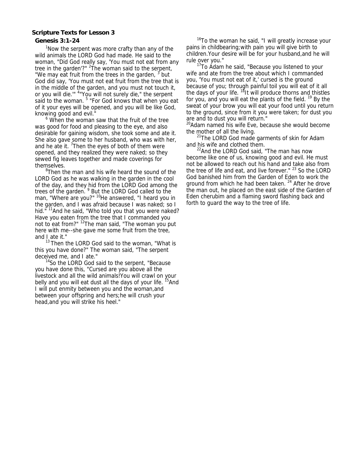# **Scripture Texts for Lesson 3**

# **Genesis 3:1-24**

<sup>1</sup>Now the serpent was more crafty than any of the wild animals the LORD God had made. He said to the woman, "Did God really say, 'You must not eat from any tree in the garden'?" <sup>2</sup>The woman said to the serpent, "We may eat fruit from the trees in the garden, <sup>3</sup> but God did say, 'You must not eat fruit from the tree that is in the middle of the garden, and you must not touch it, or you will die."" <sup>4</sup> 'You will not surely die," the serpent said to the woman. <sup>5</sup> "For God knows that when you eat of it your eyes will be opened, and you will be like God, knowing good and evil."

 $6$  When the woman saw that the fruit of the tree was good for food and pleasing to the eye, and also desirable for gaining wisdom, she took some and ate it. She also gave some to her husband, who was with her, and he ate it.  $7$ Then the eyes of both of them were opened, and they realized they were naked; so they sewed fig leaves together and made coverings for themselves.

<sup>8</sup>Then the man and his wife heard the sound of the LORD God as he was walking in the garden in the cool of the day, and they hid from the LORD God among the trees of the garden. <sup>9</sup> But the LORD God called to the man, "Where are you?" <sup>10</sup>He answered, "I heard you in the garden, and I was afraid because I was naked; so I hid."<sup>11</sup>And he said, "Who told you that you were naked? Have you eaten from the tree that I commanded you not to eat from?" <sup>12</sup>The man said, "The woman you put here with me--she gave me some fruit from the tree, and I ate it."

<sup>13</sup> Then the LORD God said to the woman, "What is this you have done?" The woman said, "The serpent deceived me, and I ate."

<sup>14</sup>So the LORD God said to the serpent, "Because you have done this, "Cursed are you above all the livestock and all the wild animals!You will crawl on your belly and you will eat dust all the days of your life. <sup>15</sup>And I will put enmity between you and the woman,and between your offspring and hers;he will crush your head,and you will strike his heel."

<sup>16</sup>To the woman he said, "I will greatly increase your pains in childbearing;with pain you will give birth to children.Your desire will be for your husband,and he will rule over you."

<sup>17</sup>To Adam he said, "Because you listened to your wife and ate from the tree about which I commanded you, 'You must not eat of it,' cursed is the ground because of you; through painful toil you will eat of it all the days of your life.  $18$ It will produce thorns and thistles for you, and you will eat the plants of the field.<sup>19</sup> By the sweat of your brow you will eat your food until you return to the ground, since from it you were taken; for dust you are and to dust you will return."

 $^{20}$ Adam named his wife Eve, because she would become the mother of all the living.

 $21$ The LORD God made garments of skin for Adam and his wife and clothed them.

 $^{22}$ And the LORD God said, "The man has now become like one of us, knowing good and evil. He must not be allowed to reach out his hand and take also from the tree of life and eat, and live forever." <sup>23</sup> So the LORD God banished him from the Garden of Eden to work the ground from which he had been taken.  $24$  After he drove the man out, he placed on the east side of the Garden of Eden cherubim and a flaming sword flashing back and forth to guard the way to the tree of life.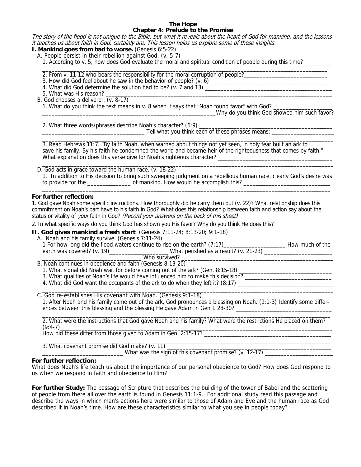#### **The Hope Chapter 4: Prelude to the Promise**

The story of the flood is not unique to the Bible, but what it reveals about the heart of God for mankind, and the lessons it teaches us about faith in God, certainly are. This lesson helps us explore some of these insights.

**I. Mankind goes from bad to worse.** (Genesis 6:5-22)

A. People persist in their rebellion against God. (v. 5-7)

1. According to v. 5, how does God evaluate the moral and spiritual condition of people during this time? \_\_\_\_\_\_\_\_\_

- $\overline{\phantom{a}}$  ,  $\overline{\phantom{a}}$  ,  $\overline{\phantom{a}}$  ,  $\overline{\phantom{a}}$  ,  $\overline{\phantom{a}}$  ,  $\overline{\phantom{a}}$  ,  $\overline{\phantom{a}}$  ,  $\overline{\phantom{a}}$  ,  $\overline{\phantom{a}}$  ,  $\overline{\phantom{a}}$  ,  $\overline{\phantom{a}}$  ,  $\overline{\phantom{a}}$  ,  $\overline{\phantom{a}}$  ,  $\overline{\phantom{a}}$  ,  $\overline{\phantom{a}}$  ,  $\overline{\phantom{a}}$ 2. From v. 11-12 who bears the responsibility for the moral corruption of people?
	- 3. How did God feel about he saw in the behavior of people? (v. 6) \_\_\_\_\_\_\_\_\_\_\_\_\_\_\_\_\_\_\_\_\_\_\_\_\_\_\_\_\_\_\_\_\_\_\_\_\_\_\_
	- 4. What did God determine the solution had to be? (v. 7 and 13) \_\_\_\_\_\_\_\_\_\_\_\_\_\_\_\_\_\_\_\_\_\_\_\_\_\_\_\_\_\_\_\_\_\_\_\_\_\_\_\_\_
	- 5. What was His reason?
	- B. God chooses a deliverer. (v. 8-17)

1. What do you think the text means in v. 8 when it says that "Noah found favor" with God? \_\_\_\_\_\_\_\_\_\_\_\_\_\_\_\_\_\_\_

\_\_\_\_\_\_\_\_\_\_\_\_\_\_\_\_\_\_\_\_\_\_\_\_\_\_\_\_\_\_\_\_\_\_\_\_\_\_\_\_\_\_\_\_\_\_\_\_\_\_\_\_\_\_\_\_Why do you think God showed him such favor?

2. What three words/phrases describe Noah's character? (6:9) \_\_\_\_\_\_\_\_\_\_\_\_\_\_\_\_\_\_\_\_\_\_\_\_\_\_\_\_\_\_\_\_\_\_\_\_\_\_\_\_\_\_\_ \_\_\_\_\_\_\_\_\_\_\_\_\_\_\_\_\_\_\_\_\_\_\_\_\_\_\_\_\_\_\_\_\_ Tell what you think each of these phrases means: \_\_\_\_\_\_\_\_\_\_\_\_\_\_\_\_\_\_\_\_

\_\_\_\_\_\_\_\_\_\_\_\_\_\_\_\_\_\_\_\_\_\_\_\_\_\_\_\_\_\_\_\_\_\_\_\_\_\_\_\_\_\_\_\_\_\_\_\_\_\_\_\_\_\_\_\_\_\_\_\_\_\_\_\_\_\_\_\_\_\_\_\_\_\_\_\_\_\_\_\_\_\_\_\_\_\_\_\_\_\_\_\_\_\_ 3. Read Hebrews 11:7. "By faith Noah, when warned about things not yet seen, in holy fear built an ark to save his family. By his faith he condemned the world and became heir of the righteousness that comes by faith." What explanation does this verse give for Noah's righteous character? \_\_\_\_\_\_\_\_\_\_\_\_\_\_\_\_\_\_\_\_\_\_\_\_\_\_\_\_\_\_\_\_\_\_\_\_\_\_\_\_\_\_\_\_\_\_\_\_\_\_\_\_\_\_\_\_\_\_\_\_\_\_\_\_\_\_\_\_\_\_\_\_\_\_\_\_\_\_\_\_\_\_\_\_\_\_\_\_\_\_\_\_\_\_

\_\_\_\_\_\_\_\_\_\_\_\_\_\_\_\_\_\_\_\_\_\_\_\_\_\_\_\_\_\_\_\_\_\_\_\_\_\_\_\_\_\_\_\_\_\_\_\_\_\_\_\_\_\_\_\_\_\_\_\_\_\_\_\_\_\_\_\_\_\_\_\_\_\_\_\_\_\_\_\_\_\_\_\_\_\_\_\_\_\_\_\_\_\_

D. God acts in grace toward the human race. (v. 18-22) 1. In addition to His decision to bring such sweeping judgment on a rebellious human race, clearly God's desire was to provide for the \_\_\_\_\_\_\_\_\_\_\_\_\_\_\_\_\_\_\_\_\_\_\_ of mankind. How would he accomplish this? \_\_\_\_\_\_\_\_\_\_\_\_\_\_\_\_\_\_\_\_\_\_\_\_\_\_\_\_\_\_\_\_\_\_\_\_\_\_\_\_\_\_\_\_\_\_\_\_\_\_\_\_\_\_\_\_\_\_\_\_\_\_\_\_\_\_\_\_\_\_\_\_\_\_\_\_\_\_\_\_\_\_\_\_\_\_\_\_\_\_\_\_\_

# **For further reflection:**

1. God gave Noah some specific instructions. How thoroughly did he carry them out (v. 22)? What relationship does this commitment on Noah's part have to his faith in God? What does this relationship between faith and action say about the status or vitality of your faith in God? (Record your answers on the back of this sheet)

2. In what specific ways do you think God has shown you His favor? Why do you think He does this?

**II. God gives mankind a fresh start** (Genesis 7:11-24; 8:13-20; 9:1-18)

 A. Noah and his family survive. (Genesis 7:11-24) 1 For how long did the flood waters continue to rise on the earth? (7:17)\_\_\_\_\_\_\_\_\_\_\_\_\_\_\_\_\_\_\_\_ How much of the earth was covered? (v. 19)\_\_\_\_\_\_\_\_\_\_\_\_\_\_\_\_\_\_\_\_\_\_\_\_\_What perished as a result? (v. 21-23) \_\_\_\_\_\_\_\_\_\_\_\_\_\_\_\_\_\_\_\_\_ \_\_\_\_\_\_\_\_\_\_\_\_\_\_\_\_\_\_\_\_\_\_\_\_\_\_\_\_\_\_\_\_ Who survived? \_\_\_\_\_\_\_\_\_\_\_\_\_\_\_\_\_\_\_\_\_\_\_\_\_\_\_\_\_\_\_\_\_\_\_\_\_\_\_\_\_\_\_\_\_\_\_\_\_

B. Noah continues in obedience and faith (Genesis 8:13-20)

1. What signal did Noah wait for before coming out of the ark? (Gen. 8:15-18)

- 3. What qualities of Noah's life would have influenced him to make this decision?
- 4. What did God want the occupants of the ark to do when they left it? (8:17) \_\_\_\_\_\_\_\_\_

 C. God re-establishes His covenant with Noah. (Genesis 9:1-18) 1. After Noah and his family came out of the ark, God pronounces a blessing on Noah. (9:1-3) Identify some differ ences between this blessing and the blessing He gave Adam in Gen 1:28-30? \_\_\_\_\_\_\_\_\_\_\_\_\_\_\_\_\_\_\_\_\_\_\_\_\_\_\_\_\_\_\_

 $\overline{\phantom{a}}$  , and the set of the set of the set of the set of the set of the set of the set of the set of the set of the set of the set of the set of the set of the set of the set of the set of the set of the set of the s 2. What were the instructions that God gave Noah and his family? What were the restrictions He placed on them?

 $\overline{\phantom{a}}$  , and the set of the set of the set of the set of the set of the set of the set of the set of the set of the set of the set of the set of the set of the set of the set of the set of the set of the set of the s

\_\_\_\_\_\_\_\_\_\_\_\_\_\_\_\_\_\_\_\_\_\_\_\_\_\_\_\_\_\_\_\_\_\_\_\_\_\_\_\_\_\_\_\_\_\_\_\_\_\_\_\_\_\_\_\_\_\_\_\_\_\_\_\_\_\_\_\_\_\_\_\_\_\_\_\_\_\_\_\_\_\_\_\_\_\_\_\_\_\_\_\_\_\_

 (9:4-7)\_\_\_\_\_\_\_\_\_\_\_\_\_\_\_\_\_\_\_\_\_\_\_\_\_\_\_\_\_\_\_\_\_\_\_\_\_\_\_\_\_\_\_\_\_\_\_\_\_\_\_\_\_\_\_\_\_\_\_\_\_\_\_\_\_\_\_\_\_\_\_\_\_\_\_\_\_\_\_\_\_\_\_\_\_\_\_\_ How did these differ from those given to Adam in Gen. 2:15-17? \_\_\_\_\_\_\_\_\_\_\_\_\_\_\_\_\_\_\_\_\_\_\_\_\_\_\_\_\_\_\_\_\_\_\_\_\_\_\_\_\_

3. What covenant promise did God make? (v. 11) \_\_\_\_\_\_\_\_\_\_\_\_\_\_\_\_\_\_\_\_\_\_\_\_\_\_\_\_\_\_\_\_\_

 $\frac{1}{2}$  What was the sign of this covenant promise? (v. 12-17)

# **For further reflection:**

What does Noah's life teach us about the importance of our personal obedience to God? How does God respond to us when we respond in faith and obedience to Him?

**For further Study:** The passage of Scripture that describes the building of the tower of Babel and the scattering of people from there all over the earth is found in Genesis 11:1-9. For additional study read this passage and describe the ways in which man's actions here were similar to those of Adam and Eve and the human race as God described it in Noah's time. How are these characteristics similar to what you see in people today?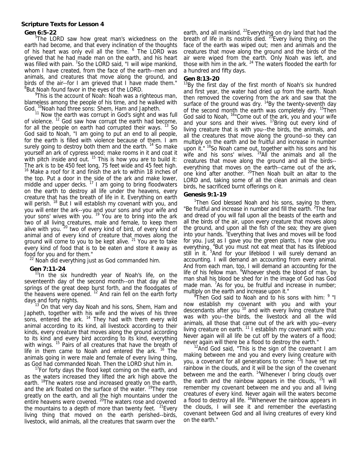# **Scripture Texts for Lesson 4**

# **Gen 6:5-22**

<sup>5</sup>The LORD saw how great man's wickedness on the earth had become, and that every inclination of the thoughts of his heart was only evil all the time. <sup>6</sup> The LORD was grieved that he had made man on the earth, and his heart was filled with pain. <sup>7</sup>So the LORD said, "I will wipe mankind, whom I have created, from the face of the earth--men and animals, and creatures that move along the ground, and birds of the air--for I am grieved that I have made them." <sup>8</sup>But Noah found favor in the eyes of the LORD.

<sup>9</sup>This is the account of Noah: Noah was a righteous man, blameless among the people of his time, and he walked with God. <sup>10</sup>Noah had three sons: Shem, Ham and Japheth.

 $11$  Now the earth was corrupt in God's sight and was full of violence. 12 God saw how corrupt the earth had become, for all the people on earth had corrupted their ways. <sup>13</sup> So God said to Noah, "I am going to put an end to all people, for the earth is filled with violence because of them. I am surely going to destroy both them and the earth.<sup>14</sup> So make yourself an ark of cypress wood; make rooms in it and coat it with pitch inside and out.  $15$  This is how you are to build it: The ark is to be 450 feet long, 75 feet wide and 45 feet high. <sup>16</sup> Make a roof for it and finish the ark to within 18 inches of the top. Put a door in the side of the ark and make lower, middle and upper decks.  $17$  I am going to bring floodwaters on the earth to destroy all life under the heavens, every creature that has the breath of life in it. Everything on earth will perish. <sup>18</sup> But I will establish my covenant with you, and you will enter the ark--you and your sons and your wife and your sons' wives with you. <sup>19</sup> You are to bring into the ark two of all living creatures, male and female, to keep them alive with you.<sup>20</sup> two of every kind of bird, of every kind of animal and of every kind of creature that moves along the ground will come to you to be kept alive.  $21$  You are to take every kind of food that is to be eaten and store it away as food for you and for them."

 $22$  Noah did everything just as God commanded him.

# **Gen 7:11-24**

<sup>11</sup>In the six hundredth year of Noah's life, on the seventeenth day of the second month--on that day all the springs of the great deep burst forth, and the floodgates of the heavens were opened. <sup>12</sup> And rain fell on the earth forty days and forty nights.

<sup>13</sup> On that very day Noah and his sons, Shem, Ham and Japheth, together with his wife and the wives of his three sons, entered the ark.  $14$  They had with them every wild animal according to its kind, all livestock according to their kinds, every creature that moves along the ground according to its kind and every bird according to its kind, everything with wings. <sup>15</sup> Pairs of all creatures that have the breath of life in them came to Noah and entered the ark. <sup>16</sup> The animals going in were male and female of every living thing, as God had commanded Noah. Then the LORD shut him in.

<sup>17</sup>For forty days the flood kept coming on the earth, and as the waters increased they lifted the ark high above the earth. <sup>18</sup>The waters rose and increased greatly on the earth, and the ark floated on the surface of the water. <sup>19</sup>They rose greatly on the earth, and all the high mountains under the entire heavens were covered. <sup>20</sup>The waters rose and covered the mountains to a depth of more than twenty feet.  $21$  Every living thing that moved on the earth perished--birds, livestock, wild animals, all the creatures that swarm over the

earth, and all mankind. <sup>22</sup>Everything on dry land that had the breath of life in its nostrils died. <sup>23</sup>Every living thing on the face of the earth was wiped out; men and animals and the creatures that move along the ground and the birds of the air were wiped from the earth. Only Noah was left, and those with him in the ark.  $24$  The waters flooded the earth for a hundred and fifty days.

# **Gen 8:13-20**

<sup>13</sup>By the first day of the first month of Noah's six hundred and first year, the water had dried up from the earth. Noah then removed the covering from the ark and saw that the surface of the ground was dry.  $14$ By the twenty-seventh day of the second month the earth was completely dry. <sup>15</sup>Then God said to Noah, <sup>16</sup>"Come out of the ark, you and your wife and your sons and their wives.  $17B$  Bring out every kind of living creature that is with you--the birds, the animals, and all the creatures that move along the ground--so they can multiply on the earth and be fruitful and increase in number upon it." <sup>18</sup>So Noah came out, together with his sons and his wife and his sons' wives. <sup>19</sup>All the animals and all the creatures that move along the ground and all the birds- everything that moves on the earth--came out of the ark, one kind after another. 20Then Noah built an altar to the LORD and, taking some of all the clean animals and clean birds, he sacrificed burnt offerings on it.

## **Genesis 9:1-19**

<sup>1</sup>Then God blessed Noah and his sons, saying to them, "Be fruitful and increase in number and fill the earth. <sup>2</sup>The fear and dread of you will fall upon all the beasts of the earth and all the birds of the air, upon every creature that moves along the ground, and upon all the fish of the sea; they are given into your hands. <sup>3</sup> Everything that lives and moves will be food for you. Just as I gave you the green plants, I now give you everything. <sup>4</sup>But you must not eat meat that has its lifeblood still in it. <sup>5</sup>And for your lifeblood I will surely demand an accounting. I will demand an accounting from every animal. And from each man, too, I will demand an accounting for the life of his fellow man. <sup>6</sup>Whoever sheds the blood of man, by man shall his blood be shed for in the image of God has God made man. <sup>7</sup>As for you, be fruitful and increase in number; multiply on the earth and increase upon it."

 $8^8$ Then God said to Noah and to his sons with him:  $9$  "I now establish my covenant with you and with your descendants after you <sup>10</sup> and with every living creature that was with you--the birds, the livestock and all the wild animals, all those that came out of the ark with you--every living creature on earth.<sup>11</sup> I establish my covenant with you: Never again will all life be cut off by the waters of a flood; never again will there be a flood to destroy the earth."

 $12$ And God said, "This is the sign of the covenant I am making between me and you and every living creature with you, a covenant for all generations to come: <sup>13</sup>I have set my rainbow in the clouds, and it will be the sign of the covenant between me and the earth. <sup>14</sup>Whenever I bring clouds over the earth and the rainbow appears in the clouds,  $15$  will remember my covenant between me and you and all living creatures of every kind. Never again will the waters become a flood to destroy all life. <sup>16</sup>Whenever the rainbow appears in the clouds, I will see it and remember the everlasting covenant between God and all living creatures of every kind on the earth."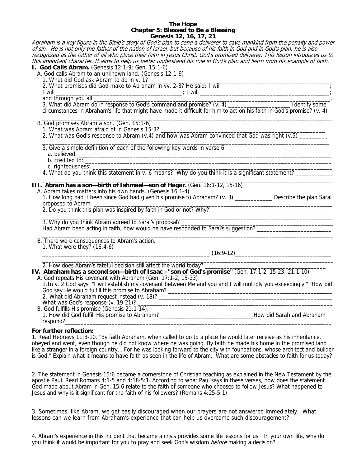#### **The Hope Chapter 5: Blessed to Be a Blessing Genesis 12, 16, 17, 21**

Abraham is a key figure in the Bible's story of God's plan to send a deliverer to save mankind from the penalty and power of sin. He is not only the father of the nation of Israel, but because of his faith in God and in God's plan, he is also recognized as the father of all who place their faith in Jesus Christ, God's promised deliverer. This lesson introduces us to this important character. It aims to help us better understand his role in God's plan and learn from his example of faith. **I. God Calls Abram.** (Genesis 12:1-9; Gen. 15:1-6) A. God calls Abram to an unknown land. (Genesis 12:1-9) 1. What did God ask Abram to do in v. 1? 2. What promises did God make to Abraham in vv. 2-3? He said: I will \_\_\_\_\_\_\_\_\_\_\_\_  $\blacksquare$  I will  $\blacksquare$  and through you all \_\_\_\_\_\_\_\_\_\_\_\_\_\_\_\_\_\_\_\_\_\_\_\_\_\_\_\_\_\_\_\_\_\_\_\_\_\_\_\_\_\_\_\_\_\_\_\_\_\_\_\_\_\_\_\_\_\_\_\_\_\_\_\_\_\_\_\_\_\_\_\_\_\_\_. 3. What did Abram do in response to God's command and promise? (v. 4) \_\_\_\_\_\_\_\_\_\_ circumstances in Abraham's life that might have made it difficult for him to act on his faith in God's promise? (v. 4)  $\overline{\phantom{a}}$  ,  $\overline{\phantom{a}}$  ,  $\overline{\phantom{a}}$  ,  $\overline{\phantom{a}}$  ,  $\overline{\phantom{a}}$  ,  $\overline{\phantom{a}}$  ,  $\overline{\phantom{a}}$  ,  $\overline{\phantom{a}}$  ,  $\overline{\phantom{a}}$  ,  $\overline{\phantom{a}}$  ,  $\overline{\phantom{a}}$  ,  $\overline{\phantom{a}}$  ,  $\overline{\phantom{a}}$  ,  $\overline{\phantom{a}}$  ,  $\overline{\phantom{a}}$  ,  $\overline{\phantom{a}}$  B. God promises Abram a son. (Gen. 15:1-6) 1. What was Abram afraid of in Genesis 15:3? 2. What was God's response to Abram (v.4) and how was Abram convinced that God was right (v.5)  $\_$  ,  $\_$  ,  $\_$  ,  $\_$  ,  $\_$  ,  $\_$  ,  $\_$  ,  $\_$  ,  $\_$  ,  $\_$  ,  $\_$  ,  $\_$  ,  $\_$  ,  $\_$  ,  $\_$  ,  $\_$  ,  $\_$  ,  $\_$  ,  $\_$  ,  $\_$  ,  $\_$  ,  $\_$  ,  $\_$  ,  $\_$  ,  $\_$  ,  $\_$  ,  $\_$  ,  $\_$  ,  $\_$  ,  $\_$  ,  $\_$  ,  $\_$  ,  $\_$  ,  $\_$  ,  $\_$  ,  $\_$  ,  $\_$  , 3. Give a simple definition of each of the following key words in verse 6: a. believed: \_\_\_\_\_\_\_\_\_\_\_\_\_\_\_\_\_\_\_\_\_\_\_\_\_\_\_\_\_\_\_\_\_\_\_\_\_\_\_\_\_\_\_\_\_\_\_\_\_\_\_\_\_\_\_\_\_\_\_\_\_\_\_\_\_\_\_\_\_\_\_\_\_\_\_\_\_\_\_\_ b. credited to: c. righteousness: \_\_\_\_\_\_\_\_\_\_\_\_\_\_\_\_\_\_\_\_\_\_\_\_\_\_\_\_\_\_\_\_\_\_\_\_\_\_\_\_\_\_\_\_\_\_\_\_\_\_\_\_\_\_\_\_\_\_\_\_\_\_\_\_\_\_\_\_\_\_\_\_\_\_\_\_ 4. What do you think this statement in v. 6 means? Why do you think it is a significant statement? \_\_\_\_\_\_\_\_\_\_\_  $\mathcal{L}_\text{max} = \frac{1}{2} \sum_{i=1}^{n} \frac{1}{2} \sum_{i=1}^{n} \frac{1}{2} \sum_{i=1}^{n} \frac{1}{2} \sum_{i=1}^{n} \frac{1}{2} \sum_{i=1}^{n} \frac{1}{2} \sum_{i=1}^{n} \frac{1}{2} \sum_{i=1}^{n} \frac{1}{2} \sum_{i=1}^{n} \frac{1}{2} \sum_{i=1}^{n} \frac{1}{2} \sum_{i=1}^{n} \frac{1}{2} \sum_{i=1}^{n} \frac{1}{2} \sum_{i=1}^{n} \frac{1$ **III. Abram has a son—birth of Ishmael—son of Hagar.** (Gen. 16:1-12, 15-16) A. Abram takes matters into his own hands. (Genesis 16:1-4) 1. How long had it been since God had given his promise to Abraham? (v. 3) \_\_\_\_\_\_\_\_\_\_\_\_ Describe the plan Sarai proposed to Abram. \_\_\_\_\_\_\_\_\_\_\_\_\_\_\_\_\_\_\_\_\_\_\_\_\_\_\_\_\_\_\_\_\_\_\_\_\_\_\_\_\_\_\_\_\_\_\_\_\_\_\_\_\_\_\_\_\_\_\_\_\_\_\_\_\_\_\_\_\_\_\_\_\_\_\_\_\_ 2. Do you think this plan was inspired by faith in God or not? Why? \_\_\_\_\_\_\_\_\_\_\_\_\_\_\_\_\_\_\_\_\_\_\_\_\_\_\_\_\_\_\_\_\_\_\_\_\_\_\_  $\frac{1}{2}$  ,  $\frac{1}{2}$  ,  $\frac{1}{2}$  ,  $\frac{1}{2}$  ,  $\frac{1}{2}$  ,  $\frac{1}{2}$  ,  $\frac{1}{2}$  ,  $\frac{1}{2}$  ,  $\frac{1}{2}$  ,  $\frac{1}{2}$  ,  $\frac{1}{2}$  ,  $\frac{1}{2}$  ,  $\frac{1}{2}$  ,  $\frac{1}{2}$  ,  $\frac{1}{2}$  ,  $\frac{1}{2}$  ,  $\frac{1}{2}$  ,  $\frac{1}{2}$  ,  $\frac{1$ 3. Why do you think Abram agreed to Sarai's proposal? Had Abram been acting in faith, how would he have responded to Sarai's suggestion?  $\overline{\phantom{a}}$  ,  $\overline{\phantom{a}}$  ,  $\overline{\phantom{a}}$  ,  $\overline{\phantom{a}}$  ,  $\overline{\phantom{a}}$  ,  $\overline{\phantom{a}}$  ,  $\overline{\phantom{a}}$  ,  $\overline{\phantom{a}}$  ,  $\overline{\phantom{a}}$  ,  $\overline{\phantom{a}}$  ,  $\overline{\phantom{a}}$  ,  $\overline{\phantom{a}}$  ,  $\overline{\phantom{a}}$  ,  $\overline{\phantom{a}}$  ,  $\overline{\phantom{a}}$  ,  $\overline{\phantom{a}}$  B. There were consequences to Abram's action. 1. What were they? (16:4-6)  $(16:9-12)$  \_\_\_\_\_\_\_\_\_\_\_\_\_\_\_\_\_\_\_\_\_\_\_\_\_\_\_\_\_\_\_\_\_\_\_\_\_\_\_\_\_\_\_\_\_\_\_\_\_\_\_\_\_\_\_\_\_\_\_\_\_\_\_\_\_\_\_\_\_\_\_\_\_\_\_\_\_\_\_\_\_\_\_\_\_\_\_\_\_\_\_\_\_\_ 2. How does Abram's fateful decision still affect the world today? \_\_\_\_\_\_\_\_\_\_\_\_\_\_\_\_\_\_\_\_\_\_\_\_\_\_\_\_\_\_\_\_\_\_\_\_\_\_\_ **IV. Abraham has a second son—birth of Isaac –"son of God's promise"** (Gen. 17:1-2, 15-23; 21:1-10) A. God repeats His covenant with Abraham (Gen. 17:1-2, 15-23) 1.In v. 2 God says. "I will establish my covenant between Me and you and I will multiply you exceedingly." How did God say He would fulfill this promise to Abraham? \_\_\_\_\_\_\_\_\_\_\_\_\_\_\_\_\_\_\_\_\_\_\_\_\_\_\_\_\_\_ 2. What did Abraham request instead (v. 18)? \_\_\_\_\_\_\_\_\_\_\_\_\_\_\_\_\_\_\_\_\_\_\_\_\_\_\_\_\_\_\_\_\_\_\_ What was God's response (v. 19-21)? \_\_\_\_\_\_\_\_\_\_\_\_\_\_\_\_\_\_\_\_\_\_\_\_\_\_\_\_\_\_\_\_\_\_\_\_\_\_\_\_\_\_\_\_\_\_\_\_\_\_\_\_\_\_\_\_\_\_\_\_\_\_\_ B. God fulfills His promise (Genesis 21:1-14). 1. How did God fulfill His promise to Abraham? \_\_\_\_\_\_\_\_\_\_\_\_\_\_\_\_\_\_\_\_\_\_\_\_\_\_\_\_\_\_How did Sarah and Abraham respond?\_\_\_\_\_\_\_\_\_\_\_\_\_\_\_\_\_\_\_\_\_\_\_\_\_\_\_\_\_\_\_\_\_\_\_\_\_\_\_\_\_\_\_\_\_\_\_\_\_\_\_\_\_\_\_\_\_\_\_\_\_\_\_\_\_\_\_\_\_\_\_\_\_\_\_\_\_\_\_\_\_\_\_\_\_\_

## **For further reflection:**

1. Read Hebrews 11:8-10. "By faith Abraham, when called to go to a place he would later receive as his inheritance, obeyed and went, even though he did not know where he was going. By faith he made his home in the promised land like a stranger in a foreign country… For he was looking forward to the city with foundations, whose architect and builder is God." Explain what it means to have faith as seen in the life of Abram. What are some obstacles to faith for us today?

2. The statement in Genesis 15:6 became a cornerstone of Christian teaching as explained in the New Testament by the apostle Paul. Read Romans 4:1-5 and 4:18-5:1. According to what Paul says in these verses, how does the statement God made about Abram in Gen. 15:6 relate to the faith of someone who chooses to follow Jesus? What happened to Jesus and why is it significant for the faith of his followers? (Romans 4:25-5:1)

3. Sometimes, like Abram, we get easily discouraged when our prayers are not answered immediately. What lessons can we learn from Abraham's experience that can help us overcome such discouragement?

4. Abram's experience in this incident that became a crisis provides some life lessons for us. In your own life, why do you think it would be important for you to pray and seek God's wisdom *before* making a decision?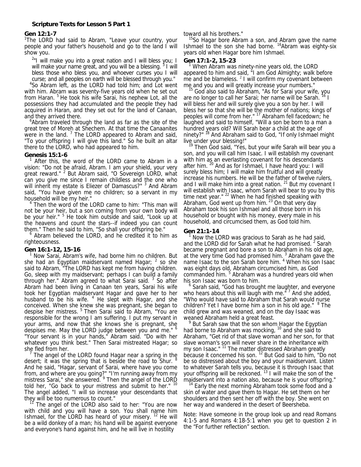## **Gen 12:1-7**

<sup>1</sup>The LORD had said to Abram, "Leave your country, your people and your father's household and go to the land I will show you.

 $2$ "I will make you into a great nation and I will bless you; I will make your name great, and you will be a blessing. <sup>3</sup> I will bless those who bless you, and whoever curses you I will curse; and all peoples on earth will be blessed through you."

4 So Abram left, as the LORD had told him; and Lot went with him. Abram was seventy-five years old when he set out from Haran. <sup>5</sup> He took his wife Sarai, his nephew Lot, all the possessions they had accumulated and the people they had acquired in Haran, and they set out for the land of Canaan, and they arrived there.

Abram traveled through the land as far as the site of the great tree of Moreh at Shechem. At that time the Canaanites were in the land.  $7$  The LORD appeared to Abram and said, "To your offspring I will give this land." So he built an altar there to the LORD, who had appeared to him.

## **Genesis 15:1-6**

<sup>1</sup> After this, the word of the LORD came to Abram in a vision: "Do not be afraid, Abram. I am your shield, your very great reward." <sup>2</sup> But Abram said, "O Sovereign LORD, what can you give me since I remain childless and the one who will inherit my estate is Eliezer of Damascus?" <sup>3</sup> And Abram said, "You have given me no children; so a servant in my household will be my heir."

<sup>4</sup> Then the word of the LORD came to him: "This man will not be your heir, but a son coming from your own body will be your heir." <sup>5</sup> He took him outside and said, "Look up at the heavens and count the stars--if indeed you can count them." Then he said to him, "So shall your offspring be."

 Abram believed the LORD, and he credited it to him as righteousness.

# **Gen 16:1-12, 15-16**  1

 Now Sarai, Abram's wife, had borne him no children. But she had an Egyptian maidservant named Hagar;  $^2$  so she said to Abram, "The LORD has kept me from having children. Go, sleep with my maidservant; perhaps I can build a family through her." Abram agreed to what Sarai said.<sup>3</sup> So after Abram had been living in Canaan ten years, Sarai his wife took her Egyptian maidservant Hagar and gave her to her husband to be his wife.  $4$  He slept with Hagar, and she conceived. When she knew she was pregnant, she began to despise her mistress.<sup>5</sup> Then Sarai said to Abram, "You are responsible for the wrong I am suffering. I put my servant in your arms, and now that she knows she is pregnant, she despises me. May the LORD judge between you and me." <sup>6</sup> "Your servant is in your hands," Abram said. "Do with her whatever you think best." Then Sarai mistreated Hagar; so she fled from her.

 $<sup>7</sup>$  The angel of the LORD found Hagar near a spring in the</sup> desert; it was the spring that is beside the road to Shur. And he said, "Hagar, servant of Sarai, where have you come from, and where are you going?" "I'm running away from my mistress Sarai," she answered. <sup>9</sup> Then the angel of the LORD told her, "Go back to your mistress and submit to her." <sup>10</sup> The angel added, "I will so increase your descendants that

they will be too numerous to count."<br><sup>11</sup> The angel of the LORD also said to her: "You are now with child and you will have a son. You shall name him Ishmael, for the LORD has heard of your misery. 12 He will be a wild donkey of a man; his hand will be against everyone and everyone's hand against him, and he will live in hostility

toward all his brothers."

<sup>15</sup>So Hagar bore Abram a son, and Abram gave the name Ishmael to the son she had borne. <sup>16</sup>Abram was eighty-six years old when Hagar bore him Ishmael.

#### **Gen 17:1-2, 15-23**

<sup>1</sup> When Abram was ninety-nine years old, the LORD appeared to him and said, "I am God Almighty; walk before me and be blameless.  $2$  I will confirm my covenant between

me and you and will greatly increase your numbers." 15 God also said to Abraham, "As for Sarai your wife, you are no longer to call her Sarai; her name will be Sarah. 16 I will bless her and will surely give you a son by her. I will bless her so that she will be the mother of nations; kings of peoples will come from her." 17 Abraham fell facedown; he laughed and said to himself, "Will a son be born to a man a hundred years old? Will Sarah bear a child at the age of ninety?"<sup>18</sup> And Abraham said to God, "If only Ishmael might

live under your blessing!" 19 Then God said, "Yes, but your wife Sarah will bear you a son, and you will call him Isaac. I will establish my covenant with him as an everlasting covenant for his descendants after him. 20 And as for Ishmael, I have heard you: I will surely bless him; I will make him fruitful and will greatly increase his numbers. He will be the father of twelve rulers, and I will make him into a great nation.  $21$  But my covenant I will establish with Isaac, whom Sarah will bear to you by this time next year." <sup>22</sup> When he had finished speaking with Abraham, God went up from him.  $23$  On that very day Abraham took his son Ishmael and all those born in his household or bought with his money, every male in his household, and circumcised them, as God told him.

# **Gen 21:1-14**

<sup>1</sup> Now the LORD was gracious to Sarah as he had said, and the LORD did for Sarah what he had promised.  $2$  Sarah became pregnant and bore a son to Abraham in his old age, at the very time God had promised him.  $3$  Abraham gave the name Isaac to the son Sarah bore him. <sup>4</sup> When his son Isaac was eight days old, Abraham circumcised him, as God commanded him. <sup>5</sup> Abraham was a hundred years old when his son Isaac was born to him.

<sup>6</sup> Sarah said, "God has brought me laughter, and everyone who hears about this will laugh with me.<sup>"7</sup> And she added, "Who would have said to Abraham that Sarah would nurse children? Yet I have borne him a son in his old age." <sup>8</sup> The child grew and was weaned, and on the day Isaac was weaned Abraham held a great feast.

<sup>9</sup> But Sarah saw that the son whom Hagar the Egyptian had borne to Abraham was mocking, <sup>10</sup> and she said to Abraham, "Get rid of that slave woman and her son, for that slave woman's son will never share in the inheritance with my son Isaac." <sup>11</sup> The matter distressed Abraham greatly because it concerned his son. 12 But God said to him, "Do not be so distressed about the boy and your maidservant. Listen to whatever Sarah tells you, because it is through Isaac that your offspring will be reckoned. <sup>13</sup> I will make the son of the

maidservant into a nation also, because he is your offspring."<br><sup>14</sup> Early the next morning Abraham took some food and a skin of water and gave them to Hagar. He set them on her shoulders and then sent her off with the boy. She went on her way and wandered in the desert of Beersheba.

Note: Have someone in the group look up and read Romans 4:1-5 and Romans 4:18-5:1 when you get to question 2 in the "For further reflection" section.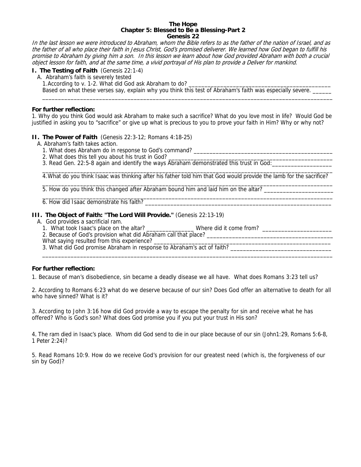#### **The Hope Chapter 5: Blessed to Be a Blessing-Part 2 Genesis 22**

In the last lesson we were introduced to Abraham, whom the Bible refers to as the father of the nation of Israel, and as the father of all who place their faith in Jesus Christ, God's promised deliverer. We learned how God began to fulfill his promise to Abraham by giving him a son. In this lesson we learn about how God provided Abraham with both a crucial object lesson for faith, and at the same time, a vivid portrayal of His plan to provide a Deliver for mankind.

# **I. The Testing of Faith** (Genesis 22:1-4)

A. Abraham's faith is severely tested

1. According to v. 1-2. What did God ask Abraham to do?

Based on what these verses say, explain why you think this test of Abraham's faith was especially severe.

#### **For further reflection:**

1. Why do you think God would ask Abraham to make such a sacrifice? What do you love most in life? Would God be justified in asking you to "sacrifice" or give up what is precious to you to prove your faith in Him? Why or why not?

 $\overline{\phantom{a}}$  ,  $\overline{\phantom{a}}$  ,  $\overline{\phantom{a}}$  ,  $\overline{\phantom{a}}$  ,  $\overline{\phantom{a}}$  ,  $\overline{\phantom{a}}$  ,  $\overline{\phantom{a}}$  ,  $\overline{\phantom{a}}$  ,  $\overline{\phantom{a}}$  ,  $\overline{\phantom{a}}$  ,  $\overline{\phantom{a}}$  ,  $\overline{\phantom{a}}$  ,  $\overline{\phantom{a}}$  ,  $\overline{\phantom{a}}$  ,  $\overline{\phantom{a}}$  ,  $\overline{\phantom{a}}$ 

## **II. The Power of Faith** (Genesis 22:3-12; Romans 4:18-25)

- A. Abraham's faith takes action.
	- 1. What does Abraham do in response to God's command?
	- 2. What does this tell you about his trust in God?
	- 3. Read Gen. 22:5-8 again and identify the ways Abraham demonstrated this trust in God:

 $\frac{1}{2}$  ,  $\frac{1}{2}$  ,  $\frac{1}{2}$  ,  $\frac{1}{2}$  ,  $\frac{1}{2}$  ,  $\frac{1}{2}$  ,  $\frac{1}{2}$  ,  $\frac{1}{2}$  ,  $\frac{1}{2}$  ,  $\frac{1}{2}$  ,  $\frac{1}{2}$  ,  $\frac{1}{2}$  ,  $\frac{1}{2}$  ,  $\frac{1}{2}$  ,  $\frac{1}{2}$  ,  $\frac{1}{2}$  ,  $\frac{1}{2}$  ,  $\frac{1}{2}$  ,  $\frac{1$ 4.What do you think Isaac was thinking after his father told him that God would provide the lamb for the sacrifice?  $\_$  ,  $\_$  ,  $\_$  ,  $\_$  ,  $\_$  ,  $\_$  ,  $\_$  ,  $\_$  ,  $\_$  ,  $\_$  ,  $\_$  ,  $\_$  ,  $\_$  ,  $\_$  ,  $\_$  ,  $\_$  ,  $\_$  ,  $\_$  ,  $\_$  ,  $\_$  ,  $\_$  ,  $\_$  ,  $\_$  ,  $\_$  ,  $\_$  ,  $\_$  ,  $\_$  ,  $\_$  ,  $\_$  ,  $\_$  ,  $\_$  ,  $\_$  ,  $\_$  ,  $\_$  ,  $\_$  ,  $\_$  ,  $\_$  ,

5. How do you think this changed after Abraham bound him and laid him on the altar?

 $\overline{\phantom{a}}$  ,  $\overline{\phantom{a}}$  ,  $\overline{\phantom{a}}$  ,  $\overline{\phantom{a}}$  ,  $\overline{\phantom{a}}$  ,  $\overline{\phantom{a}}$  ,  $\overline{\phantom{a}}$  ,  $\overline{\phantom{a}}$  ,  $\overline{\phantom{a}}$  ,  $\overline{\phantom{a}}$  ,  $\overline{\phantom{a}}$  ,  $\overline{\phantom{a}}$  ,  $\overline{\phantom{a}}$  ,  $\overline{\phantom{a}}$  ,  $\overline{\phantom{a}}$  ,  $\overline{\phantom{a}}$ 6. How did Isaac demonstrate his faith?

#### **III. The Object of Faith: "The Lord Will Provide."** (Genesis 22:13-19)

- A. God provides a sacrificial ram.
	- 1. What took Isaac's place on the altar? \_\_\_\_\_\_\_\_\_\_\_\_\_\_\_ Where did it come from? \_\_\_\_\_\_\_\_\_\_\_\_\_\_\_\_\_\_\_\_\_\_
	- 2. Because of God's provision what did Abraham call that place?
- What saying resulted from this experience? \_\_\_\_\_\_\_\_\_\_\_\_\_\_\_\_\_\_\_\_\_\_\_\_\_\_\_\_\_\_\_\_\_\_\_\_\_\_\_\_\_\_\_\_\_\_\_\_\_\_\_\_\_\_\_\_
- 3. What did God promise Abraham in response to Abraham's act of faith? \_\_\_\_\_\_\_\_\_\_\_\_\_\_\_\_\_\_\_\_\_\_\_\_\_\_\_\_\_\_\_\_

#### **For further reflection:**

1. Because of man's disobedience, sin became a deadly disease we all have. What does Romans 3:23 tell us?

2. According to Romans 6:23 what do we deserve because of our sin? Does God offer an alternative to death for all who have sinned? What is it?

 $\overline{\phantom{a}}$  ,  $\overline{\phantom{a}}$  ,  $\overline{\phantom{a}}$  ,  $\overline{\phantom{a}}$  ,  $\overline{\phantom{a}}$  ,  $\overline{\phantom{a}}$  ,  $\overline{\phantom{a}}$  ,  $\overline{\phantom{a}}$  ,  $\overline{\phantom{a}}$  ,  $\overline{\phantom{a}}$  ,  $\overline{\phantom{a}}$  ,  $\overline{\phantom{a}}$  ,  $\overline{\phantom{a}}$  ,  $\overline{\phantom{a}}$  ,  $\overline{\phantom{a}}$  ,  $\overline{\phantom{a}}$ 

3. According to John 3:16 how did God provide a way to escape the penalty for sin and receive what he has offered? Who is God's son? What does God promise you if you put your trust in His son?

4. The ram died in Isaac's place. Whom did God send to die in our place because of our sin (John1:29, Romans 5:6-8, 1 Peter 2:24)?

5. Read Romans 10:9. How do we receive God's provision for our greatest need (which is, the forgiveness of our sin by God)?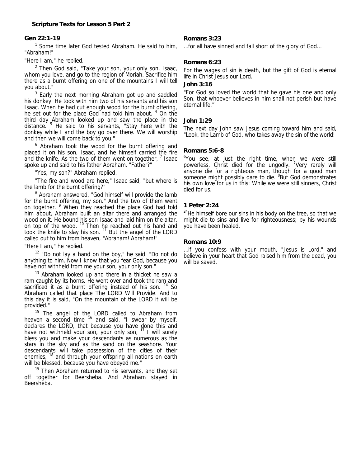# **Gen 22:1-19**

<sup>1</sup> Some time later God tested Abraham. He said to him, "Abraham!"

"Here I am," he replied.

 $2$  Then God said, "Take your son, your only son, Isaac, whom you love, and go to the region of Moriah. Sacrifice him there as a burnt offering on one of the mountains I will tell you about."

 $3$  Early the next morning Abraham got up and saddled his donkey. He took with him two of his servants and his son Isaac. When he had cut enough wood for the burnt offering, he set out for the place God had told him about. <sup>4</sup> On the third day Abraham looked up and saw the place in the distance. <sup>5</sup> He said to his servants, "Stay here with the donkey while I and the boy go over there. We will worship and then we will come back to you."

<sup>6</sup> Abraham took the wood for the burnt offering and placed it on his son, Isaac, and he himself carried the fire and the knife. As the two of them went on together,  $<sup>7</sup>$  Isaac</sup> spoke up and said to his father Abraham, "Father?"

"Yes, my son?" Abraham replied.

 "The fire and wood are here," Isaac said, "but where is the lamb for the burnt offering?"

<sup>8</sup> Abraham answered, "God himself will provide the lamb for the burnt offering, my son." And the two of them went on together. <sup>9</sup> When they reached the place God had told him about, Abraham built an altar there and arranged the wood on it. He bound his son Isaac and laid him on the altar, on top of the wood. <sup>10</sup> Then he reached out his hand and took the knife to slay his son. <sup>11</sup> But the angel of the LORD called out to him from heaven, "Abraham! Abraham!"

"Here I am," he replied.

 $12$  "Do not lay a hand on the boy," he said. "Do not do anything to him. Now I know that you fear God, because you have not withheld from me your son, your only son."

 $13$  Abraham looked up and there in a thicket he saw a ram caught by its horns. He went over and took the ram and sacrificed it as a burnt offering instead of his son.  $14$  So Abraham called that place The LORD Will Provide. And to this day it is said, "On the mountain of the LORD it will be provided."

 $15$  The angel of the LORD called to Abraham from heaven a second time <sup>16</sup> and said, "I swear by myself, declares the LORD, that because you have done this and have not withheld your son, your only son, <sup>17</sup> I will surely bless you and make your descendants as numerous as the stars in the sky and as the sand on the seashore. Your descendants will take possession of the cities of their enemies, <sup>18</sup> and through your offspring all nations on earth will be blessed, because you have obeyed me."

<sup>19</sup> Then Abraham returned to his servants, and they set off together for Beersheba. And Abraham stayed in Beersheba.

# **Romans 3:23**

…for all have sinned and fall short of the glory of God…

# **Romans 6:23**

For the wages of sin is death, but the gift of God is eternal life in Christ Jesus our Lord.

# **John 3:16**

"For God so loved the world that he gave his one and only Son, that whoever believes in him shall not perish but have eternal life."

# **John 1:29**

The next day John saw Jesus coming toward him and said, "Look, the Lamb of God, who takes away the sin of the world!

# **Romans 5:6-8**

<sup>6</sup>You see, at just the right time, when we were still powerless, Christ died for the ungodly. <sup>7</sup>Very rarely will anyone die for a righteous man, though for a good man someone might possibly dare to die. <sup>8</sup> But God demonstrates his own love for us in this: While we were still sinners, Christ died for us.

# **1 Peter 2:24**

 $24$ He himself bore our sins in his body on the tree, so that we might die to sins and live for righteousness; by his wounds you have been healed.

# **Romans 10:9**

…if you confess with your mouth, "Jesus is Lord," and believe in your heart that God raised him from the dead, you will be saved.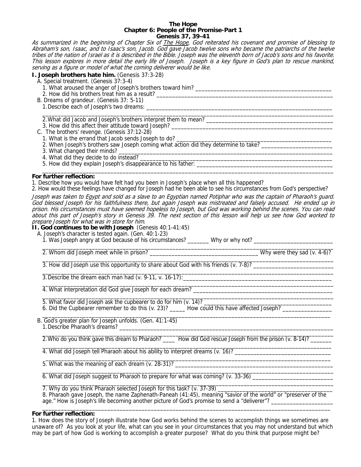#### **The Hope Chapter 6: People of the Promise-Part 1 Genesis 37, 39-41**

As summarized in the beginning of Chapter Six of The Hope, God reiterated his covenant and promise of blessing to Abraham's son, Isaac, and to Isaac's son, Jacob. God gave Jacob twelve sons who became the patriarchs of the twelve tribes of the nation of Israel as it is described in the Bible. Joseph was the eleventh born of Jacob's sons and his favorite. This lesson explores in more detail the early life of Joseph. Joseph is a key figure in God's plan to rescue mankind, serving as a figure or model of what the coming deliverer would be like.

 $\overline{\phantom{a}}$  ,  $\overline{\phantom{a}}$  ,  $\overline{\phantom{a}}$  ,  $\overline{\phantom{a}}$  ,  $\overline{\phantom{a}}$  ,  $\overline{\phantom{a}}$  ,  $\overline{\phantom{a}}$  ,  $\overline{\phantom{a}}$  ,  $\overline{\phantom{a}}$  ,  $\overline{\phantom{a}}$  ,  $\overline{\phantom{a}}$  ,  $\overline{\phantom{a}}$  ,  $\overline{\phantom{a}}$  ,  $\overline{\phantom{a}}$  ,  $\overline{\phantom{a}}$  ,  $\overline{\phantom{a}}$ 

#### **I. Joseph brothers hate him.** (Genesis 37:3-28)

- A. Special treatment. (Genesis 37:3-4)
	- 1. What aroused the anger of Joseph's brothers toward him? \_\_\_\_\_\_\_\_\_\_\_\_\_\_\_\_\_\_\_\_\_\_\_\_\_\_\_\_\_\_\_\_\_\_\_\_\_\_\_\_\_\_\_\_
	- 2. How did his brothers treat him as a result? \_\_\_\_\_\_\_\_\_\_\_\_\_\_\_\_\_\_\_\_\_\_\_\_\_\_\_\_\_\_\_\_\_\_\_\_\_\_\_\_\_\_\_\_\_\_\_\_\_\_\_\_\_\_\_\_\_
- B. Dreams of grandeur. (Genesis 37: 5-11)

1. Describe each of Joseph's two dreams: \_

2.What did Jacob and Joseph's brothers interpret them to mean? \_\_\_\_\_\_\_\_\_\_\_\_\_\_\_\_\_\_\_\_\_\_\_\_\_\_\_\_\_\_\_\_\_\_\_\_\_\_\_\_\_

3. How did this affect their attitude toward Joseph?

C. The brothers' revenge. (Genesis 37:12-28)<br>1. What is the errand that Jacob sends Joseph to do? 1. What is the errand that Jacob sends Joseph to do? \_\_\_\_\_\_\_\_\_\_\_\_\_\_\_\_\_\_\_\_\_\_\_\_\_\_\_\_\_\_\_\_\_\_\_\_\_\_\_\_\_\_\_\_\_\_\_\_\_\_

2. When Joseph's brothers saw Joseph coming what action did they determine to take? \_\_\_\_\_\_\_\_\_\_\_\_\_\_\_\_\_\_\_\_\_\_\_\_\_\_

3. What changed their minds?

4. What did they decide to do instead? \_\_\_\_\_\_\_\_\_\_\_\_\_\_\_\_\_\_\_\_\_\_\_\_\_\_\_\_\_\_\_\_\_\_\_\_\_\_\_\_\_\_\_\_\_\_\_\_\_\_\_\_\_\_\_\_\_\_\_\_\_\_

5. How did they explain Joseph's disappearance to his father:

#### **For further reflection:**

1. Describe how you would have felt had you been in Joseph's place when all this happened?

2. How would these feelings have changed for Joseph had he been able to see his circumstances from God's perspective?

Joseph was taken to Egypt and sold as a slave to an Egyptian named Potiphar who was the captain of Pharaoh's guard. God blessed Joseph for his faithfulness there, but again Joseph was mistreated and falsely accused. He ended up in prison. His circumstances must have seemed hopeless to Joseph, but God was working behind the scenes. You can read about this part of Joseph's story in Genesis 39. The next section of this lesson will help us see how God worked to prepare Joseph for what was in store for him.

 $\frac{1}{2}$  ,  $\frac{1}{2}$  ,  $\frac{1}{2}$  ,  $\frac{1}{2}$  ,  $\frac{1}{2}$  ,  $\frac{1}{2}$  ,  $\frac{1}{2}$  ,  $\frac{1}{2}$  ,  $\frac{1}{2}$  ,  $\frac{1}{2}$  ,  $\frac{1}{2}$  ,  $\frac{1}{2}$  ,  $\frac{1}{2}$  ,  $\frac{1}{2}$  ,  $\frac{1}{2}$  ,  $\frac{1}{2}$  ,  $\frac{1}{2}$  ,  $\frac{1}{2}$  ,  $\frac{1$ 

 $\overline{\phantom{a}}$  ,  $\overline{\phantom{a}}$  ,  $\overline{\phantom{a}}$  ,  $\overline{\phantom{a}}$  ,  $\overline{\phantom{a}}$  ,  $\overline{\phantom{a}}$  ,  $\overline{\phantom{a}}$  ,  $\overline{\phantom{a}}$  ,  $\overline{\phantom{a}}$  ,  $\overline{\phantom{a}}$  ,  $\overline{\phantom{a}}$  ,  $\overline{\phantom{a}}$  ,  $\overline{\phantom{a}}$  ,  $\overline{\phantom{a}}$  ,  $\overline{\phantom{a}}$  ,  $\overline{\phantom{a}}$ 

**II. God continues to be with Joseph** (Genesis 40:1-41:45)

A. Joseph's character is tested again. (Gen. 40:1-23)

1. Was Joseph angry at God because of his circumstances? \_\_\_\_\_\_\_ Why or why not? \_\_\_\_\_\_\_\_\_\_\_\_\_\_\_\_\_\_\_\_\_\_\_\_\_\_\_\_\_  $\frac{1}{2}$  ,  $\frac{1}{2}$  ,  $\frac{1}{2}$  ,  $\frac{1}{2}$  ,  $\frac{1}{2}$  ,  $\frac{1}{2}$  ,  $\frac{1}{2}$  ,  $\frac{1}{2}$  ,  $\frac{1}{2}$  ,  $\frac{1}{2}$  ,  $\frac{1}{2}$  ,  $\frac{1}{2}$  ,  $\frac{1}{2}$  ,  $\frac{1}{2}$  ,  $\frac{1}{2}$  ,  $\frac{1}{2}$  ,  $\frac{1}{2}$  ,  $\frac{1}{2}$  ,  $\frac{1$ 

2. Whom did Joseph meet while in prison? \_\_\_\_\_\_\_\_\_\_\_\_\_\_\_\_\_\_\_\_\_\_\_\_\_\_\_\_\_\_\_\_\_\_\_ Why were they sad (v. 4-6)?

3. How did Joseph use this opportunity to share about God with his friends (v. 7-8)? \_\_\_\_\_\_\_\_\_\_\_\_\_\_\_\_\_\_\_\_\_\_\_\_\_  $\frac{1}{2}$  ,  $\frac{1}{2}$  ,  $\frac{1}{2}$  ,  $\frac{1}{2}$  ,  $\frac{1}{2}$  ,  $\frac{1}{2}$  ,  $\frac{1}{2}$  ,  $\frac{1}{2}$  ,  $\frac{1}{2}$  ,  $\frac{1}{2}$  ,  $\frac{1}{2}$  ,  $\frac{1}{2}$  ,  $\frac{1}{2}$  ,  $\frac{1}{2}$  ,  $\frac{1}{2}$  ,  $\frac{1}{2}$  ,  $\frac{1}{2}$  ,  $\frac{1}{2}$  ,  $\frac{1$ 

3.Describe the dream each man had (v. 9-11, v. 16-17):\_\_\_\_\_\_\_\_\_\_\_\_\_\_\_\_\_\_\_\_\_\_\_\_\_\_\_\_\_\_\_\_\_\_\_\_\_\_\_\_\_\_\_\_\_\_\_\_ \_\_\_\_\_\_\_\_\_\_\_\_\_\_\_\_\_\_\_\_\_\_\_\_\_\_\_\_\_\_\_\_\_\_\_\_\_\_\_\_\_\_\_\_\_\_\_\_\_\_\_\_\_\_\_\_\_\_\_\_\_\_\_\_\_\_\_\_\_\_\_\_\_\_\_\_\_\_\_\_\_\_\_\_\_\_\_\_\_\_\_\_\_\_

4. What interpretation did God give Joseph for each dream? \_\_\_\_\_\_\_\_\_\_\_\_\_\_\_\_\_\_\_\_\_\_\_\_\_\_\_\_\_\_\_\_\_\_\_\_\_\_\_\_\_\_\_\_\_\_\_\_\_\_\_\_\_\_\_\_\_\_\_\_\_\_\_\_\_\_\_\_\_\_\_\_\_\_\_\_\_\_\_\_\_\_\_\_\_\_\_\_\_\_\_\_\_\_

5. What favor did Joseph ask the cupbearer to do for him (v. 14)? \_\_\_\_\_\_\_\_\_\_\_\_\_\_\_\_\_\_\_\_\_\_\_\_\_\_\_\_\_\_\_\_\_\_\_\_\_\_\_\_\_\_

6. Did the Cupbearer remember to do this (v. 23)? \_\_\_\_\_\_ How could this have affected Joseph? \_\_\_\_\_\_\_\_\_\_\_\_\_\_\_\_

 $\overline{\phantom{a}}$  , and the set of the set of the set of the set of the set of the set of the set of the set of the set of the set of the set of the set of the set of the set of the set of the set of the set of the set of the s B. God's greater plan for Joseph unfolds. (Gen. 41:1-45) 1.Describe Pharaoh's dreams? \_\_\_\_\_\_\_\_\_\_\_\_\_\_\_\_\_\_\_\_\_\_\_\_\_\_\_\_\_\_\_\_\_\_\_\_\_\_\_\_\_\_\_\_\_\_\_\_\_\_\_\_\_\_\_\_\_\_\_\_\_\_\_\_\_\_\_\_\_

2. Who do you think gave this dream to Pharaoh? \_\_\_\_\_ How did God rescue Joseph from the prison (v. 8-14)? \_\_\_\_\_\_\_ \_\_\_\_\_\_\_\_\_\_\_\_\_\_\_\_\_\_\_\_\_\_\_\_\_\_\_\_\_\_\_\_\_\_\_\_\_\_\_\_\_\_\_\_\_\_\_\_\_\_\_\_\_\_\_\_\_\_\_\_\_\_\_\_\_\_\_\_\_\_\_\_\_\_\_\_\_\_\_\_\_\_\_\_\_\_\_\_\_\_\_\_\_\_\_\_

\_\_\_\_\_\_\_\_\_\_\_\_\_\_\_\_\_\_\_\_\_\_\_\_\_\_\_\_\_\_\_\_\_\_\_\_\_\_\_\_\_\_\_\_\_\_\_\_\_\_\_\_\_\_\_\_\_\_\_\_\_\_\_\_\_\_\_\_\_\_\_\_\_\_\_\_\_\_\_\_\_\_\_\_\_\_\_\_\_\_\_\_\_\_

4. What did Joseph tell Pharaoh about his ability to interpret dreams (v. 16)?  $\mathcal{L} = \{ \mathcal{L} = \{ \mathcal{L} = \{ \mathcal{L} = \{ \mathcal{L} = \{ \mathcal{L} = \{ \mathcal{L} = \{ \mathcal{L} = \{ \mathcal{L} = \{ \mathcal{L} = \{ \mathcal{L} = \{ \mathcal{L} = \{ \mathcal{L} = \{ \mathcal{L} = \{ \mathcal{L} = \{ \mathcal{L} = \{ \mathcal{L} = \{ \mathcal{L} = \{ \mathcal{L} = \{ \mathcal{L} = \{ \mathcal{L} = \{ \mathcal{L} = \{ \mathcal{L} = \{ \mathcal{L} = \{ \mathcal{$ 

5. What was the meaning of each dream (v. 28-31)?  $\frac{1}{2}$  ,  $\frac{1}{2}$  ,  $\frac{1}{2}$  ,  $\frac{1}{2}$  ,  $\frac{1}{2}$  ,  $\frac{1}{2}$  ,  $\frac{1}{2}$  ,  $\frac{1}{2}$  ,  $\frac{1}{2}$  ,  $\frac{1}{2}$  ,  $\frac{1}{2}$  ,  $\frac{1}{2}$  ,  $\frac{1}{2}$  ,  $\frac{1}{2}$  ,  $\frac{1}{2}$  ,  $\frac{1}{2}$  ,  $\frac{1}{2}$  ,  $\frac{1}{2}$  ,  $\frac{1$ 

6. What did Joseph suggest to Pharaoh to prepare for what was coming? (v. 33-36) \_\_\_\_\_\_\_\_\_\_\_\_\_\_\_\_\_\_\_\_\_\_\_\_\_\_\_\_\_

 $\frac{1}{2}$  ,  $\frac{1}{2}$  ,  $\frac{1}{2}$  ,  $\frac{1}{2}$  ,  $\frac{1}{2}$  ,  $\frac{1}{2}$  ,  $\frac{1}{2}$  ,  $\frac{1}{2}$  ,  $\frac{1}{2}$  ,  $\frac{1}{2}$  ,  $\frac{1}{2}$  ,  $\frac{1}{2}$  ,  $\frac{1}{2}$  ,  $\frac{1}{2}$  ,  $\frac{1}{2}$  ,  $\frac{1}{2}$  ,  $\frac{1}{2}$  ,  $\frac{1}{2}$  ,  $\frac{1$ 7. Why do you think Pharaoh selected Joseph for this task? (v. 37-39) \_\_\_\_\_\_\_\_\_\_

8. Pharaoh gave Joseph, the name Zaphenath-Paneah (41:45), meaning "savior of the world" or "preserver of the age." How is Joseph's life becoming another picture of God's promise to send a "deliverer"? \_\_\_\_\_\_\_\_\_\_\_\_\_\_\_\_\_  $\frac{1}{\sqrt{2}}$  , and the set of the set of the set of the set of the set of the set of the set of the set of the set of the set of the set of the set of the set of the set of the set of the set of the set of the set of the

#### **For further reflection:**

1. How does the story of Joseph illustrate how God works behind the scenes to accomplish things we sometimes are unaware of? As you look at your life, what can you see in your circumstances that you may not understand but which may be part of how God is working to accomplish a greater purpose? What do you think that purpose might be?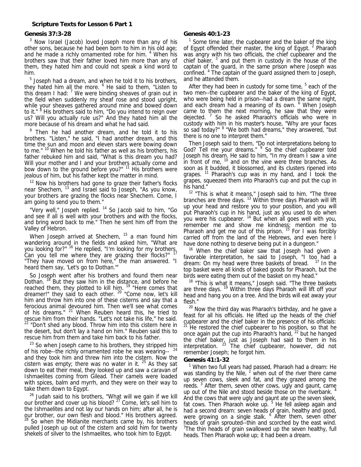#### **Genesis 37:3-28**

<sup>3</sup> Now Israel (Jacob) loved Joseph more than any of his other sons, because he had been born to him in his old age; and he made a richly ornamented robe for him. <sup>4</sup> When his brothers saw that their father loved him more than any of them, they hated him and could not speak a kind word to him.

 $5$  Joseph had a dream, and when he told it to his brothers, they hated him all the more. <sup>6</sup> He said to them, "Listen to this dream I had:  $<sup>7</sup>$  We were binding sheaves of grain out in</sup> the field when suddenly my sheaf rose and stood upright, while your sheaves gathered around mine and bowed down to it." <sup>8</sup> His brothers said to him, "Do you intend to reign over us? Will you actually rule us?" And they hated him all the more because of his dream and what he had said.

<sup>9</sup> Then he had another dream, and he told it to his brothers. "Listen," he said, "I had another dream, and this time the sun and moon and eleven stars were bowing down to me." <sup>10</sup> When he told his father as well as his brothers, his father rebuked him and said, "What is this dream you had? Will your mother and I and your brothers actually come and bow down to the ground before you?" <sup>11</sup> His brothers were jealous of him, but his father kept the matter in mind.

 $12$  Now his brothers had gone to graze their father's flocks near Shechem, 13 and Israel said to Joseph, "As you know, your brothers are grazing the flocks near Shechem. Come, I am going to send you to them."

"Very well," Jospeh replied. <sup>14</sup> So Jacob said to him, "Go and see if all is well with your brothers and with the flocks, and bring word back to me." Then he sent him off from the Valley of Hebron.

When Joseph arrived at Shechem, <sup>15</sup> a man found him wandering around in the fields and asked him, "What are you looking for?" <sup>16</sup> He replied, "I'm looking for my brothers. Can you tell me where they are grazing their flocks?" <sup>17</sup> "They have moved on from here," the man answered. "I heard them say, 'Let's go to Dothan.'"

 So Joseph went after his brothers and found them near Dothan. <sup>18</sup> But they saw him in the distance, and before he reached them, they plotted to kill him. <sup>19</sup> "Here comes that dreamer!" they said to each other. <sup>20</sup> "Come now, let's kill him and throw him into one of these cisterns and say that a ferocious animal devoured him. Then we'll see what comes of his dreams." <sup>21</sup> When Reuben heard this, he tried to rescue him from their hands. "Let's not take his life," he said. <sup>22</sup> "Don't shed any blood. Throw him into this cistern here in the desert, but don't lay a hand on him." Reuben said this to rescue him from them and take him back to his father.

 $23$  So when Joseph came to his brothers, they stripped him of his robe--the richly ornamented robe he was wearing-- <sup>22</sup> and they took him and threw him into the cistern. Now the cistern was empty; there was no water in it.  $25$  As they sat down to eat their meal, they looked up and saw a caravan of Ishmaelites coming from Gilead. Their camels were loaded with spices, balm and myrrh, and they were on their way to take them down to Egypt.

 $26$  Judah said to his brothers, "What will we gain if we kill our brother and cover up his blood?<sup>27</sup> Come, let's sell him to the Ishmaelites and not lay our hands on him; after all, he is our brother, our own flesh and blood." His brothers agreed.  $28$  So when the Midianite merchants came by, his brothers pulled Joseph up out of the cistern and sold him for twenty shekels of silver to the Ishmaelites, who took him to Egypt.

## **Genesis 40:1-23**

<sup>1</sup> Some time later, the cupbearer and the baker of the king of Egypt offended their master, the king of Egypt.  $2$  Pharaoh was angry with his two officials, the chief cupbearer and the chief baker, <sup>3</sup> and put them in custody in the house of the captain of the guard, in the same prison where Joseph was confined. 4 The captain of the guard assigned them to Joseph, and he attended them.

After they had been in custody for some time, <sup>5</sup> each of the two men--the cupbearer and the baker of the king of Egypt, who were being held in prison--had a dream the same night, and each dream had a meaning of its own. <sup>6</sup> When Joseph came to them the next morning, he saw that they were dejected.<sup>7</sup> So he asked Pharaoh's officials who were in custody with him in his master's house, "Why are your faces so sad today?" <sup>8</sup> "We both had dreams," they answered, "but there is no one to interpret them."

 Then Joseph said to them, "Do not interpretations belong to God? Tell me your dreams." <sup>9</sup> So the chief cupbearer told Joseph his dream. He said to him, "In my dream I saw a vine in front of me,  $10$  and on the vine were three branches. As soon as it budded, it blossomed, and its clusters ripened into grapes.  $11$  Pharaoh's cup was in my hand, and I took the grapes, squeezed them into Pharaoh's cup and put the cup in his hand."

<sup>12</sup> "This is what it means," Joseph said to him. "The three branches are three days. <sup>13</sup> Within three days Pharaoh will lift up your head and restore you to your position, and you will put Pharaoh's cup in his hand, just as you used to do when you were his cupbearer. 14 But when all goes well with you, remember me and show me kindness; mention me to Pharaoh and get me out of this prison.  $15$  For I was forcibly carried off from the land of the Hebrews, and even here I have done nothing to deserve being put in a dungeon."

<sup>16</sup> When the chief baker saw that Joseph had given a favorable interpretation, he said to Joseph, "I too had a dream: On my head were three baskets of bread. 17 In the top basket were all kinds of baked goods for Pharaoh, but the birds were eating them out of the basket on my head."

<sup>18</sup> "This is what it means," Joseph said. "The three baskets are three days. 19 Within three days Pharaoh will lift off your head and hang you on a tree. And the birds will eat away your flesh."

<sup>20</sup> Now the third day was Pharaoh's birthday, and he gave a feast for all his officials. He lifted up the heads of the chief cupbearer and the chief baker in the presence of his officials:  $21$  He restored the chief cupbearer to his position, so that he once again put the cup into Pharaoh's hand, <sup>22</sup> but he hanged the chief baker, just as Joseph had said to them in his interpretation. <sup>23</sup> The chief cupbearer, however, did not remember Joseph; he forgot him.

#### **Genesis 41:1-32**

<sup>1</sup> When two full years had passed, Pharaoh had a dream: He was standing by the Nile,  $^2$  when out of the river there came up seven cows, sleek and fat, and they grazed among the reeds.<sup>3</sup> After them, seven other cows, ugly and gaunt, came up out of the Nile and stood beside those on the riverbank. <sup>4</sup> And the cows that were ugly and gaunt ate up the seven sleek, fat cows. Then Pharaoh woke up. <sup>5</sup> He fell asleep again and had a second dream: seven heads of grain, healthy and good, were growing on a single stalk. <sup>6</sup> After them, seven other heads of grain sprouted--thin and scorched by the east wind. <sup>7</sup>The thin heads of grain swallowed up the seven healthy, full heads. Then Pharaoh woke up; it had been a dream.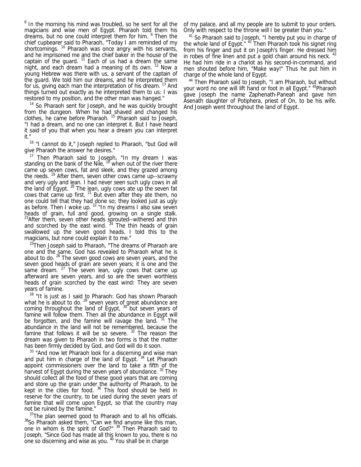<sup>8</sup> In the morning his mind was troubled, so he sent for all the magicians and wise men of Egypt. Pharaoh told them his dreams, but no one could interpret them for him. <sup>9</sup> Then the chief cupbearer said to Pharaoh, "Today I am reminded of my shortcomings. <sup>10</sup> Pharaoh was once angry with his servants, and he imprisoned me and the chief baker in the house of the captain of the guard.  $11$  Each of us had a dream the same night, and each dream had a meaning of its own. <sup>12</sup> Now a young Hebrew was there with us, a servant of the captain of the guard. We told him our dreams, and he interpreted them for us, giving each man the interpretation of his dream.<sup>13</sup> And things turned out exactly as he interpreted them to us: I was restored to my position, and the other man was hanged."

<sup>14</sup> So Pharaoh sent for Joseph, and he was quickly brought from the dungeon. When he had shaved and changed his clothes, he came before Pharaoh. 15 Pharaoh said to Joseph, "I had a dream, and no one can interpret it. But I have heard it said of you that when you hear a dream you can interpret it."

<sup>16</sup> "I cannot do it," Joseph replied to Pharaoh, "but God will give Pharaoh the answer he desires."

<sup>17</sup> Then Pharaoh said to Joseph, "In my dream I was standing on the bank of the Nile,  $18$  when out of the river there came up seven cows, fat and sleek, and they grazed among the reeds.<sup>19</sup> After them, seven other cows came up--scrawny and very ugly and lean. I had never seen such ugly cows in all the land of Egypt.  $^{20}$  The lean, ugly cows ate up the seven fat cows that came up first. <sup>21</sup> But even after they ate them, no one could tell that they had done so; they looked just as ugly as before. Then I woke up. <sup>22</sup> "In my dreams I also saw seven heads of grain, full and good, growing on a single stalk.  $^{23}$ After them, seven other heads sprouted--withered and thin and scorched by the east wind.  $24$  The thin heads of grain swallowed up the seven good heads. I told this to the magicians, but none could explain it to me."

<sup>25</sup>Then Joseph said to Pharaoh, "The dreams of Pharaoh are one and the same. God has revealed to Pharaoh what he is about to do. <sup>26</sup> The seven good cows are seven years, and the seven good heads of grain are seven years; it is one and the same dream. <sup>27</sup> The seven lean, ugly cows that came up afterward are seven years, and so are the seven worthless heads of grain scorched by the east wind: They are seven years of famine.

 $^{28}$  "It is just as I said to Pharaoh: God has shown Pharaoh what he is about to do.  $^{29}$  seven years of great abundance are coming throughout the land of Egypt, <sup>30</sup> but seven years of famine will follow them. Then all the abundance in Egypt will be forgotten, and the famine will ravage the land. <sup>31</sup> The abundance in the land will not be remembered, because the famine that follows it will be so severe.  $32$  The reason the dream was given to Pharaoh in two forms is that the matter has been firmly decided by God, and God will do it soon.

<sup>33</sup> "And now let Pharaoh look for a discerning and wise man and put him in charge of the land of Egypt. 34 Let Pharaoh appoint commissioners over the land to take a fifth of the harvest of Egypt during the seven years of abundance. <sup>35</sup> They should collect all the food of these good years that are coming and store up the grain under the authority of Pharaoh, to be kept in the cities for food. 36 This food should be held in reserve for the country, to be used during the seven years of famine that will come upon Egypt, so that the country may not be ruined by the famine."

 $3^{37}$ The plan seemed good to Pharaoh and to all his officials.  $38$ So Pharaoh asked them, "Can we find anyone like this man, one in whom is the spirit of God?" <sup>39</sup> Then Pharaoh said to Joseph, "Since God has made all this known to you, there is no one so discerning and wise as you.<sup>40</sup> You shall be in charge

of my palace, and all my people are to submit to your orders. Only with respect to the throne will I be greater than you."

<sup>41</sup> So Pharaoh said to Joseph, "I hereby put you in charge of the whole land of Egypt." <sup>42</sup> Then Pharaoh took his signet ring from his finger and put it on Joseph's finger. He dressed him in robes of fine linen and put a gold chain around his neck. He had him ride in a chariot as his second-in-command, and men shouted before him, "Make way!" Thus he put him in charge of the whole land of Egypt.

<sup>44</sup> Then Pharaoh said to Joseph, "I am Pharaoh, but without your word no one will lift hand or foot in all Egypt." <sup>45</sup>Pharaoh gave Joseph the name Zaphenath-Paneah and gave him Asenath daughter of Potiphera, priest of On, to be his wife. And Joseph went throughout the land of Egypt.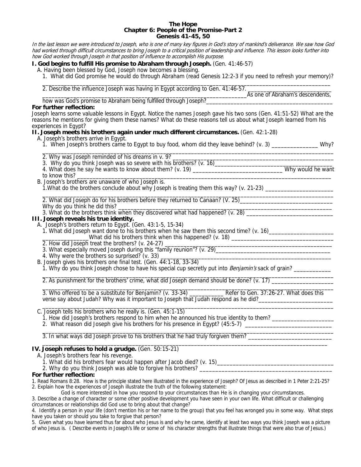#### **The Hope Chapter 6: People of the Promise-Part 2 Genesis 41-45, 50**

In the last lesson we were introduced to Joseph, who is one of many key figures in God's story of mankind's deliverance. We saw how God had worked through difficult circumstances to bring Joseph to a critical position of leadership and influence. This lesson looks further into how God worked through Joseph in that position of influence to accomplish His purpose.

# **I. God begins to fulfill His promise to Abraham through Joseph.** (Gen. 41:46-57)

- A. Having been blessed by God, Joseph now becomes a blessing.
- 1. What did God promise he would do through Abraham (read Genesis 12:2-3 if you need to refresh your memory)?

 \_\_\_\_\_\_\_\_\_\_\_\_\_\_\_\_\_\_\_\_\_\_\_\_\_\_\_\_\_\_\_\_\_\_\_\_\_\_\_\_\_\_\_\_\_\_\_\_\_\_\_\_\_\_\_\_\_\_\_\_\_\_\_\_\_\_\_\_\_\_\_\_\_\_\_\_\_\_\_\_\_\_\_\_\_\_\_\_\_\_\_\_\_ 2. Describe the influence Joseph was having in Egypt according to Gen. 41:46-57. \_\_\_\_\_\_\_\_\_\_\_\_\_\_\_\_\_\_\_\_\_\_\_\_\_\_\_\_\_

\_\_\_\_\_\_\_\_\_\_\_\_\_\_\_\_\_\_\_\_\_\_\_\_\_\_\_\_\_\_\_\_\_\_\_\_\_\_\_\_\_\_\_\_\_\_\_\_\_\_\_\_\_\_\_\_\_\_\_\_\_\_\_\_\_\_As one of Abraham's descendents, how was God's promise to Abraham being fulfilled through Joseph?\_\_\_\_\_\_\_\_\_\_\_\_\_\_\_\_\_\_\_\_\_\_\_\_\_\_\_\_\_\_\_\_\_\_\_\_\_\_\_\_\_

# **For further reflection:**

Joseph learns some valuable lessons in Egypt. Notice the names Joseph gave his two sons (Gen. 41:51-52) What are the reasons he mentions for giving them these names? What do these reasons tell us about what Joseph learned from his experiences in Egypt?

**II. Joseph meets his brothers again under much different circumstances.** (Gen. 42:1-28)

A. Joseph's brothers arrive in Egypt.

- 1. When Joseph's brothers came to Egypt to buy food, whom did they leave behind? (v. 3) \_\_\_\_\_\_\_\_\_\_\_\_\_\_\_ Why?
- $\frac{1}{2}$  ,  $\frac{1}{2}$  ,  $\frac{1}{2}$  ,  $\frac{1}{2}$  ,  $\frac{1}{2}$  ,  $\frac{1}{2}$  ,  $\frac{1}{2}$  ,  $\frac{1}{2}$  ,  $\frac{1}{2}$  ,  $\frac{1}{2}$  ,  $\frac{1}{2}$  ,  $\frac{1}{2}$  ,  $\frac{1}{2}$  ,  $\frac{1}{2}$  ,  $\frac{1}{2}$  ,  $\frac{1}{2}$  ,  $\frac{1}{2}$  ,  $\frac{1}{2}$  ,  $\frac{1$ 2. Why was Joseph reminded of his dreams in v. 9? \_\_\_\_\_\_\_\_\_\_\_\_\_\_\_\_\_\_\_\_\_\_\_\_\_\_\_\_\_\_\_\_\_\_\_\_\_\_\_\_\_\_\_\_\_\_\_\_\_\_\_\_
- 3. Why do you think Joseph was so severe with his brothers? (v. 16)\_\_\_\_\_\_\_\_\_\_\_\_\_\_\_\_\_\_\_\_\_\_\_\_\_\_\_\_\_\_\_\_\_\_\_\_\_\_
- 4. What does he say he wants to know about them? (v. 19) \_\_\_\_\_\_\_\_\_\_\_\_\_\_\_\_\_\_\_\_\_\_\_\_\_\_\_\_\_ Why would he want
- to know this? \_\_\_\_\_\_\_\_\_\_\_\_\_\_\_\_\_\_\_\_\_\_\_\_\_\_\_\_\_\_\_\_\_\_\_\_\_\_\_\_\_\_\_\_\_\_\_\_\_\_\_\_\_\_\_\_\_\_\_\_\_\_\_\_\_\_\_\_\_\_\_\_\_\_\_\_\_\_\_\_\_\_
	- B. Joseph's brothers are unaware of who Joseph is.
		- 1. What do the brothers conclude about why Joseph is treating them this way? (v. 21-23) \_\_\_\_\_\_\_\_\_\_\_\_\_\_\_\_\_\_\_\_\_\_

\_\_\_\_\_\_\_\_\_\_\_\_\_\_\_\_\_\_\_\_\_\_\_\_\_\_\_\_\_\_\_\_\_\_\_\_\_\_\_\_\_\_\_\_\_\_\_\_\_\_\_\_\_\_\_\_\_\_\_\_\_\_\_\_\_\_\_\_\_\_\_\_\_\_\_\_\_\_\_\_\_\_\_\_\_\_\_\_\_\_\_\_\_\_ 2. What did Joseph do for his brothers before they returned to Canaan? (V. 25)\_\_\_\_\_\_\_\_\_\_\_\_\_\_\_\_\_\_\_\_\_\_\_\_\_\_\_\_\_\_\_\_ Why do you think he did this? \_\_\_\_\_\_\_\_\_\_\_\_\_\_\_\_\_\_\_\_\_\_\_\_\_\_\_\_\_\_\_\_\_\_\_\_\_\_\_\_\_\_\_\_\_\_\_\_\_\_\_\_\_\_\_\_\_\_\_\_\_\_\_\_\_\_\_\_\_

3. What do the brothers think when they discovered what had happened? (v. 28)

# **III. Joseph reveals his true identity.**

A. Joseph's brothers return to Egypt. (Gen. 43:1-5, 15-34)

1. What did Joseph want done to his brothers when he saw them this second time? (v. 16)\_\_\_\_\_\_\_\_\_\_\_\_\_\_\_\_\_\_\_\_\_\_\_

- \_\_\_\_\_\_\_\_\_\_\_\_\_\_\_What did his brothers think when this happened? (v. 18) \_\_\_\_\_\_\_\_\_\_\_\_\_\_\_\_\_\_\_\_\_\_\_\_\_\_\_\_\_\_\_\_\_ 2. How did Joseph treat the brothers? (v. 24-27) \_\_\_\_\_\_\_\_\_\_\_\_\_\_\_\_\_\_\_\_\_\_\_\_\_\_\_\_\_\_\_\_\_\_\_\_\_\_\_\_\_\_\_\_\_\_\_\_\_\_\_\_\_\_
	-
- 3. What especially moved Joseph during this "family reunion"? (v. 29)\_\_\_\_\_\_\_\_\_\_\_\_\_\_\_\_\_\_\_\_\_\_\_\_\_\_\_\_\_\_\_\_\_\_\_\_\_
	- 4. Why were the brothers so surprised? (v. 33)
	- B. Joseph gives his brothers one final test. (Gen. 44:1-18, 33-34)
		- 1. Why do you think Joseph chose to have his special cup secretly put into Benjamin's sack of grain? \_\_\_\_\_\_\_\_\_

 $\frac{1}{\sqrt{2}}$  ,  $\frac{1}{\sqrt{2}}$  ,  $\frac{1}{\sqrt{2}}$  ,  $\frac{1}{\sqrt{2}}$  ,  $\frac{1}{\sqrt{2}}$  ,  $\frac{1}{\sqrt{2}}$  ,  $\frac{1}{\sqrt{2}}$  ,  $\frac{1}{\sqrt{2}}$  ,  $\frac{1}{\sqrt{2}}$  ,  $\frac{1}{\sqrt{2}}$  ,  $\frac{1}{\sqrt{2}}$  ,  $\frac{1}{\sqrt{2}}$  ,  $\frac{1}{\sqrt{2}}$  ,  $\frac{1}{\sqrt{2}}$  ,  $\frac{1}{\sqrt{2}}$ 2. As punishment for the brothers' crime, what did Joseph demand should be done? (v. 17) \_\_\_\_\_\_\_\_\_\_\_\_\_\_\_\_\_\_\_\_\_

 \_\_\_\_\_\_\_\_\_\_\_\_\_\_\_\_\_\_\_\_\_\_\_\_\_\_\_\_\_\_\_\_\_\_\_\_\_\_\_\_\_\_\_\_\_\_\_\_\_\_\_\_\_\_\_\_\_\_\_\_\_\_\_\_\_\_\_\_\_\_\_\_\_\_\_\_\_\_\_\_\_\_\_\_\_\_\_\_\_\_\_\_\_\_ 3. Who offered to be a substitute for Benjamin? (v. 33-34) \_\_\_\_\_\_\_\_\_\_\_ Refer to Gen. 37:26-27. What does this verse say about Judah? Why was it important to Joseph that Judah respond as he did?\_\_\_\_\_\_\_\_\_\_\_\_\_\_\_\_\_\_\_\_\_\_\_\_\_\_\_

\_\_\_\_\_\_\_\_\_\_\_\_\_\_\_\_\_\_\_\_\_\_\_\_\_\_\_\_\_\_\_\_\_\_\_\_\_\_\_\_\_\_\_\_\_\_\_\_\_\_\_\_\_\_\_\_\_\_\_\_\_\_\_\_\_\_\_\_\_\_\_\_\_\_\_\_\_\_\_\_\_\_\_\_\_\_\_\_\_\_\_\_\_\_

 $\overline{\phantom{a}}$  ,  $\overline{\phantom{a}}$  ,  $\overline{\phantom{a}}$  ,  $\overline{\phantom{a}}$  ,  $\overline{\phantom{a}}$  ,  $\overline{\phantom{a}}$  ,  $\overline{\phantom{a}}$  ,  $\overline{\phantom{a}}$  ,  $\overline{\phantom{a}}$  ,  $\overline{\phantom{a}}$  ,  $\overline{\phantom{a}}$  ,  $\overline{\phantom{a}}$  ,  $\overline{\phantom{a}}$  ,  $\overline{\phantom{a}}$  ,  $\overline{\phantom{a}}$  ,  $\overline{\phantom{a}}$ C. Joseph tells his brothers who he really is. (Gen. 45:1-15)

- 1. How did Joseph's brothers respond to him when he announced his true identity to them? \_\_\_\_\_\_\_\_\_\_\_\_\_\_\_\_\_\_\_\_\_
- 2. What reason did Joseph give his brothers for his presence in Egypt? (45:5-7) \_\_\_\_\_\_\_\_\_\_\_\_\_\_\_\_\_\_\_\_\_\_\_\_\_\_\_\_\_\_

3. In what ways did Joseph prove to his brothers that he had truly forgiven them?

#### $\frac{1}{2}$  ,  $\frac{1}{2}$  ,  $\frac{1}{2}$  ,  $\frac{1}{2}$  ,  $\frac{1}{2}$  ,  $\frac{1}{2}$  ,  $\frac{1}{2}$  ,  $\frac{1}{2}$  ,  $\frac{1}{2}$  ,  $\frac{1}{2}$  ,  $\frac{1}{2}$  ,  $\frac{1}{2}$  ,  $\frac{1}{2}$  ,  $\frac{1}{2}$  ,  $\frac{1}{2}$  ,  $\frac{1}{2}$  ,  $\frac{1}{2}$  ,  $\frac{1}{2}$  ,  $\frac{1$ **IV. Joseph refuses to hold a grudge.** (Gen. 50:15-21)

A. Joseph's brothers fear his revenge.

1. What did his brothers fear would happen after Jacob died? (v. 15)\_\_\_\_\_\_\_\_\_\_\_\_\_\_\_\_\_\_\_\_\_\_\_\_\_\_\_\_\_\_\_\_\_\_\_\_\_

2. Why do you think Joseph was able to forgive his brothers?

# **For further reflection:**

1. Read Romans 8:28. How is the principle stated here illustrated in the experience of Joseph? Of Jesus as described in 1 Peter 2:21-25? 2. Explain how the experiences of Joseph illustrate the truth of the following statement:

God is more interested in how you respond to your circumstances than He is in changing your circumstances.

3. Describe a change of character or some other positive development you have seen in your own life. What difficult or challenging circumstances or relationships did God use to bring about that change?

4. Identify a person in your life (don't mention his or her name to the group) that you feel has wronged you in some way. What steps have you taken or should you take to forgive that person?

5. Given what you have learned thus far about who Jesus is and why he came, identify at least two ways you think Joseph was a picture of who Jesus is. ( Describe events in Joseph's life or some of his character strengths that illustrate things that were also true of Jesus.)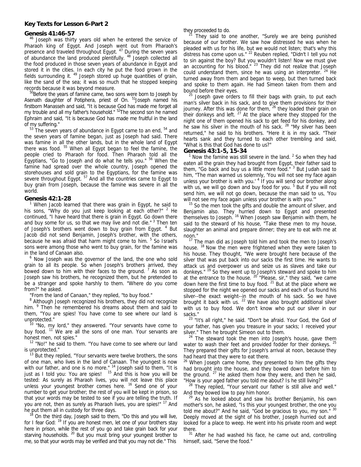#### **Key Texts for Lesson 6-Part 2**

Genesis 41:46-57<br><sup>46</sup> Joseph was thirty years old when he entered the service of Pharaoh king of Egypt. And Joseph went out from Pharaoh's presence and traveled throughout Egypt. <sup>47</sup> During the seven years of abundance the land produced plentifully. <sup>48</sup> Joseph collected all the food produced in those seven years of abundance in Egypt and stored it in the cities. In each city he put the food grown in the fields surrounding it.  $49$  Joseph stored up huge quantities of grain, like the sand of the sea; it was so much that he stopped keeping

records because it was beyond measure.<br><sup>50</sup>Before the years of famine came, two sons were born to Joseph by Asenath daughter of Potiphera, priest of On. <sup>51</sup>Joseph named his firstborn Manasseh and said, "It is because God has made me forget all my trouble and all my father's household." <sup>52</sup>The second son he named Ephraim and said, "It is because God has made me fruitful in the land

of my suffering."<br><sup>53</sup> The seven years of abundance in Egypt came to an end, <sup>54</sup> and the seven years of famine began, just as Joseph had said. There was famine in all the other lands, but in the whole land of Egypt there was food.  $55$  When all Egypt began to feel the famine, the people cried to Pharaoh for food. Then Pharaoh told all the Egyptians, "Go to Joseph and do what he tells you." <sup>56</sup> When the famine had spread over the whole country, Joseph opened the storehouses and sold grain to the Egyptians, for the famine was severe throughout Egypt. <sup>57</sup> And all the countries came to Egypt to buy grain from Joseph, because the famine was severe in all the world.

#### **Genesis 42:1-28** <sup>1</sup>

<sup>1</sup> When Jacob learned that there was grain in Egypt, he said to his sons, "Why do you just keep looking at each other?" <sup>2</sup> He continued, "I have heard that there is grain in Egypt. Go down there and buy some for us, so that we may live and not die."<sup>3</sup> Then ten of Joseph's brothers went down to buy grain from Egypt. <sup>4</sup> But Jacob did not send Benjamin, Joseph's brother, with the others, because he was afraid that harm might come to him. <sup>5</sup> So Israel's sons were among those who went to buy grain, for the famine was in the land of Canaan also.

 $6$  Now Joseph was the governor of the land, the one who sold grain to all its people. So when Joseph's brothers arrived, they bowed down to him with their faces to the ground.  $7$  As soon as Joseph saw his brothers, he recognized them, but he pretended to be a stranger and spoke harshly to them. "Where do you come from?" he asked.

"From the land of Canaan," they replied, "to buy food."

 $8$  Although Joseph recognized his brothers, they did not recognize him. <sup>9</sup> <sup>9</sup> Then he remembered his dreams about them and said to them, "You are spies! You have come to see where our land is

<sup>10</sup> "No, my lord," they answered. "Your servants have come to buy food. <sup>11</sup> We are all the sons of one man. Your servants are

honest men, not spies."<br><sup>12</sup> "No!" he said to them. "You have come to see where our land

is unprotected."<br> $13$  But they replied, "Your servants were twelve brothers, the sons of one man, who lives in the land of Canaan. The youngest is now with our father, and one is no more." $14$  Joseph said to them, "It is just as I told you: You are spies!  $15$  And this is how you will be tested: As surely as Pharaoh lives, you will not leave this place unless your youngest brother comes here. <sup>16</sup> Send one of your number to get your brother; the rest of you will be kept in prison, so that your words may be tested to see if you are telling the truth. If you are not, then as surely as Pharaoh lives, you are spies!" <sup>17</sup> And

he put them all in custody for three days.<br><sup>18</sup> On the third day, Joseph said to them, "Do this and you will live, for I fear God: <sup>19</sup> If you are honest men, let one of your brothers stay here in prison, while the rest of you go and take grain back for your starving households. <sup>20</sup> But you must bring your youngest brother to me, so that your words may be verified and that you may not die." This

they proceeded to do.<br><sup>21</sup> They said to one another, "Surely we are being punished because of our brother. We saw how distressed he was when he pleaded with us for his life, but we would not listen; that's why this distress has come upon us." <sup>22</sup> Reuben replied, "Didn't I tell you not to sin against the boy? But you wouldn't listen! Now we must give an accounting for his blood." <sup>23</sup> They did not realize that Joseph could understand them, since he was using an interpreter. <sup>24</sup> He turned away from them and began to weep, but then turned back and spoke to them again. He had Simeon taken from them and

bound before their eyes.<br><sup>25</sup> Joseph gave orders to fill their bags with grain, to put each man's silver back in his sack, and to give them provisions for their journey. After this was done for them, <sup>26</sup> they loaded their grain on their donkeys and left.  $27$  At the place where they stopped for the night one of them opened his sack to get feed for his donkey, and he saw his silver in the mouth of his sack. <sup>28</sup> "My silver has been returned," he said to his brothers. "Here it is in my sack. "Their hearts sank and they turned to each other trembling and said, "What is this that God has done to us?"

#### **Genesis 43:1-5, 15-34** <sup>1</sup>

Now the famine was still severe in the land. <sup>2</sup> So when they had eaten all the grain they had brought from Egypt, their father said to them, "Go back and buy us a little more food." <sup>3</sup> But Judah said to him, "The man warned us solemnly, 'You will not see my face again unless your brother is with you.' <sup>4</sup> If you will send our brother along with us, we will go down and buy food for you.<sup>5</sup> But if you will not send him, we will not go down, because the man said to us, 'You will not see my face again unless your brother is with you.'" 15 So the men took the gifts and double the amount of silver, and

Benjamin also. They hurried down to Egypt and presented themselves to Joseph.<sup>16</sup> When Joseph saw Benjamin with them, he said to the steward of his house, "Take these men to my house, slaughter an animal and prepare dinner; they are to eat with me at

noon." 17 The man did as Joseph told him and took the men to Joseph's house. <sup>18</sup> Now the men were frightened when they were taken to his house. They thought, "We were brought here because of the silver that was put back into our sacks the first time. He wants to attack us and overpower us and seize us as slaves and take our donkeys." 19 So they went up to Joseph's steward and spoke to him at the entrance to the house. 20 "Please, sir," they said, "we came down here the first time to buy food.  $21$  But at the place where we stopped for the night we opened our sacks and each of us found his silver--the exact weight--in the mouth of his sack. So we have brought it back with us.  $^{22}$  We have also brought additional silver with us to buy food. We don't know who put our silver in our

sacks."<br> $23$  "It's all right," he said. "Don't be afraid. Your God, the God of your father, has given you treasure in your sacks; I received your

silver." Then he brought Simeon out to them.<br><sup>24</sup> The steward took the men into Joseph's house, gave them water to wash their feet and provided fodder for their donkeys. <sup>25</sup> They prepared their gifts for Joseph's arrival at noon, because they had heard that they were to eat there.

<sup>26</sup> When Joseph came home, they presented to him the gifts they had brought into the house, and they bowed down before him to the ground.  $27$  He asked them how they were, and then he said,

"How is your aged father you told me about? Is he still living?"<br><sup>28</sup> They replied, "Your servant our father is still alive and well."

And they bowed low to pay him honor.<br><sup>29</sup> As he looked about and saw his brother Benjamin, his own mother's son, he asked, "Is this your youngest brother, the one you told me about?" And he said, "God be gracious to you, my son."  $30$ Deeply moved at the sight of his brother, Joseph hurried out and looked for a place to weep. He went into his private room and wept

there.<br> $31$  After he had washed his face, he came out and, controlling himself, said, "Serve the food."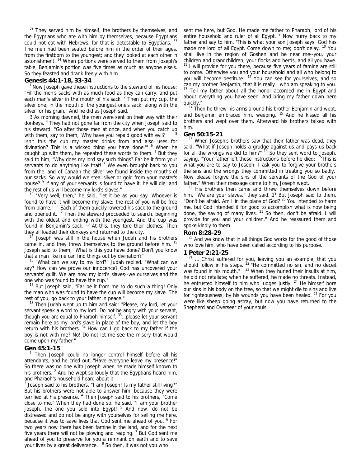$32$  They served him by himself, the brothers by themselves, and the Egyptians who ate with him by themselves, because Egyptians could not eat with Hebrews, for that is detestable to Egyptians.<sup>33</sup> The men had been seated before him in the order of their ages, from the firstborn to the youngest; and they looked at each other in astonishment. 34 When portions were served to them from Joseph's table, Benjamin's portion was five times as much as anyone else's. So they feasted and drank freely with him.

Genesis 44:1-18, 33-34<br><sup>1</sup> Now Joseph gave these instructions to the steward of his house: "Fill the men's sacks with as much food as they can carry, and put each man's silver in the mouth of his sack.  $2$  Then put my cup, the silver one, in the mouth of the youngest one's sack, along with the silver for his grain." And he did as Joseph said.

 3 As morning dawned, the men were sent on their way with their donkeys. <sup>4</sup> They had not gone far from the city when Joseph said to his steward, "Go after those men at once, and when you catch up with them, say to them, 'Why have you repaid good with evil? Isn't this the cup my master drinks from and also uses for divination? This is a wicked thing you have done." <sup>6</sup> When he caught up with them, he repeated these words to them.  $<sup>7</sup>$  But they</sup> said to him, "Why does my lord say such things? Far be it from your servants to do anything like that! <sup>8</sup> We even brought back to you from the land of Canaan the silver we found inside the mouths of our sacks. So why would we steal silver or gold from your master's house? <sup>9</sup> If any of your servants is found to have it, he will die; and the rest of us will become my lord's slaves."<br><sup>10</sup> "Very well, then," he said, "let it be as you say. Whoever is

found to have it will become my slave; the rest of you will be free from blame." <sup>11</sup> Each of them quickly lowered his sack to the ground and opened it.<sup>12</sup> Then the steward proceeded to search, beginning with the oldest and ending with the youngest. And the cup was found in Benjamin's sack. <sup>13</sup> At this, they tore their clothes. Then they all loaded their donkeys and returned to the city.<br><sup>14</sup> Joseph was still in the house when Judah and his brothers

came in, and they threw themselves to the ground before him. <sup>15</sup> Joseph said to them, "What is this you have done? Don't you know

that a man like me can find things out by divination?" 16 "What can we say to my lord?" Judah replied. "What can we say? How can we prove our innocence? God has uncovered your servants' guilt. We are now my lord's slaves--we ourselves and the

one who was found to have the cup." 17 But Joseph said, "Far be it from me to do such a thing! Only the man who was found to have the cup will become my slave. The

rest of you, go back to your father in peace."<br><sup>18</sup> Then Judah went up to him and said: "Please, my lord, let your servant speak a word to my lord. Do not be angry with your servant, though you are equal to Pharaoh himself. 33…please let your servant remain here as my lord's slave in place of the boy, and let the boy return with his brothers.  $34$  How can I go back to my father if the boy is not with me? No! Do not let me see the misery that would come upon my father."

#### **Gen 45:1-15** <sup>1</sup>

 Then Joseph could no longer control himself before all his attendants, and he cried out, "Have everyone leave my presence!" So there was no one with Joseph when he made himself known to his brothers.  $2$  And he wept so loudly that the Egyptians heard him, and Pharaoh's household heard about it.

 $3$  Joseph said to his brothers, "I am Joseph! Is my father still living?" But his brothers were not able to answer him, because they were terrified at his presence. <sup>4</sup> Then Joseph said to his brothers, "Come close to me." When they had done so, he said, "I am your brother Joseph, the one you sold into Egypt! <sup>5</sup> And now, do not be distressed and do not be angry with yourselves for selling me here, because it was to save lives that God sent me ahead of you. <sup>6</sup> For two years now there has been famine in the land, and for the next five years there will not be plowing and reaping.  $7$  But God sent me ahead of you to preserve for you a remnant on earth and to save your lives by a great deliverance. <sup>8</sup> So then, it was not you who

sent me here, but God. He made me father to Pharaoh, lord of his entire household and ruler of all Egypt. <sup>9</sup> Now hurry back to my father and say to him, 'This is what your son Joseph says: God has made me lord of all Egypt. Come down to me; don't delay. <sup>10</sup> You shall live in the region of Goshen and be near me--you, your children and grandchildren, your flocks and herds, and all you have. <sup>11</sup> I will provide for you there, because five years of famine are still to come. Otherwise you and your household and all who belong to you will become destitute.' <sup>12</sup> You can see for yourselves, and so can my brother Benjamin, that it is really I who am speaking to you. <sup>13</sup> Tell my father about all the honor accorded me in Egypt and about everything you have seen. And bring my father down here

quickly."<br><sup>14</sup> Then he threw his arms around his brother Benjamin and wept, and Benjamin embraced him, weeping. 15 And he kissed all his brothers and wept over them. Afterward his brothers talked with him.

Gen 50:15-21<br><sup>15</sup> When Joseph's brothers saw that their father was dead, they said, "What if Joseph holds a grudge against us and pays us back for all the wrongs we did to him?" <sup>16</sup> So they sent word to Joseph, saying, "Your father left these instructions before he died: <sup>17</sup>'This is what you are to say to Joseph: I ask you to forgive your brothers the sins and the wrongs they committed in treating you so badly.' Now please forgive the sins of the servants of the God of your

father." When their message came to him, Joseph wept.<br><sup>18</sup> His brothers then came and threw themselves down before him. "We are your slaves," they said.  $1^9$  But Joseph said to them, "Don't be afraid. Am I in the place of God?<sup>20</sup> You intended to harm me, but God intended it for good to accomplish what is now being done, the saving of many lives.  $21$  So then, don't be afraid. I will provide for you and your children." And he reassured them and spoke kindly to them.

**Rom 8:28-29**<br><sup>28</sup> And we know that in all things God works for the good of those who love him, who have been called according to his purpose.

**1 Peter 2:21-25**<br><sup>21</sup> ... Christ suffered for you, leaving you an example, that you should follow in his steps.  $^{22}$  "He committed no sin, and no deceit was found in his mouth."  $23$  When they hurled their insults at him, he did not retaliate; when he suffered, he made no threats. Instead, he entrusted himself to him who judges justly.  $24$  He himself bore our sins in his body on the tree, so that we might die to sins and live for righteousness; by his wounds you have been healed. <sup>25</sup> For you were like sheep going astray, but now you have returned to the Shepherd and Overseer of your souls.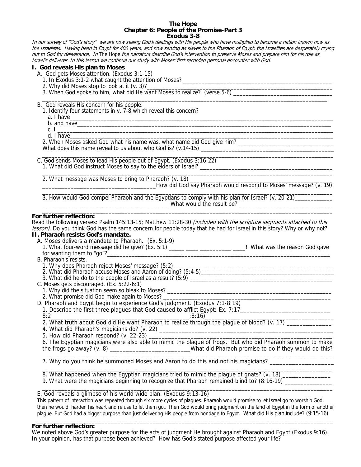#### **The Hope Chapter 6: People of the Promise-Part 3 Exodus 3-8**

In our survey of "God's story" we are now seeing God's dealings with His people who have multiplied to become a nation known now as the Israelites. Having been in Egypt for 400 years, and now serving as slaves to the Pharaoh of Egypt, the Israelites are desperately crying out to God for deliverance. In The Hope the narrators describe God's intervention to preserve Moses and prepare him for his role as Israel's deliverer. In this lesson we continue our study with Moses' first recorded personal encounter with God.

## **I. God reveals His plan to Moses**

- A. God gets Moses attention. (Exodus 3:1-15)
	- 1. In Exodus 3:1-2 what caught the attention of Moses? \_\_\_\_\_\_\_\_\_\_\_\_\_\_\_\_\_\_\_\_\_\_\_\_\_\_\_\_\_\_\_\_\_\_\_\_\_\_\_\_\_\_\_\_\_\_\_\_
	- 2. Why did Moses stop to look at it (v. 3)?
- 3. When God spoke to him, what did He want Moses to realize? (verse 5-6) \_\_\_\_\_\_\_\_  $\overline{\phantom{a}}$  ,  $\overline{\phantom{a}}$  ,  $\overline{\phantom{a}}$  ,  $\overline{\phantom{a}}$  ,  $\overline{\phantom{a}}$  ,  $\overline{\phantom{a}}$  ,  $\overline{\phantom{a}}$  ,  $\overline{\phantom{a}}$  ,  $\overline{\phantom{a}}$  ,  $\overline{\phantom{a}}$  ,  $\overline{\phantom{a}}$  ,  $\overline{\phantom{a}}$  ,  $\overline{\phantom{a}}$  ,  $\overline{\phantom{a}}$  ,  $\overline{\phantom{a}}$  ,  $\overline{\phantom{a}}$

B. God reveals His concern for his people.

- 1. Identify four statements in v. 7-8 which reveal this concern?
- a. I have\_\_\_\_\_\_\_\_\_\_\_\_\_\_\_\_\_\_\_\_\_\_\_\_\_\_\_\_\_\_\_\_\_\_\_\_\_\_\_\_\_\_\_\_\_\_\_\_\_\_\_\_\_\_\_\_\_\_\_\_\_\_\_\_\_\_\_\_\_\_\_\_\_\_\_\_\_\_\_\_\_\_\_\_\_
	- b. and have
- c. I \_\_\_\_\_\_\_\_\_\_\_\_\_\_\_\_\_\_\_\_\_\_\_\_\_\_\_\_\_\_\_\_\_\_\_\_\_\_\_\_\_\_\_\_\_\_\_\_\_\_\_\_\_\_\_\_\_\_\_\_\_\_\_\_\_\_\_\_\_\_\_\_\_\_\_\_\_\_\_\_\_\_\_\_\_\_\_\_\_
- d. I have\_\_\_\_\_\_\_\_\_\_\_\_\_\_\_\_\_\_\_\_\_\_\_\_\_\_\_\_\_\_\_\_\_\_\_\_\_\_\_\_\_\_\_\_\_\_\_\_\_\_\_\_\_\_\_\_\_\_\_\_\_\_\_\_\_\_\_\_\_\_\_\_\_\_\_\_\_\_\_\_\_\_\_\_\_

 2. When Moses asked God what his name was, what name did God give him? \_\_\_\_\_\_\_\_\_\_\_\_\_\_\_\_\_\_\_\_\_\_\_\_\_\_\_\_\_\_\_ What does this name reveal to us about who God is? (v.14-15) \_\_\_\_\_\_\_\_\_\_\_\_\_\_\_\_\_\_\_

 $\overline{\phantom{a}}$  ,  $\overline{\phantom{a}}$  ,  $\overline{\phantom{a}}$  ,  $\overline{\phantom{a}}$  ,  $\overline{\phantom{a}}$  ,  $\overline{\phantom{a}}$  ,  $\overline{\phantom{a}}$  ,  $\overline{\phantom{a}}$  ,  $\overline{\phantom{a}}$  ,  $\overline{\phantom{a}}$  ,  $\overline{\phantom{a}}$  ,  $\overline{\phantom{a}}$  ,  $\overline{\phantom{a}}$  ,  $\overline{\phantom{a}}$  ,  $\overline{\phantom{a}}$  ,  $\overline{\phantom{a}}$ C. God sends Moses to lead His people out of Egypt. (Exodus 3:16-22) 1. What did God instruct Moses to say to the elders of Israel? \_\_\_\_\_\_\_\_\_\_\_\_\_\_\_\_\_

2. What message was Moses to bring to Pharaoh? (v. 18)

\_\_\_\_How did God say Pharaoh would respond to Moses' message? (v. 19)

 $\mathcal{L} = \frac{1}{2} \sum_{i=1}^{n} \frac{1}{2} \sum_{j=1}^{n} \frac{1}{2} \sum_{j=1}^{n} \frac{1}{2} \sum_{j=1}^{n} \frac{1}{2} \sum_{j=1}^{n} \frac{1}{2} \sum_{j=1}^{n} \frac{1}{2} \sum_{j=1}^{n} \frac{1}{2} \sum_{j=1}^{n} \frac{1}{2} \sum_{j=1}^{n} \frac{1}{2} \sum_{j=1}^{n} \frac{1}{2} \sum_{j=1}^{n} \frac{1}{2} \sum_{j=1}^{n} \frac{1}{2} \sum$  3. How would God compel Pharaoh and the Egyptians to comply with his plan for Israel? (v. 20-21)\_\_\_\_\_\_\_\_\_\_\_\_ \_\_\_\_\_\_\_\_\_\_\_\_\_\_\_\_\_\_\_\_\_\_\_\_\_\_\_\_\_\_\_\_\_\_\_\_\_\_\_\_ What would the result be? \_\_\_\_\_\_\_\_\_\_\_\_\_\_\_\_\_\_\_\_\_\_\_\_\_\_\_\_\_\_  $\overline{\phantom{a}}$  ,  $\overline{\phantom{a}}$  ,  $\overline{\phantom{a}}$  ,  $\overline{\phantom{a}}$  ,  $\overline{\phantom{a}}$  ,  $\overline{\phantom{a}}$  ,  $\overline{\phantom{a}}$  ,  $\overline{\phantom{a}}$  ,  $\overline{\phantom{a}}$  ,  $\overline{\phantom{a}}$  ,  $\overline{\phantom{a}}$  ,  $\overline{\phantom{a}}$  ,  $\overline{\phantom{a}}$  ,  $\overline{\phantom{a}}$  ,  $\overline{\phantom{a}}$  ,  $\overline{\phantom{a}}$ 

## **For further reflection:**

Read the following verses: Psalm 145:13-15; Matthew 11:28-30 *(included with the scripture segments attached to this* lesson). Do you think God has the same concern for people today that he had for Israel in this story? Why or why not? **II. Pharaoh resists God's mandate.**

 $\overline{\phantom{a}}$  ,  $\overline{\phantom{a}}$  ,  $\overline{\phantom{a}}$  ,  $\overline{\phantom{a}}$  ,  $\overline{\phantom{a}}$  ,  $\overline{\phantom{a}}$  ,  $\overline{\phantom{a}}$  ,  $\overline{\phantom{a}}$  ,  $\overline{\phantom{a}}$  ,  $\overline{\phantom{a}}$  ,  $\overline{\phantom{a}}$  ,  $\overline{\phantom{a}}$  ,  $\overline{\phantom{a}}$  ,  $\overline{\phantom{a}}$  ,  $\overline{\phantom{a}}$  ,  $\overline{\phantom{a}}$ 

- A. Moses delivers a mandate to Pharaoh. (Ex. 5:1-9)
- 1. What four-word message did he give? (Ex. 5:1) \_\_\_\_\_ \_\_\_\_\_ \_\_\_\_\_\_\_\_\_\_\_\_\_\_\_\_\_\_\_\_! What was the reason God gave for wanting them to "go"?
- B. Pharaoh's resists.
	- 1. Why does Pharaoh reject Moses' message? (5:2) \_
	- 2. What did Pharaoh accuse Moses and Aaron of doing? (5:4-5)\_\_\_\_\_\_\_\_\_\_\_\_\_\_\_\_\_\_\_\_\_\_\_\_\_\_\_\_\_\_\_\_\_\_\_\_\_\_\_\_\_\_\_
	- 3. What did he do to the people of Israel as a result? (5:9) \_\_\_\_\_\_\_\_\_\_\_\_\_\_\_\_\_\_\_\_\_\_\_\_\_\_\_\_\_\_\_\_\_\_\_\_\_\_\_\_\_\_\_\_\_\_
- C. Moses gets discouraged. (Ex. 5:22-6:1)
	- 1. Why did the situation seem so bleak to Moses?
	- 2. What promise did God make again to Moses?
- D. Pharaoh and Egypt begin to experience God's judgment. (Exodus 7:1-8:19)
- 1. Describe the first three plagues that God caused to afflict Egypt: Ex. 7:17\_\_\_\_\_\_\_\_\_\_\_\_\_\_\_\_\_\_\_\_\_\_\_\_\_\_\_\_\_\_\_\_
- 8:2\_\_\_\_\_\_\_\_\_\_\_\_\_\_\_\_\_\_\_\_\_\_\_\_\_\_\_\_\_\_\_\_\_\_\_\_\_\_\_\_\_\_\_;8:16)\_\_\_\_\_\_\_\_\_\_\_\_\_\_\_\_\_\_\_\_\_\_\_\_\_\_\_\_\_\_\_\_\_\_\_\_\_\_\_\_

2. What truth about God did He want Pharaoh to realize through the plague of blood? (v. 17) \_\_\_\_\_\_\_\_\_\_\_\_\_\_\_\_\_\_

4. What did Pharaoh's magicians do? (v. 22)

5. How did Pharaoh respond? (v. 22-23)  $\_$ 

 6. The Egyptian magicians were also able to mimic the plague of frogs. But who did Pharaoh summon to make the frogs go away? (v. 8) \_\_\_\_\_\_\_\_\_\_\_\_\_\_\_\_\_\_\_\_\_\_\_\_\_\_\_\_\_What did Pharaoh promise to do if they would do this?

 $\frac{1}{\sqrt{2}}$  ,  $\frac{1}{\sqrt{2}}$  ,  $\frac{1}{\sqrt{2}}$  ,  $\frac{1}{\sqrt{2}}$  ,  $\frac{1}{\sqrt{2}}$  ,  $\frac{1}{\sqrt{2}}$  ,  $\frac{1}{\sqrt{2}}$  ,  $\frac{1}{\sqrt{2}}$  ,  $\frac{1}{\sqrt{2}}$  ,  $\frac{1}{\sqrt{2}}$  ,  $\frac{1}{\sqrt{2}}$  ,  $\frac{1}{\sqrt{2}}$  ,  $\frac{1}{\sqrt{2}}$  ,  $\frac{1}{\sqrt{2}}$  ,  $\frac{1}{\sqrt{2}}$ 7. Why do you think he summoned Moses and Aaron to do this and not his magicians? \_\_\_\_\_\_\_\_\_\_\_\_\_\_\_\_\_\_

 $\overline{\phantom{a}}$  ,  $\overline{\phantom{a}}$  ,  $\overline{\phantom{a}}$  ,  $\overline{\phantom{a}}$  ,  $\overline{\phantom{a}}$  ,  $\overline{\phantom{a}}$  ,  $\overline{\phantom{a}}$  ,  $\overline{\phantom{a}}$  ,  $\overline{\phantom{a}}$  ,  $\overline{\phantom{a}}$  ,  $\overline{\phantom{a}}$  ,  $\overline{\phantom{a}}$  ,  $\overline{\phantom{a}}$  ,  $\overline{\phantom{a}}$  ,  $\overline{\phantom{a}}$  ,  $\overline{\phantom{a}}$ 8. What happened when the Egyptian magicians tried to mimic the plague of gnats? (v. 18)

9. What were the magicians beginning to recognize that Pharaoh remained blind to? (8:16-19)

#### $\overline{\phantom{a}}$  ,  $\overline{\phantom{a}}$  ,  $\overline{\phantom{a}}$  ,  $\overline{\phantom{a}}$  ,  $\overline{\phantom{a}}$  ,  $\overline{\phantom{a}}$  ,  $\overline{\phantom{a}}$  ,  $\overline{\phantom{a}}$  ,  $\overline{\phantom{a}}$  ,  $\overline{\phantom{a}}$  ,  $\overline{\phantom{a}}$  ,  $\overline{\phantom{a}}$  ,  $\overline{\phantom{a}}$  ,  $\overline{\phantom{a}}$  ,  $\overline{\phantom{a}}$  ,  $\overline{\phantom{a}}$ E. God reveals a glimpse of his world wide plan. (Exodus 9:13-16)

This pattern of interaction was repeated through six more cycles of plagues. Pharaoh would promise to let Israel go to worship God, then he would harden his heart and refuse to let them go.. Then God would bring judgment on the land of Egypt in the form of another plague. But God had a bigger purpose than just delivering His people from bondage to Egypt. What did His plan include? (9:15-16)

#### \_\_\_\_\_\_\_\_\_\_\_\_\_\_\_\_\_\_\_\_\_\_\_\_\_\_\_\_\_\_\_\_\_\_\_\_\_\_\_\_\_\_\_\_\_\_\_\_\_\_\_\_\_\_\_\_\_\_\_\_\_\_\_\_\_\_\_\_\_\_\_\_\_\_\_\_\_\_\_\_\_\_\_\_\_\_\_\_\_\_\_\_ **For further reflection:**

We noted above God's greater purpose for the acts of judgment He brought against Pharaoh and Egypt (Exodus 9:16). In your opinion, has that purpose been achieved? How has God's stated purpose affected your life?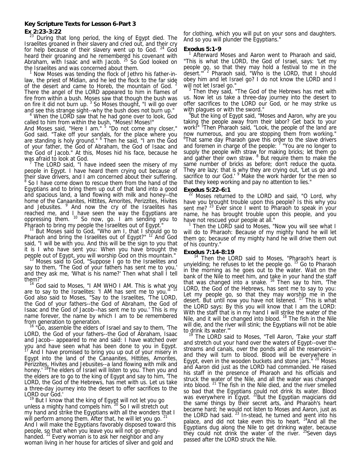# **Key Scripture Texts for Lesson 6-Part 3**

**Ex 2:23-3:22** 

During that long period, the king of Egypt died. The Israelites groaned in their slavery and cried out, and their cry for help because of their slavery went up to God.  $24$  God heard their groaning and he remembered his covenant with Abraham, with Isaac and with Jacob.  $25$  So God looked on the Israelites and was concerned about them.

Now Moses was tending the flock of Jethro his father-inlaw, the priest of Midian, and he led the flock to the far side of the desert and came to Horeb, the mountain of God. <sup>2</sup> There the angel of the LORD appeared to him in flames of fire from within a bush. Moses saw that though the bush was on fire it did not burn up.  $3$  So Moses thought, "I will go over and see this strange sight--why the bush does not burn up." 4

<sup>4</sup> When the LORD saw that he had gone over to look, God called to him from within the bush, "Moses! Moses!"

And Moses said, "Here I am." <sup>5</sup> "Do not come any closer," God said. "Take off your sandals, for the place where you are standing is holy ground." <sup>6</sup> Then he said, "I am the God of your father, the God of Abraham, the God of Isaac and the God of Jacob." At this, Moses hid his face, because he was afraid to look at God.<br>
<sup>7</sup> The LOPD said. "Lha

 The LORD said, "I have indeed seen the misery of my people in Egypt. I have heard them crying out because of their slave drivers, and I am concerned about their suffering.<br><sup>8</sup> So I have come down to rescue them from the hand of the Egyptians and to bring them up out of that land into a good and spacious land, a land flowing with milk and honey--the home of the Canaanites, Hittites, Amorites, Perizzites, Hivites and Jebusites. <sup>9</sup> And now the cry of the Israelites has reached me, and I have seen the way the Egyptians are oppressing them.  $10$  So now, go. I am sending you to

Pharaoh to bring my people the Israelites out of Egypt."<br><sup>11</sup> But Moses said to God, "Who am I, that I should go to Pharaoh and bring the Israelites out of Egypt?" <sup>12</sup> And God said, "I will be with you. And this will be the sign to you that it is I who have sent you: When you have brought the people out of Egypt, you will worship God on this mountain." 13 Moses said to God, "Suppose I go to the Israelites and

say to them, 'The God of your fathers has sent me to you,' and they ask me, 'What is his name?' Then what shall I tell them?"

 $14$  God said to Moses, "I AM WHO I AM. This is what you are to say to the Israelites: 'I AM has sent me to you." 15 God also said to Moses, "Say to the Israelites, 'The LORD, the God of your fathers--the God of Abraham, the God of Isaac and the God of Jacob--has sent me to you.' This is my name forever, the name by which I am to be remembered from generation to generation.<br><sup>16</sup> "Go, assemble the elders of Israel and say to them, 'The

LORD, the God of your fathers--the God of Abraham, Isaac and Jacob-- appeared to me and said: I have watched over you and have seen what has been done to you in Egypt.<br><sup>17</sup> And I have promised to bring you up out of your misery in Egypt into the land of the Canaanites, Hittites, Amorites, Perizzites, Hivites and Jebusites--a land flowing with milk and honey.' <sup>18</sup>The elders of Israel will listen to you. Then you and the elders are to go to the king of Egypt and say to him, 'The LORD, the God of the Hebrews, has met with us. Let us take a three-day journey into the desert to offer sacrifices to the LORD our God.'

But I know that the king of Egypt will not let you go unless a mighty hand compels him. 20 So I will stretch out my hand and strike the Egyptians with all the wonders that I will perform among them. After that, he will let you go. And I will make the Egyptians favorably disposed toward this people, so that when you leave you will not go emptyhanded. <sup>22</sup> Every woman is to ask her neighbor and any woman living in her house for articles of silver and gold and

for clothing, which you will put on your sons and daughters. And so you will plunder the Egyptians."

### **Exodus 5:1-9**

<sup>1</sup> Afterward Moses and Aaron went to Pharaoh and said, "This is what the LORD, the God of Israel, says: 'Let my people go, so that they may hold a festival to me in the desert."<sup>2</sup> Pharaoh said, "Who is the LORD, that I should obey him and let Israel go? I do not know the LORD and I will not let Israel go."

 $3$  Then they said, "The God of the Hebrews has met with us. Now let us take a three-day journey into the desert to offer sacrifices to the LORD our God, or he may strike us with plagues or with the sword."

<sup>4</sup>But the king of Egypt said, "Moses and Aaron, why are you taking the people away from their labor? Get back to your work!" <sup>5</sup> Then Pharaoh said, "Look, the people of the land are now numerous, and you are stopping them from working." <sup>6</sup>That same day Pharaoh gave this order to the slave drivers and foremen in charge of the people:  $<sup>7</sup>$  "You are no longer to</sup> supply the people with straw for making bricks; let them go and gather their own straw. <sup>8</sup> But require them to make the same number of bricks as before; don't reduce the quota. They are lazy; that is why they are crying out, 'Let us go and sacrifice to our God.' <sup>9</sup> Make the work harder for the men so that they keep working and pay no attention to lies."

#### **Exodus 5:22-6:1**

 $22$  Moses returned to the LORD and said, "O Lord, why have you brought trouble upon this people? Is this why you sent me? <sup>23</sup> Ever since I went to Pharaoh to speak in your name, he has brought trouble upon this people, and you have not rescued your people at all."

 $1$  Then the LORD said to Moses, "Now you will see what I will do to Pharaoh: Because of my mighty hand he will let them go; because of my mighty hand he will drive them out of his country."

#### **Exodus 7:14-8:19**

 $14$  Then the LORD said to Moses, "Pharaoh's heart is unyielding; he refuses to let the people go. <sup>15</sup> Go to Pharaoh in the morning as he goes out to the water. Wait on the bank of the Nile to meet him, and take in your hand the staff that was changed into a snake. <sup>16</sup> Then say to him, 'The LORD, the God of the Hebrews, has sent me to say to you: Let my people go, so that they may worship me in the desert. But until now you have not listened. <sup>17</sup> This is what the LORD says: By this you will know that I am the LORD: With the staff that is in my hand I will strike the water of the Nile, and it will be changed into blood.  $18$  The fish in the Nile will die, and the river will stink; the Egyptians will not be able to drink its water.'"

The LORD said to Moses, "Tell Aaron, 'Take your staff and stretch out your hand over the waters of Egypt--over the streams and canals, over the ponds and all the reservoirs'- and they will turn to blood. Blood will be everywhere in Egypt, even in the wooden buckets and stone jars."<sup>20</sup> Moses and Aaron did just as the LORD had commanded. He raised his staff in the presence of Pharaoh and his officials and struck the water of the Nile, and all the water was changed into blood. 21 The fish in the Nile died, and the river smelled so bad that the Egyptians could not drink its water. Blood was everywhere in Egypt. <sup>22</sup>But the Egyptian magicians did the same things by their secret arts, and Pharaoh's heart became hard; he would not listen to Moses and Aaron, just as the LORD had said.  $^{23}$  In-stead, he turned and went into his palace, and did not take even this to heart.  $24$ And all the Egyptians dug along the Nile to get drinking water, because they could not drink the water of the river.  $25$  Seven days passed after the LORD struck the Nile.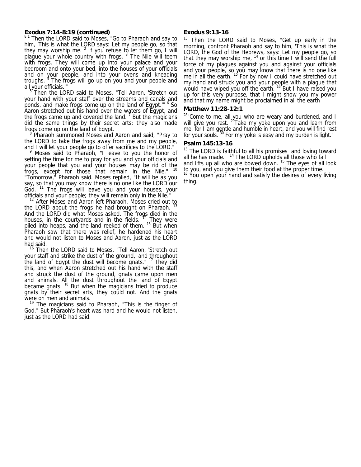# **Exodus 7:14-8:19 (continued)**

<sup>8:1</sup> Then the LORD said to Moses, "Go to Pharaoh and say to him, 'This is what the LORD says: Let my people go, so that they may worship me.  $2$  If you refuse to let them go, I will plague your whole country with frogs.<sup>3</sup> The Nile will teem with frogs. They will come up into your palace and your bedroom and onto your bed, into the houses of your officials and on your people, and into your ovens and kneading troughs.<sup>4</sup> The frogs will go up on you and your people and all your officials.'"

 5 Then the LORD said to Moses, "Tell Aaron, 'Stretch out your hand with your staff over the streams and canals and ponds, and make frogs come up on the land of Egypt." <sup>6</sup> So Aaron stretched out his hand over the waters of Egypt, and the frogs came up and covered the land.<sup>7</sup> But the magicians did the same things by their secret arts; they also made frogs come up on the land of Egypt. 8

 Pharaoh summoned Moses and Aaron and said, "Pray to the LORD to take the frogs away from me and my people, and I will let your people go to offer sacrifices to the LORD."

 Moses said to Pharaoh, "I leave to you the honor of setting the time for me to pray for you and your officials and your people that you and your houses may be rid of the frogs, except for those that remain in the Nile." "Tomorrow," Pharaoh said. Moses replied, "It will be as you say, so that you may know there is no one like the LORD our God. <sup>11</sup> The frogs will leave you and your houses, your officials and your people; they will remain only in the Nile."

 $12$  After Moses and Aaron left Pharaoh, Moses cried out to the LORD about the frogs he had brought on Pharaoh. And the LORD did what Moses asked. The frogs died in the houses, in the courtyards and in the fields.  $14$  They were piled into heaps, and the land reeked of them. <sup>15</sup> But when Pharaoh saw that there was relief, he hardened his heart and would not listen to Moses and Aaron, just as the LORD had said.

<sup>16</sup> Then the LORD said to Moses, "Tell Aaron, 'Stretch out your staff and strike the dust of the ground,' and throughout the land of Egypt the dust will become gnats." <sup>17</sup> They did this, and when Aaron stretched out his hand with the staff and struck the dust of the ground, gnats came upon men and animals. All the dust throughout the land of Egypt became gnats.<sup>18</sup> But when the magicians tried to produce gnats by their secret arts, they could not. And the gnats were on men and animals.

<sup>19</sup> The magicians said to Pharaoh, "This is the finger of God." But Pharaoh's heart was hard and he would not listen, just as the LORD had said.

# **Exodus 9:13-16**

<sup>13</sup> Then the LORD said to Moses, "Get up early in the morning, confront Pharaoh and say to him, 'This is what the LORD, the God of the Hebrews, says: Let my people go, so that they may worship me,  $14$  or this time I will send the full force of my plagues against you and against your officials and your people, so you may know that there is no one like me in all the earth. <sup>15</sup> For by now I could have stretched out my hand and struck you and your people with a plague that would have wiped you off the earth.<sup>16</sup> But I have raised you up for this very purpose, that I might show you my power and that my name might be proclaimed in all the earth

#### **Matthew 11:28-12:1**

 $28$ "Come to me, all you who are weary and burdened, and I will give you rest. <sup>29</sup>Take my yoke upon you and learn from me, for I am gentle and humble in heart, and you will find rest for your souls. 30 For my yoke is easy and my burden is light."

## **Psalm 145:13-16**

 $13$  The LORD is faithful to all his promises and loving toward all he has made. <sup>14</sup> The LORD upholds all those who fall all he has made.  $\cdot$  " The LORD upholds all those who fall and lifts up all who are bowed down. <sup>15</sup> The eyes of all look to you, and you give them their food at the proper time. <sup>16</sup> You open your hand and satisfy the desires of every living thing.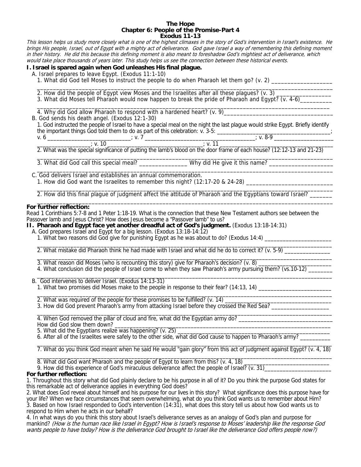#### **The Hope Chapter 6: People of the Promise-Part 4 Exodus 11-13**

This lesson helps us study more closely what is one of the highest climaxes in the story of God's intervention in Israel's existence. He brings His people, Israel, out of Egypt with a mighty act of deliverance. God gave Israel a way of remembering this defining moment in their history. He did this because this defining moment is also meant to foreshadow God's mightiest act of deliverance, which would take place thousands of years later. This study helps us see the connection between these historical events.

# **I. Israel is spared again when God unleashes His final plague.**

A. Israel prepares to leave Egypt. (Exodus 11:1-10)

1. What did God tell Moses to instruct the people to do when Pharaoh let them go? (v. 2) \_\_\_\_\_\_\_\_\_\_\_\_\_\_\_\_\_\_\_\_\_

2. How did the people of Egypt view Moses and the Israelites after all these plagues? (v. 3)

3. What did Moses tell Pharaoh would now happen to break the pride of Pharaoh and Egypt? (v. 4-6)\_\_\_\_\_\_\_\_  $\overline{\phantom{a}}$  ,  $\overline{\phantom{a}}$  ,  $\overline{\phantom{a}}$  ,  $\overline{\phantom{a}}$  ,  $\overline{\phantom{a}}$  ,  $\overline{\phantom{a}}$  ,  $\overline{\phantom{a}}$  ,  $\overline{\phantom{a}}$  ,  $\overline{\phantom{a}}$  ,  $\overline{\phantom{a}}$  ,  $\overline{\phantom{a}}$  ,  $\overline{\phantom{a}}$  ,  $\overline{\phantom{a}}$  ,  $\overline{\phantom{a}}$  ,  $\overline{\phantom{a}}$  ,  $\overline{\phantom{a}}$ 

4. Why did God allow Pharaoh to respond with a hardened heart? (v. 9)

B. God sends his death angel. (Exodus 12:1-30)

|                                                                               | 1. God instructed the people of Israel to have a special meal on the night the last plague would strike Egypt. Briefly identify |
|-------------------------------------------------------------------------------|---------------------------------------------------------------------------------------------------------------------------------|
| the important things God told them to do as part of this celebration: v. 3-5: |                                                                                                                                 |
|                                                                               | . v. 8-9                                                                                                                        |

\_\_\_\_\_\_\_\_\_\_\_\_\_\_\_\_\_\_\_\_\_\_\_\_\_\_\_\_\_\_\_\_\_\_\_\_\_\_\_\_\_\_\_\_\_\_\_\_\_\_\_\_\_\_\_\_\_\_\_\_\_\_\_\_\_\_\_\_\_\_\_\_\_\_\_\_\_\_\_\_\_\_\_\_\_\_\_\_\_\_\_\_

 $\frac{1}{2}$  v. 11  $\frac{1}{2}$  v. 10  $\frac{1}{2}$  v. 10  $\frac{1}{2}$  v. 11  $\frac{1}{2}$  v. 11  $\frac{1}{2}$  v. 11  $\frac{1}{2}$  v. 11  $\frac{1}{2}$  v. 11  $\frac{1}{2}$  v. 11  $\frac{1}{2}$  v. 11  $\frac{1}{2}$  v. 11  $\frac{1}{2}$  v. 11  $\frac{1}{2}$  v. 11  $\frac{1}{2}$  v. 2. What was the special significance of putting the lamb's blood on the door frame of each house? (12:12-13 and 21-23)

 $\overline{\phantom{a}}$  ,  $\overline{\phantom{a}}$  ,  $\overline{\phantom{a}}$  ,  $\overline{\phantom{a}}$  ,  $\overline{\phantom{a}}$  ,  $\overline{\phantom{a}}$  ,  $\overline{\phantom{a}}$  ,  $\overline{\phantom{a}}$  ,  $\overline{\phantom{a}}$  ,  $\overline{\phantom{a}}$  ,  $\overline{\phantom{a}}$  ,  $\overline{\phantom{a}}$  ,  $\overline{\phantom{a}}$  ,  $\overline{\phantom{a}}$  ,  $\overline{\phantom{a}}$  ,  $\overline{\phantom{a}}$ 3. What did God call this special meal? \_\_\_\_\_\_\_\_\_\_\_\_\_\_\_\_\_\_Why did He give it this name? \_\_\_\_\_\_\_\_\_\_\_\_\_\_\_\_\_\_\_\_\_\_

 $\frac{1}{\sqrt{2}}$  ,  $\frac{1}{\sqrt{2}}$  ,  $\frac{1}{\sqrt{2}}$  ,  $\frac{1}{\sqrt{2}}$  ,  $\frac{1}{\sqrt{2}}$  ,  $\frac{1}{\sqrt{2}}$  ,  $\frac{1}{\sqrt{2}}$  ,  $\frac{1}{\sqrt{2}}$  ,  $\frac{1}{\sqrt{2}}$  ,  $\frac{1}{\sqrt{2}}$  ,  $\frac{1}{\sqrt{2}}$  ,  $\frac{1}{\sqrt{2}}$  ,  $\frac{1}{\sqrt{2}}$  ,  $\frac{1}{\sqrt{2}}$  ,  $\frac{1}{\sqrt{2}}$ C. God delivers Israel and establishes an annual commemoration.

1. How did God want the Israelites to remember this night? (12:17-20 & 24-28) \_\_\_\_\_\_\_\_\_\_\_\_\_\_\_\_\_\_\_\_\_\_\_\_\_\_\_\_\_\_\_\_  $\overline{\phantom{a}}$  ,  $\overline{\phantom{a}}$  ,  $\overline{\phantom{a}}$  ,  $\overline{\phantom{a}}$  ,  $\overline{\phantom{a}}$  ,  $\overline{\phantom{a}}$  ,  $\overline{\phantom{a}}$  ,  $\overline{\phantom{a}}$  ,  $\overline{\phantom{a}}$  ,  $\overline{\phantom{a}}$  ,  $\overline{\phantom{a}}$  ,  $\overline{\phantom{a}}$  ,  $\overline{\phantom{a}}$  ,  $\overline{\phantom{a}}$  ,  $\overline{\phantom{a}}$  ,  $\overline{\phantom{a}}$ 

2. How did this final plague of judgment affect the attitude of Pharaoh and the Egyptians toward Israel?

#### $\frac{1}{\sqrt{2}}$  ,  $\frac{1}{\sqrt{2}}$  ,  $\frac{1}{\sqrt{2}}$  ,  $\frac{1}{\sqrt{2}}$  ,  $\frac{1}{\sqrt{2}}$  ,  $\frac{1}{\sqrt{2}}$  ,  $\frac{1}{\sqrt{2}}$  ,  $\frac{1}{\sqrt{2}}$  ,  $\frac{1}{\sqrt{2}}$  ,  $\frac{1}{\sqrt{2}}$  ,  $\frac{1}{\sqrt{2}}$  ,  $\frac{1}{\sqrt{2}}$  ,  $\frac{1}{\sqrt{2}}$  ,  $\frac{1}{\sqrt{2}}$  ,  $\frac{1}{\sqrt{2}}$ **For further reflection:**

Read 1 Corinthians 5:7-8 and 1 Peter 1:18-19. What is the connection that these New Testament authors see between the Passover lamb and Jesus Christ? How does Jesus become a "Passover lamb" to us?

- **II. Pharaoh and Egypt face yet another dreadful act of God's judgment.** (Exodus 13:18-14:31)
	- A. God prepares Israel and Egypt for a big lesson. (Exodus 13:18-14:12)
- 1. What two reasons did God give for punishing Egypt as he was about to do? (Exodus 14:4) \_\_\_\_\_\_\_\_\_\_\_\_\_\_\_\_\_\_\_  $\frac{1}{2}$  ,  $\frac{1}{2}$  ,  $\frac{1}{2}$  ,  $\frac{1}{2}$  ,  $\frac{1}{2}$  ,  $\frac{1}{2}$  ,  $\frac{1}{2}$  ,  $\frac{1}{2}$  ,  $\frac{1}{2}$  ,  $\frac{1}{2}$  ,  $\frac{1}{2}$  ,  $\frac{1}{2}$  ,  $\frac{1}{2}$  ,  $\frac{1}{2}$  ,  $\frac{1}{2}$  ,  $\frac{1}{2}$  ,  $\frac{1}{2}$  ,  $\frac{1}{2}$  ,  $\frac{1$

2. What mistake did Pharaoh think he had made with Israel and what did he do to correct it?  $(v. 5-9)$ 

 $\overline{\phantom{a}}$  , and the set of the set of the set of the set of the set of the set of the set of the set of the set of the set of the set of the set of the set of the set of the set of the set of the set of the set of the s 3. What reason did Moses (who is recounting this story) give for Pharaoh's decision? (v. 8)

4. What conclusion did the people of Israel come to when they saw Pharaoh's army pursuing them? (vs.10-12) \_\_\_\_\_\_  $\overline{\phantom{a}}$  , and the set of the set of the set of the set of the set of the set of the set of the set of the set of the set of the set of the set of the set of the set of the set of the set of the set of the set of the s

B. God intervenes to deliver Israel. (Exodus 14:13-31)

1. What two promises did Moses make to the people in response to their fear? (14:13, 14) \_\_\_\_\_\_\_\_\_\_\_\_\_\_\_\_\_\_\_\_\_  $\overline{\phantom{a}}$  , and the contribution of the contribution of the contribution of the contribution of the contribution of the contribution of the contribution of the contribution of the contribution of the contribution of the

2. What was required of the people for these promises to be fulfilled? (v. 14) \_\_\_\_\_\_\_\_\_\_\_\_\_\_\_\_\_\_\_\_\_\_\_\_\_\_\_\_\_\_\_\_\_\_\_

3. How did God prevent Pharaoh's army from attacking Israel before they crossed the Red Sea? \_\_\_\_\_\_\_\_\_\_\_\_\_\_\_\_\_  $\frac{1}{2}$  ,  $\frac{1}{2}$  ,  $\frac{1}{2}$  ,  $\frac{1}{2}$  ,  $\frac{1}{2}$  ,  $\frac{1}{2}$  ,  $\frac{1}{2}$  ,  $\frac{1}{2}$  ,  $\frac{1}{2}$  ,  $\frac{1}{2}$  ,  $\frac{1}{2}$  ,  $\frac{1}{2}$  ,  $\frac{1}{2}$  ,  $\frac{1}{2}$  ,  $\frac{1}{2}$  ,  $\frac{1}{2}$  ,  $\frac{1}{2}$  ,  $\frac{1}{2}$  ,  $\frac{1$ 

4. When God removed the pillar of cloud and fire, what did the Egyptian army do? How did God slow them down? \_

5. What did the Egyptians realize was happening? (v. 25) \_\_\_\_\_\_\_\_\_\_\_\_\_\_\_\_\_\_\_\_\_\_\_

6. After all of the Israelites were safely to the other side, what did God cause to happen to Pharaoh's army? \_\_\_\_\_\_\_\_\_\_\_\_\_\_\_\_\_\_\_\_\_\_\_\_\_\_\_\_\_\_\_\_\_\_\_\_\_\_\_\_\_\_\_\_\_\_\_\_\_\_\_\_\_\_\_\_\_\_\_\_\_\_\_\_\_\_\_\_\_\_\_\_\_\_\_\_\_\_\_\_\_\_\_\_\_\_\_\_\_\_\_\_\_\_\_\_\_

7. What do you think God meant when he said He would "gain glory" from this act of judgment against Egypt? (v. 4, 18) \_\_\_\_\_\_\_\_\_\_\_\_\_\_\_\_\_\_\_\_\_\_\_\_\_\_\_\_\_\_\_\_\_\_\_\_\_\_\_\_\_\_\_\_\_\_\_\_\_\_\_\_\_\_\_\_\_\_\_\_\_\_\_\_\_\_\_\_\_\_\_\_\_\_\_\_\_\_\_\_\_\_\_\_\_\_\_\_\_\_\_\_\_\_\_\_\_

8. What did God want Pharaoh and the people of Egypt to learn from this? (v. 4, 18) \_

9. How did this experience of God's miraculous deliverance affect the people of Israel? (v. 31)\_\_\_\_\_

# **For further reflection:**

1. Throughout this story what did God plainly declare to be his purpose in all of it? Do you think the purpose God states for this remarkable act of deliverance applies in everything God does?

2. What does God reveal about himself and his purpose for our lives in this story? What significance does this purpose have for your life? When we face circumstances that seem overwhelming, what do you think God wants us to remember about Him? 3. Based on how Israel responded to God's intervention (14:31), what does this story tell us about how God wants us to respond to Him when he acts in our behalf?

4. In what ways do you think this story about Israel's deliverance serves as an analogy of God's plan and purpose for mankind? (How is the human race like Israel in Egypt? How is Israel's response to Moses' leadership like the response God wants people to have today? How is the deliverance God brought to Israel like the deliverance God offers people now?)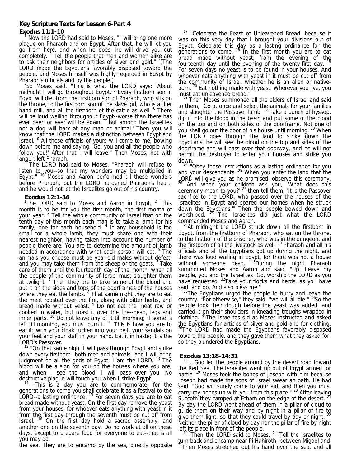#### **Key Scripture Texts for Lesson 6-Part 4**

# **Exodus 11:1-10**

 Now the LORD had said to Moses, "I will bring one more plague on Pharaoh and on Egypt. After that, he will let you go from here, and when he does, he will drive you out completely.  $2$  Tell the people that men and women alike are to ask their neighbors for articles of silver and gold." <sup>3</sup> (The LORD made the Egyptians favorably disposed toward the people, and Moses himself was highly regarded in Egypt by Pharaoh's officials and by the people.) 4

<sup>4</sup>So Moses said, "This is what the LORD says: 'About midnight I will go throughout Egypt.<sup>5</sup> Every firstborn son in Egypt will die, from the firstborn son of Pharaoh, who sits on the throne, to the firstborn son of the slave girl, who is at her hand mill, and all the firstborn of the cattle as well. <sup>6</sup> There will be loud wailing throughout Egypt--worse than there has ever been or ever will be again.  $\frac{9}{10}$  But among the Israelites not a dog will bark at any man or animal.' Then you will know that the LORD makes a distinction between Egypt and Israel. <sup>8</sup> All these officials of yours will come to me, bowing down before me and saying, 'Go, you and all the people who follow you!' After that I will leave." Then Moses, hot with anger, left Pharaoh. 9

 The LORD had said to Moses, "Pharaoh will refuse to listen to you--so that my wonders may be multiplied in Egypt."  $10^{\circ}$  Moses and Aaron performed all these wonders before Pharaoh, but the LORD hardened Pharaoh's heart, and he would not let the Israelites go out of his country.

## **Exodus 12:1-36**

<sup>1</sup>The LORD said to Moses and Aaron in Egypt,  $2$  "This month is to be for you the first month, the first month of your year.<sup>3</sup> Tell the whole community of Israel that on the tenth day of this month each man is to take a lamb for his family, one for each household.  $4$  If any household is too small for a whole lamb, they must share one with their nearest neighbor, having taken into account the number of people there are. You are to determine the amount of lamb needed in accordance with what each person will eat. <sup>5</sup> The animals you choose must be year-old males without defect, and you may take them from the sheep or the goats. <sup>6</sup> Take care of them until the fourteenth day of the month, when all the people of the community of Israel must slaughter them at twilight.<sup>7</sup> Then they are to take some of the blood and put it on the sides and tops of the doorframes of the houses where they eat the lambs. <sup>8</sup> That same night they are to eat the meat roasted over the fire, along with bitter herbs, and bread made without yeast. <sup>9</sup> Do not eat the meat raw or cooked in water, but roast it over the fire--head, legs and inner parts.  $10$  Do not leave any of it till morning; if some is left till morning, you must burn it.  $11$  This is how you are to eat it: with your cloak tucked into your belt, your sandals on your feet and your staff in your hand. Eat it in haste; it is the LORD's Passover.

<sup>12</sup> "On that same night I will pass through Egypt and strike down every firstborn--both men and animals--and I will bring judgment on all the gods of Egypt. I am the LORD. <sup>13</sup> The blood will be a sign for you on the houses where you are; and when I see the blood, I will pass over you. No

destructive plague will touch you when I strike Egypt.<br><sup>14</sup> "This is a day you are to commemorate; for the generations to come you shall celebrate it as a festival to the LORD--a lasting ordinance.  $15$  For seven days you are to eat bread made without yeast. On the first day remove the yeast from your houses, for whoever eats anything with yeast in it from the first day through the seventh must be cut off from Israel. <sup>16</sup> On the first day hold a sacred assembly, and another one on the seventh day. Do no work at all on these days, except to prepare food for everyone to eat--that is all you may do.

the sea. They are to encamp by the sea, directly opposite

<sup>17</sup> "Celebrate the Feast of Unleavened Bread, because it was on this very day that I brought your divisions out of Egypt. Celebrate this day as a lasting ordinance for the generations to come.  $18$  In the first month you are to eat bread made without yeast, from the evening of the fourteenth day until the evening of the twenty-first day.  $1$ For seven days no yeast is to be found in your houses. And whoever eats anything with yeast in it must be cut off from the community of Israel, whether he is an alien or nativeborn. <sup>20</sup> Eat nothing made with yeast. Wherever you live, you must eat unleavened bread."

<sup>21</sup> Then Moses summoned all the elders of Israel and said to them, "Go at once and select the animals for your families and slaughter the Passover lamb.  $^{22}$  Take a bunch of hyssop, dip it into the blood in the basin and put some of the blood on the top and on both sides of the doorframe. Not one of you shall go out the door of his house until morning. <sup>23</sup> When you shall go out the door of his house until morning. the LORD goes through the land to strike down the Egyptians, he will see the blood on the top and sides of the doorframe and will pass over that doorway, and he will not permit the destroyer to enter your houses and strike you down.

 $24$  "Obey these instructions as a lasting ordinance for you and your descendants.  $25$  When you enter the land that the LORD will give you as he promised, observe this ceremony. And when your children ask you, 'What does this ceremony mean to you?'  $27$  then tell them, 'It is the Passover sacrifice to the LORD, who passed over the houses of the Israelites in Egypt and spared our homes when he struck down the Egyptians.'" Then the people bowed down and worshiped. <sup>28</sup> The Israelites did just what the LORD commanded Moses and Aaron.

<sup>29</sup>At midnight the LORD struck down all the firstborn in Egypt, from the firstborn of Pharaoh, who sat on the throne, to the firstborn of the prisoner, who was in the dungeon, and the firstborn of all the livestock as well. 30 Pharaoh and all his officials and all the Egyptians got up during the night, and there was loud wailing in Egypt, for there was not a house without someone dead. <sup>31</sup>During the night Pharaoh summoned Moses and Aaron and said, "Up! Leave my people, you and the Israelites! Go, worship the LORD as you have requested. <sup>32</sup>Take your flocks and herds, as you have

said, and go. And also bless me."  $33$ The Egyptians urged the people to hurry and leave the country. "For otherwise," they said, "we will all die!" <sup>34</sup>So the people took their dough before the yeast was added, and carried it on their shoulders in kneading troughs wrapped in clothing. 35The Israelites did as Moses instructed and asked the Egyptians for articles of silver and gold and for clothing.<br><sup>36</sup>The LORD had made the Egyptians favorably disposed toward the people, and they gave them what they asked for; so they plundered the Egyptians.

# **Exodus 13:18-14:31**

... God led the people around by the desert road toward the Red Sea. The Israelites went up out of Egypt armed for battle.<sup>19</sup> Moses took the bones of Joseph with him because Joseph had made the sons of Israel swear an oath. He had said, "God will surely come to your aid, and then you must carry my bones up with you from this place." <sup>20</sup> After leaving Succoth they camped at Etham on the edge of the desert. By day the LORD went ahead of them in a pillar of cloud to guide them on their way and by night in a pillar of fire to give them light, so that they could travel by day or night. <sup>22</sup> Neither the pillar of cloud by day nor the pillar of fire by night

left its place in front of the people.<br><sup>14:1</sup>Then the LORD said to Moses, <sup>2</sup> "Tell the Israelites to turn back and encamp near Pi Hahiroth, between Migdol and <sup>21</sup>Then Moses stretched out his hand over the sea, and all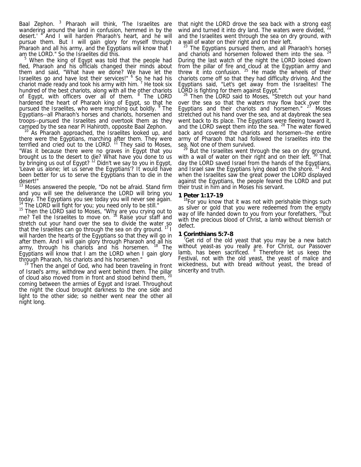Baal Zephon. <sup>3</sup> Pharaoh will think, 'The Israelites are wandering around the land in confusion, hemmed in by the desert.' <sup>4</sup> And I will harden Pharaoh's heart, and he will pursue them. But I will gain glory for myself through Pharaoh and all his army, and the Egyptians will know that I am the LORD." So the Israelites did this.

<sup>5</sup> When the king of Egypt was told that the people had fled, Pharaoh and his officials changed their minds about them and said, "What have we done? We have let the Israelites go and have lost their services!" <sup>6</sup> So he had his chariot made ready and took his army with him.  $7$  He took six hundred of the best chariots, along with all the other chariots of Egypt, with officers over all of them. <sup>8</sup> The LORD hardened the heart of Pharaoh king of Egypt, so that he pursued the Israelites, who were marching out boldly. <sup>9</sup> The Egyptians--all Pharaoh's horses and chariots, horsemen and troops--pursued the Israelites and overtook them as they

camped by the sea near Pi Hahiroth, opposite Baal Zephon. <sup>10</sup> As Pharaoh approached, the Israelites looked up, and there were the Egyptians, marching after them. They were terrified and cried out to the LORD.  $11$  They said to Moses, "Was it because there were no graves in Egypt that you brought us to the desert to die? What have you done to us by bringing us out of Egypt?<sup>12</sup> Didn't we say to you in Egypt, 'Leave us alone; let us serve the Egyptians'? It would have been better for us to serve the Egyptians than to die in the desert!"

<sup>13</sup> Moses answered the people, "Do not be afraid. Stand firm and you will see the deliverance the LORD will bring you today. The Egyptians you see today you will never see again.<br><sup>14</sup> The LORD will fight for you; you need only to be still."<br><sup>15</sup> Then the LORD said to Moses, "Why are you crying out to

me? Tell the Israelites to move on. <sup>16</sup> Raise your staff and stretch out your hand over the sea to divide the water so that the Israelites can go through the sea on dry ground.  $171$ will harden the hearts of the Egyptians so that they will go in after them. And I will gain glory through Pharaoh and all his army, through his chariots and his horsemen. <sup>18</sup> The Egyptians will know that I am the LORD when I gain glory through Pharaoh, his chariots and his horsemen."

 $19$  Then the angel of God, who had been traveling in front of Israel's army, withdrew and went behind them. The pillar of cloud also moved from in front and stood behind them, <sup>20</sup>

coming between the armies of Egypt and Israel. Throughout the night the cloud brought darkness to the one side and light to the other side; so neither went near the other all night long. Ī

that night the LORD drove the sea back with a strong east wind and turned it into dry land. The waters were divided,  $22$ and the Israelites went through the sea on dry ground, with a wall of water on their right and on their left.

The Egyptians pursued them, and all Pharaoh's horses and chariots and horsemen followed them into the sea. During the last watch of the night the LORD looked down from the pillar of fire and cloud at the Egyptian army and threw it into confusion.  $25$  He made the wheels of their chariots come off so that they had difficulty driving. And the Egyptians said, "Let's get away from the Israelites! The LORD is fighting for them against Egypt.'

<sup>26</sup> Then the LORD said to Moses, "Stretch out your hand over the sea so that the waters may flow back over the Egyptians and their chariots and horsemen."  $27$  Moses stretched out his hand over the sea, and at daybreak the sea went back to its place. The Egyptians were fleeing toward it, and the LORD swept them into the sea. <sup>28</sup> The water flowed back and covered the chariots and horsemen--the entire army of Pharaoh that had followed the Israelites into the sea. Not one of them survived.

<sup>29</sup> But the Israelites went through the sea on dry ground, with a wall of water on their right and on their left. <sup>30</sup> That day the LORD saved Israel from the hands of the Egyptians, and Israel saw the Egyptians lying dead on the shore.<sup>31</sup> And when the Israelites saw the great power the LORD displayed against the Egyptians, the people feared the LORD and put their trust in him and in Moses his servant.

#### **1 Peter 1:17-19**

<sup>18</sup>For you know that it was not with perishable things such as silver or gold that you were redeemed from the empty way of life handed down to you from your forefathers, <sup>19</sup>but with the precious blood of Christ, a lamb without blemish or defect.

#### **1 Corinthians 5:7-8**

 $\sqrt{2}$ Get rid of the old yeast that you may be a new batch without yeast-as you really are. For Christ, our Passover lamb, has been sacrificed. <sup>8</sup> Therefore let us keep the Festival, not with the old yeast, the yeast of malice and wickedness, but with bread without yeast, the bread of sincerity and truth.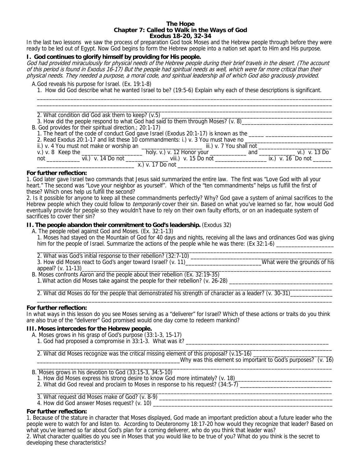#### **The Hope Chapter 7: Called to Walk in the Ways of God Exodus 18-20, 32-34**

In the last two lessons we saw the process of preparation God took Moses and the Hebrew people through before they were ready to be led out of Egypt. Now God begins to form the Hebrew people into a nation set apart to Him and His purpose.

# **I. God continues to glorify himself by providing for His people.**

God had provided miraculously for physical needs of the Hebrew people during their brief travels in the desert. (The account of this period is found in Exodus 16-17) But the people had spiritual needs as well, which were far more critical than their physical needs. They needed a purpose, a moral code, and spiritual leadership all of which God also graciously provided.

A.God reveals his purpose for Israel. (Ex. 19:1-8)

 1. How did God describe what he wanted Israel to be? (19:5-6) Explain why each of these descriptions is significant.  $\frac{1}{2}$  ,  $\frac{1}{2}$  ,  $\frac{1}{2}$  ,  $\frac{1}{2}$  ,  $\frac{1}{2}$  ,  $\frac{1}{2}$  ,  $\frac{1}{2}$  ,  $\frac{1}{2}$  ,  $\frac{1}{2}$  ,  $\frac{1}{2}$  ,  $\frac{1}{2}$  ,  $\frac{1}{2}$  ,  $\frac{1}{2}$  ,  $\frac{1}{2}$  ,  $\frac{1}{2}$  ,  $\frac{1}{2}$  ,  $\frac{1}{2}$  ,  $\frac{1}{2}$  ,  $\frac{1$ 

| 2. What condition did God ask them to keep? (v.5) _______                                                     |
|---------------------------------------------------------------------------------------------------------------|
| 3. How did the people respond to what God had said to them through Moses? (v. 8)                              |
| B. God provides for their spiritual direction : 20:1-17)                                                      |
| 1. The heart of the code of conduct God gave Israel (Exodus 20:1-17) is known as the ________________________ |
| 2. Read Exodus 20:1-17 and list these 10 commandments: i.) v. 3 You must have no                              |
| ii.) v. 4 You must not make or worship an _____________________________ iii.) v. 7 You shall not _____        |
|                                                                                                               |
|                                                                                                               |
| x.) v. 17 Do not                                                                                              |

#### **For further reflection:**

1. God later gave Israel two commands that Jesus said summarized the entire law. The first was "Love God with all your heart." The second was "Love your neighbor as yourself". Which of the "ten commandments" helps us fulfill the first of these? Which ones help us fulfill the second?

2. Is it possible for anyone to keep all these commandments perfectly? Why? God gave a system of animal sacrifices to the Hebrew people which they could follow to *temporarily* cover their sin. Based on what you've learned so far, how would God eventually provide for people so they wouldn't have to rely on their own faulty efforts, or on an inadequate system of sacrifices to cover their sin?

## **II. The people abandon their commitment to God's leadership.** (Exodus 32)

A. The people rebel against God and Moses. (Ex. 32:1-13)

 1. Moses had stayed on the Mountain of God for 40 days and nights, receiving all the laws and ordinances God was giving him for the people of Israel. Summarize the actions of the people while he was there:  $(Ex\ 32:1-6)$ 

| 2. What was God's initial response to their rebellion? (32:7-10) |                              |
|------------------------------------------------------------------|------------------------------|
| 3. How did Moses react to God's anger toward Israel? (v. 11)     | What were the grounds of his |
| appeal? (v. 11-13)                                               |                              |

 B. Moses confronts Aaron and the people about their rebellion (Ex. 32:19-35) 1. What action did Moses take against the people for their rebellion? (v. 26-28) \_\_\_\_\_\_\_\_\_\_\_\_\_\_\_\_\_\_\_\_\_\_\_\_\_\_\_\_\_\_\_\_\_\_\_\_\_\_\_\_\_\_\_\_\_\_\_\_\_\_\_\_\_\_\_\_\_\_\_\_\_\_\_\_\_\_\_\_\_\_\_\_\_\_\_\_\_\_\_\_\_\_\_\_\_\_\_\_\_\_\_\_\_\_\_\_\_

2. What did Moses do for the people that demonstrated his strength of character as a leader? (v. 30-31)\_  $\_$  ,  $\_$  ,  $\_$  ,  $\_$  ,  $\_$  ,  $\_$  ,  $\_$  ,  $\_$  ,  $\_$  ,  $\_$  ,  $\_$  ,  $\_$  ,  $\_$  ,  $\_$  ,  $\_$  ,  $\_$  ,  $\_$  ,  $\_$  ,  $\_$  ,  $\_$  ,  $\_$  ,  $\_$  ,  $\_$  ,  $\_$  ,  $\_$  ,  $\_$  ,  $\_$  ,  $\_$  ,  $\_$  ,  $\_$  ,  $\_$  ,  $\_$  ,  $\_$  ,  $\_$  ,  $\_$  ,  $\_$  ,  $\_$  ,

# **For further reflection:**

In what ways in this lesson do you see Moses serving as a "deliverer" for Israel? Which of these actions or traits do you think are also true of the "deliverer" God promised would one day come to redeem mankind?

# **III. Moses intercedes for the Hebrew people.**

- A. Moses grows in his grasp of God's purpose (33:1-3, 15-17)
	- 1. God had proposed a compromise in 33:1-3. What was it?

\_\_\_\_\_\_\_\_\_\_\_\_\_\_\_\_\_\_\_\_\_\_\_\_\_\_\_\_\_\_\_\_\_\_\_\_\_\_\_\_\_\_\_\_\_\_\_\_\_\_\_\_\_\_\_\_\_\_\_\_\_\_\_\_\_\_\_\_\_\_\_\_\_\_\_\_\_\_\_\_\_\_\_\_\_\_\_\_\_\_\_\_\_\_\_\_\_ 2. What did Moses recognize was the critical missing element of this proposal? (v.15-16) \_\_

\_\_\_\_\_\_\_\_\_\_\_\_\_\_\_\_\_\_\_\_\_\_\_\_\_\_\_\_\_\_\_\_\_\_\_\_\_\_\_\_\_\_\_\_\_\_\_Why was this element so important to God's purposes? (v. 16)

\_\_\_\_\_\_\_\_\_\_\_\_\_\_\_\_\_\_\_\_\_\_\_\_\_\_\_\_\_\_\_\_\_\_\_\_\_\_\_\_\_\_\_\_\_\_\_\_\_\_\_\_\_\_\_\_\_\_\_\_\_\_\_\_\_\_\_\_\_\_\_\_\_\_\_\_\_\_\_\_\_\_\_\_\_\_\_\_\_\_\_\_\_\_\_\_\_ B. Moses grows in his devotion to God (33:15-3, 34:5-10)

- 1. How did Moses express his strong desire to know God more intimately? (v. 18)
- 2. What did God reveal and proclaim to Moses in response to his request? (34:5-7) \_\_\_\_\_\_\_\_\_\_\_\_\_\_\_\_\_\_\_\_\_\_\_\_\_\_\_\_

\_\_\_\_\_\_\_\_\_\_\_\_\_\_\_\_\_\_\_\_\_\_\_\_\_\_\_\_\_\_\_\_\_\_\_\_\_\_\_\_\_\_\_\_\_\_\_\_\_\_\_\_\_\_\_\_\_\_\_\_\_\_\_\_\_\_\_\_\_\_\_\_\_\_\_\_\_\_\_\_\_\_\_\_\_\_\_\_\_\_\_\_\_\_\_\_\_ 3. What request did Moses make of God? (v. 8-9) \_\_\_\_\_\_\_\_\_\_\_\_\_\_\_\_\_\_\_\_\_\_\_\_\_\_\_\_\_\_\_\_

4. How did God answer Moses request? (v. 10)

# **For further reflection:**

1. Because of the stature in character that Moses displayed, God made an important prediction about a future leader who the people were to watch for and listen to. According to Deuteronomy 18:17-20 how would they recognize that leader? Based on what you've learned so far about God's plan for a coming deliverer, who do you think that leader was?

2. What character qualities do you see in Moses that you would like to be true of you? What do you think is the secret to developing these characteristics?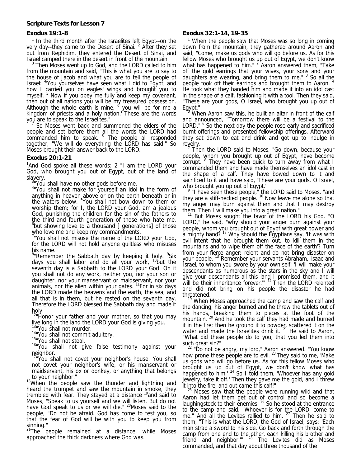# **Exodus 19:1-8**

<sup>1</sup> In the third month after the Israelites left Egypt--on the very day--they came to the Desert of Sinai.  $2$  After they set out from Rephidim, they entered the Desert of Sinai, and Israel camped there in the desert in front of the mountain. 3

 Then Moses went up to God, and the LORD called to him from the mountain and said, "This is what you are to say to the house of Jacob and what you are to tell the people of Israel: <sup>4</sup> You yourselves have seen what I did to Egypt, and how I carried you on eagles' wings and brought you to myself. <sup>5</sup> Now if you obey me fully and keep my covenant, then out of all nations you will be my treasured possession. Although the whole earth is mine,  $\frac{3}{5}$  you will be for me a kingdom of priests and a holy nation.' These are the words you are to speak to the Israelites." 7

 So Moses went back and summoned the elders of the people and set before them all the words the LORD had commanded him to speak. <sup>8</sup> The people all responded together, "We will do everything the LORD has said." So Moses brought their answer back to the LORD.

# **Exodus 20:1-21**

<sup>1</sup>And God spoke all these words: 2 "I am the LORD your God, who brought you out of Egypt, out of the land of slavery.<br><sup>3</sup> You shall have no other gods before me.

<sup>4</sup>"You shall not make for yourself an idol in the form of anything in heaven above or on the earth beneath or in the waters below. <sup>5</sup>You shall not bow down to them or worship them; for I, the LORD your God, am a jealous God, punishing the children for the sin of the fathers to the third and fourth generation of those who hate me,  $6$ but showing love to a thousand [ generations] of those who love me and keep my commandments.

<sup>7</sup>"You shall not misuse the name of the LORD your God, for the LORD will not hold anyone guiltless who misuses his name.

<sup>8</sup>"Remember the Sabbath day by keeping it holy. <sup>9</sup>Six days you shall labor and do all your work,  $^{10}$ but the seventh day is a Sabbath to the LORD your God. On it you shall not do any work, neither you, nor your son or daughter, nor your manservant or maidservant, nor your animals, nor the alien within your gates. <sup>11</sup>For in six days the LORD made the heavens and the earth, the sea, and all that is in them, but he rested on the seventh day. Therefore the LORD blessed the Sabbath day and made it holy.

<sup>12</sup>"Honor your father and your mother, so that you may live long in the land the LORD your God is giving you.

<sup>13</sup>"You shall not murder.

 $14^{\text{14}}$ "You shall not commit adultery.<br> $15^{\text{15}}$ "You shall not steal.

<sup>16</sup>"You shall not give false testimony against your neighbor.

<sup>17</sup>"You shall not covet your neighbor's house. You shall not covet your neighbor's wife, or his manservant or maidservant, his ox or donkey, or anything that belongs

 $18$ When the people saw the thunder and lightning and heard the trumpet and saw the mountain in smoke, they trembled with fear. They stayed at a distance <sup>19</sup>and said to Moses, "Speak to us yourself and we will listen. But do not have God speak to us or we will die." <sup>20</sup>Moses said to the people, "Do not be afraid. God has come to test you, so that the fear of God will be with you to keep you from sinning."

 $21$ The people remained at a distance, while Moses approached the thick darkness where God was.

# **Exodus 32:1-14, 19-35**

<sup>1</sup> When the people saw that Moses was so long in coming down from the mountain, they gathered around Aaron and said, "Come, make us gods who will go before us. As for this fellow Moses who brought us up out of Egypt, we don't know what has happened to him." <sup>2</sup> Aaron answered them, "Take off the gold earrings that your wives, your sons and your daughters are wearing, and bring them to me."  $3$  So all the people took off their earrings and brought them to Aaron.<sup>4</sup> He took what they handed him and made it into an idol cast in the shape of a calf, fashioning it with a tool. Then they said, "These are your gods, O Israel, who brought you up out of Egypt."

 When Aaron saw this, he built an altar in front of the calf and announced, "Tomorrow there will be a festival to the LORD." <sup>6</sup> So the next day the people rose early and sacrificed burnt offerings and presented fellowship offerings. Afterward they sat down to eat and drink and got up to indulge in revelry.

 $\frac{7}{1}$  Then the LORD said to Moses, "Go down, because your people, whom you brought up out of Egypt, have become corrupt. <sup>8</sup> They have been quick to turn away from what I commanded them and have made themselves an idol cast in the shape of a calf. They have bowed down to it and sacrificed to it and have said, 'These are your gods, O Israel,

who brought you up out of Egypt.'<br>
<sup>9</sup> "I have seen these people," the LORD said to Moses, "and they are a stiff-necked people.<sup>10</sup> Now leave me alone so that my anger may burn against them and that I may destroy them. Then I will make you into a great nation."

<sup>11</sup> But Moses sought the favor of the LORD his God. "O LORD," he said, "why should your anger burn against your people, whom you brought out of Egypt with great power and a mighty hand?  $12$  Why should the Egyptians say, 'It was with evil intent that he brought them out, to kill them in the mountains and to wipe them off the face of the earth'? Turn from your fierce anger; relent and do not bring disaster on your people.<sup>13</sup> Remember your servants Abraham, Isaac and Israel, to whom you swore by your own self: 'I will make your descendants as numerous as the stars in the sky and I will give your descendants all this land I promised them, and it will be their inheritance forever." <sup>14</sup> Then the LORD relented and did not bring on his people the disaster he had threatened.

<sup>19</sup> When Moses approached the camp and saw the calf and the dancing, his anger burned and he threw the tablets out of his hands, breaking them to pieces at the foot of the mountain. <sup>20</sup> And he took the calf they had made and burned it in the fire; then he ground it to powder, scattered it on the water and made the Israelites drink it.  $21$  He said to Aaron, "What did these people do to you, that you led them into

such great sin?"<br> $22$  "Do not be angry, my lord," Aaron answered. "You know how prone these people are to evil.  $23$  They said to me, 'Make us gods who will go before us. As for this fellow Moses who brought us up out of Egypt, we don't know what has happened to him.<sup>' 24</sup> So I told them, 'Whoever has any gold jewelry, take it off.' Then they gave me the gold, and I threw it into the fire, and out came this calf!"

Moses saw that the people were running wild and that Aaron had let them get out of control and so become a laughingstock to their enemies.  $26$  So he stood at the entrance to the camp and said, "Whoever is for the LORD, come to me." And all the Levites rallied to him. <sup>27</sup> Then he said to them, "This is what the LORD, the God of Israel, says: 'Each man strap a sword to his side. Go back and forth through the camp from one end to the other, each killing his brother and friend and neighbor." <sup>28</sup> The Levites did as Moses commanded, and that day about three thousand of the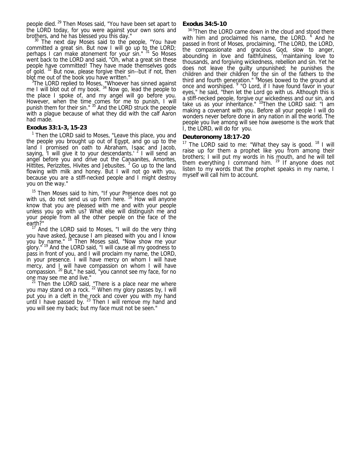people died. <sup>29</sup> Then Moses said, "You have been set apart to the LORD today, for you were against your own sons and brothers, and he has blessed you this day."

 $30$  The next day Moses said to the people, "You have committed a great sin. But now I will go up to the LORD; perhaps I can make atonement for your sin." <sup>31</sup> So Moses went back to the LORD and said, "Oh, what a great sin these people have committed! They have made themselves gods of gold.  $32$  But now, please forgive their sin--but if not, then blot me out of the book you have written."

 $3$ The LORD replied to Moses, "Whoever has sinned against me I will blot out of my book.  $34$  Now go, lead the people to the place I spoke of, and my angel will go before you. However, when the time comes for me to punish, I will punish them for their sin." <sup>35</sup> And the LORD struck the people with a plague because of what they did with the calf Aaron had made.

#### **Exodus 33:1-3, 15-23**

<sup>1</sup> Then the LORD said to Moses, "Leave this place, you and the people you brought up out of Egypt, and go up to the land I promised on oath to Abraham, Isaac and Jacob, saying, <sup>I</sup> will give it to your descendants.<sup>' 2</sup> I will send an angel before you and drive out the Canaanites, Amorites, Hittites, Perizzites, Hivites and Jebusites.<sup>3</sup> Go up to the land flowing with milk and honey. But I will not go with you, because you are a stiff-necked people and I might destroy you on the way."

<sup>15</sup> Then Moses said to him, "If your Presence does not go with us, do not send us up from here. <sup>16</sup> How will anyone know that you are pleased with me and with your people unless you go with us? What else will distinguish me and your people from all the other people on the face of the earth?"

<sup>17</sup> And the LORD said to Moses, "I will do the very thing you have asked, because I am pleased with you and I know you by name." <sup>18</sup> Then Moses said, "Now show me your glory."<sup>19</sup> And the LORD said, "I will cause all my goodness to pass in front of you, and I will proclaim my name, the LORD, in your presence. I will have mercy on whom I will have mercy, and I will have compassion on whom I will have compassion. <sup>20</sup> But," he said, "you cannot see my face, for no

one may see me and live."<br><sup>21</sup> Then the LORD said, "There is a place near me where you may stand on a rock.<sup>22</sup> When my glory passes by, I will put you in a cleft in the rock and cover you with my hand until I have passed by.  $^{23}$  Then I will remove my hand and you will see my back; but my face must not be seen."

# **Exodus 34:5-10**

34:5Then the LORD came down in the cloud and stood there with him and proclaimed his name, the LORD. <sup>6</sup> And he passed in front of Moses, proclaiming, "The LORD, the LORD, the compassionate and gracious God, slow to anger, abounding in love and faithfulness, <sup>7</sup>maintaining love to thousands, and forgiving wickedness, rebellion and sin. Yet he does not leave the guilty unpunished; he punishes the children and their children for the sin of the fathers to the third and fourth generation." <sup>8</sup>Moses bowed to the ground at once and worshiped. <sup>9</sup> "O Lord, if I have found favor in your eyes," he said, "then let the Lord go with us. Although this is a stiff-necked people, forgive our wickedness and our sin, and take us as your inheritance." <sup>10</sup>Then the LORD said: "I am making a covenant with you. Before all your people I will do wonders never before done in any nation in all the world. The people you live among will see how awesome is the work that I, the LORD, will do for you.

# **Deuteronomy 18:17-20**

<sup>17</sup> The LORD said to me: "What they say is good.  $18$  I will raise up for them a prophet like you from among their brothers; I will put my words in his mouth, and he will tell them everything I command him.  $19$  If anyone does not listen to my words that the prophet speaks in my name, I myself will call him to account.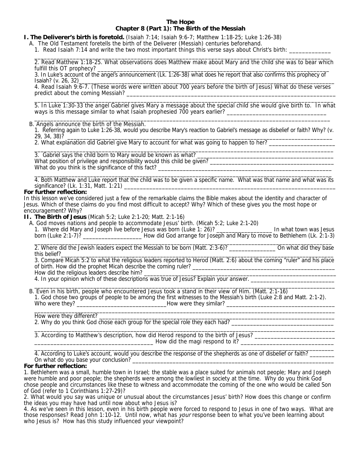# **The Hope Chapter 8 (Part 1): The Birth of the Messiah**

#### **I. The Deliverer's birth is foretold.** (Isaiah 7:14; Isaiah 9:6-7; Matthew 1:18-25; Luke 1:26-38)

- A. The Old Testament foretells the birth of the Deliverer (Messiah) centuries beforehand.
	- 1. Read Isaiah 7:14 and write the two most important things this verse says about Christ's birth: \_\_\_\_\_\_\_\_\_\_\_\_\_

 $\overline{\phantom{a}}$  ,  $\overline{\phantom{a}}$  ,  $\overline{\phantom{a}}$  ,  $\overline{\phantom{a}}$  ,  $\overline{\phantom{a}}$  ,  $\overline{\phantom{a}}$  ,  $\overline{\phantom{a}}$  ,  $\overline{\phantom{a}}$  ,  $\overline{\phantom{a}}$  ,  $\overline{\phantom{a}}$  ,  $\overline{\phantom{a}}$  ,  $\overline{\phantom{a}}$  ,  $\overline{\phantom{a}}$  ,  $\overline{\phantom{a}}$  ,  $\overline{\phantom{a}}$  ,  $\overline{\phantom{a}}$  2. Read Matthew 1:18-25. What observations does Matthew make about Mary and the child she was to bear which fulfill this OT prophecy? \_

 3. In Luke's account of the angel's announcement (Lk. 1:26-38) what does he report that also confirms this prophecy of Isaiah? (v. 26, 32)

 4. Read Isaiah 9:6-7. (These words were written about 700 years before the birth of Jesus) What do these verses predict about the coming Messiah?

 \_\_\_\_\_\_\_\_\_\_\_\_\_\_\_\_\_\_\_\_\_\_\_\_\_\_\_\_\_\_\_\_\_\_\_\_\_\_\_\_\_\_\_\_\_\_\_\_\_\_\_\_\_\_\_\_\_\_\_\_\_\_\_\_\_\_\_\_\_\_\_\_\_\_\_\_\_\_\_\_\_\_\_\_\_\_\_\_\_\_\_\_\_ 5. In Luke 1:30-33 the angel Gabriel gives Mary a message about the special child she would give birth to. In what ways is this message similar to what Isaiah prophesied 700 years earlier?

 $\frac{1}{2}$  ,  $\frac{1}{2}$  ,  $\frac{1}{2}$  ,  $\frac{1}{2}$  ,  $\frac{1}{2}$  ,  $\frac{1}{2}$  ,  $\frac{1}{2}$  ,  $\frac{1}{2}$  ,  $\frac{1}{2}$  ,  $\frac{1}{2}$  ,  $\frac{1}{2}$  ,  $\frac{1}{2}$  ,  $\frac{1}{2}$  ,  $\frac{1}{2}$  ,  $\frac{1}{2}$  ,  $\frac{1}{2}$  ,  $\frac{1}{2}$  ,  $\frac{1}{2}$  ,  $\frac{1$ B. Angels announce the birth of the Messiah.

1. Referring again to Luke 1:26-38, would you describe Mary's reaction to Gabriel's message as disbelief or faith? Why? (v.<br>29, 34, 38)? 29, 34, 38)? \_\_\_\_\_\_\_\_\_\_\_\_\_\_\_\_\_\_\_\_\_\_\_\_\_\_\_\_\_\_\_\_\_\_\_\_\_\_\_\_\_\_\_\_\_\_\_\_\_\_\_\_\_\_\_\_\_\_\_\_\_\_\_\_\_\_\_\_\_\_\_\_\_\_\_\_\_\_\_\_\_\_\_\_

2. What explanation did Gabriel give Mary to account for what was going to happen to her? \_\_\_\_\_\_\_\_\_\_\_\_\_\_\_\_\_\_\_\_

 $\overline{\phantom{a}}$  ,  $\overline{\phantom{a}}$  ,  $\overline{\phantom{a}}$  ,  $\overline{\phantom{a}}$  ,  $\overline{\phantom{a}}$  ,  $\overline{\phantom{a}}$  ,  $\overline{\phantom{a}}$  ,  $\overline{\phantom{a}}$  ,  $\overline{\phantom{a}}$  ,  $\overline{\phantom{a}}$  ,  $\overline{\phantom{a}}$  ,  $\overline{\phantom{a}}$  ,  $\overline{\phantom{a}}$  ,  $\overline{\phantom{a}}$  ,  $\overline{\phantom{a}}$  ,  $\overline{\phantom{a}}$ 3. Gabriel says the child born to Mary would be known as what?

What position of privilege and responsibility would this child be given? What do you think is the significance of this fact?

 4. Both Matthew and Luke report that the child was to be given a specific name. What was that name and what was its significance? (Lk. 1:31, Matt. 1:21) \_\_\_\_\_\_\_\_\_\_\_\_\_\_\_\_\_\_\_\_\_\_\_\_\_\_\_\_\_\_\_\_\_\_\_\_\_\_\_\_\_\_\_\_\_\_\_\_\_\_\_\_\_\_\_\_\_\_\_\_\_\_\_\_\_\_\_

 $\overline{\phantom{a}}$  ,  $\overline{\phantom{a}}$  ,  $\overline{\phantom{a}}$  ,  $\overline{\phantom{a}}$  ,  $\overline{\phantom{a}}$  ,  $\overline{\phantom{a}}$  ,  $\overline{\phantom{a}}$  ,  $\overline{\phantom{a}}$  ,  $\overline{\phantom{a}}$  ,  $\overline{\phantom{a}}$  ,  $\overline{\phantom{a}}$  ,  $\overline{\phantom{a}}$  ,  $\overline{\phantom{a}}$  ,  $\overline{\phantom{a}}$  ,  $\overline{\phantom{a}}$  ,  $\overline{\phantom{a}}$ 

## **For further reflection:**

In this lesson we've considered just a few of the remarkable claims the Bible makes about the identity and character of Jesus. Which of these claims do you find most difficult to accept? Why? Which of these gives you the most hope or encouragement? Why?

**II. The Birth of Jesus** (Micah 5:2; Luke 2:1-20; Matt. 2:1-16)

 A. God moves nations and people to accommodate Jesus' birth. (Micah 5:2; Luke 2:1-20) 1. Where did Mary and Joseph live before Jesus was born (Luke 1: 26)? \_\_\_\_\_\_\_\_\_\_\_\_\_\_\_\_\_\_\_\_\_\_\_\_ In what town was Jesus born (Luke 2:1-7)? \_\_\_\_\_\_\_\_\_\_\_\_\_\_\_\_\_\_\_ How did God arrange for Joseph and Mary to move to Bethlehem (Lk. 2:1-3)

 \_\_\_\_\_\_\_\_\_\_\_\_\_\_\_\_\_\_\_\_\_\_\_\_\_\_\_\_\_\_\_\_\_\_\_\_\_\_\_\_\_\_\_\_\_\_\_\_\_\_\_\_\_\_\_\_\_\_\_\_\_\_\_\_\_\_\_\_\_\_\_\_\_\_\_\_\_\_\_\_\_\_\_\_\_\_\_\_\_\_\_\_\_\_\_\_ 2. Where did the Jewish leaders expect the Messiah to be born (Matt. 2:3-6)? \_\_\_\_\_\_\_\_\_\_\_\_\_\_\_ On what did they base this belief?\_\_\_\_\_\_\_\_\_\_\_\_\_\_\_\_\_\_\_\_\_\_\_\_\_\_\_\_\_\_\_\_\_\_\_\_\_\_\_\_\_\_\_\_\_\_\_\_\_\_\_\_\_\_\_\_\_\_\_\_\_\_\_\_\_\_\_\_\_\_\_\_\_\_\_\_\_\_\_\_\_\_\_\_\_\_\_\_

 3. Compare Micah 5:2 to what the religious leaders reported to Herod (Matt. 2:6) about the coming "ruler" and his place of birth. How did the prophet Micah describe the coming ruler?

How did the religious leaders describe him?

4. In your opinion which of these descriptions was true of Jesus? Explain your answer. \_\_\_\_\_\_\_\_\_\_\_\_\_\_\_\_\_\_\_\_\_\_\_\_\_\_\_\_\_\_\_\_\_\_\_\_\_\_\_\_\_\_\_\_\_\_\_\_\_\_\_\_\_\_\_\_\_\_\_\_\_\_\_\_\_\_\_\_\_\_\_\_\_\_\_\_\_\_\_\_\_\_\_\_\_\_\_\_\_\_\_\_\_\_\_\_\_

 B. Even in his birth, people who encountered Jesus took a stand in their view of Him. (Matt. 2:1-16) 1. God chose two groups of people to be among the first witnesses to the Messiah's birth (Luke 2:8 and Matt. 2:1-2). Who were they? \_\_\_\_\_\_\_\_\_\_\_\_\_\_\_\_\_\_\_\_\_\_\_\_\_\_\_\_\_How were they similar? \_\_\_\_\_\_\_\_\_\_\_\_\_\_\_\_\_\_\_\_\_\_\_\_\_\_\_\_\_\_\_\_\_\_\_

 $\overline{\phantom{a}}$  , and the set of the set of the set of the set of the set of the set of the set of the set of the set of the set of the set of the set of the set of the set of the set of the set of the set of the set of the s

 $\overline{\phantom{a}}$  , and the set of the set of the set of the set of the set of the set of the set of the set of the set of the set of the set of the set of the set of the set of the set of the set of the set of the set of the s

How were they different?

2. Why do you think God chose each group for the special role they each had? \_\_\_\_\_\_\_\_\_\_\_\_\_\_\_\_\_\_\_\_\_\_\_\_\_\_\_\_\_\_\_\_\_ \_\_\_\_\_\_\_\_\_\_\_\_\_\_\_\_\_\_\_\_\_\_\_\_\_\_\_\_\_\_\_\_\_\_\_\_\_\_\_\_\_\_\_\_\_\_\_\_\_\_\_\_\_\_\_\_\_\_\_\_\_\_\_\_\_\_\_\_\_\_\_\_\_\_\_\_\_\_\_\_\_\_\_\_\_\_\_\_\_\_\_\_\_\_\_\_\_

3. According to Matthew's description, how did Herod respond to the birth of Jesus? \_\_\_\_\_\_\_\_\_\_\_\_\_\_\_\_\_\_\_\_\_\_\_\_\_\_ \_\_\_\_\_\_\_\_\_\_\_\_\_\_\_\_\_\_\_\_\_\_\_\_\_\_\_\_\_\_\_\_\_\_\_\_\_ How did the magi respond to it? \_\_\_\_\_\_\_\_\_\_\_\_\_\_\_\_\_\_\_\_\_\_\_\_\_\_\_\_\_

 4. According to Luke's account, would you describe the response of the shepherds as one of disbelief or faith? \_\_\_\_\_\_\_\_ On what do you base your conclusion?

# **For further reflection:**

1. Bethlehem was a small, humble town in Israel; the stable was a place suited for animals not people; Mary and Joseph were humble and poor people; the shepherds were among the lowliest in society at the time. Why do you think God chose people and circumstances like these to witness and accommodate the coming of the one who would be called Son of God (refer to 1 Corinthians 1:27-29)?

2. What would you say was unique or unusual about the circumstances Jesus' birth? How does this change or confirm the ideas you may have had until now about who Jesus is?

4. As we've seen in this lesson, even in his birth people were forced to respond to Jesus in one of two ways. What are those responses? Read John 1:10-12. Until now, what has your response been to what you've been learning about who Jesus is? How has this study influenced your viewpoint?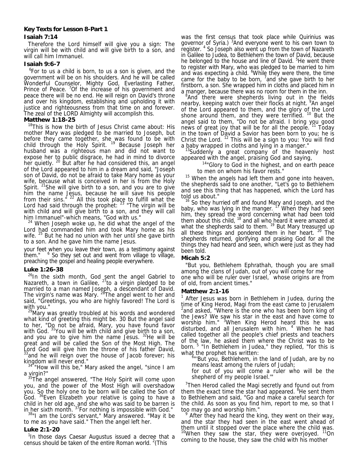# **Key Texts for Lesson 8-Part 1 Isaiah 7:14**

 Therefore the Lord himself will give you a sign: The virgin will be with child and will give birth to a son, and will call him Immanuel.

#### **Isaiah 9:6-7**

<sup>6</sup>For to us a child is born, to us a son is given, and the government will be on his shoulders. And he will be called Wonderful Counselor, Mighty God, Everlasting Father, Prince of Peace. <sup>7</sup>Of the increase of his government and peace there will be no end. He will reign on David's throne and over his kingdom, establishing and upholding it with justice and righteousness from that time on and forever. The zeal of the LORD Almighty will accomplish this.

# **Matthew 1:18-25**

<sup>18</sup>This is how the birth of Jesus Christ came about: His mother Mary was pledged to be married to Joseph, but before they came together, she was found to be with child through the Holy Spirit. <sup>19</sup> Because Joseph her husband was a righteous man and did not want to expose her to public disgrace, he had in mind to divorce her quietly. <sup>20</sup> But after he had considered this, an angel of the Lord appeared to him in a dream and said, "Joseph son of David, do not be afraid to take Mary home as your wife, because what is conceived in her is from the Holy Spirit. <sup>21</sup>She will give birth to a son, and you are to give him the name Jesus, because he will save his people from their sins."  $^{22}$  All this took place to fulfill what the Lord had said through the prophet:  $23$  "The virgin will be with child and will give birth to a son, and they will call him Immanuel"-which means, "God with us."

<sup>24</sup> When Joseph woke up, he did what the angel of the Lord had commanded him and took Mary home as his wife.  $25$  But he had no union with her until she gave birth to a son. And he gave him the name Jesus.

your feet when you leave their town, as a testimony against them." <sup>6</sup> So they set out and went from village to village, preaching the gospel and healing people everywhere.

# **Luke 1:26-38**

<sup>26</sup>In the sixth month, God sent the angel Gabriel to Nazareth, a town in Galilee,  $^{27}$ to a virgin pledged to be married to a man named Joseph, a descendant of David. The virgin's name was Mary. <sup>28</sup>The angel went to her and said, "Greetings, you who are highly favored! The Lord is with you."

<sup>29</sup>Mary was greatly troubled at his words and wondered what kind of greeting this might be. 30 But the angel said to her, "Do not be afraid, Mary, you have found favor with God. <sup>31</sup>You will be with child and give birth to a son, and you are to give him the name Jesus.  $32$ He will be great and will be called the Son of the Most High. The Lord God will give him the throne of his father David, <sup>3</sup>and he will reign over the house of Jacob forever; his

kingdom will never end."<br> $34$  "How will this be," Mary asked the angel, "since I am<br>a virgin?"

a virgin?"<br><sup>35</sup>The angel answered, "The Holy Spirit will come upon you, and the power of the Most High will overshadow you. So the holy one to be born will be called the Son of God. 36Even Elizabeth your relative is going to have a child in her old age, and she who was said to be barren is in her sixth month. <sup>37</sup>For nothing is impossible with God."<br><sup>38</sup>"I am the Lord's servant," Mary answered. "May it be

 $38"$ I am the Lord's servant," Mary answered. "May it be to me as you have said." Then the angel left her.

# **Luke 2:1-20**

<sup>1</sup>In those days Caesar Augustus issued a decree that a census should be taken of the entire Roman world.  $2$ (This

was the first census that took place while Quirinius was governor of Syria.) <sup>3</sup>And everyone went to his own town to register. 4 So Joseph also went up from the town of Nazareth in Galilee to Judea, to Bethlehem the town of David, because he belonged to the house and line of David. <sup>5</sup>He went there to register with Mary, who was pledged to be married to him and was expecting a child. <sup>6</sup>While they were there, the time came for the baby to be born,  $7$  and she gave birth to her firstborn, a son. She wrapped him in cloths and placed him in a manger, because there was no room for them in the inn.

<sup>8</sup>And there were shepherds living out in the fields nearby, keeping watch over their flocks at night. <sup>9</sup>An angel of the Lord appeared to them, and the glory of the Lord shone around them, and they were terrified. <sup>10</sup> But the angel said to them, "Do not be afraid. I bring you good news of great joy that will be for all the people.<sup>11</sup> Today in the town of David a Savior has been born to you; he is Christ the Lord.  $^{12}$  This will be a sign to you: You will find<br>a baby wrapped in cloths and lying in a manger."

 $13$ Suddenly a great company of the heavenly host appeared with the angel, praising God and saying,

<sup>14</sup>"Glory to God in the highest, and on earth peace to men on whom his favor rests."

<sup>15</sup> When the angels had left them and gone into heaven, the shepherds said to one another, "Let's go to Bethlehem and see this thing that has happened, which the Lord has told us about."

<sup>16</sup> So they hurried off and found Mary and Joseph, and the baby, who was lying in the manger. <sup>17</sup> When they had seen him, they spread the word concerning what had been told them about this child,  $18$  and all who heard it were amazed at what the shepherds said to them. <sup>19</sup> But Mary treasured up all these things and pondered them in her heart. 20 The shepherds returned, glorifying and praising God for all the things they had heard and seen, which were just as they had been told.

# **Micah 5:2**

 "But you, Bethlehem Ephrathah, though you are small among the clans of Judah, out of you will come for me one who will be ruler over Israel, whose origins are from of old, from ancient times."

# **Matthew 2:1-16**

<sup>1</sup> After Jesus was born in Bethlehem in Judea, during the time of King Herod, Magi from the east came to Jerusalem  $2$  and asked, "Where is the one who has been born king of the Jews? We saw his star in the east and have come to worship him." <sup>3</sup>When King Herod heard this he was disturbed, and all Jerusalem with him. <sup>4</sup> When he had called together all the people's chief priests and teachers of the law, he asked them where the Christ was to be born. 5 "In Bethlehem in Judea," they replied, "for this is what the prophet has written:

"'But you, Bethlehem, in the land of Judah, are by no means least among the rulers of Judah;

for out of you will come a ruler who will be the shepherd of my people Israel.'"

<sup>7</sup>Then Herod called the Magi secretly and found out from them the exact time the star had appeared. <sup>8</sup>He sent them to Bethlehem and said, "Go and make a careful search for the child. As soon as you find him, report to me, so that I too may go and worship him."

 After they had heard the king, they went on their way, and the star they had seen in the east went ahead of them until it stopped over the place where the child was.  $10$ When they saw the star, they were overjoyed.  $11$ On coming to the house, they saw the child with his mother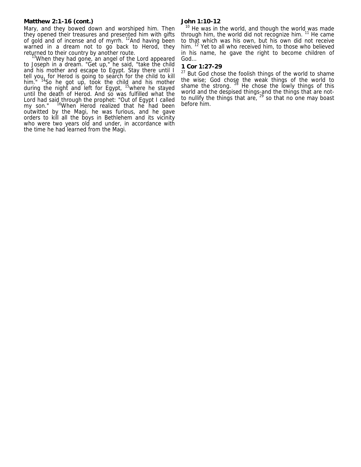# **Matthew 2:1-16 (cont.)**

Mary, and they bowed down and worshiped him. Then they opened their treasures and presented him with gifts of gold and of incense and of myrrh. <sup>12</sup>And having been warned in a dream not to go back to Herod, they returned to their country by another route.<br><sup>13</sup>When they had gone, an angel of the Lord appeared

to Joseph in a dream. "Get up," he said, "take the child and his mother and escape to Egypt. Stay there until I tell you, for Herod is going to search for the child to kill him." <sup>14</sup>So he got up, took the child and his mother during the night and left for Egypt, <sup>15</sup>where he stayed until the death of Herod. And so was fulfilled what the Lord had said through the prophet: "Out of Egypt I called my son." <sup>16</sup>When Herod realized that he had been outwitted by the Magi, he was furious, and he gave orders to kill all the boys in Bethlehem and its vicinity who were two years old and under, in accordance with the time he had learned from the Magi.

# **John 1:10-12**

 $10$  He was in the world, and though the world was made through him, the world did not recognize him.  $11$  He came to that which was his own, but his own did not receive him. <sup>12</sup> Yet to all who received him, to those who believed in his name, he gave the right to become children of God…

## **1 Cor 1:27-29**

<sup>27</sup> But God chose the foolish things of the world to shame the wise; God chose the weak things of the world to shame the strong.  $^{28}$  He chose the lowly things of this world and the despised things-and the things that are notto nullify the things that are,  $29$  so that no one may boast before him.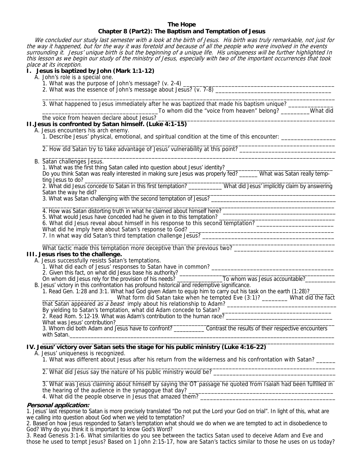# **The Hope Chapter 8 (Part2): The Baptism and Temptation of Jesus**

 We concluded our study last semester with a look at the birth of Jesus. His birth was truly remarkable, not just for the way it happened, but for the way it was foretold and because of all the people who were involved in the events surrounding it. Jesus' unique birth is but the beginning of a unique life. His uniqueness will be further highlighted In this lesson as we begin our study of the ministry of Jesus, especially with two of the important occurrences that took place at its inception. **I. Jesus is baptized by John (Mark 1:1-12)**  A. John's role is a special one. 1. What was the purpose of John's message? (v. 2-4) \_\_\_\_\_\_\_\_\_\_\_\_\_\_\_\_\_\_\_\_\_\_\_\_\_\_\_\_\_\_\_\_\_\_\_\_\_\_\_\_\_\_\_\_\_\_\_ 2. What was the essence of John's message about Jesus? (v. 7-8) \_\_\_\_\_\_\_\_\_\_\_\_\_\_\_\_\_\_\_\_\_\_\_\_\_\_\_\_\_\_\_\_\_\_\_\_ \_\_\_\_\_\_\_\_\_\_\_\_\_\_\_\_\_\_\_\_\_\_\_\_\_\_\_\_\_\_\_\_\_\_\_\_\_\_\_\_\_\_\_\_\_\_\_\_\_\_\_\_\_\_\_\_\_\_\_\_\_\_\_\_\_\_\_\_\_\_\_\_\_\_\_\_\_\_\_\_\_\_\_\_\_\_\_\_\_\_\_ 3. What happened to Jesus immediately after he was baptized that made his baptism unique? \_\_\_\_\_\_\_\_\_\_\_\_\_\_\_\_\_\_\_\_\_\_\_\_\_\_\_\_\_\_\_\_\_\_\_\_To whom did the "voice from heaven" belong? \_\_\_\_\_\_\_\_\_What did the voice from heaven declare about Jesus? **II.Jesus is confronted by Satan himself. (Luke 4:1-15)**  A. Jesus encounters his arch enemy. 1. Describe Jesus' physical, emotional, and spiritual condition at the time of this encounter: \_\_\_\_\_\_\_\_\_\_\_\_\_\_\_\_\_ \_\_\_\_\_\_\_\_\_\_\_\_\_\_\_\_\_\_\_\_\_\_\_\_\_\_\_\_\_\_\_\_\_\_\_\_\_\_\_\_\_\_\_\_\_\_\_\_\_\_\_\_\_\_\_\_\_\_\_\_\_\_\_\_\_\_\_\_\_\_\_\_\_\_\_\_\_\_\_\_\_\_\_\_\_\_\_\_\_\_\_ 2. How did Satan try to take advantage of Jesus' vulnerability at this point? \_\_\_\_\_\_\_\_\_\_\_\_\_\_\_\_\_\_\_\_\_\_\_\_\_\_\_\_\_\_ \_\_\_\_\_\_\_\_\_\_\_\_\_\_\_\_\_\_\_\_\_\_\_\_\_\_\_\_\_\_\_\_\_\_\_\_\_\_\_\_\_\_\_\_\_\_\_\_\_\_\_\_\_\_\_\_\_\_\_\_\_\_\_\_\_\_\_\_\_\_\_\_\_\_\_\_\_\_\_\_\_\_\_\_\_\_\_\_\_\_\_ B. Satan challenges Jesus. 1. What was the first thing Satan called into question about Jesus' identity? \_\_\_\_\_\_\_\_\_\_\_\_\_\_\_\_\_\_\_\_\_\_\_\_\_\_\_\_\_\_\_\_\_ Do you think Satan was really interested in making sure Jesus was properly fed? \_\_\_\_\_\_ What was Satan really tempting Jesus to do? \_\_\_\_\_\_\_\_\_\_\_\_\_\_\_\_\_\_\_\_\_\_\_\_\_\_\_\_\_\_\_\_\_\_\_\_\_\_\_\_\_\_\_\_\_\_\_\_\_\_\_\_\_\_\_\_\_\_\_\_\_\_\_\_\_\_\_\_\_\_\_\_\_\_\_\_\_\_\_\_\_ 2. What did Jesus concede to Satan in this first temptation? \_\_\_\_\_\_\_\_\_\_\_ What did Jesus' implicitly claim by answering Satan the way he did? \_\_\_\_\_\_\_\_\_\_\_\_\_\_\_\_\_\_\_\_\_\_\_\_\_\_\_\_\_\_\_\_\_\_\_\_\_\_\_\_\_\_\_\_\_\_\_\_\_\_\_\_\_\_\_\_\_\_\_\_\_\_\_\_\_\_\_\_\_\_\_\_\_\_\_\_\_\_ 3. What was Satan challenging with the second temptation of Jesus? \_\_\_\_\_\_\_\_\_\_\_\_\_\_\_\_\_\_\_\_\_\_\_\_\_\_\_\_\_\_\_\_\_\_\_\_\_\_\_\_\_\_\_\_\_\_\_\_\_\_\_\_\_\_\_\_\_\_\_\_\_\_\_\_\_\_\_\_\_\_\_\_\_\_\_\_\_\_\_\_\_\_\_\_\_\_\_\_\_\_\_\_\_\_\_\_ 4. How was Satan distorting truth in what he claimed about himself here? \_\_\_\_\_\_\_\_\_\_\_\_\_\_\_\_\_\_\_\_\_\_\_\_\_\_\_\_\_\_\_\_\_\_\_\_\_ 5. What would Jesus have conceded had he given in to this temptation? \_\_\_\_\_\_\_\_\_\_\_\_\_\_\_\_\_\_\_\_\_\_\_\_\_\_\_\_\_\_\_\_\_\_\_\_\_\_ 6. What did Jesus reveal about himself in his response to this second temptation? \_\_\_\_\_\_\_\_\_\_\_\_\_\_\_\_\_\_\_\_\_\_\_\_\_\_\_\_ What did he imply here about Satan's response to God? \_\_\_\_\_\_\_\_\_\_\_\_\_\_\_\_\_\_\_\_\_\_\_\_\_\_\_\_\_\_\_\_\_\_\_\_\_\_\_\_\_\_\_\_\_ 7. In what way did Satan's third temptation challenge Jesus? \_\_\_\_\_\_\_\_\_\_\_\_\_\_\_\_\_\_\_\_\_\_\_\_\_\_\_\_\_\_\_\_\_\_\_\_\_\_\_\_\_ \_\_\_\_\_\_\_\_\_\_\_\_\_\_\_\_\_\_\_\_\_\_\_\_\_\_\_\_\_\_\_\_\_\_\_\_\_\_\_\_\_\_\_\_\_\_\_\_\_\_\_\_\_\_\_\_\_\_\_\_\_\_\_\_\_\_\_\_\_\_\_\_\_\_\_\_\_\_\_\_\_\_\_\_\_\_\_\_\_\_\_ What tactic made this temptation more deceptive than the previous two? \_\_\_\_\_\_\_\_\_\_\_\_\_\_\_\_\_\_\_\_\_\_\_\_\_\_\_\_\_\_\_ **III. Jesus rises to the challenge.**  A. Jesus successfully resists Satan's temptations. 1. What did each of Jesus' responses to Satan have in common? \_\_\_\_\_\_\_\_\_\_\_\_\_\_\_\_\_\_\_\_\_\_\_\_\_\_\_\_\_\_\_\_\_\_\_\_\_\_ 2. Given this fact, on what did Jesus base his authority? \_\_\_\_\_\_\_\_\_\_\_\_\_\_\_\_\_\_\_\_\_\_\_\_\_\_\_\_\_\_\_\_\_\_\_\_\_\_\_\_\_\_\_\_\_\_\_\_\_\_\_ On whom did Jesus rely for the provision of his needs? \_\_\_\_\_\_\_\_\_\_\_\_\_\_\_\_\_\_\_\_\_\_\_\_\_\_To whom was Jesus accountable?\_\_\_\_\_\_\_\_\_\_\_\_\_\_\_\_\_\_\_\_\_\_\_ B. Jesus' victory in this confrontation has profound historical and redemptive significance. 1. Read Gen. 1:28 and 3:1. What had God given Adam to equip him to carry out his task on the earth (1:28)? \_\_\_\_\_\_\_\_\_\_\_\_\_\_\_\_\_\_\_\_\_\_ What form did Satan take when he tempted Eve (3:1)? \_\_\_\_\_\_\_\_ What did the fact that Satan appeared as a beast imply about his relationship to Adam? \_\_\_\_\_\_\_\_\_\_\_\_\_\_\_\_\_\_\_\_\_\_\_\_\_\_\_\_\_\_\_\_\_\_ By yielding to Satan's temptation, what did Adam concede to Satan? \_\_\_\_\_\_\_\_\_\_\_\_\_\_\_\_\_\_\_\_\_\_\_\_\_\_\_\_\_\_\_\_\_\_ 2. Read Rom. 5:12-19. What was Adam's contribution to the human race? What was Jesus' contribution?\_\_\_\_\_\_\_\_\_\_\_\_\_\_\_\_\_\_\_\_\_\_\_\_\_\_\_\_\_\_\_\_\_\_\_\_\_\_\_\_\_\_\_\_\_\_\_\_\_\_\_\_\_\_\_\_\_\_\_\_\_\_\_\_\_\_\_\_\_\_\_\_ 3. Whom did both Adam and Jesus have to confront? \_\_\_\_\_\_\_\_\_\_ Contrast the results of their respective encounters with Satan.\_\_\_\_\_\_\_\_\_\_\_\_\_\_\_\_\_\_\_\_\_\_\_\_\_\_\_\_\_\_\_\_\_\_\_\_\_\_\_\_\_\_\_\_\_\_\_\_\_\_\_\_\_\_\_\_\_\_\_\_\_\_\_\_\_\_\_\_\_\_\_\_\_\_\_\_\_\_\_\_\_\_\_\_\_\_\_  $\mathcal{L}_\text{max} = \mathcal{L}_\text{max} = \mathcal{L}_\text{max} = \mathcal{L}_\text{max} = \mathcal{L}_\text{max} = \mathcal{L}_\text{max} = \mathcal{L}_\text{max} = \mathcal{L}_\text{max} = \mathcal{L}_\text{max} = \mathcal{L}_\text{max} = \mathcal{L}_\text{max} = \mathcal{L}_\text{max} = \mathcal{L}_\text{max} = \mathcal{L}_\text{max} = \mathcal{L}_\text{max} = \mathcal{L}_\text{max} = \mathcal{L}_\text{max} = \mathcal{L}_\text{max} = \mathcal{$ **IV. Jesus' victory over Satan sets the stage for his public ministry (Luke 4:16-22)**  A. Jesus' uniqueness is recognized. 1. What was different about Jesus after his return from the wilderness and his confrontation with Satan? \_\_\_\_\_\_

\_\_\_\_\_\_\_\_\_\_\_\_\_\_\_\_\_\_\_\_\_\_\_\_\_\_\_\_\_\_\_\_\_\_\_\_\_\_\_\_\_\_\_\_\_\_\_\_\_\_\_\_\_\_\_\_\_\_\_\_\_\_\_\_\_\_\_\_\_\_\_\_\_\_\_\_\_\_\_\_\_\_\_\_\_\_\_\_\_\_\_ 2. What did Jesus say the nature of his public ministry would be? \_\_\_\_\_\_\_\_\_\_\_\_\_\_\_\_\_\_\_\_\_\_\_\_\_\_\_\_\_\_\_\_\_\_\_\_\_\_

3. What was Jesus claiming about himself by saying the OT passage he quoted from Isaiah had been fulfilled in the hearing of the audience in the synagogue that day? 4. What did the people observe in Jesus that amazed them?

\_\_\_\_\_\_\_\_\_\_\_\_\_\_\_\_\_\_\_\_\_\_\_\_\_\_\_\_\_\_\_\_\_\_\_\_\_\_\_\_\_\_\_\_\_\_\_\_\_\_\_\_\_\_\_\_\_\_\_\_\_\_\_\_\_\_\_\_\_\_\_\_\_\_\_\_\_\_\_\_\_\_\_\_\_\_\_\_\_\_\_

#### **Personal application:**

1. Jesus' last response to Satan is more precisely translated "Do not put the Lord your God on trial". In light of this, what are we calling into question about God when we yield to temptation?

2. Based on how Jesus responded to Satan's temptation what should we do when we are tempted to act in disobedience to God? Why do you think it is important to know God's Word?

3. Read Genesis 3:1-6. What similarities do you see between the tactics Satan used to deceive Adam and Eve and those he used to tempt Jesus? Based on 1 John 2:15-17, how are Satan's tactics similar to those he uses on us today?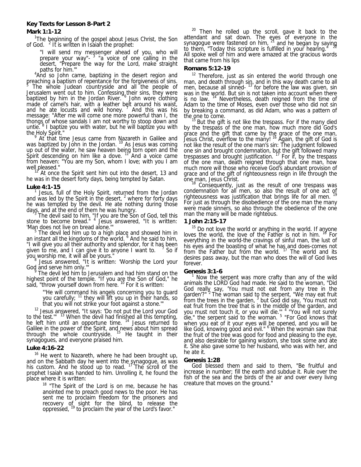# **Mark 1:1-12**

<sup>1</sup>The beginning of the gospel about Jesus Christ, the Son of God.  $<sup>2</sup>$  It is written in Isaiah the prophet:</sup>

"I will send my messenger ahead of you, who will prepare your way"- 3 "a voice of one calling in the desert, "Prepare the way for the Lord, make straight

paths for him.""<br>"And so John came, baptizing in the desert region and

preaching a baptism of repentance for the forgiveness of sins.<br>Support the whole ludgen countries and all the people of The whole Judean countryside and all the people of Jerusalem went out to him. Confessing their sins, they were baptized by him in the Jordan River. <sup>6</sup> John wore clothing made of camel's hair, with a leather belt around his waist, and he ate locusts and wild honey.  $\frac{7}{1}$  And this was his message: "After me will come one more powerful than I, the thongs of whose sandals I am not worthy to stoop down and untie. <sup>8</sup> I baptize you with water, but he will baptize you with the Holy Spirit."

 At that time Jesus came from Nazareth in Galilee and was baptized by John in the Jordan.<sup>10</sup> As Jesus was coming up out of the water, he saw heaven being torn open and the Spirit descending on him like a dove.<sup>11</sup> And a voice came from heaven: "You are my Son, whom I love; with you I am well pleased."

At once the Spirit sent him out into the desert, 13 and he was in the desert forty days, being tempted by Satan.

# **Luke 4:1-15**

1 Jesus, full of the Holy Spirit, returned from the Jordan and was led by the Spirit in the desert,  $2 \times 10^{10}$  for forty days he was tempted by the devil. He ate nothing during those days, and at the end of them he was hungry.

The devil said to him, "If you are the Son of God, tell this stone to become bread." <sup>4</sup> Jesus answered, "It is written: 'Man does not live on bread alone.

 $5$  The devil led him up to a high place and showed him in an instant all the kingdoms of the world. <sup>6</sup> And he said to him, "I will give you all their authority and splendor, for it has been given to me, and I can give it to anyone I want to. <sup>7</sup> So if

ỹou worship me, it will all be yours."<br><sup>8</sup> Jesus answered, "It is written: 'Worship the Lord your God and serve him only."

 The devil led him to Jerusalem and had him stand on the highest point of the temple. "If you are the Son of God," he said, "throw yourself down from here.<sup>10</sup> For it is written:

> "He will command his angels concerning you to guard you carefully; <sup>11</sup> they will lift you up in their hands, so that you will not strike your foot against a stone.'"

 $12$  Jesus answered, "It says: 'Do not put the Lord your God to the test.'" 13 When the devil had finished all this tempting, he left him until an opportune time. <sup>14</sup> Jesus returned to Galilee in the power of the Spirit, and news about him spread through the whole countryside. 15 He taught in their synagogues, and everyone praised him.

#### **Luke 4:16-22**

<sup>16</sup> He went to Nazareth, where he had been brought up, and on the Sabbath day he went into the synagogue, as was his custom. And he stood up to read. <sup>17</sup> The scroll of the prophet Isaiah was handed to him. Unrolling it, he found the place where it is written:

> <sup>18</sup> "The Spirit of the Lord is on me, because he has anointed me to preach good news to the poor. He has sent me to proclaim freedom for the prisoners and recovery of sight for the blind, to release the oppressed, <sup>19</sup> to proclaim the year of the Lord's favor."

 $20$  Then he rolled up the scroll, gave it back to the attendant and sat down. The eyes of everyone in the synagogue were fastened on him, <sup>21</sup> and he began by saying to them, "Today this scripture is fulfilled in your hearing. All spoke well of him and were amazed at the gracious words that came from his lips

## **Romans 5:12-19**

<sup>12</sup> Therefore, just as sin entered the world through one man, and death through sin, and in this way death came to all men, because all sinned- <sup>13</sup> for before the law was given, sin was in the world. But sin is not taken into account when there is no law. <sup>14</sup> Nevertheless, death reigned from the time of Adam to the time of Moses, even over those who did not sin by breaking a command, as did Adam, who was a pattern of the one to come.

But the gift is not like the trespass. For if the many died by the trespass of the one man, how much more did God's grace and the gift that came by the grace of the one man, Jesus Christ, overflow to the many! 16 Again, the gift of God is not like the result of the one man's sin: The judgment followed one sin and brought condemnation, but the gift followed many trespasses and brought justification.<sup>17</sup> For if, by the trespass of the one man, death reigned through that one man, how much more will those who receive God's abundant provision of grace and of the gift of righteousness reign in life through the one man, Jesus Christ.<br>
<sup>18</sup> Consequently, just as the result of and there were used

one man, Jesus Christ.<br><sup>18</sup> Consequently, just as the result of one trespass was condemnation for all men, so also the result of one act of righteousness was justification that brings life for all men. For just as through the disobedience of the one man the many were made sinners, so also through the obedience of the one man the many will be made righteous.

## **1 John 2:15-17**

<sup>15</sup> Do not love the world or anything in the world. If anyone loves the world, the love of the Father is not in him. <sup>18</sup> For everything in the world-the cravings of sinful man, the lust of his eyes and the boasting of what he has and does-comes not from the Father but from the world. <sup>17</sup> The world and its desires pass away, but the man who does the will of God lives forever.

# **Genesis 3:1-6**

 Now the serpent was more crafty than any of the wild animals the LORD God had made. He said to the woman, "Did God really say, 'You must not eat from any tree in the garden'?"<sup>2</sup> The woman said to the serpent, "We may eat fruit from the trees in the garden,  $3$  but God did say, 'You must not eat fruit from the tree that is in the middle of the garden, and you must not touch it, or you will die." <sup>4</sup> "You will not surely die," the serpent said to the woman. <sup>5</sup> "For God knows that when you eat of it your eyes will be opened, and you will be like God, knowing good and evil." <sup>6</sup> When the woman saw that the fruit of the tree was good for food and pleasing to the eye, and also desirable for gaining wisdom, she took some and ate it. She also gave some to her husband, who was with her, and he ate it.

# **Genesis 1:28**

 God blessed them and said to them, "Be fruitful and increase in number; fill the earth and subdue it. Rule over the fish of the sea and the birds of the air and over every living creature that moves on the ground."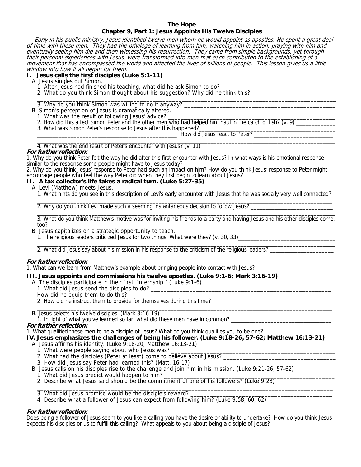#### **The Hope Chapter 9, Part 1: Jesus Appoints His Twelve Disciples**

Early in his public ministry, Jesus identified twelve men whom he would appoint as apostles. He spent a great deal of time with these men. They had the privilege of learning from him, watching him in action, praying with him and eventually seeing him die and then witnessing his resurrection. They came from simple backgrounds, yet through their personal experiences with Jesus, were transformed into men that each contributed to the establishing of a movement that has encompassed the world and affected the lives of billions of people. This lesson gives us a little window into how it all began for them.

**I. Jesus calls the first disciples (Luke 5:1-11)** 

A. Jesus singles out Simon.<br>1. After Jesus had finished his teaching, what did he ask Simon to do? 1. After Jesus had finished his teaching, what did he ask Simon to do? \_\_\_\_\_\_\_\_\_\_\_\_\_\_\_\_\_\_\_\_\_\_\_\_\_\_\_\_\_\_\_\_\_\_\_

2. What do you think Simon thought about his suggestion? Why did he think this? \_\_\_\_\_\_\_\_\_\_\_\_\_\_\_\_\_\_\_\_\_\_\_\_\_\_\_\_\_\_

 $\overline{\phantom{a}}$  , and the set of the set of the set of the set of the set of the set of the set of the set of the set of the set of the set of the set of the set of the set of the set of the set of the set of the set of the s 3. Why do you think Simon was willing to do it anyway?

- B. Simon's perception of Jesus is dramatically altered.
	- 1. What was the result of following Jesus' advice? \_

2. How did this affect Simon Peter and the other men who had helped him haul in the catch of fish? (v. 9)

3. What was Simon Peter's response to Jesus after this happened?

\_\_\_\_\_\_\_\_\_\_\_\_\_\_\_\_\_\_\_\_\_\_\_\_\_\_\_\_\_\_\_\_\_\_\_\_\_\_\_\_\_\_\_\_\_\_ How did Jesus react to Peter? \_\_\_\_\_\_\_\_\_\_\_\_\_\_\_\_\_\_\_\_\_\_\_\_\_\_

 $\overline{\phantom{a}}$  , and the set of the set of the set of the set of the set of the set of the set of the set of the set of the set of the set of the set of the set of the set of the set of the set of the set of the set of the s 4. What was the end result of Peter's encounter with Jesus? (v. 11)

# **For further reflection:**

1. Why do you think Peter felt the way he did after this first encounter with Jesus? In what ways is his emotional response similar to the response some people might have to Jesus today?

2. Why do you think Jesus' response to Peter had such an impact on him? How do you think Jesus' response to Peter might encourage people who feel the way Peter did when they first begin to learn about Jesus?

# **II. A tax collector's life takes a radical turn. (Luke 5:27-35)**

A. Levi (Matthew) meets Jesus.

1. What hints do you see in this description of Levi's early encounter with Jesus that he was socially very well connected?

 $\frac{1}{2}$  ,  $\frac{1}{2}$  ,  $\frac{1}{2}$  ,  $\frac{1}{2}$  ,  $\frac{1}{2}$  ,  $\frac{1}{2}$  ,  $\frac{1}{2}$  ,  $\frac{1}{2}$  ,  $\frac{1}{2}$  ,  $\frac{1}{2}$  ,  $\frac{1}{2}$  ,  $\frac{1}{2}$  ,  $\frac{1}{2}$  ,  $\frac{1}{2}$  ,  $\frac{1}{2}$  ,  $\frac{1}{2}$  ,  $\frac{1}{2}$  ,  $\frac{1}{2}$  ,  $\frac{1$ 

2. Why do you think Levi made such a seeming instantaneous decision to follow Jesus?

 $\overline{\phantom{a}}$  , and the set of the set of the set of the set of the set of the set of the set of the set of the set of the set of the set of the set of the set of the set of the set of the set of the set of the set of the s 3. What do you think Matthew's motive was for inviting his friends to a party and having Jesus and his other disciples come, too? \_\_\_\_\_\_\_\_\_\_\_\_\_\_\_\_\_\_\_\_\_\_\_\_\_\_\_\_\_\_\_\_\_\_\_\_\_\_\_\_\_\_\_\_\_\_\_\_\_\_\_\_\_\_\_\_\_\_\_\_\_\_\_\_\_\_\_\_\_\_\_\_\_\_\_\_\_\_\_\_\_\_\_\_\_\_\_\_\_\_\_\_\_\_

- B. Jesus capitalizes on a strategic opportunity to teach.
- 1. The religious leaders criticized Jesus for two things. What were they? (v. 30, 33)\_\_\_\_\_\_\_\_\_\_\_\_\_\_\_\_\_\_\_\_\_\_\_\_\_

 $\overline{\phantom{a}}$  , and the set of the set of the set of the set of the set of the set of the set of the set of the set of the set of the set of the set of the set of the set of the set of the set of the set of the set of the s 2. What did Jesus say about his mission in his response to the criticism of the religious leaders? \_\_\_\_\_\_\_\_\_\_\_\_\_\_\_\_\_\_\_\_\_

#### $\overline{\phantom{a}}$  , and the set of the set of the set of the set of the set of the set of the set of the set of the set of the set of the set of the set of the set of the set of the set of the set of the set of the set of the s **For further reflection:**

1. What can we learn from Matthew's example about bringing people into contact with Jesus?

# **III. Jesus appoints and commissions his twelve apostles. (Luke 9:1-6; Mark 3:16-19)**

- A. The disciples participate in their first "internship." (Luke 9:1-6)
	- 1. What did Jesus send the disciples to do? \_\_\_\_\_\_\_\_\_\_\_\_\_\_\_\_\_\_\_\_\_\_\_\_\_\_\_\_\_\_\_\_\_\_\_\_\_\_\_\_\_\_\_\_\_\_\_\_\_\_\_\_\_\_\_\_
	- How did he equip them to do this?

2. How did he instruct them to provide for themselves during this time? \_\_\_\_\_\_\_\_\_\_\_\_\_\_\_\_\_\_\_\_\_\_\_\_\_\_\_\_\_\_\_\_\_\_\_\_\_\_\_

 $\overline{\phantom{a}}$  ,  $\overline{\phantom{a}}$  ,  $\overline{\phantom{a}}$  ,  $\overline{\phantom{a}}$  ,  $\overline{\phantom{a}}$  ,  $\overline{\phantom{a}}$  ,  $\overline{\phantom{a}}$  ,  $\overline{\phantom{a}}$  ,  $\overline{\phantom{a}}$  ,  $\overline{\phantom{a}}$  ,  $\overline{\phantom{a}}$  ,  $\overline{\phantom{a}}$  ,  $\overline{\phantom{a}}$  ,  $\overline{\phantom{a}}$  ,  $\overline{\phantom{a}}$  ,  $\overline{\phantom{a}}$ B. Jesus selects his twelve disciples. (Mark 3:16-19)

1. In light of what you've learned so far, what did these men have in common? **For further reflection:** 

1. What qualified these men to be a disciple of Jesus? What do you think qualifies you to be one?

- **IV. Jesus emphasizes the challenges of being his follower. (Luke 9:18-26, 57-62; Matthew 16:13-21)** 
	- A. Jesus affirms his identity. (Luke 9:18-20; Matthew 16:13-21)
		- 1. What were people saying about who Jesus was?
		- 2. What had the disciples (Peter at least) come to believe about Jesus? \_\_\_\_\_\_\_\_
		- 3. How did Jesus say Peter had learned this? (Matt. 16:17) \_
	- B. Jesus calls on his disciples rise to the challenge and join him in his mission. (Luke 9:21-26, 57-62)
	- 1. What did Jesus predict would happen to him?
- 2. Describe what Jesus said should be the commitment of one of his followers? (Luke 9:23) \_\_\_\_\_\_\_\_\_\_  $\overline{\phantom{a}}$  ,  $\overline{\phantom{a}}$  ,  $\overline{\phantom{a}}$  ,  $\overline{\phantom{a}}$  ,  $\overline{\phantom{a}}$  ,  $\overline{\phantom{a}}$  ,  $\overline{\phantom{a}}$  ,  $\overline{\phantom{a}}$  ,  $\overline{\phantom{a}}$  ,  $\overline{\phantom{a}}$  ,  $\overline{\phantom{a}}$  ,  $\overline{\phantom{a}}$  ,  $\overline{\phantom{a}}$  ,  $\overline{\phantom{a}}$  ,  $\overline{\phantom{a}}$  ,  $\overline{\phantom{a}}$ 
	- 3. What did Jesus promise would be the disciple's reward?
	- 4. Describe what a follower of Jesus can expect from following him? (Luke 9:58, 60, 62) \_\_\_\_\_\_\_\_\_\_\_\_

#### $\overline{\phantom{a}}$  , and the set of the set of the set of the set of the set of the set of the set of the set of the set of the set of the set of the set of the set of the set of the set of the set of the set of the set of the s **For further reflection:**

Does being a follower of Jesus seem to you like a calling you have the desire or ability to undertake? How do you think Jesus expects his disciples or us to fulfill this calling? What appeals to you about being a disciple of Jesus?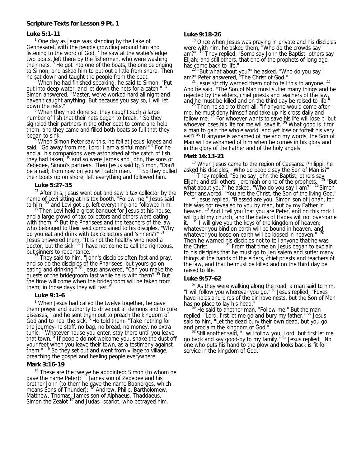## **Scripture Texts for Lesson 9 Pt. 1**

#### **Luke 5:1-11**

 $1$  One day as Jesus was standing by the Lake of Gennesaret, with the people crowding around him and listening to the word of God,  $2$  he saw at the water's edge two boats, left there by the fishermen, who were washing their nets.<sup>3</sup> He got into one of the boats, the one belonging to Simon, and asked him to put out a little from shore. Then he sat down and taught the people from the boat.

 When he had finished speaking, he said to Simon, "Put out into deep water, and let down the nets for a catch." Simon answered, "Master, we've worked hard all night and haven't caught anything. But because you say so, I will let down the nets."

 $6$  When they had done so, they caught such a large number of fish that their nets began to break.  $<sup>7</sup>$  So they</sup> signaled their partners in the other boat to come and help them, and they came and filled both boats so full that they began to sink.

 When Simon Peter saw this, he fell at Jesus' knees and said, "Go away from me, Lord; I am a sinful man!" <sup>9</sup> For he and all his companions were astonished at the catch of fish they had taken,  $10$  and so were James and John, the sons of Zebedee, Simon's partners. Then Jesus said to Simon, "Don't be afraid; from now on you will catch men." <sup>11</sup> So they pulled their boats up on shore, left everything and followed him.

#### **Luke 5:27-35**

 $27$  After this, Jesus went out and saw a tax collector by the name of Levi sitting at his tax booth. "Follow me," Jesus said

to him,  $^{28}$  and Levi got up, left everything and followed him.<br><sup>29</sup> Then Levi held a great banquet for Jesus at his house, and a large crowd of tax collectors and others were eating with them. <sup>30</sup> But the Pharisees and the teachers of the law who belonged to their sect complained to his disciples, "Why do you eat and drink with tax collectors and 'sinners'?"<sup>31</sup> Jesus answered them, "It is not the healthy who need a doctor, but the sick.  $32$  I have not come to call the righteous,

but sinners to repentance."<br><sup>33</sup> They said to him, "John's disciples often fast and pray, and so do the disciples of the Pharisees, but yours go on eating and drinking."<sup>34</sup> Jesus answered, "Can you make the guests of the bridegroom fast while he is with them? <sup>35</sup> But the time will come when the bridegroom will be taken from them; in those days they will fast."

#### **Luke 9:1-6**

<sup>1</sup> When Jesus had called the twelve together, he gave them power and authority to drive out all demons and to cure diseases,  $2$  and he sent them out to preach the kingdom of God and to heal the sick.  $3$  He told them: "Take nothing for the journey-no staff, no bag, no bread, no money, no extra tunic.<sup>4</sup> Whatever house you enter, stay there until you leave that town.<sup>5</sup> If people do not welcome you, shake the dust off your feet when you leave their town, as a testimony against them."  $6$  So they set out and went from village to village, preaching the gospel and healing people everywhere.

#### **Mark 3:16-19**

<sup>16</sup> These are the twelve he appointed: Simon (to whom he gave the name Peter); <sup>17</sup> James son of Zebedee and his brother John (to them he gave the name Boanerges, which means Sons of Thunder); <sup>18</sup> Andrew, Philip, Bartholomew, Matthew, Thomas, James son of Alphaeus, Thaddaeus, Simon the Zealot<sup>19</sup> and Judas Iscariot, who betrayed him.

#### **Luke 9:18-26**

<sup>18</sup> Once when Jesus was praying in private and his disciples were with him, he asked them, "Who do the crowds say I am?" <sup>19</sup> They replied, "Some say John the Baptist; others say Elijah; and still others, that one of the prophets of long ago has come back to life."

<sup>20</sup> "But what about you?" he asked. "Who do you say I

am?" Peter answered, "The Christ of God."<br><sup>21</sup> Jesus strictly warned them not to tell this to anyone. <sup>22</sup> And he said, "The Son of Man must suffer many things and be rejected by the elders, chief priests and teachers of the law, and he must be killed and on the third day be raised to life." 23 Then he said to them all: "If anyone would come after

me, he must deny himself and take up his cross daily and follow me.  $24$  For whoever wants to save his life will lose it, but whoever loses his life for me will save it.  $25$  What good is it for a man to gain the whole world, and yet lose or forfeit his very self?<sup>26</sup> If anyone is ashamed of me and my words, the Son of Man will be ashamed of him when he comes in his glory and in the glory of the Father and of the holy angels.

# **Matt 16:13-21**

<sup>13</sup> When Jesus came to the region of Caesarea Philippi, he

asked his disciples, "Who do people say the Son of Man is?"<br><sup>14</sup> They replied, "Some say John the Baptist; others say Elijah; and still others, Jeremiah or one of the prophets."<sup>15</sup> "But what about you?" he asked. "Who do you say I am?" <sup>16</sup> Simon

Peter answered, "You are the Christ, the Son of the living God." 17 Jesus replied, "Blessed are you, Simon son of Jonah, for this was not revealed to you by man, but by my Father in heaven. <sup>18</sup> And I tell you that you are Peter, and on this rock I will build my church, and the gates of Hades will not overcome it.  $19$  I will give you the keys of the kingdom of heaven; whatever you bind on earth will be bound in heaven, and whatever you loose on earth will be loosed in heaven." <sup>20</sup> Then he warned his disciples not to tell anyone that he was the Christ.  $2^1$  From that time on Jesus began to explain to his disciples that he must go to Jerusalem and suffer many things at the hands of the elders, chief priests and teachers of the law, and that he must be killed and on the third day be raised to life.

#### **Luke 9:57-62**

 $57$  As they were walking along the road, a man said to him, "I will follow you wherever you go."<sup>58</sup> Jesus replied, "Foxes" have holes and birds of the air have nests, but the Son of Man has no place to lay his head."<br><sup>59</sup> He said to another man, "Follow me." But the man

replied, "Lord, first let me go and bury my father." <sup>60</sup> Jesus said to him, "Let the dead bury their own dead, but you go<br>and proclaim the kingdom of God."<br>0.01 minutes in the said of Cod."

and proclaim the kingdom of God."<br><sup>61</sup> Still another said, "I will follow you, Lord; but first let me go back and say good-by to my family." <sup>62</sup> Jesus replied, "No one who puts his hand to the plow and looks back is fit for service in the kingdom of God."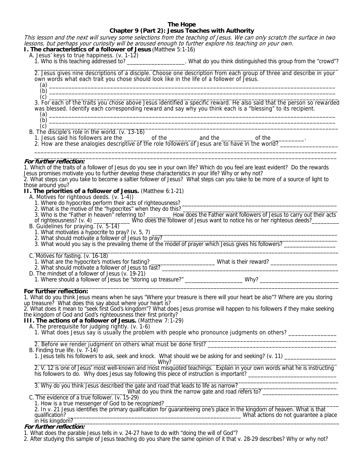#### **The Hope Chapter 9 (Part 2): Jesus Teaches with Authority**

This lesson and the next will survey some selections from the teaching of Jesus. We can only scratch the surface in two lessons, but perhaps your curiosity will be aroused enough to further explore his teaching on your own. **I. The characteristics of a follower of Jesus** (Matthew 5:1-16)

- A. Jesus' keys to true happiness. (v. 1-12)<br>1. Who is this teaching addressed to?
	-

1. What do you think distinguished this group from the "crowd"?

 2. Jesus gives nine descriptions of a disciple. Choose one description from each group of three and describe in your own words what each trait you chose should look like in the life of a follower of Jesus. (a) \_\_\_\_\_\_\_\_\_\_\_\_\_\_\_\_\_\_\_\_\_\_\_\_\_\_\_\_\_\_\_\_\_\_\_\_\_\_\_\_\_\_\_\_\_\_\_\_\_\_\_\_\_\_\_\_\_\_\_\_\_\_\_\_\_\_\_\_\_\_\_\_\_\_\_\_\_\_\_\_\_\_\_\_\_\_\_\_\_

(b) \_\_\_\_\_\_\_\_\_\_\_\_\_\_\_\_\_\_\_\_\_\_\_\_\_\_\_\_\_\_\_\_\_\_\_\_\_\_\_\_\_\_\_\_\_\_\_\_\_\_\_\_\_\_\_\_\_\_\_\_\_\_\_\_\_\_\_\_\_\_\_\_\_\_\_\_\_\_\_\_\_\_\_\_\_\_\_\_\_

 $\frac{1}{\sqrt{2}}$  ,  $\frac{1}{\sqrt{2}}$  ,  $\frac{1}{\sqrt{2}}$  ,  $\frac{1}{\sqrt{2}}$  ,  $\frac{1}{\sqrt{2}}$  ,  $\frac{1}{\sqrt{2}}$  ,  $\frac{1}{\sqrt{2}}$  ,  $\frac{1}{\sqrt{2}}$  ,  $\frac{1}{\sqrt{2}}$  ,  $\frac{1}{\sqrt{2}}$  ,  $\frac{1}{\sqrt{2}}$  ,  $\frac{1}{\sqrt{2}}$  ,  $\frac{1}{\sqrt{2}}$  ,  $\frac{1}{\sqrt{2}}$  ,  $\frac{1}{\sqrt{2}}$ 

 (c) \_\_\_\_\_\_\_\_\_\_\_\_\_\_\_\_\_\_\_\_\_\_\_\_\_\_\_\_\_\_\_\_\_\_\_\_\_\_\_\_\_\_\_\_\_\_\_\_\_\_\_\_\_\_\_\_\_\_\_\_\_\_\_\_\_\_\_\_\_\_\_\_\_\_\_\_\_\_\_\_\_\_\_\_\_\_\_\_\_\_ 3. For each of the traits you chose above Jesus identified a specific reward. He also said that the person so rewarded was blessed. Identify each corresponding reward and say why you think each is a "blessing" to its recipient. (a) \_\_\_\_\_\_\_\_\_\_\_\_\_\_\_\_\_\_\_\_\_\_\_\_\_\_\_\_\_\_\_\_\_\_\_\_\_\_\_\_\_\_\_\_\_\_\_\_\_\_\_\_\_\_\_\_\_\_\_\_\_\_\_\_\_\_\_\_\_\_\_\_\_\_\_\_\_\_\_\_\_\_\_\_\_\_\_\_\_

(b) \_\_\_\_\_\_\_\_\_\_\_\_\_\_\_\_\_\_\_\_\_\_\_\_\_\_\_\_\_\_\_\_\_\_\_\_\_\_\_\_\_\_\_\_\_\_\_\_\_\_\_\_\_\_\_\_\_\_\_\_\_\_\_\_\_\_\_\_\_\_\_\_\_\_\_\_\_\_\_\_\_\_\_\_\_\_\_\_\_

 (c) \_\_\_\_\_\_\_\_\_\_\_\_\_\_\_\_\_\_\_\_\_\_\_\_\_\_\_\_\_\_\_\_\_\_\_\_\_\_\_\_\_\_\_\_\_\_\_\_\_\_\_\_\_\_\_\_\_\_\_\_\_\_\_\_\_\_\_\_\_\_\_\_\_\_\_\_\_\_\_\_\_\_\_\_\_\_\_\_\_\_ B. The disciple's role in the world. (v. 13-16)

1. Jesus said his followers are the \_\_\_\_\_\_\_\_\_ of the \_\_\_\_\_\_\_\_\_\_ and the \_\_\_\_\_\_\_\_\_\_\_\_\_ of the 2. How are these analogies descriptive of the role followers of Jesus are to have in the world?

#### $\overline{\phantom{a}}$  ,  $\overline{\phantom{a}}$  ,  $\overline{\phantom{a}}$  ,  $\overline{\phantom{a}}$  ,  $\overline{\phantom{a}}$  ,  $\overline{\phantom{a}}$  ,  $\overline{\phantom{a}}$  ,  $\overline{\phantom{a}}$  ,  $\overline{\phantom{a}}$  ,  $\overline{\phantom{a}}$  ,  $\overline{\phantom{a}}$  ,  $\overline{\phantom{a}}$  ,  $\overline{\phantom{a}}$  ,  $\overline{\phantom{a}}$  ,  $\overline{\phantom{a}}$  ,  $\overline{\phantom{a}}$ **For further reflection:**

1. Which of the traits of a follower of Jesus do you see in your own life? Which do you feel are least evident? Do the rewards Jesus promises motivate you to further develop these characteristics in your life? Why or why not? 2. What steps can you take to become a saltier follower of Jesus? What steps can you take to be more of a source of light to those around you? **II. The priorities of a follower of Jesus.** (Matthew 6:1-21) A. Motives for righteous deeds. (v. 1-4)) 1. Where do hypocrites perform their acts of righteousness? 2. What is the motive of the "hypocrites" when they do this? 3. Who is the "Father in heaven" referring to? \_\_\_\_\_\_\_ How does the Father want followers of Jesus to carry out their acts of righteousness? (v. 4) \_\_\_\_\_\_\_\_\_\_ Who does the follower of Jesus want to notice his or her righte B. Guidelines for praying. (v. 5-14) 1. What motivates a hypocrite to pray? (v. 5, 7) 2. What should motivate a follower of Jesus to pray? 2. What would you say is the prevailing theme of the model of prayer which Jesus gives his followers?  $\frac{1}{2}$  ,  $\frac{1}{2}$  ,  $\frac{1}{2}$  ,  $\frac{1}{2}$  ,  $\frac{1}{2}$  ,  $\frac{1}{2}$  ,  $\frac{1}{2}$  ,  $\frac{1}{2}$  ,  $\frac{1}{2}$  ,  $\frac{1}{2}$  ,  $\frac{1}{2}$  ,  $\frac{1}{2}$  ,  $\frac{1}{2}$  ,  $\frac{1}{2}$  ,  $\frac{1}{2}$  ,  $\frac{1}{2}$  ,  $\frac{1}{2}$  ,  $\frac{1}{2}$  ,  $\frac{1$  C. Motives for fasting. (v. 16-18) 1. What are the hypocrite's motives for fasting? \_\_\_\_\_\_\_\_\_\_\_\_\_\_\_\_\_\_\_\_\_ What is their reward? \_\_\_\_\_\_\_\_\_\_\_\_\_\_\_\_\_\_\_\_\_\_ 2. What should motivate a follower of Jesus to fast? \_\_\_\_\_\_\_\_\_\_\_\_\_\_\_\_\_\_\_\_\_\_\_\_\_\_\_\_\_\_\_\_\_\_\_\_\_\_\_\_\_\_\_\_\_\_\_\_\_\_\_\_\_\_\_\_\_\_ D. The mindset of a follower of Jesus (v. 19-21) 1. Where should a follower of Jesus be "storing up treasure?" \_\_\_\_\_\_\_\_\_\_\_\_\_\_\_\_\_\_\_ Why? \_\_\_\_\_\_\_\_\_\_\_\_\_\_\_\_\_\_\_\_\_\_\_  $\overline{\phantom{a}}$  , and the set of the set of the set of the set of the set of the set of the set of the set of the set of the set of the set of the set of the set of the set of the set of the set of the set of the set of the s **For further reflection:**  1. What do you think Jesus means when he says "Where your treasure is there will your heart be also"? Where are you storing up treasure? What does this say about where your heart is? 2. What does it mean to "seek first God's kingdom"? What does Jesus promise will happen to his followers if they make seeking the kingdom of God and God's righteousness their first priority? **III. The actions of a follower of Jesus.** (Matthew 7:1-29) A. The prerequisite for judging rightly. (v. 1-6) 1. What does Jesus say is usually the problem with people who pronounce judgments on others? \_\_\_\_\_\_\_\_\_\_\_\_\_\_\_  $\frac{1}{2}$  ,  $\frac{1}{2}$  ,  $\frac{1}{2}$  ,  $\frac{1}{2}$  ,  $\frac{1}{2}$  ,  $\frac{1}{2}$  ,  $\frac{1}{2}$  ,  $\frac{1}{2}$  ,  $\frac{1}{2}$  ,  $\frac{1}{2}$  ,  $\frac{1}{2}$  ,  $\frac{1}{2}$  ,  $\frac{1}{2}$  ,  $\frac{1}{2}$  ,  $\frac{1}{2}$  ,  $\frac{1}{2}$  ,  $\frac{1}{2}$  ,  $\frac{1}{2}$  ,  $\frac{1$ 2. Before we render judgment on others what must be done first? B. Finding true life. (v. 7-14) 1. Jesus tells his followers to ask, seek and knock. What should we be asking for and seeking? (v. 11) \_\_\_\_\_\_\_\_\_\_\_\_\_\_\_\_\_ \_\_\_\_\_\_\_\_\_\_\_\_\_\_\_\_\_\_\_\_\_\_\_\_\_\_\_\_\_\_\_\_\_\_\_\_\_\_\_\_ Why? \_\_\_\_\_\_\_\_\_\_\_\_\_\_\_\_\_\_\_\_\_\_\_\_\_\_\_\_\_\_\_\_\_\_\_\_\_\_\_\_\_\_\_\_\_\_\_\_\_\_\_\_\_\_ 2. V. 12 is one of Jesus' most well-known and most misquoted teachings. Explain in your own words what he is instructing his followers to do. Why does Jesus say following this piece of instruction is important? 3. Why do you think Jesus described the gate and road that leads to life as narrow? What do you think the narrow gate and road refers to? \_\_\_\_\_\_\_\_\_\_\_\_\_\_\_\_\_\_\_\_\_\_\_\_\_\_ C. The evidence of a true follower. (v. 15-29) 1. How is a true messenger of God to be recognized?

 2. In v. 21 Jesus identifies the primary qualification for guaranteeing one's place in the kingdom of heaven. What is that qualification? \_\_\_\_\_\_\_\_\_\_\_\_\_\_\_\_\_\_\_\_\_\_\_\_\_\_\_\_\_\_\_\_\_\_\_\_\_\_\_\_\_\_\_\_\_\_\_\_\_\_\_\_\_\_\_\_\_ What actions do not guarantee a place  $\mathsf{in}$  His kingdom?

# **For further reflection:**

1. What does the parable Jesus tells in v. 24-27 have to do with "doing the will of God"?

2. After studying this sample of Jesus teaching do you share the same opinion of it that v. 28-29 describes? Why or why not?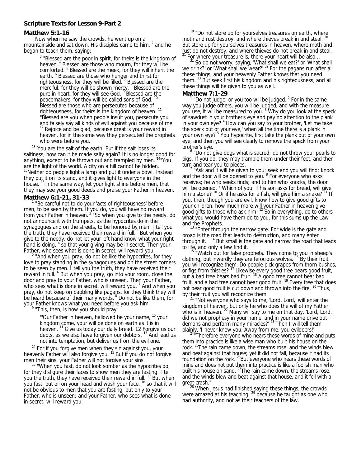#### **Scripture Texts for Lesson 9-Part 2**

#### **Matthew 5:1-16**

Now when he saw the crowds, he went up on a mountainside and sat down. His disciples came to him,  $^2$  and he began to teach them, saying:

> $3$  "Blessed are the poor in spirit, for theirs is the kingdom of heaven.<sup>4</sup> Blessed are those who mourn, for they will be comforted. <sup>5</sup> Blessed are the meek, for they will inherit the earth. <sup>6</sup> Blessed are those who hunger and thirst for righteousness, for they will be filled. <sup>7</sup> Blessed are the merciful, for they will be shown mercy. <sup>8</sup> Blessed are the pure in heart, for they will see God. <sup>9</sup> Blessed are the peacemakers, for they will be called sons of God. Blessed are those who are persecuted because of righteousness, for theirs is the kingdom of heaven.<sup>11</sup> "Blessed are you when people insult you, persecute you and falsely say all kinds of evil against you because of me. Rejoice and be glad, because great is your reward in heaven, for in the same way they persecuted the prophets

who were before you.<br><sup>13</sup>"You are the salt of the earth. But if the salt loses its saltiness, how can it be made salty again? It is no longer good for anything, except to be thrown out and trampled by men. <sup>14</sup> You are the light of the world. A city on a hill cannot be hidden.  $15$ Neither do people light a lamp and put it under a bowl. Instead they put it on its stand, and it gives light to everyone in the house. <sup>16</sup>In the same way, let your light shine before men, that they may see your good deeds and praise your Father in heaven.

## **Matthew 6:1-21, 31-33**

<sup>1</sup> "Be careful not to do your 'acts of righteousness' before men, to be seen by them. If you do, you will have no reward from your Father in heaven. <sup>2</sup> "So when you give to the needy, do not announce it with trumpets, as the hypocrites do in the synagogues and on the streets, to be honored by men. I tell you the truth, they have received their reward in full.<sup>3</sup> But when you give to the needy, do not let your left hand know what your right hand is doing, <sup>4</sup> so that your giving may be in secret. Then your Father, who sees what is done in secret, will reward you.

 $5$  "And when you pray, do not be like the hypocrites, for they love to pray standing in the synagogues and on the street corners to be seen by men. I tell you the truth, they have received their reward in full. <sup>6</sup> But when you pray, go into your room, close the door and pray to your Father, who is unseen. Then your Father, who sees what is done in secret, will reward you.<sup>7</sup> And when you pray, do not keep on babbling like pagans, for they think they will be heard because of their many words. <sup>8</sup> Do not be like them, for your Father knows what you need before you ask him. 9

<sup>9</sup> "This, then, is how you should pray:

"'Our Father in heaven, hallowed be your name, <sup>10</sup> your kingdom come, your will be done on earth as it is in heaven.  $11$  Give us today our daily bread. 12 Forgive us our debts, as we also have forgiven our debtors. <sup>13</sup> And lead us<br>not into temptation, but deliver us from the evil one.

not into temptation, but deliver us from the evil one.'<br><sup>14</sup> For if you forgive men when they sin against you, your heavenly Father will also forgive you.<sup>15</sup> But if you do not forgive

men their sins, your Father will not forgive your sins.<br><sup>16</sup> "When you fast, do not look somber as the hypocrites do, for they disfigure their faces to show men they are fasting. I tell you the truth, they have received their reward in full. <sup>17</sup> But when you fast, put oil on your head and wash your face, <sup>18</sup> so that it will not be obvious to men that you are fasting, but only to your Father, who is unseen; and your Father, who sees what is done in secret, will reward you.

 $19$  "Do not store up for yourselves treasures on earth, where moth and rust destroy, and where thieves break in and steal. <sup>20</sup> But store up for yourselves treasures in heaven, where moth and rust do not destroy, and where thieves do not break in and steal.<br><sup>21</sup> For where your treasure is, there your heart will be also...

<sup>21</sup> For where your treasure is, there your heart will be also...  $31$  So do not worry, saying, 'What shall we eat?' or 'What shall we drink?' or 'What shall we wear?' <sup>32</sup> For the pagans run after all these things, and your heavenly Father knows that you need them. <sup>33</sup> But seek first his kingdom and his righteousness, and all these things will be given to you as well.

#### **Matthew 7:1-29**

"Do not judge, or you too will be judged. $<sup>2</sup>$  For in the same</sup> way you judge others, you will be judged, and with the measure you use, it will be measured to you.<sup>3</sup> Why do you look at the speck of sawdust in your brother's eye and pay no attention to the plank in your own eye? <sup>4</sup> How can you say to your brother, 'Let me take the speck out of your eye,' when all the time there is a plank in your own eye? <sup>5</sup> You hypocrite, first take the plank out of your own eye, and then you will see clearly to remove the speck from your brother's eye.

<sup>6</sup> "Do not give dogs what is sacred; do not throw your pearls to pigs. If you do, they may trample them under their feet, and then turn and tear you to pieces.

 "Ask and it will be given to you; seek and you will find; knock and the door will be opened to you. <sup>8</sup> For everyone who asks receives; he who seeks finds; and to him who knocks, the door will be opened. <sup>9</sup> Which of you, if his son asks for bread, will give him a stone?  $10^{\circ}$  Or if he asks for a fish, will give him a snake? $11$  If you, then, though you are evil, know how to give good gifts to your children, how much more will your Father in heaven give good gifts to those who ask him! <sup>12</sup> So in everything, do to others what you would have them do to you, for this sums up the Law

and the Prophets.<br><sup>13</sup> "Enter through the narrow gate. For wide is the gate and broad is the road that leads to destruction, and many enter through it.  $14$  But small is the gate and narrow the road that leads

to life, and only a few find it.<br><sup>15</sup> "Watch out for false prophets. They come to you in sheep's clothing, but inwardly they are ferocious wolves. <sup>16</sup> By their fruit you will recognize them. Do people pick grapes from thorn bushes, or figs from thistles?<sup>17</sup> Likewise every good tree bears good fruit, but a bad tree bears bad fruit.  $18$  A good tree cannot bear bad fruit, and a bad tree cannot bear good fruit.<sup>19</sup> Every tree that does not bear good fruit is cut down and thrown into the fire. <sup>20</sup> Thus, by their fruit you will recognize them.<br><sup>21</sup> "Not everyone who says to me, 'Lord, Lord,' will enter the

kingdom of heaven, but only he who does the will of my Father who is in heaven.  $^{22}$  Many will say to me on that day, 'Lord, Lord, did we not prophesy in your name, and in your name drive out demons and perform many miracles?' <sup>23</sup> Then I will tell them

plainly, 'I never knew you. Away from me, you evildoers!'<br><sup>24</sup>"Therefore everyone who hears these words of mine and puts them into practice is like a wise man who built his house on the rock. <sup>25</sup>The rain came down, the streams rose, and the winds blew and beat against that house; yet it did not fall, because it had its foundation on the rock. <sup>26</sup>But everyone who hears these words of mine and does not put them into practice is like a foolish man who built his house on sand.  $^{27}$ The rain came down, the streams rose, and the winds blew and beat against that house, and it fell with a

great crash."<br><sup>28</sup> When Jesus had finished saying these things, the crowds were amazed at his teaching, <sup>29</sup> because he taught as one who had authority, and not as their teachers of the law.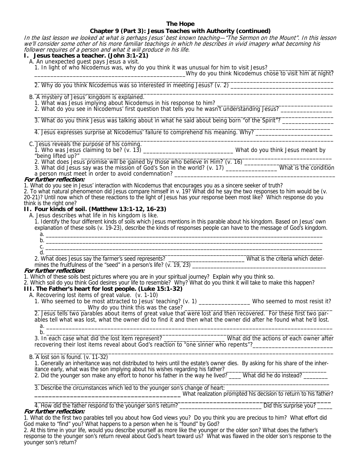# **The Hope**

# **Chapter 9 (Part 3): Jesus Teaches with Authority (continued)**

In the last lesson we looked at what is perhaps Jesus' best known teaching—"The Sermon on the Mount". In this lesson we'll consider some other of his more familiar teachings in which he describes in vivid imagery what becoming his follower requires of a person and what it will produce in his life.

**I. Jesus teaches a teacher. (John 3:1-21)** 

A. An unexpected guest pays Jesus a visit.

1. In light of who Nicodemus was, why do you think it was unusual for him to visit Jesus?

\_\_\_\_\_\_\_\_\_\_\_\_\_\_\_\_\_\_\_\_\_\_\_\_\_\_\_\_\_\_\_\_\_\_\_\_\_\_\_\_\_\_\_\_\_\_\_Why do you think Nicodemus chose to visit him at night?

 $\overline{\phantom{a}}$  , and the set of the set of the set of the set of the set of the set of the set of the set of the set of the set of the set of the set of the set of the set of the set of the set of the set of the set of the s 2. Why do you think Nicodemus was so interested in meeting Jesus? (v. 2) \_\_\_\_\_\_\_\_\_\_\_\_\_\_\_\_\_\_\_\_\_\_\_\_\_\_\_\_\_\_\_\_  $\frac{1}{\sqrt{2\pi}}\left( \frac{1}{2} \frac{1}{2} \frac{1}{2} \frac{1}{2} \frac{1}{2} \frac{1}{2} \frac{1}{2} \frac{1}{2} \frac{1}{2} \frac{1}{2} \frac{1}{2} \frac{1}{2} \frac{1}{2} \frac{1}{2} \frac{1}{2} \frac{1}{2} \frac{1}{2} \frac{1}{2} \frac{1}{2} \frac{1}{2} \frac{1}{2} \frac{1}{2} \frac{1}{2} \frac{1}{2} \frac{1}{2} \frac{1}{2} \frac{1}{2} \frac{1}{2} \frac{1}{2} \frac$ 

B. A mystery of Jesus' kingdom is explained.

1. What was Jesus implying about Nicodemus in his response to him?

2. What do you see in Nicodemus' first question that tells you he wasn't understanding Jesus?

 $\frac{1}{2}$  ,  $\frac{1}{2}$  ,  $\frac{1}{2}$  ,  $\frac{1}{2}$  ,  $\frac{1}{2}$  ,  $\frac{1}{2}$  ,  $\frac{1}{2}$  ,  $\frac{1}{2}$  ,  $\frac{1}{2}$  ,  $\frac{1}{2}$  ,  $\frac{1}{2}$  ,  $\frac{1}{2}$  ,  $\frac{1}{2}$  ,  $\frac{1}{2}$  ,  $\frac{1}{2}$  ,  $\frac{1}{2}$  ,  $\frac{1}{2}$  ,  $\frac{1}{2}$  ,  $\frac{1$ 3. What do you think Jesus was talking about in what he said about being born "of the Spirit"? \_\_\_\_\_\_\_\_\_\_\_\_\_\_\_

 $\frac{1}{2}$  ,  $\frac{1}{2}$  ,  $\frac{1}{2}$  ,  $\frac{1}{2}$  ,  $\frac{1}{2}$  ,  $\frac{1}{2}$  ,  $\frac{1}{2}$  ,  $\frac{1}{2}$  ,  $\frac{1}{2}$  ,  $\frac{1}{2}$  ,  $\frac{1}{2}$  ,  $\frac{1}{2}$  ,  $\frac{1}{2}$  ,  $\frac{1}{2}$  ,  $\frac{1}{2}$  ,  $\frac{1}{2}$  ,  $\frac{1}{2}$  ,  $\frac{1}{2}$  ,  $\frac{1$ 4. Jesus expresses surprise at Nicodemus' failure to comprehend his meaning. Why? \_\_\_\_\_\_\_\_\_\_\_\_\_\_\_\_\_\_\_\_\_\_\_\_ \_\_\_\_\_\_\_\_\_\_\_\_\_\_\_\_\_\_\_\_\_\_\_\_\_\_\_\_\_\_\_\_\_\_\_\_\_\_\_\_\_\_\_\_\_\_\_\_\_\_\_\_\_\_\_\_\_\_\_\_\_\_\_\_\_\_\_\_\_\_\_\_\_\_\_\_\_\_\_\_\_\_\_\_\_\_\_\_\_\_\_\_\_

 C. Jesus reveals the purpose of his coming. 1. Who was Jesus claiming to be? (v. 13) \_\_\_\_\_\_\_\_\_\_\_\_\_\_\_\_\_\_\_\_\_\_\_\_\_\_\_\_ What do you think Jesus meant by "being lifted up?" \_\_\_\_\_\_\_\_\_\_\_\_\_\_\_\_\_\_\_\_\_\_\_\_\_\_\_\_\_\_\_\_\_\_\_\_\_\_\_\_\_\_\_\_\_\_\_\_\_\_\_\_\_\_\_\_\_\_\_\_\_\_\_\_\_\_\_\_\_\_\_\_\_\_\_\_\_\_

2. What does Jesus promise will be gained by those who believe in Him? (v. 16) \_\_\_\_\_\_\_\_\_\_\_\_\_\_\_\_\_\_\_\_\_\_\_\_\_\_\_\_\_\_\_

3. What did Jesus say was the mission of God's Son in the world? (v. 17) \_\_\_\_\_\_\_\_\_\_\_\_\_\_\_\_\_\_\_\_\_ What is the condition a person must meet in order to avoid condemnation?

## **For further reflection:**

1. What do you see in Jesus' interaction with Nicodemus that encourages you as a sincere seeker of truth?

2. To what natural phenomenon did Jesus compare himself in v. 19? What did he say the two responses to him would be (v. 20-21)? Until now which of these reactions to the light of Jesus has your response been most like? Which response do you think is the right one?

# **II. Four kinds of soil. (Matthew 13:1-12, 16-23)**

A. Jesus describes what life in his kingdom is like.

 1. Identify the four different kinds of soils which Jesus mentions in this parable about his kingdom. Based on Jesus' own explanation of these soils (v. 19-23), describe the kinds of responses people can have to the message of God's kingdom.

| $\tilde{\phantom{a}}$ |  |  |  |
|-----------------------|--|--|--|
|                       |  |  |  |
|                       |  |  |  |

2. What does Jesus say the farmer's seed represents? \_\_\_\_\_\_\_\_\_\_\_\_\_\_\_\_\_\_\_\_\_\_\_\_\_\_\_\_What is the criteria which deter-

 mines the fruitfulness of the "seed" in a person's life? (v. 19, 23) \_\_\_\_\_\_\_\_\_\_\_\_\_\_\_\_\_\_\_\_\_\_\_\_\_\_\_\_\_\_\_\_\_\_\_\_\_\_\_\_\_\_\_\_ **For further reflection:** 

1. Which of these soils best pictures where you are in your spiritual journey? Explain why you think so.

2. Which soil do you think God desires your life to resemble? Why? What do you think it will take to make this happen?

# **III. The Father's heart for lost people. (Luke 15:1-32)**

A. Recovering lost items of great value. (v. 1-10)

 1. Who seemed to be most attracted to Jesus' teaching? (v. 1) \_\_\_\_\_\_\_\_\_\_\_\_\_\_\_\_ Who seemed to most resist it? Why do you think this was the case? \_\_

 2. Jesus tells two parables about items of great value that were lost and then recovered. For these first two par ables tell what was lost, what the owner did to find it and then what the owner did after he found what he'd lost. a. \_\_\_\_\_\_\_\_\_\_\_\_\_\_\_\_\_\_\_\_\_\_\_\_\_\_\_\_\_\_\_\_\_\_\_\_\_\_\_\_\_\_\_\_\_\_\_\_\_\_\_\_\_\_\_\_\_\_\_\_\_\_\_\_\_\_\_\_\_\_\_\_\_\_\_\_\_\_\_\_\_\_\_\_\_\_\_\_\_

 b. \_\_\_\_\_\_\_\_\_\_\_\_\_\_\_\_\_\_\_\_\_\_\_\_\_\_\_\_\_\_\_\_\_\_\_\_\_\_\_\_\_\_\_\_\_\_\_\_\_\_\_\_\_\_\_\_\_\_\_\_\_\_\_\_\_\_\_\_\_\_\_\_\_\_\_\_\_\_\_\_\_\_\_\_\_\_\_\_\_ 3. In each case what did the lost item represent? \_\_\_\_\_\_\_\_\_\_\_\_\_\_\_\_\_\_\_ What did the actions of each owner after recovering their lost items reveal about God's reaction to "one sinner who repents"?

 $\overline{\phantom{a}}$  ,  $\overline{\phantom{a}}$  ,  $\overline{\phantom{a}}$  ,  $\overline{\phantom{a}}$  ,  $\overline{\phantom{a}}$  ,  $\overline{\phantom{a}}$  ,  $\overline{\phantom{a}}$  ,  $\overline{\phantom{a}}$  ,  $\overline{\phantom{a}}$  ,  $\overline{\phantom{a}}$  ,  $\overline{\phantom{a}}$  ,  $\overline{\phantom{a}}$  ,  $\overline{\phantom{a}}$  ,  $\overline{\phantom{a}}$  ,  $\overline{\phantom{a}}$  ,  $\overline{\phantom{a}}$ B. A lost son is found. (v. 11-32)

 1. Generally an inheritance was not distributed to heirs until the estate's owner dies. By asking for his share of the inher itance early, what was the son implying about his wishes regarding his father? \_\_\_\_\_\_\_\_\_\_\_\_\_\_\_\_\_\_\_\_\_\_\_\_\_\_\_\_\_\_\_

2. Did the younger son make any effort to honor his father in the way he lived? \_\_\_\_ What did he do instead? \_\_\_\_\_\_\_  $\overline{\phantom{a}}$  , and the contribution of the contribution of the contribution of the contribution of the contribution of the contribution of the contribution of the contribution of the contribution of the contribution of the

3. Describe the circumstances which led to the younger son's change of heart: What realization prompted his decision to return to his father?<br>4. How did the father respond to the younger son's return?<br>Did this surprise you?

**For further reflection:** 

1. What do the first two parables tell you about how God views you? Do you think you are precious to him? What effort did God make to "find" you? What happens to a person when he is "found" by God?

2. At this time in your life, would you describe yourself as more like the younger or the older son? What does the father's response to the younger son's return reveal about God's heart toward us? What was flawed in the older son's response to the younger son's return?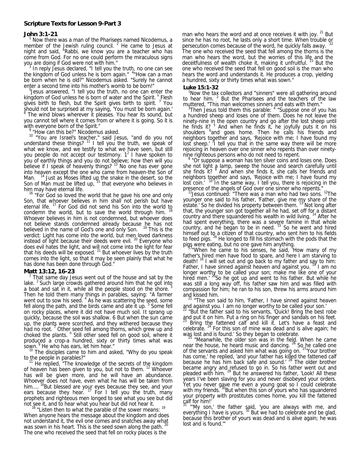#### **Scripture Texts for Lesson 9-Part 3**

#### **John 3:1-21** <sup>1</sup>

 Now there was a man of the Pharisees named Nicodemus, a member of the Jewish ruling council.  $2$  He came to Jesus at night and said, "Rabbi, we know you are a teacher who has come from God. For no one could perform the miraculous signs you are doing if God were not with him." 3

 In reply Jesus declared, "I tell you the truth, no one can see the kingdom of God unless he is born again." <sup>4"</sup>How can a man be born when he is old?" Nicodemus asked. "Surely he cannot enter a second time into his mother's womb to be born!"

<sup>5</sup> Jesus answered, "I tell you the truth, no one can enter the kingdom of God unless he is born of water and the Spirit. <sup>6</sup> Flesh gives birth to flesh, but the Spirit gives birth to spirit.<sup>7</sup> You should not be surprised at my saying, 'You must be born again.' 8 The wind blows wherever it pleases. You hear its sound, but

you cannot tell where it comes from or where it is going. So it is with everyone born of the Spirit."

"How can this be?" Nicodemus asked.

<sup>10</sup> "You are Israel's teacher," said Jesus, "and do you not understand these things?  $11$  I tell you the truth, we speak of what we know, and we testify to what we have seen, but still you people do not accept our testimony.  $1^2$  I have spoken to you of earthly things and you do not believe; how then will you believe if I speak of heavenly things?  $13$  No one has ever gone into heaven except the one who came from heaven-the Son of Man.  $14$  Just as Moses lifted up the snake in the desert, so the Son of Man must be lifted up, <sup>15</sup> that everyone who believes in him may have eternal life.<br><sup>16</sup> "For God so loved the world that he gave his one and only

Son, that whoever believes in him shall not perish but have eternal life. <sup>17</sup> For God did not send his Son into the world to condemn the world, but to save the world through him. Whoever believes in him is not condemned, but whoever does not believe stands condemned already because he has not believed in the name of God's one and only Son. <sup>19</sup> This is the verdict: Light has come into the world, but men loved darkness instead of light because their deeds were evil. <sup>20</sup> Everyone who does evil hates the light, and will not come into the light for fear that his deeds will be exposed. <sup>21</sup> But whoever lives by the truth comes into the light, so that it may be seen plainly that what he has done has been done through God."

#### **Matt 13:12, 16-23** <sup>1</sup>

 That same day Jesus went out of the house and sat by the lake.  $2$  Such large crowds gathered around him that he got into a boat and sat in it, while all the people stood on the shore. Then he told them many things in parables, saying: "A farmer went out to sow his seed.<sup>4</sup> As he was scattering the seed, some fell along the path, and the birds came and ate it up. <sup>5</sup> Some fell on rocky places, where it did not have much soil. It sprang up quickly, because the soil was shallow. 6 But when the sun came up, the plants were scorched, and they withered because they had no root.<sup>7</sup> Other seed fell among thorns, which grew up and choked the plants. <sup>8</sup> Still other seed fell on good soil, where it produced a crop-a hundred, sixty or thirty times what was

sown. <sup>9</sup> He who has ears, let him hear."<br><sup>10</sup> The disciples came to him and asked, "Why do you speak

to the people in parables?"<br><sup>11</sup> He replied, "The knowledge of the secrets of the kingdom of heaven has been given to you, but not to them. <sup>12</sup> Whoever has will be given more, and he will have an abundance. Whoever does not have, even what he has will be taken from him....<sup>16</sup>But blessed are your eyes because they see, and your ears because they hear.  $17$  For I tell you the truth, many prophets and righteous men longed to see what you see but did

not see it, and to hear what you hear but did not hear it.<br><sup>18</sup> "Listen then to what the parable of the sower means: <sup>19</sup> When anyone hears the message about the kingdom and does not understand it, the evil one comes and snatches away what was sown in his heart. This is the seed sown along the path. The one who received the seed that fell on rocky places is the

man who hears the word and at once receives it with joy. <sup>21</sup> But since he has no root, he lasts only a short time. When trouble or persecution comes because of the word, he quickly falls away. The one who received the seed that fell among the thorns is the man who hears the word, but the worries of this life and the deceitfulness of wealth choke it, making it unfruitful. <sup>23</sup> But the one who received the seed that fell on good soil is the man who hears the word and understands it. He produces a crop, yielding a hundred, sixty or thirty times what was sown."

#### **Luke 15:1-32**

 1Now the tax collectors and "sinners" were all gathering around to hear him. <sup>2</sup> But the Pharisees and the teachers of the law

muttered, "This man welcomes sinners and eats with them."<br><sup>3</sup> Then Jesus told them this parable: <sup>4</sup> "Suppose one of you has a hundred sheep and loses one of them. Does he not leave the ninety-nine in the open country and go after the lost sheep until he finds it?<sup>5</sup> And when he finds it, he joyfully puts it on his shoulders <sup>6</sup> and goes home. Then he calls his friends and neighbors together and says, 'Rejoice with me; I have found my lost sheep.' <sup>7</sup> I tell you that in the same way there will be more rejoicing in heaven over one sinner who repents than over ninety-

nine righteous persons who do not need to repent.<br><sup>8</sup> "Or suppose a woman has ten silver coins and loses one. Does she not light a lamp, sweep the house and search carefully until<br>she finds it? <sup>9</sup> And when she finds it, she calls her friends and neighbors together and says, 'Rejoice with me; I have found my<br>lost coin.' <sup>10</sup> In the same way, I tell you, there is rejoicing in the

presence of the angels of God over one sinner who repents." 1<sup>1</sup>Jesus continued: "There was a man who had two sons. <sup>12</sup>The younger one said to his father, 'Father, give me my share of the estate.' So he divided his property between them. <sup>13</sup> Not long after that, the younger son got together all he had, set off for a distant country and there squandered his wealth in wild living. <sup>14</sup> After he had spent everything, there was a severe famine in that whole<br>country, and he began to be in need. <sup>15</sup> So he went and hired himself out to a citizen of that country, who sent him to his fields<br>to feed pigs. <sup>16</sup> He longed to fill his stomach with the pods that the

pigs were eating, but no one gave him anything.<br>"When he came to his senses, he said, 'How many of my father's hired men have food to spare, and here I am starving to death! <sup>18</sup> I will set out and go back to my father and say to him: Father, I have sinned against heaven and against you.<sup>19</sup> I am no longer worthy to be called your son; make me like one of your<br>hired men.' <sup>20</sup>So he got up and went to his father. But while he was still a long way off, his father saw him and was filled with compassion for him; he ran to his son, threw his arms around him

and kissed him.<br><sup>21</sup> "The son said to him, 'Father, I have sinned against heaven

and against you. I am no longer worthy to be called your son.'<br><sup>22</sup> "But the father said to his servants, 'Quick! Bring the best robe and put it on him. Put a ring on his finger and sandals on his feet.<br><sup>23</sup> Bring the fattened calf and kill it. Let's have a feast and celebrate.  $24$  For this son of mine was dead and is alive again; he

was lost and is found.' So they began to celebrate.<br><sup>25</sup> "Meanwhile, the older son was in the field. When he came near the house, he heard music and dancing.  $^{26}$  So he called one of the servants and asked him what was going on. <sup>27</sup> Your brother has come,' he replied, 'and your father has killed the fattened calf because he has him back safe and sound.' 28 The older brother became angry and refused to go in. So his father went out and<br>pleaded with him. <sup>29</sup> But he answered his father, 'Look! All these years I've been slaving for you and never disobeyed your orders. Yet you never gave me even a young goat so I could celebrate<br>with my friends. <sup>30</sup>But when this son of yours who has squandered your property with prostitutes comes home, you kill the fattened calf for him!'

<sup>31</sup> "'My son,' the father said, 'you are always with me, and everything I have is yours.  $32$  But we had to celebrate and be glad, because this brother of yours was dead and is alive again; he was lost and is found."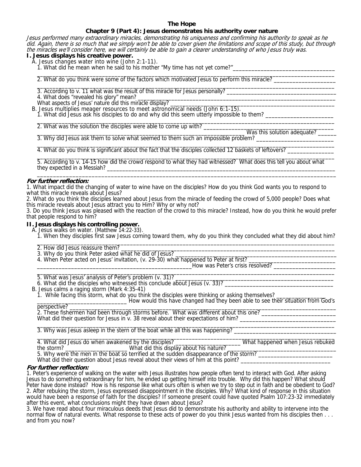# **The Hope**

# **Chapter 9 (Part 4): Jesus demonstrates his authority over nature**

Jesus performed many extraordinary miracles, demonstrating his uniqueness and confirming his authority to speak as he did. Again, there is so much that we simply won't be able to cover given the limitations and scope of this study, but through the miracles we'll consider here, we will certainly be able to gain a clearer understanding of who Jesus truly was.

 $\overline{\phantom{a}}$  , and the set of the set of the set of the set of the set of the set of the set of the set of the set of the set of the set of the set of the set of the set of the set of the set of the set of the set of the s

**I. Jesus displays his creative power.** 

- A. Jesus changes water into wine (John 2:1-11).
	- 1. What did he mean when he said to his mother "My time has not yet come?"

 \_\_\_\_\_\_\_\_\_\_\_\_\_\_\_\_\_\_\_\_\_\_\_\_\_\_\_\_\_\_\_\_\_\_\_\_\_\_\_\_\_\_\_\_\_\_\_\_\_\_\_\_\_\_\_\_\_\_\_\_\_\_\_\_\_\_\_\_\_\_\_\_\_\_\_\_\_\_\_\_\_\_\_\_\_\_\_\_\_\_\_\_\_\_\_\_ 2. What do you think were some of the factors which motivated Jesus to perform this miracle? \_\_\_\_\_\_\_\_\_\_\_\_\_\_\_\_\_\_\_\_

- 3. According to v. 11 what was the result of this miracle for Jesus personally?
- 4. What does "revealed his glory" mean? \_

What aspects of Jesus' nature did this miracle display?

- B. Jesus multiplies meager resources to meet astronomical needs (John 6:1-15).
- 1. What did Jesus ask his disciples to do and why did this seem utterly impossible to them? \_\_\_\_\_\_\_\_\_\_\_\_\_\_\_\_\_\_  $\frac{1}{2}$  ,  $\frac{1}{2}$  ,  $\frac{1}{2}$  ,  $\frac{1}{2}$  ,  $\frac{1}{2}$  ,  $\frac{1}{2}$  ,  $\frac{1}{2}$  ,  $\frac{1}{2}$  ,  $\frac{1}{2}$  ,  $\frac{1}{2}$  ,  $\frac{1}{2}$  ,  $\frac{1}{2}$  ,  $\frac{1}{2}$  ,  $\frac{1}{2}$  ,  $\frac{1}{2}$  ,  $\frac{1}{2}$  ,  $\frac{1}{2}$  ,  $\frac{1}{2}$  ,  $\frac{1$

2. What was the solution the disciples were able to come up with?

Was this solution adequate? \_ 3. Why did Jesus ask them to solve what seemed to them such an impossible problem?

4. What do you think is significant about the fact that the disciples collected 12 baskets of leftovers?

 5. According to v. 14-15 how did the crowd respond to what they had witnessed? What does this tell you about what they expected in a Messiah?  $\overline{\phantom{a}}$  ,  $\overline{\phantom{a}}$  ,  $\overline{\phantom{a}}$  ,  $\overline{\phantom{a}}$  ,  $\overline{\phantom{a}}$  ,  $\overline{\phantom{a}}$  ,  $\overline{\phantom{a}}$  ,  $\overline{\phantom{a}}$  ,  $\overline{\phantom{a}}$  ,  $\overline{\phantom{a}}$  ,  $\overline{\phantom{a}}$  ,  $\overline{\phantom{a}}$  ,  $\overline{\phantom{a}}$  ,  $\overline{\phantom{a}}$  ,  $\overline{\phantom{a}}$  ,  $\overline{\phantom{a}}$ 

## **For further reflection:**

1. What impact did the changing of water to wine have on the disciples? How do you think God wants you to respond to what this miracle reveals about Jesus?

2. What do you think the disciples learned about Jesus from the miracle of feeding the crowd of 5,000 people? Does what this miracle reveals about Jesus attract you to Him? Why or why not?

3. Do you think Jesus was pleased with the reaction of the crowd to this miracle? Instead, how do you think he would prefer that people respond to him?

 $\frac{1}{2}$  ,  $\frac{1}{2}$  ,  $\frac{1}{2}$  ,  $\frac{1}{2}$  ,  $\frac{1}{2}$  ,  $\frac{1}{2}$  ,  $\frac{1}{2}$  ,  $\frac{1}{2}$  ,  $\frac{1}{2}$  ,  $\frac{1}{2}$  ,  $\frac{1}{2}$  ,  $\frac{1}{2}$  ,  $\frac{1}{2}$  ,  $\frac{1}{2}$  ,  $\frac{1}{2}$  ,  $\frac{1}{2}$  ,  $\frac{1}{2}$  ,  $\frac{1}{2}$  ,  $\frac{1$ 

#### **II. Jesus displays his controlling power.**

A. Jesus walks on water. (Matthew 14:22-33).

- 1. When they disciples first saw Jesus coming toward them, why do you think they concluded what they did about him?
- 2. How did Jesus reassure them?
- 3. Why do you think Peter asked what he did of Jesus?
- 4. When Peter acted on Jesus' invitation, (v. 29-30) what happened to Peter at first?

 \_\_\_\_\_\_\_\_\_\_\_\_\_\_\_\_\_\_\_\_\_\_\_\_\_\_\_\_\_\_\_\_\_\_\_\_\_\_\_\_\_\_\_\_\_\_\_\_\_\_How was Peter's crisis resolved? \_\_\_\_\_\_\_\_\_\_\_\_\_\_\_\_\_\_\_\_  $\overline{\phantom{a}}$  ,  $\overline{\phantom{a}}$  ,  $\overline{\phantom{a}}$  ,  $\overline{\phantom{a}}$  ,  $\overline{\phantom{a}}$  ,  $\overline{\phantom{a}}$  ,  $\overline{\phantom{a}}$  ,  $\overline{\phantom{a}}$  ,  $\overline{\phantom{a}}$  ,  $\overline{\phantom{a}}$  ,  $\overline{\phantom{a}}$  ,  $\overline{\phantom{a}}$  ,  $\overline{\phantom{a}}$  ,  $\overline{\phantom{a}}$  ,  $\overline{\phantom{a}}$  ,  $\overline{\phantom{a}}$ 

5. What was Jesus' analysis of Peter's problem (v. 31)?

6. What did the disciples who witnessed this conclude about Jesus (v. 33)?

B. Jesus calms a raging storm (Mark 4:35-41)

1. While facing this storm, what do you think the disciples were thinking or asking themselves?

perspective?<br>
Flow would this have changed had they been able to see their situation from God's perspective? \_\_\_\_\_\_\_\_\_\_\_\_\_\_\_\_\_\_\_\_\_\_\_\_\_\_\_\_\_\_\_\_\_\_\_\_\_\_\_\_\_\_\_\_\_\_\_\_\_\_\_\_\_\_\_\_\_\_\_\_\_\_\_\_\_\_\_\_\_\_\_\_\_\_\_\_\_\_\_\_\_\_\_\_\_\_

2. These fishermen had been through storms before. What was different about this one? What did their question for Jesus in  $v$ . 38 reveal about their expectations of him?

 $\overline{\phantom{a}}$  ,  $\overline{\phantom{a}}$  ,  $\overline{\phantom{a}}$  ,  $\overline{\phantom{a}}$  ,  $\overline{\phantom{a}}$  ,  $\overline{\phantom{a}}$  ,  $\overline{\phantom{a}}$  ,  $\overline{\phantom{a}}$  ,  $\overline{\phantom{a}}$  ,  $\overline{\phantom{a}}$  ,  $\overline{\phantom{a}}$  ,  $\overline{\phantom{a}}$  ,  $\overline{\phantom{a}}$  ,  $\overline{\phantom{a}}$  ,  $\overline{\phantom{a}}$  ,  $\overline{\phantom{a}}$ 3. Why was Jesus asleep in the stern of the boat while all this was happening? \_\_\_\_\_\_\_\_\_\_\_\_\_\_\_\_\_\_\_\_\_\_\_\_\_\_\_\_\_\_\_\_\_ \_\_\_\_\_\_\_\_\_\_\_\_\_\_\_\_\_\_\_\_\_\_\_\_\_\_\_\_\_\_\_\_\_\_\_\_\_\_\_\_\_\_\_\_\_\_\_\_\_\_\_\_\_\_\_\_\_\_\_\_\_\_\_\_\_\_\_\_\_\_\_\_\_\_\_\_\_\_\_\_\_\_\_\_\_\_\_\_\_\_\_\_\_\_\_\_

 4. What did Jesus do when awakened by the disciples? \_\_\_\_\_\_\_\_\_\_\_\_\_\_\_\_\_\_\_\_\_ What happened when Jesus rebuked the storm? \_\_\_\_\_\_\_\_\_\_\_\_\_\_\_\_\_\_\_\_\_\_\_\_\_\_What did this display about his nature? \_\_\_\_\_\_\_\_\_\_\_\_\_\_\_\_\_\_\_\_\_\_\_\_\_\_\_\_\_\_\_\_\_

5. Why were the men in the boat so terrified at the sudden disappearance of the storm? What did their question about Jesus reveal about their views of him at this point?

# **For further reflection:**

1. Peter's experience of walking on the water with Jesus illustrates how people often tend to interact with God. After asking Jesus to do something extraordinary for him, he ended up getting himself into trouble. Why did this happen? What should Peter have done instead? How is his response like what ours often is when we try to step out in faith and be obedient to God? 2. After rebuking the storm, Jesus expressed disappointment in the disciples. Why? What kind of response in this situation would have been a response of faith for the disciples? If someone present could have quoted Psalm 107:23-32 immediately after this event, what conclusions might they have drawn about Jesus?

3. We have read about four miraculous deeds that Jesus did to demonstrate his authority and ability to intervene into the normal flow of natural events. What response to these acts of power do you think Jesus wanted from his disciples then . . . and from you now?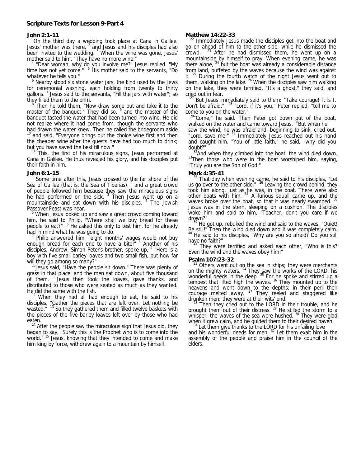#### **John 2:1-11** <sup>1</sup>

On the third day a wedding took place at Cana in Galilee. Jesus' mother was there,  $^2$  and Jesus and his disciples had also been invited to the wedding. <sup>3</sup> When the wine was gone, Jesus' mother said to him, "They have no more wine."

 "Dear woman, why do you involve me?" Jesus replied. "My time has not yet come." <sup>5</sup> His mother said to the servants, "Do whatever he tells you."

<sup>6</sup> Nearby stood six stone water jars, the kind used by the Jews for ceremonial washing, each holding from twenty to thirty gallons.<sup>7</sup> Jesus said to the servants, "Fill the jars with water"; so they filled them to the brim.

 Then he told them, "Now draw some out and take it to the master of the banquet." They did so, <sup>9</sup> and the master of the banquet tasted the water that had been turned into wine. He did not realize where it had come from, though the servants who had drawn the water knew. Then he called the bridegroom aside <sup>10</sup> and said, "Everyone brings out the choice wine first and then the cheaper wine after the guests have had too much to drink;

but you have saved the best till now."<br><sup>11</sup> This, the first of his miraculous signs, Jesus performed at Cana in Galilee. He thus revealed his glory, and his disciples put their faith in him.

#### **John 6:1-15** <sup>1</sup>

 Some time after this, Jesus crossed to the far shore of the Sea of Galilee (that is, the Sea of Tiberias),  $<sup>2</sup>$  and a great crowd</sup> of people followed him because they saw the miraculous signs he had performed on the sick.<sup>3</sup> Then Jesus went up on a mountainside and sat down with his disciples. <sup>4</sup> The Jewish Passover Feast was near.

 When Jesus looked up and saw a great crowd coming toward him, he said to Philip, "Where shall we buy bread for these people to eat?" <sup>6</sup> He asked this only to test him, for he already had in mind what he was going to do. 7

 Philip answered him, "eight months' wages would not buy enough bread for each one to have a bite!" <sup>8</sup> Another of his disciples, Andrew, Simon Peter's brother, spoke up, <sup>9</sup> "Here is a boy with five small barley loaves and two small fish, but how far

will they go among so many?"<br><sup>10</sup>Jesus said, "Have the people sit down." There was plenty of grass in that place, and the men sat down, about five thousand of them. <sup>11</sup> Jesus then took the loaves, gave thanks, and distributed to those who were seated as much as they wanted.

He did the same with the fish.<br><sup>12</sup> When they had all had enough to eat, he said to his disciples, "Gather the pieces that are left over. Let nothing be wasted." <sup>13</sup> So they gathered them and filled twelve baskets with the pieces of the five barley loaves left over by those who had

eaten.<br> $14$  After the people saw the miraculous sign that Jesus did, they began to say, "Surely this is the Prophet who is to come into the world." <sup>15</sup> Jesus, knowing that they intended to come and make him king by force, withdrew again to a mountain by himself.

**Matthew 14:22-33**<br><sup>22</sup> Immediately Jesus made the disciples get into the boat and go on ahead of him to the other side, while he dismissed the crowd.  $23$  After he had dismissed them, he went up on a mountainside by himself to pray. When evening came, he was there alone,  $^{24}$  but the boat was already a considerable distance from land, buffeted by the waves because the wind was against it.  $25$  During the fourth watch of the night Jesus went out to them, walking on the lake. <sup>26</sup> When the disciples saw him walking on the lake, they were terrified. "It's a ghost," they said, and cried out in fear.

But Jesus immediately said to them: "Take courage! It is I. Don't be afraid." 28 "Lord, if it's you," Peter replied, "tell me to come to you on the water."

 $29$ "Come," he said. Then Peter got down out of the boat, walked on the water and came toward Jesus. <sup>30</sup>But when he

saw the wind, he was afraid and, beginning to sink, cried out, "Lord, save me!" <sup>31</sup> Immediately Jesus reached out his hand and caught him. "You of little faith," he said, "why did you

doubt?"<br><sup>32</sup>And when they climbed into the boat, the wind died down.<br><sup>33</sup>Then those who were in the boat worshiped him, saying, "Truly you are the Son of God."

**Mark 4:35-41** 35 That day when evening came, he said to his disciples, "Let us go over to the other side." <sup>36</sup> Leaving the crowd behind, they took him along, just as he was, in the boat. There were also<br>other boats with him. <sup>37</sup> A furious squall came up, and th<u>e</u> waves broke over the boat, so that it was nearly swamped. 38 Jesus was in the stern, sleeping on a cushion. The disciples woke him and said to him, "Teacher, don't you care if we

drown?"<br><sup>39</sup> He got up, rebuked the wind and said to the waves, "Quiet! Be still!" Then the wind died down and it was completely calm. <sup>40</sup> He said to his disciples, "Why are you so afraid? Do you still<br>have no faith?"<br> $\frac{41 \text{ T}}{2}$ 

They were terrified and asked each other, "Who is this? Even the wind and the waves obey him!"

**Psalm 107:23-32**<br><sup>23</sup> Others went out on the sea in ships; they were merchants on the mighty waters.  $24$  They saw the works of the LORD, his wonderful deeds in the deep.  $25$  For he spoke and stirred up a tempest that lifted high the waves. <sup>26</sup> They mounted up to the heavens and went down to the depths; in their peril their<br>courage melted away. <sup>27</sup> They reeled and staggered like

drunken men; they were at their wits' end.<br><sup>28</sup> Then they cried out to the LORD in their trouble, and he brought them out of their distress.  $^{29}$  He stilled the storm to a whisper; the waves of the sea were hushed.<sup>30</sup> They were glad when it grew calm, and he guided them to their desired haven.

 $3<sup>31</sup>$  Let them give thanks to the LORD for his unfailing love and his wonderful deeds for men.  $3<sup>2</sup>$  Let them exalt him in the assembly of the people and praise him in the council of the elders.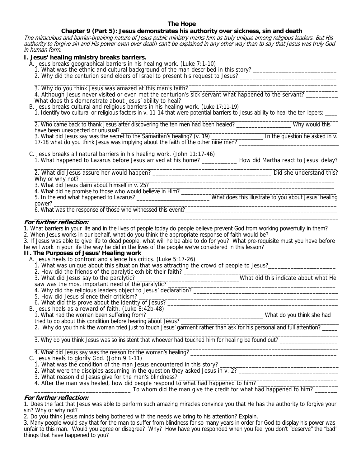# **The Hope**

# **Chapter 9 (Part 5): Jesus demonstrates his authority over sickness, sin and death**

The miraculous and barrier-breaking nature of Jesus public ministry marks him as truly unique among religious leaders. But His authority to forgive sin and His power even over death can't be explained in any other way than to say that Jesus was truly God in human form.

# **I. Jesus' healing ministry breaks barriers.**

A. Jesus breaks geographical barriers in his healing work. (Luke 7:1-10)

3. Why do you think Jesus was amazed at this man's faith?

- 1. What was the ethnic and cultural background of the man described in this story? \_\_\_\_\_\_\_\_\_\_\_\_\_\_\_\_\_\_\_\_\_\_\_\_\_\_\_
- 2. Why did the centurion send elders of Israel to present his request to Jesus?  $\frac{1}{\sqrt{2}}$  ,  $\frac{1}{\sqrt{2}}$  ,  $\frac{1}{\sqrt{2}}$  ,  $\frac{1}{\sqrt{2}}$  ,  $\frac{1}{\sqrt{2}}$  ,  $\frac{1}{\sqrt{2}}$  ,  $\frac{1}{\sqrt{2}}$  ,  $\frac{1}{\sqrt{2}}$  ,  $\frac{1}{\sqrt{2}}$  ,  $\frac{1}{\sqrt{2}}$  ,  $\frac{1}{\sqrt{2}}$  ,  $\frac{1}{\sqrt{2}}$  ,  $\frac{1}{\sqrt{2}}$  ,  $\frac{1}{\sqrt{2}}$  ,  $\frac{1}{\sqrt{2}}$
- 4. Although Jesus never visited or even met the centurion's sick servant what happened to the servant? What does this demonstrate about Jesus' ability to heal? \_\_\_\_\_\_\_\_\_\_\_\_\_\_\_\_\_\_\_\_\_\_\_\_\_\_\_\_\_\_\_\_\_\_\_\_\_\_\_\_\_\_\_\_\_\_\_\_ B. Jesus breaks cultural and religious barriers in his healing work. (Luke 17:11-19) 1. Identify two cultural or religious factors in v. 11-14 that were potential barriers to Jesus ability to heal the ten lepers: <br>2. Who came back to thank Jesus after discovering the ten men had been healed? \_\_\_\_\_\_\_\_\_\_\_\_\_\_ 2. Who came back to thank Jesus after discovering the ten men had been healed? \_\_\_\_\_\_\_\_\_\_\_\_\_\_\_\_\_\_ Why would this have been unexpected or unusual? \_\_\_\_\_\_\_\_\_\_\_\_\_\_\_\_\_\_\_\_\_\_\_\_\_\_\_\_\_\_\_\_\_\_\_\_\_\_\_\_\_\_\_\_\_\_\_\_\_\_\_\_\_\_\_\_\_\_\_\_\_\_\_\_\_\_\_\_\_\_\_ 3. What did Jesus say was the secret to the Samaritan's healing? (v. 19) \_\_\_\_\_\_\_\_\_\_\_\_\_\_\_\_\_ In the question he asked in v. 17-18 what do you think Jesus was implying about the faith of the other nine men? \_\_\_\_\_\_\_\_\_\_\_\_\_\_\_\_\_\_\_\_\_\_\_\_\_\_\_\_\_\_\_\_\_  $\frac{1}{\sqrt{2}}$  ,  $\frac{1}{\sqrt{2}}$  ,  $\frac{1}{\sqrt{2}}$  ,  $\frac{1}{\sqrt{2}}$  ,  $\frac{1}{\sqrt{2}}$  ,  $\frac{1}{\sqrt{2}}$  ,  $\frac{1}{\sqrt{2}}$  ,  $\frac{1}{\sqrt{2}}$  ,  $\frac{1}{\sqrt{2}}$  ,  $\frac{1}{\sqrt{2}}$  ,  $\frac{1}{\sqrt{2}}$  ,  $\frac{1}{\sqrt{2}}$  ,  $\frac{1}{\sqrt{2}}$  ,  $\frac{1}{\sqrt{2}}$  ,  $\frac{1}{\sqrt{2}}$  C. Jesus breaks all natural barriers in his healing work. (John 11:17-46) 1. What happened to Lazarus before Jesus arrived at his home? \_\_\_\_\_\_\_\_\_\_\_ How did Martha react to Jesus' delay?  $\overline{\phantom{a}}$  ,  $\overline{\phantom{a}}$  ,  $\overline{\phantom{a}}$  ,  $\overline{\phantom{a}}$  ,  $\overline{\phantom{a}}$  ,  $\overline{\phantom{a}}$  ,  $\overline{\phantom{a}}$  ,  $\overline{\phantom{a}}$  ,  $\overline{\phantom{a}}$  ,  $\overline{\phantom{a}}$  ,  $\overline{\phantom{a}}$  ,  $\overline{\phantom{a}}$  ,  $\overline{\phantom{a}}$  ,  $\overline{\phantom{a}}$  ,  $\overline{\phantom{a}}$  ,  $\overline{\phantom{a}}$  2. What did Jesus assure her would happen? \_\_\_\_\_\_\_\_\_\_\_\_\_\_\_\_\_\_\_\_\_\_\_\_\_\_\_\_\_\_\_\_\_\_\_\_\_ Did she understand this? Why or why not? \_\_\_\_\_\_\_\_\_\_\_\_\_\_\_\_\_\_\_\_\_\_\_\_\_\_\_\_\_\_\_\_\_\_\_\_\_\_\_\_\_\_\_\_\_\_\_\_\_\_\_\_\_\_\_\_\_\_\_\_\_\_\_\_\_\_\_\_\_\_\_\_\_\_\_\_\_\_\_ 3. What did Jesus claim about himself in v. 25?\_\_\_\_\_\_\_\_\_\_\_\_\_\_\_\_\_\_\_\_\_\_\_\_\_\_\_\_\_\_\_\_\_\_\_\_\_\_\_\_\_\_\_\_\_\_\_\_\_\_\_\_\_\_\_\_\_\_\_\_\_ 4. What did he promise to those who would believe in Him? \_\_\_\_\_\_\_\_\_\_\_\_\_\_\_\_\_\_\_\_\_\_\_\_\_\_\_\_\_\_\_\_\_\_\_\_\_\_\_\_\_\_\_\_\_\_\_\_\_\_\_ 5. In the end what happened to Lazarus? \_\_\_\_\_\_\_\_\_\_\_\_\_\_\_\_\_\_\_\_\_\_\_\_ What does this illustrate to you about Jesus' healing power? \_\_\_\_\_\_\_\_\_\_\_\_\_\_\_\_\_\_\_\_\_\_\_\_\_\_\_\_\_\_\_\_\_\_\_\_\_\_\_\_\_\_\_\_\_\_\_\_\_\_\_\_\_\_\_\_\_\_\_\_\_\_\_\_\_\_\_\_\_\_\_\_\_\_\_\_\_\_\_\_\_\_\_\_\_\_\_\_\_\_\_\_\_ 6. What was the response of those who witnessed this event?\_\_\_\_\_\_\_\_\_\_\_\_\_\_\_\_\_\_\_\_\_\_\_\_\_\_\_\_\_\_\_\_\_\_\_\_\_\_\_\_\_\_\_\_\_\_\_\_\_\_  $\overline{\phantom{a}}$  , and the set of the set of the set of the set of the set of the set of the set of the set of the set of the set of the set of the set of the set of the set of the set of the set of the set of the set of the s **For further reflection:**  1. What barriers in your life and in the lives of people today do people believe prevent God from working powerfully in them? 2. When Jesus works in our behalf, what do you think the appropriate response of faith would be? 3. If Jesus was able to give life to dead people, what will he be able to do for you? What pre-requisite must you have before he will work in your life the way he did in the lives of the people we've considered in this lesson? **II. The Purposes of Jesus' Healing work**  A. Jesus heals to confront and silence his critics. (Luke 5:17-26) 1. What was unique about this situation that was attracting the crowd of people to Jesus?\_\_\_\_\_\_\_\_\_\_\_\_\_\_\_\_\_\_\_\_\_ 2. How did the friends of the paralytic exhibit their faith? \_\_\_\_\_\_\_\_\_\_\_\_\_\_\_\_\_\_\_\_\_\_\_\_\_\_\_\_\_\_\_\_\_\_\_\_\_\_\_\_\_\_\_\_\_\_\_ 3. What did Jesus say to the paralytic? \_\_\_\_\_\_\_\_\_\_\_\_\_\_\_\_\_\_\_\_\_\_\_\_\_\_\_\_\_\_\_\_What did this indicate about what He saw was the most important need of the paralytic? \_\_\_\_\_\_\_\_\_\_\_\_\_\_\_\_\_\_\_\_\_\_\_\_\_\_\_\_\_\_\_\_\_\_\_\_\_\_\_\_\_\_\_\_\_\_\_\_\_\_\_\_ 4. Why did the religious leaders object to Jesus' declaration? \_\_\_\_\_\_\_\_\_\_\_\_\_\_\_\_\_\_\_\_\_\_\_\_\_\_\_\_\_\_\_\_\_\_\_\_\_\_\_\_\_\_\_\_\_ 5. How did Jesus silence their criticism? \_\_\_\_\_\_\_\_\_\_\_\_\_\_\_\_\_\_\_\_\_\_\_\_\_\_\_\_\_\_\_\_\_\_\_\_\_\_\_\_\_\_\_\_\_\_\_\_\_\_\_\_\_\_\_\_\_\_\_\_\_\_ 6. What did this prove about the identity of Jesus? \_\_\_\_\_\_\_\_\_\_\_\_\_\_\_\_\_\_\_\_\_\_\_\_\_\_\_\_\_\_\_\_\_\_\_\_\_\_\_\_\_\_\_\_\_\_\_\_\_\_\_\_\_\_\_ B. Virial did this prove about the identity of social  $B$ .<br>B. Jesus heals as a reward of faith. (Luke 8:42b-48) 1. What had the woman been suffering from? \_\_\_\_\_\_\_\_\_\_\_\_\_\_\_\_\_\_\_\_\_\_\_\_\_\_\_\_\_\_\_\_\_\_\_\_\_\_ What do you think she had tried to do about this condition before hearing about Jesus? \_\_\_\_\_\_\_\_\_\_\_\_\_\_\_\_\_\_\_\_\_\_\_\_\_\_\_\_\_\_\_\_\_\_\_\_\_\_\_\_\_\_\_\_\_\_\_\_\_\_\_\_ 2. Why do you think the woman tried just to touch Jesus' garment rather than ask for his personal and full attention?  $\overline{\phantom{a}}$  , and the set of the set of the set of the set of the set of the set of the set of the set of the set of the set of the set of the set of the set of the set of the set of the set of the set of the set of the s 3. Why do you think Jesus was so insistent that whoever had touched him for healing be found out? \_\_\_\_\_\_\_\_\_\_\_\_\_\_\_\_\_\_\_  $\overline{\phantom{a}}$  , and the set of the set of the set of the set of the set of the set of the set of the set of the set of the set of the set of the set of the set of the set of the set of the set of the set of the set of the s 4. What did Jesus say was the reason for the woman's healing? \_\_\_\_\_\_\_\_\_\_\_\_\_\_\_\_\_\_\_\_\_\_\_\_\_\_\_\_\_\_\_\_\_\_\_\_\_\_\_\_\_\_\_\_\_\_\_\_ C. Jesus heals to glorify God. (John 9:1-11) 1. What was the condition of the man Jesus encountered in this story? \_\_\_\_\_\_\_\_\_\_\_\_\_\_\_\_\_\_\_\_\_\_\_\_\_\_\_\_\_\_\_\_\_\_\_\_\_ 2. What were the disciples assuming in the question they asked Jesus in v. 2? \_\_\_\_\_\_\_\_\_\_\_\_\_\_\_\_\_\_\_\_\_\_\_\_\_\_\_\_\_\_\_\_ 3. What reason did Jesus give for the man's blindness? \_\_\_\_\_\_\_\_\_\_\_\_\_\_\_\_\_\_\_\_\_\_\_\_\_\_\_\_\_\_\_\_\_\_\_\_\_\_\_\_\_\_\_\_\_\_\_\_\_ 4. After the man was healed, how did people respond to what had happened to him? \_\_\_\_\_\_\_\_\_\_\_\_\_\_\_\_\_\_\_\_\_\_\_\_\_\_\_\_\_  $\hbox{\large \iint}$   $\hbox{\large \iint}$  to whom did the man give the credit for what had happened to him?  $\hbox{\large \iint}$

# **For further reflection:**

1. Does the fact that Jesus was able to perform such amazing miracles convince you that He has the authority to forgive your sin? Why or why not?

2. Do you think Jesus minds being bothered with the needs we bring to his attention? Explain.

3. Many people would say that for the man to suffer from blindness for so many years in order for God to display his power was unfair to this man. Would you agree or disagree? Why? How have you responded when you feel you don't "deserve" the "bad" things that have happened to you?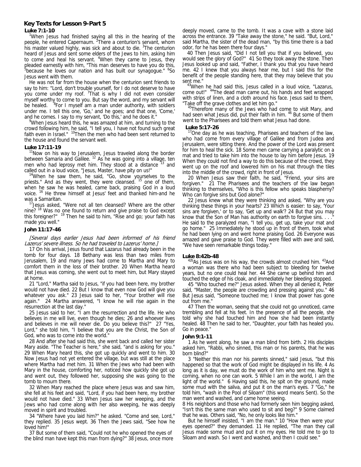#### **Key Texts for Lesson 9-Part 5**

#### **Luke 7:1-10**

<sup>1</sup>When Jesus had finished saying all this in the hearing of the people, he entered Capernaum. <sup>2</sup> There a centurion's servant, whom his master valued highly, was sick and about to die. <sup>3</sup>The centurion heard of Jesus and sent some elders of the Jews to him, asking him to come and heal his servant. <sup>4</sup>When they came to Jesus, they pleaded earnestly with him, "This man deserves to have you do this,<br>"because he loves our nation and has built our synagogue." <sup>6</sup>So Jesus went with them.

 He was not far from the house when the centurion sent friends to say to him: "Lord, don't trouble yourself, for I do not deserve to have you come under my roof. <sup>7</sup>That is why I did not even consider myself worthy to come to you. But say the word, and my servant will be healed. <sup>8</sup>For I myself am a man under authority, with soldiers under me. I tell this one, 'Go,' and he goes; and that one, 'Come,' and he comes. I say to my servant, 'Do this,' and he does it."

<sup>9</sup>When Jesus heard this, he was amazed at him, and turning to the crowd following him, he said, "I tell you, I have not found such great faith even in Israel." <sup>10</sup>Then the men who had been sent returned to the house and found the servant well.

**Luke 17:11-19**<br><sup>11</sup>Now on his way to Jerusalem, Jesus traveled along the border between Samaria and Galilee.  $12$  As he was going into a village, ten men who had leprosy met him. They stood at a distance  $13$  and

called out in a loud voice, "Jesus, Master, have pity on us!"<br><sup>14</sup>When he saw them, he said, "Go, show yourselves to the priests." And as they went, they were cleansed. <sup>15</sup> one of them, when he saw he was healed, came back, praising God in a loud voice. 16 He threw himself at Jesus' feet and thanked him-and he was a Samaritan.<br><sup>17</sup>Jesus asked, "Were not all ten cleansed? Where are the other

nine? <sup>18</sup> Was no one found to return and give praise to God except this foreigner?" <sup>19</sup> Then he said to him, "Rise and go; your faith has Then he said to him, "Rise and go; your faith has made you well."

#### **John 11:17-46**

#### [Several days earlier Jesus had been informed of his friend Lazerus' severe illness. So he had traveled to Lazerus' home.]

 17 On his arrival, Jesus found that Lazarus had already been in the tomb for four days. 18 Bethany was less than two miles from Jerusalem, 19 and many Jews had come to Martha and Mary to comfort them in the loss of their brother. 20 When Martha heard that Jesus was coming, she went out to meet him, but Mary stayed at home.

 21 "Lord," Martha said to Jesus, "if you had been here, my brother would not have died. 22 But I know that even now God will give you whatever you ask." 23 Jesus said to her, "Your brother will rise again." 24 Martha answered, "I know he will rise again in the resurrection at the last day."

 25 Jesus said to her, "I am the resurrection and the life. He who believes in me will live, even though he dies; 26 and whoever lives and believes in me will never die. Do you believe this?" 27 "Yes, Lord," she told him, "I believe that you are the Christ, the Son of God, who was to come into the world."

 28 And after she had said this, she went back and called her sister Mary aside. "The Teacher is here," she said, "and is asking for you." 29 When Mary heard this, she got up quickly and went to him. 30 Now Jesus had not yet entered the village, but was still at the place where Martha had met him. 31 When the Jews who had been with Mary in the house, comforting her, noticed how quickly she got up and went out, they followed her, supposing she was going to the tomb to mourn there.

 32 When Mary reached the place where Jesus was and saw him, she fell at his feet and said, "Lord, if you had been here, my brother would not have died." 33 When Jesus saw her weeping, and the Jews who had come along with her also weeping, he was deeply moved in spirit and troubled.

 34 "Where have you laid him?" he asked. "Come and see, Lord," they replied. 35 Jesus wept. 36 Then the Jews said, "See how he loved him!"

 37 But some of them said, "Could not he who opened the eyes of the blind man have kept this man from dying?" 38 Jesus, once more deeply moved, came to the tomb. It was a cave with a stone laid across the entrance. 39 "Take away the stone," he said. "But, Lord," said Martha, the sister of the dead man, "by this time there is a bad odor, for he has been there four days.

 40 Then Jesus said, "Did I not tell you that if you believed, you would see the glory of God?" 41 So they took away the stone. Then Jesus looked up and said, "Father, I thank you that you have heard me. 42 I knew that you always hear me, but I said this for the benefit of the people standing here, that they may believe that you sent me."<br><sup>43</sup>When he had said this, Jesus called in a loud voice, "Lazarus,

come out!" <sup>44</sup>The dead man came out, his hands and feet wrapped with strips of linen, and a cloth around his face. Jesus said to them,<br>"Take off the grave clothes and let him go."

"Take off the grave clothes and let him go."<br><sup>45</sup>Therefore many of the Jews who had come to visit Mary, and had seen what Jesus did, put their faith in him. <sup>46</sup> But some of them went to the Pharisees and told them what Jesus had done.

#### **Luke 5:17-26**

'One day as he was teaching, Pharisees and teachers of the law, who had come from every village of Galilee and from Judea and Jerusalem, were sitting there. And the power of the Lord was present for him to heal the sick. 18 Some men came carrying a paralytic on a mat and tried to take him into the house to lay him before Jesus. 19 When they could not find a way to do this because of the crowd, they went up on the roof and lowered him on his mat through the tiles into the middle of the crowd, right in front of Jesus.

 20 When Jesus saw their faith, he said, "Friend, your sins are forgiven." 21 The Pharisees and the teachers of the law began thinking to themselves, "Who is this fellow who speaks blasphemy? Who can forgive sins but God alone?"

22 Jesus knew what they were thinking and asked, "Why are you thinking these things in your hearts? 23 Which is easier: to say, 'Your sins are forgiven,' or to say, 'Get up and walk'? 24 But that you may know that the Son of Man has authority on earth to forgive sins. . . He said to the paralyzed man, "I tell you, get up, take your mat and go home." 25 Immediately he stood up in front of them, took what he had been lying on and went home praising God. 26 Everyone was amazed and gave praise to God. They were filled with awe and said, "We have seen remarkable things today."

**Luke 8:42b-48**<br><sup>42b</sup>As Jesus was on his way, the crowds almost crushed him. <sup>43</sup>And a woman was there who had been subject to bleeding for twelve years, but no one could heal her. 44 She came up behind him and touched the edge of his cloak, and immediately her bleeding stopped.

 45 "Who touched me?" Jesus asked. When they all denied it, Peter said, "Master, the people are crowding and pressing against you." 46 But Jesus said, "Someone touched me; I know that power has gone out from me."

 47 Then the woman, seeing that she could not go unnoticed, came trembling and fell at his feet. In the presence of all the people, she told why she had touched him and how she had been instantly healed. 48 Then he said to her, "Daughter, your faith has healed you. Go in peace."

#### **John 9:1-11**

 1 As he went along, he saw a man blind from birth. 2 His disciples asked him, "Rabbi, who sinned, this man or his parents, that he was born blind?"

 3 "Neither this man nor his parents sinned," said Jesus, "but this happened so that the work of God might be displayed in his life. 4 As long as it is day, we must do the work of him who sent me. Night is coming, when no one can work. 5 While I am in the world, I am the light of the world." 6 Having said this, he spit on the ground, made some mud with the saliva, and put it on the man's eyes. 7 "Go," he told him, "wash in the Pool of Siloam" (this word means Sent). So the man went and washed, and came home seeing.

8 His neighbors and those who had formerly seen him begging asked, "Isn't this the same man who used to sit and beg?" 9 Some claimed that he was. Others said, "No, he only looks like him."

 But he himself insisted, "I am the man." 10 "How then were your eyes opened?" they demanded. 11 He replied, "The man they call Jesus made some mud and put it on my eyes. He told me to go to Siloam and wash. So I went and washed, and then I could see."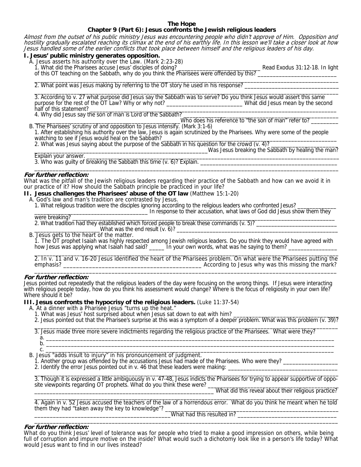# **The Hope**

# **Chapter 9 (Part 6): Jesus confronts the Jewish religious leaders**

Almost from the outset of his public ministry Jesus was encountering people who didn't approve of Him. Opposition and hostility gradually escalated reaching its climax at the end of his earthly life. In this lesson we'll take a closer look at how Jesus handled some of the earlier conflicts that took place between himself and the religious leaders of his day.

#### **I. Jesus' public ministry generates opposition.**

A. Jesus asserts his authority over the Law. (Mark 2:23-28)

1. What did the Pharisees accuse Jesus' disciples of doing? \_\_\_\_\_\_\_\_\_\_\_\_\_\_\_\_\_\_\_\_\_\_\_\_\_\_\_ Read Exodus 31:12-18. In light

 of this OT teaching on the Sabbath, why do you think the Pharisees were offended by this? \_\_\_\_\_\_\_\_\_\_\_\_\_\_\_\_\_\_\_\_\_\_\_\_\_\_  $\frac{1}{\sqrt{2}}$  ,  $\frac{1}{\sqrt{2}}$  ,  $\frac{1}{\sqrt{2}}$  ,  $\frac{1}{\sqrt{2}}$  ,  $\frac{1}{\sqrt{2}}$  ,  $\frac{1}{\sqrt{2}}$  ,  $\frac{1}{\sqrt{2}}$  ,  $\frac{1}{\sqrt{2}}$  ,  $\frac{1}{\sqrt{2}}$  ,  $\frac{1}{\sqrt{2}}$  ,  $\frac{1}{\sqrt{2}}$  ,  $\frac{1}{\sqrt{2}}$  ,  $\frac{1}{\sqrt{2}}$  ,  $\frac{1}{\sqrt{2}}$  ,  $\frac{1}{\sqrt{2}}$ 

2. What point was Jesus making by referring to the OT story he used in his response?

 3. According to v. 27 what purpose did Jesus say the Sabbath was to serve? Do you think Jesus would assert this same purpose for the rest of the OT Law? Why or why not? \_\_\_\_\_\_\_\_\_\_\_\_\_\_\_\_\_\_\_\_\_\_\_\_\_\_\_\_What did Jesus mean by the second half of this statement?

4. Why did Jesus say the son of man is Lord of the Sabbath?<br>Who does his reference to "the son of man" refer to? B. The Pharisees' scrutiny of and opposition to Jesus intensify. (Mark 3:1-6)

 1. After establishing his authority over the law, Jesus is again scrutinized by the Pharisees. Why were some of the people watching to see if Jesus would heal on the Sabbath?

2. What was Jesus saying about the purpose of the Sabbath in his question for the crowd  $(v. 4)$ ?

Was Jesus breaking the Sabbath by healing the man?

Explain your answer.

3. Who was guilty of breaking the Sabbath this time (v. 6)? Explain.  $\frac{1}{\sqrt{2}}$  ,  $\frac{1}{\sqrt{2}}$  ,  $\frac{1}{\sqrt{2}}$  ,  $\frac{1}{\sqrt{2}}$  ,  $\frac{1}{\sqrt{2}}$  ,  $\frac{1}{\sqrt{2}}$  ,  $\frac{1}{\sqrt{2}}$  ,  $\frac{1}{\sqrt{2}}$  ,  $\frac{1}{\sqrt{2}}$  ,  $\frac{1}{\sqrt{2}}$  ,  $\frac{1}{\sqrt{2}}$  ,  $\frac{1}{\sqrt{2}}$  ,  $\frac{1}{\sqrt{2}}$  ,  $\frac{1}{\sqrt{2}}$  ,  $\frac{1}{\sqrt{2}}$ 

#### **For further reflection:**

What was the pitfall of the Jewish religious leaders regarding their practice of the Sabbath and how can we avoid it in our practice of it? How should the Sabbath principle be practiced in your life?

**II. Jesus challenges the Pharisees' abuse of the OT law** (Matthew 15:1-20)

A. God's law and man's tradition are contrasted by Jesus.

1. What religious tradition were the disciples ignoring according to the religious leaders who confronted Jesus?

In response to their accusation, what laws of God did Jesus show them they were breaking?  $\Box$ 

2. What tradition had they established which forced people to break these commands (v. 5)? \_\_\_\_\_\_\_\_\_\_\_\_\_\_\_\_\_\_\_\_\_\_\_\_\_\_\_

 $\_$ What was the end result (v. 6)?  $\_$ 

B. Jesus gets to the heart of the matter.

 1. The OT prophet Isaiah was highly respected among Jewish religious leaders. Do you think they would have agreed with how Jesus was applying what Isaiah had said? \_\_\_\_\_\_\_ In your own words, what was he saying to them?

 2. In v. 11 and v. 16-20 Jesus identified the heart of the Pharisees problem. On what were the Pharisees putting the emphasis? \_\_\_\_\_\_\_\_\_\_\_\_\_\_\_\_\_\_\_\_\_\_\_\_\_\_\_\_\_\_\_\_\_\_\_\_\_\_\_\_\_\_\_ According to Jesus why was this missing the mark?  $\frac{1}{2}$  ,  $\frac{1}{2}$  ,  $\frac{1}{2}$  ,  $\frac{1}{2}$  ,  $\frac{1}{2}$  ,  $\frac{1}{2}$  ,  $\frac{1}{2}$  ,  $\frac{1}{2}$  ,  $\frac{1}{2}$  ,  $\frac{1}{2}$  ,  $\frac{1}{2}$  ,  $\frac{1}{2}$  ,  $\frac{1}{2}$  ,  $\frac{1}{2}$  ,  $\frac{1}{2}$  ,  $\frac{1}{2}$  ,  $\frac{1}{2}$  ,  $\frac{1}{2}$  ,  $\frac{1$ 

#### **For further reflection:**

Jesus pointed out repeatedly that the religious leaders of the day were focusing on the wrong things. If Jesus were interacting with religious people today, how do you think his assessment would change? Where is the focus of religiosity in your own life? Where should it be?

**III. Jesus confronts the hypocrisy of the religious leaders.** (Luke 11:37-54)

A. At a dinner with a Pharisee Jesus "turns up the heat."

- 1. What was Jesus' host surprised about when Jesus sat down to eat with him?
- 2. Jesus pointed out that the Pharisee's surprise at this was a symptom of a deeper problem. What was this problem (v. 39)?

 3. Jesus made three more severe indictments regarding the religious practice of the Pharisees. What were they? a. \_\_\_\_\_\_\_\_\_\_\_\_\_\_\_\_\_\_\_\_\_\_\_\_\_\_\_\_\_\_\_\_\_\_\_\_\_\_\_\_\_\_\_\_\_\_\_\_\_\_\_\_\_\_\_\_\_\_\_\_\_\_\_\_\_\_\_\_\_\_\_\_\_\_\_\_\_\_\_\_\_\_\_\_\_\_\_\_\_\_\_\_\_  $b.$   $\Box$ 

 $c. \tfrac{1}{2}$ B. Jesus "adds insult to injury" in his pronouncement of judgment.

1. Another group was offended by the accusations Jesus had made of the Pharisees. Who were they? \_\_\_\_\_\_\_\_\_\_\_\_\_\_\_\_\_\_

2. Identify the error Jesus pointed out in v. 46 that these leaders were making:

 $\frac{1}{2}$  ,  $\frac{1}{2}$  ,  $\frac{1}{2}$  ,  $\frac{1}{2}$  ,  $\frac{1}{2}$  ,  $\frac{1}{2}$  ,  $\frac{1}{2}$  ,  $\frac{1}{2}$  ,  $\frac{1}{2}$  ,  $\frac{1}{2}$  ,  $\frac{1}{2}$  ,  $\frac{1}{2}$  ,  $\frac{1}{2}$  ,  $\frac{1}{2}$  ,  $\frac{1}{2}$  ,  $\frac{1}{2}$  ,  $\frac{1}{2}$  ,  $\frac{1}{2}$  ,  $\frac{1$  3. Though it is expressed a little ambiguously in v. 47-48, Jesus indicts the Pharisees for trying to appear supportive of oppo site viewpoints regarding OT prophets. What do you think these were?

What did this reveal about their religious practice?  $\overline{\phantom{a}}$  , and the set of the set of the set of the set of the set of the set of the set of the set of the set of the set of the set of the set of the set of the set of the set of the set of the set of the set of the s

 4. Again in v. 52 Jesus accused the teachers of the law of a horrendous error. What do you think he meant when he told them they had "taken away the key to knowledge"?

 \_\_\_\_\_\_\_\_\_\_\_\_\_\_\_\_\_\_\_\_\_\_\_\_\_\_\_\_\_\_\_\_\_\_\_\_\_\_\_\_\_\_\_\_What had this resulted in? \_\_\_\_\_\_\_\_\_\_\_\_\_\_\_\_\_\_\_\_\_\_\_\_\_\_\_\_\_\_\_\_ \_\_\_\_\_\_\_\_\_\_\_\_\_\_\_\_\_\_\_\_\_\_\_\_\_\_\_\_\_\_\_\_\_\_\_\_\_\_\_\_\_\_\_\_\_\_\_\_\_\_\_\_\_\_\_\_\_\_\_\_\_\_\_\_\_\_\_\_\_\_\_\_\_\_\_\_\_\_\_\_\_\_\_\_\_\_\_\_\_\_\_\_\_\_\_\_\_\_

#### **For further reflection:**

What do you think Jesus' level of tolerance was for people who tried to make a good impression on others, while being full of corruption and impure motive on the inside? What would such a dichotomy look like in a person's life today? What would Jesus want to find in our lives instead?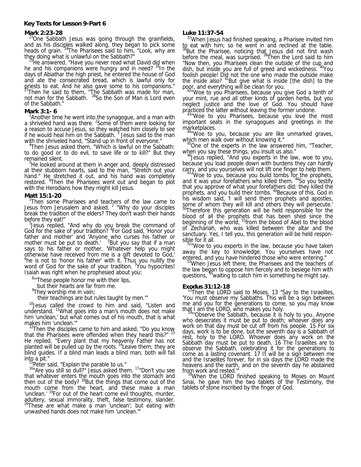#### **Key Texts for Lesson 9-Part 6**

#### **Mark 2:23-28**

<sup>23</sup>One Sabbath Jesus was going through the grainfields, and as his disciples walked along, they began to pick some heads of grain. <sup>24</sup>The Pharisees said to him, "Look, why are

they doing what is unlawful on the Sabbath?"<br><sup>25</sup>He answered, "Have you never read what David did when he and his companions were hungry and in need?  $^{26}$ In the days of Abiathar the high priest, he entered the house of God and ate the consecrated bread, which is lawful only for priests to eat. And he also gave some to his companions."  $^{27}$ Then he said to them, "The Sabbath was made for man, not man for the Sabbath. <sup>28</sup>So the Son of Man is Lord even of the Sabbath."

#### **Mark 3:1- 6**

<sup>1</sup> Another time he went into the synagogue, and a man with a shriveled hand was there. <sup>2</sup> Some of them were looking for a reason to accuse Jesus, so they watched him closely to see if he would heal him on the Sabbath.  $3$  Jesus said to the man with the shriveled hand, "Stand up in front of everyone."

Then Jesus asked them, "Which is lawful on the Sabbath: to do good or to do evil, to save life or to kill?" But they remained silent.

5 He looked around at them in anger and, deeply distressed at their stubborn hearts, said to the man, "Stretch out your hand." He stretched it out, and his hand was completely restored. <sup>6</sup> Then the Pharisees went out and began to plot with the Herodians how they might kill Jesus.

#### **Matt 15:1-20**

Then some Pharisees and teachers of the law came to Jesus from Jerusalem and asked,  $2$  "Why do your disciples break the tradition of the elders? They don't wash their hands before they eat!"

 $3$  Jesus replied, "And why do you break the command of God for the sake of your tradition? <sup>4</sup> For God said, 'Honor your father and mother' and 'Anyone who curses his father or mother must be put to death. <sup>5</sup>But you say that if a man says to his father or mother, 'Whatever help you might otherwise have received from me is a gift devoted to God,'<br><sup>6</sup>he is not to 'honor his father' with it. Thus you nullify the word of God for the sake of your tradition. <sup>7</sup> You hypocrites! Isaiah was right when he prophesied about you:

<sup>8</sup>"These people honor me with their lips,

but their hearts are far from me.

<sup>9</sup>They worship me in vain;

their teachings are but rules taught by men.'"

<sup>10</sup>Jesus called the crowd to him and said, "Listen and understand. 11What goes into a man's mouth does not make him 'unclean,' but what comes out of his mouth, that is what makes him 'unclean.'"

 $12$ Then the disciples came to him and asked, "Do you know that the Pharisees were offended when they heard this?" <sup>13</sup> He replied, "Every plant that my heavenly Father has not planted will be pulled up by the roots. 14Leave them; they are blind guides. If a blind man leads a blind man, both will fall into a pit."<br> $\frac{15}{15}$  both said. "Evalain the parable to us."

<sup>19</sup>Peter said, "Explain the parable to us."<br><sup>16</sup>"Are you still so dull?" Jesus asked them. <sup>17</sup>"Don't you see that whatever enters the mouth goes into the stomach and then out of the body?  $18$ But the things that come out of the mouth come from the heart, and these make a man 'unclean.' <sup>19</sup>For out of the heart come evil thoughts, murder, adultery, sexual immorality, theft, false testimony, slander.  $^{\circ}$ These are what make a man 'unclean'; but eating with unwashed hands does not make him 'unclean.'"

#### **Luke 11:37-54**

<sup>37</sup>When Jesus had finished speaking, a Pharisee invited him to eat with him; so he went in and reclined at the table. <sup>38</sup>But the Pharisee, noticing that Jesus did not first wash before the meal, was surprised.<sup>39</sup>Then the Lord said to him "Now then, you Pharisees clean the outside of the cup and dish, but inside you are full of greed and wickedness. <sup>40</sup>You foolish people! Did not the one who made the outside make the inside also?  $41$ But give what is inside [the dish] to the

poor, and everything will be clean for you.<br><sup>42</sup> Woe to you Pharisees, because you give God a tenth of your mint, rue and all other kinds of garden herbs, but you neglect justice and the love of God. You should have practiced the latter without leaving the former undone.<br><sup>43</sup> Woe to you Pharisees, because you love the most

important seats in the synagogues and greetings in the

marketplaces.<br>
<sup>44</sup> Woe to you, because you are like unmarked graves,<br>
which men walk over without knowing it."

 $45$ One of the experts in the law answered him, "Teacher, when you say these things, you insult us also."

<sup>46</sup> Jesus replied, "And you experts in the law, woe to you, because you load people down with burdens they can hardly

carry, and you yourselves will not lift one finger to help them.<br><sup>47</sup> Woe to you, because you build tombs for the prophets, and it was your forefathers who killed them. <sup>48</sup>So you testify that you approve of what your forefathers did; they killed the prophets, and you build their tombs. <sup>49</sup>Because of this, God in his wisdom said, 'I will send them prophets and apostles, some of whom they will kill and others they will persecute.' 50Therefore this generation will be held responsible for the blood of all the prophets that has been shed since the beginning of the world, <sup>51</sup>from the blood of Abel to the blood of Zechariah, who was killed between the altar and the sanctuary. Yes, I tell you, this generation will be held responsible for it all.

52"Woe to you experts in the law, because you have taken away the key to knowledge. You yourselves have not

entered, and you have hindered those who were entering." 53When Jesus left there, the Pharisees and the teachers of the law began to oppose him fiercely and to besiege him with questions, <sup>54</sup> waiting to catch him in something he might say.

**Exodus 31:12-18**<br><sup>12</sup>Then the LORD said to Moses, 13 "Say to the Israelites, 'You must observe my Sabbaths. This will be a sign between me and you for the generations to come, so you may know

that I am the LORD, who makes you holy.<br><sup>14</sup>"'Observe the Sabbath, because it is holy to you. Anyone<br>who desecrates it must be put to death; whoever does any who desecrates it must be put to death; whoever does any work on that day must be cut off from his people. 15 For six days, work is to be done, but the seventh day is a Sabbath of rest, holy to the LORD. Whoever does any work on the Sabbath day must be put to death. 16 The Israelites are to observe the Sabbath, celebrating it for the generations to come as a lasting covenant. 17 It will be a sign between me and the Israelites forever, for in six days the LORD made the heavens and the earth, and on the seventh day he abstained

from work and rested.""<br><sup>18</sup>When the LORD finished speaking to Moses on Mount<br>Sinai, he gave him the two tablets of the Testimony, the tablets of stone inscribed by the finger of God.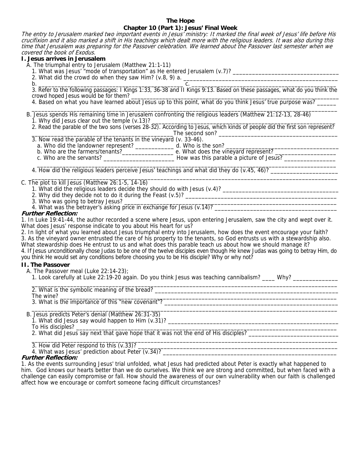# **The Hope**

# **Chapter 10 (Part 1): Jesus' Final Week**

The entry to Jerusalem marked two important events in Jesus' ministry: It marked the final week of Jesus' life before His crucifixion and it also marked a shift in His teachings which dealt more with the religious leaders. It was also during this time that Jerusalem was preparing for the Passover celebration. We learned about the Passover last semester when we covered the book of Exodus.

# **I. Jesus arrives in Jerusalem**

A. The triumphal entry to Jerusalem (Matthew 21:1-11)

- 1. What was Jesus' "mode of transportation" as He entered Jerusalem (v.7)? \_\_\_\_\_\_\_\_\_\_\_\_\_\_\_\_\_\_\_\_\_\_\_\_\_\_\_\_\_\_\_\_\_\_\_
- 2. What did the crowd do when they saw Him? (v.8, 9) a.  $\frac{1}{2}$  a.  $\frac{1}{2}$  a.  $\frac{1}{2}$  a.  $\frac{1}{2}$  a.  $\frac{1}{2}$  a.  $\frac{1}{2}$  a.  $\frac{1}{2}$  a.  $\frac{1}{2}$  a.  $\frac{1}{2}$  a.  $\frac{1}{2}$  a.  $\frac{1}{2}$  a.  $\frac{1}{2}$  a.  $\frac{1}{2}$ 
	-

 b. \_\_\_\_\_\_\_\_\_\_\_\_\_\_\_\_\_\_\_\_\_\_\_\_\_\_\_\_\_\_\_\_\_\_\_\_\_\_\_\_\_\_\_\_\_ c. \_\_\_\_\_\_\_\_\_\_\_\_\_\_\_\_\_\_\_\_\_\_\_\_\_\_\_\_\_\_\_\_\_\_\_\_\_\_\_\_\_\_\_\_\_ 3. Refer to the following passages: I Kings 1:33, 36-38 and II Kings 9:13. Based on these passages, what do you think the crowd hoped Jesus would be for them?

4. Based on what you have learned about Jesus up to this point, what do you think Jesus' true purpose was?  $\mathcal{L}_\text{max} = \mathcal{L}_\text{max} = \mathcal{L}_\text{max} = \mathcal{L}_\text{max} = \mathcal{L}_\text{max} = \mathcal{L}_\text{max} = \mathcal{L}_\text{max} = \mathcal{L}_\text{max} = \mathcal{L}_\text{max} = \mathcal{L}_\text{max} = \mathcal{L}_\text{max} = \mathcal{L}_\text{max} = \mathcal{L}_\text{max} = \mathcal{L}_\text{max} = \mathcal{L}_\text{max} = \mathcal{L}_\text{max} = \mathcal{L}_\text{max} = \mathcal{L}_\text{max} = \mathcal{$ 

- B. Jesus spends His remaining time in Jerusalem confronting the religious leaders (Matthew 21:12-13, 28-46)
- 1. Why did Jesus clear out the temple (v.13)? \_\_\_\_\_\_\_\_\_\_\_\_\_\_\_\_\_\_\_\_\_\_\_\_\_\_\_\_\_\_\_\_\_\_\_\_\_\_\_\_\_\_\_\_\_\_\_\_\_\_\_\_\_\_\_\_\_
- 2. Read the parable of the two sons (verses 28-32). According to Jesus, which kinds of people did the first son represent? \_\_\_\_\_\_\_\_\_\_\_\_\_\_\_\_\_\_\_\_\_\_\_\_\_\_\_\_\_\_\_\_\_\_\_\_\_\_\_\_\_\_\_\_The second son? \_\_\_\_\_\_\_\_\_\_\_\_\_\_\_\_\_\_\_\_\_\_\_\_\_\_\_\_\_\_\_\_\_\_\_\_\_

3. Now read the parable of the tenants in the vineyard (v. 33-46).

 a. Who did the landowner represent? \_\_\_\_\_\_\_\_\_\_\_\_ d. Who is the son? \_\_\_\_\_\_\_\_\_\_\_\_\_\_\_\_\_\_\_\_\_\_\_\_\_\_\_\_\_\_\_\_\_\_\_ b. Who are the farmers/tenants?\_\_\_\_\_\_\_\_\_\_\_\_\_\_\_\_\_\_\_\_\_\_\_\_\_ e. What does the vineyard represent? \_\_\_\_\_\_\_\_\_\_\_\_\_\_\_\_\_\_\_\_\_\_ c. Who are the servants? \_\_\_\_\_\_\_\_\_\_\_\_\_\_\_\_\_\_\_\_\_\_ How was this parable a picture of Jesus? \_\_\_\_\_\_\_\_\_\_\_\_\_\_\_\_

 $\overline{\phantom{a}}$  , and the contribution of the contribution of the contribution of the contribution of the contribution of the contribution of the contribution of the contribution of the contribution of the contribution of the 4. How did the religious leaders perceive Jesus' teachings and what did they do (v.45, 46)?

#### $\overline{\phantom{a}}$  , and the contribution of the contribution of the contribution of the contribution of the contribution of the contribution of the contribution of the contribution of the contribution of the contribution of the C. The plot to kill Jesus (Matthew 26:1-5, 14-16)

- 1. What did the religious leaders decide they should do with Jesus  $(v.4)$ ?
- 2. Why did they decide not to do it during the Feast (v.5)? \_\_\_\_\_\_\_\_\_\_\_\_\_\_\_\_\_\_\_\_
- 3. Who was going to betray Jesus? \_\_\_\_\_\_\_\_\_\_\_\_\_\_\_\_\_\_\_\_\_\_\_\_\_\_\_\_\_\_\_\_\_\_\_\_\_\_\_\_\_\_\_\_\_\_\_\_\_\_\_\_\_\_\_\_\_\_\_\_\_\_\_\_\_\_
- 4. What was the betrayer's asking price in exchange for Jesus (v.14)? \_\_\_\_\_\_\_\_\_\_\_\_\_\_\_\_\_\_\_\_\_\_\_\_\_\_\_\_\_\_\_\_\_\_\_\_\_\_

# **Further Reflection:**

1. In Luke 19:41-44, the author recorded a scene where Jesus, upon entering Jerusalem, saw the city and wept over it. What does Jesus' response indicate to you about His heart for us?

2. In light of what you learned about Jesus triumphal entry into Jerusalem, how does the event encourage your faith? 3. As the vineyard owner entrusted the care of his property to the tenants, so God entrusts us with a stewardship also.

What stewardship does He entrust to us and what does this parable teach us about how we should manage it? 4. If Jesus unconditionally chose Judas to be one of the twelve disciples even though He knew Judas was going to betray Him, do you think He would set any conditions before choosing you to be His disciple? Why or why not?

# **II. The Passover**

- A. The Passover meal (Luke 22:14-23);
- 1. Look carefully at Luke 22:19-20 again. Do you think Jesus was teaching cannibalism? \_\_\_\_\_ Why?  $\frac{1}{\sqrt{2}}$  ,  $\frac{1}{\sqrt{2}}$  ,  $\frac{1}{\sqrt{2}}$  ,  $\frac{1}{\sqrt{2}}$  ,  $\frac{1}{\sqrt{2}}$  ,  $\frac{1}{\sqrt{2}}$  ,  $\frac{1}{\sqrt{2}}$  ,  $\frac{1}{\sqrt{2}}$  ,  $\frac{1}{\sqrt{2}}$  ,  $\frac{1}{\sqrt{2}}$  ,  $\frac{1}{\sqrt{2}}$  ,  $\frac{1}{\sqrt{2}}$  ,  $\frac{1}{\sqrt{2}}$  ,  $\frac{1}{\sqrt{2}}$  ,  $\frac{1}{\sqrt{2}}$

2. What is the symbolic meaning of the bread? \_\_\_\_\_\_\_\_\_\_\_\_\_\_\_\_\_\_\_\_\_\_\_\_\_\_\_\_\_\_\_\_\_\_\_\_\_\_\_\_\_\_\_\_\_\_\_\_\_\_\_\_\_\_\_\_\_

 The wine? \_\_\_\_\_\_\_\_\_\_\_\_\_\_\_\_\_\_\_\_\_\_\_\_\_\_\_\_\_\_\_\_\_\_\_\_\_\_\_\_\_\_\_\_\_\_\_\_\_\_\_\_\_\_\_\_\_\_\_\_\_\_\_\_\_\_\_\_\_\_\_\_\_\_\_\_\_\_\_\_\_\_\_\_\_\_ 3. What is the importance of this "new covenant"? \_\_\_\_\_\_\_\_\_\_\_\_\_\_\_\_\_\_\_\_\_\_\_\_\_\_\_\_\_\_\_\_\_\_\_\_\_\_\_\_\_\_\_\_\_\_\_\_\_\_\_\_\_\_

 $\overline{\phantom{a}}$  , and the contribution of the contribution of the contribution of the contribution of the contribution of the contribution of the contribution of the contribution of the contribution of the contribution of the B. Jesus predicts Peter's denial (Matthew 26:31-35)

1. What did Jesus say would happen to Him (v.31)? \_\_\_\_\_\_\_\_\_\_\_\_\_\_\_\_\_\_\_\_\_\_\_\_\_\_\_\_\_\_

To His disciples? \_\_\_\_\_\_\_\_\_\_\_\_\_\_\_\_\_\_\_\_\_\_\_\_\_\_\_\_\_\_\_\_\_\_\_\_\_\_\_\_\_\_\_\_\_\_\_\_\_\_\_\_\_\_\_\_\_\_\_\_\_\_\_\_\_\_\_\_\_\_\_\_\_\_\_\_\_\_\_\_\_

2. What did Jesus say next that gave hope that it was not the end of His disciples? \_\_\_\_\_\_\_\_\_\_\_\_\_\_\_\_\_\_\_\_\_\_\_\_\_\_\_\_

 $\overline{\phantom{a}}$  , and the contribution of the contribution of the contribution of the contribution of the contribution of the contribution of the contribution of the contribution of the contribution of the contribution of the 3. How did Peter respond to this (v.33)?

4. What was Jesus' prediction about Peter  $(v.34)$ ?

# **Further Reflection:**

1. As the events surrounding Jesus' trial unfolded, what Jesus had predicted about Peter is exactly what happened to him. God knows our hearts better than we do ourselves. We think we are strong and committed, but when faced with a challenge can easily compromise or fall. How should the awareness of our own vulnerability when our faith is challenged affect how we encourage or comfort someone facing difficult circumstances?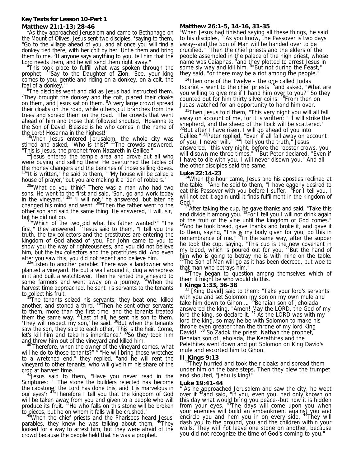#### **Key Texts for Lesson 10-Part 1 Matthew 21:1-13; 28-46**

<sup>1</sup>As they approached Jerusalem and came to Bethphage on the Mount of Olives, Jesus sent two disciples,  $2$ saying to them, "Go to the village ahead of you, and at once you will find a donkey tied there, with her colt by her. Untie them and bring them to me. <sup>3</sup>If anyone says anything to you, tell him that the Lord needs them, and he will send them right away.

<sup>4</sup>This took place to fulfill what was spoken through the prophet: <sup>5</sup>"Say to the Daughter of Zion, 'See, your king comes to you, gentle and riding on a donkey, on a colt, the foal of a donkey.' "

The disciples went and did as Jesus had instructed them.  $7$ They brought the donkey and the colt, placed their cloaks on them, and Jesus sat on them. <sup>8</sup>A very large crowd spread their cloaks on the road, while others cut branches from the trees and spread them on the road. <sup>9</sup>The crowds that went ahead of him and those that followed shouted, "Hosanna to the Son of David! Blessed is he who comes in the name of

the Lord! Hosanna in the highest!"<br><sup>10</sup>When Jesus entered Jerusalem, the whole city was stirred and asked, "Who is this?" <sup>11</sup>The crowds answered, "This is Jesus, the prophet from Nazareth in Galilee."

<sup>12</sup> Jesus entered the temple area and drove out all who were buying and selling there. He overturned the tables of the money changers and the benches of those selling doves.  $13"$ It is written," he said to them, " 'My house will be called a house of prayer,' but you are making it a 'den of robbers.' "

<sup>28</sup>"What do you think? There was a man who had two sons. He went to the first and said, 'Son, go and work today in the vineyard.'  $^{29}$ " 'I will not,' he answered, but later he changed his mind and went. <sup>30"</sup>Then the father went to the other son and said the same thing. He answered, 'I will, sir,'

but he did not go.<br><sup>31</sup>"Which of the two did what his father wanted?" "The first," they answered.  $32$  Jesus said to them, "I tell you the truth, the tax collectors and the prostitutes are entering the kingdom of God ahead of you. For John came to you to show you the way of righteousness, and you did not believe him, but the tax collectors and the prostitutes did. And even

after you saw this, you did not repent and believe him." 33"Listen to another parable: There was a landowner who planted a vineyard. He put a wall around it, dug a winepress in it and built a watchtower. Then he rented the vineyard to some farmers and went away on a journey. <sup>34</sup>When the harvest time approached, he sent his servants to the tenants to collect his fruit.

<sup>5</sup>The tenants seized his servants; they beat one, killed another, and stoned a third.  $36$ Then he sent other servants to them, more than the first time, and the tenants treated them the same way.  $37$  Last of all, he sent his son to them. They will respect my son,' he said. <sup>38</sup>But when the tenants saw the son, they said to each other, 'This is the heir. Come, let's kill him and take his inheritance.' <sup>39</sup>So they took him

and threw him out of the vineyard and killed him.<br><sup>40</sup> Therefore, when the owner of the vineyard comes, what will he do to those tenants?"  $41$ "He will bring those wretches to a wretched end," they replied, "and he will rent the vineyard to other tenants, who will give him his share of the

crop at harvest time."<br><sup>42</sup>Jesus said to them, "Have you never read in the Scriptures: " 'The stone the builders rejected has become the capstone; the Lord has done this, and it is marvelous in our eyes'? <sup>43</sup> Therefore I tell you that the kingdom of God will be taken away from you and given to a people who will produce its fruit. 44He who falls on this stone will be broken

to pieces, but he on whom it falls will be crushed."<br><sup>45</sup>When the chief priests and the Pharisees heard Jesus' parables, they knew he was talking about them. <sup>46</sup>They parables, they knew he was talking about them. <sup>46</sup>They looked for a way to arrest him, but they were afraid of the crowd because the people held that he was a prophet.

## **Matthew 26:1-5, 14-16, 31-35**

<sup>1</sup>When Jesus had finished saying all these things, he said to his disciples,  $2^n$ As you know, the Passover is two days away--and the Son of Man will be handed over to be crucified." <sup>3</sup>Then the chief priests and the elders of the people assembled in the palace of the high priest, whose name was Caiaphas, <sup>4</sup>and they plotted to arrest Jesus in some sly way and kill him. <sup>5</sup> But not during the Feast," they said, "or there may be a riot among the people."

 $14$ Then one of the Twelve – the one called Judas Iscariot – went to the chief priests  $15$  and asked, "What are you willing to give me if I hand him over to you?" So they counted out for him thirty silver coins. <sup>16</sup>From then on Judas watched for an opportunity to hand him over.

<sup>31</sup>Then Jesus told them, "This very night you will all fall away on account of me, for it is written: " 'I will strike the shepherd, and the sheep of the flock will be scattered.'  $32$ But after I have risen, I will go ahead of you into Galilee."<sup>33</sup>Peter replied, "Even if all fall away on account of you, I never will." <sup>34"</sup>I tell you the truth," Jesus answered, "this very night, before the rooster crows, you will disown me three times." <sup>35</sup>But Peter declared, "Even if I have to die with you, I will never disown you." And all the other disciples said the same.

## **Luke 22:14-23**

 $14$ When the hour came, Jesus and his apostles reclined at the table. <sup>15</sup>And he said to them, "I have eagerly desired to eat this Passover with you before I suffer. <sup>16</sup>For I tell you, I will not eat it again until it finds fulfillment in the kingdom of God."

<sup>17</sup>After taking the cup, he gave thanks and said, "Take this and divide it among you. <sup>18</sup>For I tell you I will not drink again of the fruit of the vine until the kingdom of God comes."  $19$ And he took bread, gave thanks and broke it, and gave it to them, saying, "This is my body given for you; do this in remembrance of me." <sup>20</sup>In the same way, after the supper he took the cup, saying, "This cup is the new covenant in my blood, which is poured out for you.  $21$  But the hand of him who is going to betray me is with mine on the table.  $^{22}$ The Son of Man will go as it has been decreed, but woe to

that man who betrays him."<br><sup>23</sup>They began to question among themselves which of them it might be who would do this.

# **I Kings 1:33, 36-38**

[King David] said to them: "Take your lord's servants with you and set Solomon my son on my own mule and take him down to Gihon....<sup>36</sup>Benaiah son of Jehoiada answered the king, "Amen! May the LORD, the God of my lord the king, so declare it.  $37$  As the LORD was with my lord the king, so may he be with Solomon to make his throne even greater than the throne of my lord King David!"<sup>38</sup> So Zadok the priest, Nathan the prophet, Benaiah son of Jehoiada, the Kerethites and the Pelethites went down and put Solomon on King David's mule and escorted him to Gihon.

**II Kings 9:13**<br><sup>13</sup>They hurried and took their cloaks and spread them under him on the bare steps. Then they blew the trumpet and shouted, "Jehu is king!"

#### **Luke 19:41-44**

 $41$ As he approached Jerusalem and saw the city, he wept over it <sup>42</sup>and said, "If you, even you, had only known on<br>this day what would bring you peace--but now it is hidden from your eyes. <sup>43</sup>The days will come upon you when your eyes. <sup>43</sup>The days will come upon you when your enemies will build an embankment against you and<br>encircle you and hem you in on every side. <sup>44</sup>They will dash you to the ground, you and the children within your walls. They will not leave one stone on another, because you did not recognize the time of God's coming to you."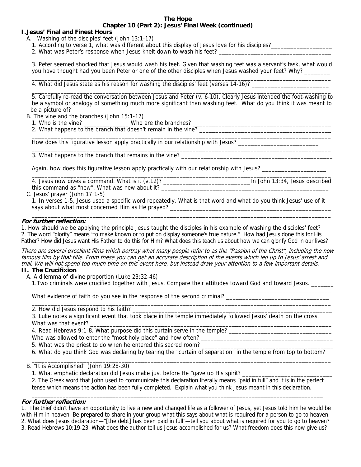#### **The Hope Chapter 10 (Part 2): Jesus' Final Week (continued)**

# **I. Jesus' Final and Finest Hours**

A. Washing of the disciples' feet (John 13:1-17)

1. According to verse 1, what was different about this display of Jesus love for his disciples?

2. What was Peter's response when Jesus knelt down to wash his feet?

 $\overline{\phantom{a}}$  ,  $\overline{\phantom{a}}$  ,  $\overline{\phantom{a}}$  ,  $\overline{\phantom{a}}$  ,  $\overline{\phantom{a}}$  ,  $\overline{\phantom{a}}$  ,  $\overline{\phantom{a}}$  ,  $\overline{\phantom{a}}$  ,  $\overline{\phantom{a}}$  ,  $\overline{\phantom{a}}$  ,  $\overline{\phantom{a}}$  ,  $\overline{\phantom{a}}$  ,  $\overline{\phantom{a}}$  ,  $\overline{\phantom{a}}$  ,  $\overline{\phantom{a}}$  ,  $\overline{\phantom{a}}$ 3. Peter seemed shocked that Jesus would wash his feet. Given that washing feet was a servant's task, what would you have thought had you been Peter or one of the other disciples when Jesus washed your feet? Why? \_\_\_\_\_\_\_\_

 $\overline{\phantom{a}}$  ,  $\overline{\phantom{a}}$  ,  $\overline{\phantom{a}}$  ,  $\overline{\phantom{a}}$  ,  $\overline{\phantom{a}}$  ,  $\overline{\phantom{a}}$  ,  $\overline{\phantom{a}}$  ,  $\overline{\phantom{a}}$  ,  $\overline{\phantom{a}}$  ,  $\overline{\phantom{a}}$  ,  $\overline{\phantom{a}}$  ,  $\overline{\phantom{a}}$  ,  $\overline{\phantom{a}}$  ,  $\overline{\phantom{a}}$  ,  $\overline{\phantom{a}}$  ,  $\overline{\phantom{a}}$ 4. What did Jesus state as his reason for washing the disciples' feet (verses 14-16)? \_\_\_\_\_\_\_\_\_\_\_\_\_\_\_\_\_\_\_\_\_\_\_\_

 5. Carefully re-read the conversation between Jesus and Peter (v. 6-10). Clearly Jesus intended the foot-washing to be a symbol or analogy of something much more significant than washing feet. What do you think it was meant to be a picture of?  $\overline{\phantom{a}}$ 

 $\overline{\phantom{a}}$  ,  $\overline{\phantom{a}}$  ,  $\overline{\phantom{a}}$  ,  $\overline{\phantom{a}}$  ,  $\overline{\phantom{a}}$  ,  $\overline{\phantom{a}}$  ,  $\overline{\phantom{a}}$  ,  $\overline{\phantom{a}}$  ,  $\overline{\phantom{a}}$  ,  $\overline{\phantom{a}}$  ,  $\overline{\phantom{a}}$  ,  $\overline{\phantom{a}}$  ,  $\overline{\phantom{a}}$  ,  $\overline{\phantom{a}}$  ,  $\overline{\phantom{a}}$  ,  $\overline{\phantom{a}}$ 

 $\overline{\phantom{a}}$  ,  $\overline{\phantom{a}}$  ,  $\overline{\phantom{a}}$  ,  $\overline{\phantom{a}}$  ,  $\overline{\phantom{a}}$  ,  $\overline{\phantom{a}}$  ,  $\overline{\phantom{a}}$  ,  $\overline{\phantom{a}}$  ,  $\overline{\phantom{a}}$  ,  $\overline{\phantom{a}}$  ,  $\overline{\phantom{a}}$  ,  $\overline{\phantom{a}}$  ,  $\overline{\phantom{a}}$  ,  $\overline{\phantom{a}}$  ,  $\overline{\phantom{a}}$  ,  $\overline{\phantom{a}}$ 

B.The vine and the branches (John 15:1-17)

- 1.Who is the vine? \_\_\_\_\_\_\_\_\_\_\_\_\_\_ Who are the branches? \_\_\_\_\_\_\_\_\_\_\_\_\_\_\_\_\_\_\_\_\_\_\_\_\_\_\_\_\_\_\_\_\_\_\_\_\_\_\_\_\_\_\_
- 2.What happens to the branch that doesn't remain in the vine? \_\_\_\_\_\_\_\_\_\_\_\_\_\_\_\_\_\_\_\_\_\_\_\_\_\_\_\_\_\_\_\_\_\_\_\_\_\_\_\_\_  $\overline{\phantom{a}}$  ,  $\overline{\phantom{a}}$  ,  $\overline{\phantom{a}}$  ,  $\overline{\phantom{a}}$  ,  $\overline{\phantom{a}}$  ,  $\overline{\phantom{a}}$  ,  $\overline{\phantom{a}}$  ,  $\overline{\phantom{a}}$  ,  $\overline{\phantom{a}}$  ,  $\overline{\phantom{a}}$  ,  $\overline{\phantom{a}}$  ,  $\overline{\phantom{a}}$  ,  $\overline{\phantom{a}}$  ,  $\overline{\phantom{a}}$  ,  $\overline{\phantom{a}}$  ,  $\overline{\phantom{a}}$

How does this figurative lesson apply practically in our relationship with Jesus?

3. What happens to the branch that remains in the vine?

 $\overline{\phantom{a}}$  ,  $\overline{\phantom{a}}$  ,  $\overline{\phantom{a}}$  ,  $\overline{\phantom{a}}$  ,  $\overline{\phantom{a}}$  ,  $\overline{\phantom{a}}$  ,  $\overline{\phantom{a}}$  ,  $\overline{\phantom{a}}$  ,  $\overline{\phantom{a}}$  ,  $\overline{\phantom{a}}$  ,  $\overline{\phantom{a}}$  ,  $\overline{\phantom{a}}$  ,  $\overline{\phantom{a}}$  ,  $\overline{\phantom{a}}$  ,  $\overline{\phantom{a}}$  ,  $\overline{\phantom{a}}$ Again, how does this figurative lesson apply practically with our relationship with Jesus? \_\_\_\_\_\_\_\_\_\_\_\_\_\_\_\_\_\_\_

4. Jesus now gives a command. What is it (v.12)? \_\_\_\_\_\_\_\_\_\_\_\_\_\_\_\_\_\_\_\_\_\_\_\_\_\_\_\_\_\_\_\_\_\_\_In John 13:34, Jesus described this command as "new". What was new about it?

 $\overline{\phantom{a}}$  ,  $\overline{\phantom{a}}$  ,  $\overline{\phantom{a}}$  ,  $\overline{\phantom{a}}$  ,  $\overline{\phantom{a}}$  ,  $\overline{\phantom{a}}$  ,  $\overline{\phantom{a}}$  ,  $\overline{\phantom{a}}$  ,  $\overline{\phantom{a}}$  ,  $\overline{\phantom{a}}$  ,  $\overline{\phantom{a}}$  ,  $\overline{\phantom{a}}$  ,  $\overline{\phantom{a}}$  ,  $\overline{\phantom{a}}$  ,  $\overline{\phantom{a}}$  ,  $\overline{\phantom{a}}$ 

C. Jesus' prayer (John 17:1-5)

1. In verses 1-5, Jesus used a specific word repeatedly. What is that word and what do you think Jesus' use of it says about what most concerned Him as He prayed? \_\_\_\_\_\_\_\_\_\_\_\_\_\_\_\_\_\_\_\_\_\_\_\_\_\_\_\_\_\_\_

 $\overline{\phantom{a}}$  ,  $\overline{\phantom{a}}$  ,  $\overline{\phantom{a}}$  ,  $\overline{\phantom{a}}$  ,  $\overline{\phantom{a}}$  ,  $\overline{\phantom{a}}$  ,  $\overline{\phantom{a}}$  ,  $\overline{\phantom{a}}$  ,  $\overline{\phantom{a}}$  ,  $\overline{\phantom{a}}$  ,  $\overline{\phantom{a}}$  ,  $\overline{\phantom{a}}$  ,  $\overline{\phantom{a}}$  ,  $\overline{\phantom{a}}$  ,  $\overline{\phantom{a}}$  ,  $\overline{\phantom{a}}$ 

# **For further reflection:**

1. How should we be applying the principle Jesus taught the disciples in his example of washing the disciples' feet? 2. The word "glorify" means "to make known or to put on display someone's true nature." How had Jesus done this for His Father? How did Jesus want His Father to do this for Him? What does this teach us about how we can glorify God in our lives?

There are several excellent films which portray what many people refer to as the "Passion of the Christ", including the now famous film by that title. From these you can get an accurate description of the events which led up to Jesus' arrest and trial. We will not spend too much time on this event here, but instead draw your attention to a few important details.

# **II. The Crucifixion**

A. A dilemma of divine proportion (Luke 23:32-46)

 1.Two criminals were crucified together with Jesus. Compare their attitudes toward God and toward Jesus. \_\_\_\_\_\_\_  $\overline{\phantom{a}}$  ,  $\overline{\phantom{a}}$  ,  $\overline{\phantom{a}}$  ,  $\overline{\phantom{a}}$  ,  $\overline{\phantom{a}}$  ,  $\overline{\phantom{a}}$  ,  $\overline{\phantom{a}}$  ,  $\overline{\phantom{a}}$  ,  $\overline{\phantom{a}}$  ,  $\overline{\phantom{a}}$  ,  $\overline{\phantom{a}}$  ,  $\overline{\phantom{a}}$  ,  $\overline{\phantom{a}}$  ,  $\overline{\phantom{a}}$  ,  $\overline{\phantom{a}}$  ,  $\overline{\phantom{a}}$ 

What evidence of faith do you see in the response of the second criminal? \_\_\_\_\_\_\_\_\_\_\_\_\_\_\_\_\_\_\_\_\_\_\_\_\_\_\_\_\_\_\_\_

 $\overline{\phantom{a}}$  ,  $\overline{\phantom{a}}$  ,  $\overline{\phantom{a}}$  ,  $\overline{\phantom{a}}$  ,  $\overline{\phantom{a}}$  ,  $\overline{\phantom{a}}$  ,  $\overline{\phantom{a}}$  ,  $\overline{\phantom{a}}$  ,  $\overline{\phantom{a}}$  ,  $\overline{\phantom{a}}$  ,  $\overline{\phantom{a}}$  ,  $\overline{\phantom{a}}$  ,  $\overline{\phantom{a}}$  ,  $\overline{\phantom{a}}$  ,  $\overline{\phantom{a}}$  ,  $\overline{\phantom{a}}$ 2. How did Jesus respond to his faith? \_\_

 3. Luke notes a significant event that took place in the temple immediately followed Jesus' death on the cross. What was that event?

4. Read Hebrews 9:1-8. What purpose did this curtain serve in the temple? \_\_\_\_\_\_\_\_\_\_\_\_\_\_\_\_\_\_\_\_\_\_\_\_\_\_\_\_\_\_\_\_

Who was allowed to enter the "most holy place" and how often?

5. What was the priest to do when he entered this sacred room?

 6. What do you think God was declaring by tearing the "curtain of separation" in the temple from top to bottom?  $\mathcal{L} = \{ \mathcal{L}_1, \mathcal{L}_2, \ldots, \mathcal{L}_{n-1}, \ldots, \mathcal{L}_{n-1}, \ldots, \mathcal{L}_{n-1}, \ldots, \mathcal{L}_{n-1}, \ldots, \mathcal{L}_{n-1}, \ldots, \mathcal{L}_{n-1}, \ldots, \mathcal{L}_{n-1}, \ldots, \mathcal{L}_{n-1}, \ldots, \mathcal{L}_{n-1}, \ldots, \mathcal{L}_{n-1}, \ldots, \mathcal{L}_{n-1}, \ldots, \mathcal{L}_{n-1}, \ldots, \mathcal{L}_{n-1}, \ldots, \mathcal{L}_{n-1$ 

B. "It is Accomplished" (John 19:28-30)

1. What emphatic declaration did Jesus make just before He "gave up His spirit? \_\_\_\_\_\_

 2. The Greek word that John used to communicate this declaration literally means "paid in full" and it is in the perfect tense which means the action has been fully completed. Explain what you think Jesus meant in this declaration.

\_\_\_\_\_\_\_\_\_\_\_\_\_\_\_\_\_\_\_\_\_\_\_\_\_\_\_\_\_\_\_\_\_\_\_\_\_\_\_\_\_\_\_\_\_\_\_\_\_\_\_\_\_\_\_\_\_\_\_\_\_\_\_\_\_\_\_\_\_\_\_\_\_\_\_\_\_\_\_\_\_\_\_\_\_\_\_\_\_\_\_\_\_\_

# **For further reflection:**

1. The thief didn't have an opportunity to live a new and changed life as a follower of Jesus, yet Jesus told him he would be with Him in heaven. Be prepared to share in your group what this says about what is required for a person to go to heaven. 2. What does Jesus declaration—"[the debt] has been paid in full"—tell you about what is required for you to go to heaven? 3. Read Hebrews 10:19-23. What does the author tell us Jesus accomplished for us? What freedom does this now give us?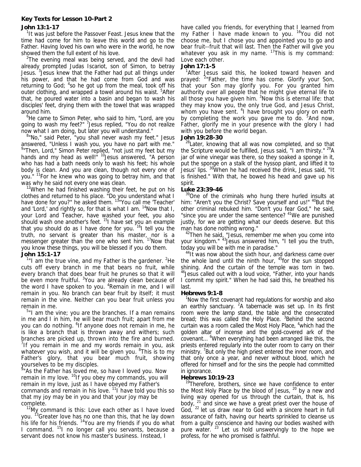# **Key Texts for Lesson 10-Part 2**

# **John 13:1-17**

<sup>1</sup>It was just before the Passover Feast. Jesus knew that the time had come for him to leave this world and go to the Father. Having loved his own who were in the world, he now showed them the full extent of his love.

 $2$ The evening meal was being served, and the devil had already prompted Judas Iscariot, son of Simon, to betray Jesus.<sup>3</sup> Jesus knew that the Father had put all things under his power, and that he had come from God and was returning to God;  $4$ so he got up from the meal, took off his outer clothing, and wrapped a towel around his waist. <sup>5</sup>After that, he poured water into a basin and began to wash his disciples' feet, drying them with the towel that was wrapped around him.

<sup>6</sup>He came to Simon Peter, who said to him, "Lord, are you going to wash my feet?" <sup>7</sup> Jesus replied, "You do not realize now what I am doing, but later you will understand." 8

<sup>8</sup>"No," said Peter, "you shall never wash my feet." Jesus answered, "Unless I wash you, you have no part with me." <sup>9</sup> Then, Lord," Simon Peter replied, "not just my feet but my hands and my head as well!" <sup>10</sup> Jesus answered. "A person who has had a bath needs only to wash his feet; his whole body is clean. And you are clean, though not every one of you." <sup>11</sup>For he knew who was going to betray him, and that was why he said not every one was clean.

 $12$ When he had finished washing their feet, he put on his clothes and returned to his place. "Do you understand what I have done for you?" he asked them. <sup>13</sup> You call me 'Teacher' and 'Lord,' and rightly so, for that is what I am.  $14$ Now that I, your Lord and Teacher, have washed your feet, you also should wash one another's feet. <sup>15</sup>I have set you an example that you should do as I have done for you.  $16$ I tell you the truth, no servant is greater than his master, nor is a messenger greater than the one who sent him. <sup>17</sup>Now that you know these things, you will be blessed if you do them. **John 15:1-17**

 $1$ "I am the true vine, and my Father is the gardener.  $2$ He cuts off every branch in me that bears no fruit, while every branch that does bear fruit he prunes so that it will be even more fruitful. <sup>3</sup> You are already clean because of the word I have spoken to you. <sup>4</sup>Remain in me, and I will remain in you. No branch can bear fruit by itself; it must remain in the vine. Neither can you bear fruit unless you remain in me.

<sup>5</sup>"I am the vine; you are the branches. If a man remains in me and I in him, he will bear much fruit; apart from me you can do nothing. <sup>6</sup>If anyone does not remain in me, he is like a branch that is thrown away and withers; such branches are picked up, thrown into the fire and burned. <sup>7</sup>If you remain in me and my words remain in you, ask whatever you wish, and it will be given you. <sup>8</sup>This is to my Father's glory, that you bear much fruit, showing

yourselves to be my disciples. 9 "As the Father has loved me, so have I loved you. Now remain in my love. <sup>10</sup>If you obey my commands, you will remain in my love, just as I have obeyed my Father's commands and remain in his love.  $11$  have told you this so that my joy may be in you and that your joy may be

complete.<br><sup>12</sup>My command is this: Love each other as I have loved you. <sup>13</sup>Greater love has no one than this, that he lay down his life for his friends. <sup>14</sup>You are my friends if you do what I command. 15I no longer call you servants, because a servant does not know his master's business. Instead, I

have called you friends, for everything that I learned from my Father I have made known to you. <sup>16</sup>You did not choose me, but I chose you and appointed you to go and bear fruit--fruit that will last. Then the Father will give you whatever you ask in my name. <sup>17</sup>This is my command: Love each other.

#### **John 17:1-5**

<sup>1</sup>After Jesus said this, he looked toward heaven and prayed: <sup>2</sup>"Father, the time has come. Glorify your Son, that your Son may glorify you. For you granted him authority over all people that he might give eternal life to all those you have given him. <sup>3</sup> Now this is eternal life: that they may know you, the only true God, and Jesus Christ, whom you have sent. <sup>4</sup> have brought you glory on earth by completing the work you gave me to do. <sup>5</sup>And now, Father, glorify me in your presence with the glory I had with you before the world began.

#### **John 19:28-30**

<sup>28</sup>Later, knowing that all was now completed, and so that the Scripture would be fulfilled, Jesus said, "I am thirsty." <sup>29</sup>A jar of wine vinegar was there, so they soaked a sponge in it, put the sponge on a stalk of the hyssop plant, and lifted it to Jesus' lips. 30When he had received the drink, Jesus said, "It is finished." With that, he bowed his head and gave up his spirit.

## **Luke 23:39-46**

<sup>39</sup>One of the criminals who hung there hurled insults at him: "Aren't you the Christ? Save yourself and us!" <sup>40</sup>But the other criminal rebuked him. "Don't you fear God," he said, "since you are under the same sentence? <sup>41</sup>We are punished justly, for we are getting what our deeds deserve. But this

man has done nothing wrong."<br><sup>42</sup>Then he said, "Jesus, remember me when you come into your kingdom." <sup>43</sup> Jesus answered him, "I tell you the truth, today you will be with me in paradise."

 $44$ It was now about the sixth hour, and darkness came over the whole land until the ninth hour,  $45$  for the sun stopped shining. And the curtain of the temple was torn in two. <sup>46</sup> Jesus called out with a loud voice, "Father, into your hands I commit my spirit." When he had said this, he breathed his last.

#### **Hebrews 9:1-8**

<sup>1</sup>Now the first covenant had regulations for worship and also an earthly sanctuary. <sup>2</sup>A tabernacle was set up. In its first room were the lamp stand, the table and the consecrated bread; this was called the Holy Place. <sup>3</sup>Behind the second curtain was a room called the Most Holy Place, <sup>4</sup>which had the golden altar of incense and the gold-covered ark of the covenant... <sup>6</sup>When everything had been arranged like this, the priests entered regularly into the outer room to carry on their ministry. <sup>7</sup>But only the high priest entered the inner room, and that only once a year, and never without blood, which he offered for himself and for the sins the people had committed in ignorance.

#### **Hebrews 10:19-23**

<sup>19</sup>Therefore, brothers, since we have confidence to enter the Most Holy Place by the blood of Jesus,  $20$  by a new and living way opened for us through the curtain, that is, his body,  $21$  and since we have a great priest over the house of God, <sup>22</sup> let us draw near to God with a sincere heart in full assurance of faith, having our hearts sprinkled to cleanse us from a guilty conscience and having our bodies washed with pure water. <sup>23</sup> Let us hold unswervingly to the hope we profess, for he who promised is faithful.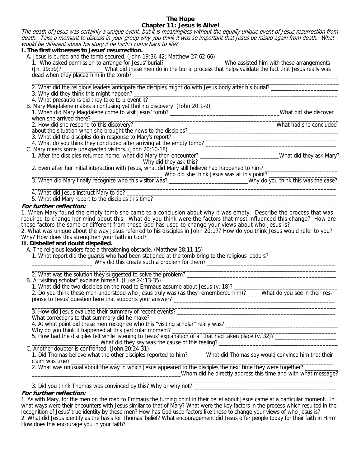# **The Hope Chapter 11: Jesus is Alive!**

The death of Jesus was certainly a unique event. but it is meaningless without the equally unique event of Jesus resurrection from death. Take a moment to discuss in your group why you think it was so important that Jesus be raised again from death. What would be different about his story if he hadn't come back to life? **I. The first witnesses to Jesus' resurrection.** 

| <b>1. The first withesses to Jesus Tesurrection.</b>                                                                                                                                                                           |                                                               |
|--------------------------------------------------------------------------------------------------------------------------------------------------------------------------------------------------------------------------------|---------------------------------------------------------------|
| A. Jesus is buried and the tomb secured. (John 19:36-42; Matthew 27:62-66)                                                                                                                                                     |                                                               |
|                                                                                                                                                                                                                                |                                                               |
|                                                                                                                                                                                                                                |                                                               |
|                                                                                                                                                                                                                                |                                                               |
| 2. What did the religious leaders anticipate the disciples might do with Jesus body after his burial?                                                                                                                          |                                                               |
|                                                                                                                                                                                                                                |                                                               |
| 3. Why did they think this might happen?<br>4. What precautions did they take to prevent it?                                                                                                                                   |                                                               |
| B. Mary Magdalene makes a confusing yet thrilling discovery. (John 20:1-9)                                                                                                                                                     |                                                               |
|                                                                                                                                                                                                                                |                                                               |
|                                                                                                                                                                                                                                |                                                               |
| What had she concluded<br>2. How did she respond to this discovery?<br>about the situation when she brought the news to the disciples?<br>1. What had she concluded                                                            |                                                               |
|                                                                                                                                                                                                                                |                                                               |
|                                                                                                                                                                                                                                |                                                               |
| 3. What did the disciples do in response to Mary's report?<br>4. What do you think they concluded after arriving at the empty tomb?                                                                                            |                                                               |
| C. Mary meets some unexpected visitors. (John 20:10-18)                                                                                                                                                                        |                                                               |
|                                                                                                                                                                                                                                |                                                               |
| 1. After the disciples returned home, what did Mary then encounter?<br>1. After the disciples returned home, what did Mary then encounter?                                                                                     |                                                               |
| 2. Even after her initial interaction with Jesus, what did Mary still believe had happened to him?                                                                                                                             |                                                               |
| ____________________ Who did she think Jesus was at this point? _________                                                                                                                                                      |                                                               |
|                                                                                                                                                                                                                                |                                                               |
|                                                                                                                                                                                                                                |                                                               |
|                                                                                                                                                                                                                                |                                                               |
|                                                                                                                                                                                                                                |                                                               |
| For further reflection:                                                                                                                                                                                                        |                                                               |
| 1. When Mary found the empty tomb she came to a conclusion about why it was empty. Describe the process that was                                                                                                               |                                                               |
| required to change her mind about this. What do you think were the factors that most influenced this change? How are                                                                                                           |                                                               |
| these factors the same or different from those God has used to change your views about who Jesus is?                                                                                                                           |                                                               |
| 2. What was unique about the way Jesus referred to his disciples in John 20:17? How do you think Jesus would refer to you?                                                                                                     |                                                               |
| Why? How does this strengthen your faith in God?                                                                                                                                                                               |                                                               |
| II. Disbelief and doubt dispelled.                                                                                                                                                                                             |                                                               |
| A. The religious leaders face a threatening obstacle. (Matthew 28:11-15)                                                                                                                                                       |                                                               |
| 1. What report did the guards who had been stationed at the tomb bring to the religious leaders?                                                                                                                               |                                                               |
| Up and this create such a problem for them? [1982] Manuscription of the model of the model of the model of the model of the model of the model of the model of the model of the model of the model of the model of the model o |                                                               |
|                                                                                                                                                                                                                                |                                                               |
|                                                                                                                                                                                                                                |                                                               |
| B. A "visiting scholar" explains himself. (Luke 24:13-35)                                                                                                                                                                      |                                                               |
|                                                                                                                                                                                                                                |                                                               |
|                                                                                                                                                                                                                                |                                                               |
|                                                                                                                                                                                                                                |                                                               |
|                                                                                                                                                                                                                                |                                                               |
| 3. How did Jesus evaluate their summary of recent events?                                                                                                                                                                      |                                                               |
| What corrections to that summary did he make?                                                                                                                                                                                  |                                                               |
|                                                                                                                                                                                                                                |                                                               |
| Why do you think it happened at this particular moment?                                                                                                                                                                        |                                                               |
| 5. How had the disciples felt while listening to Jesus' explanation of all that had taken place (v. 32)?                                                                                                                       |                                                               |
|                                                                                                                                                                                                                                |                                                               |
| C. Another doubter is confronted. (John 20:24-31)                                                                                                                                                                              |                                                               |
| 1. Did Thomas believe what the other disciples reported to him? _____ What did Thomas say would convince him that their                                                                                                        |                                                               |
| claim was true?                                                                                                                                                                                                                |                                                               |
| 2. What was unusual about the way in which Jesus appeared to the disciples the next time they were together?                                                                                                                   |                                                               |
|                                                                                                                                                                                                                                | Whom did he directly address this time and with what message? |
| 2 Did you think Themes wes commoned by this Ulley or why not?                                                                                                                                                                  |                                                               |

3. Did you think Thomas was convinced by this? Why or why not?

# **For further reflection:**

1. As with Mary, for the men on the road to Emmaus the turning point in their belief about Jesus came at a particular moment. In what ways were their encounters with Jesus similar to that of Mary? What were the key factors in the process which resulted in the recognition of Jesus' true identity by these men? How has God used factors like these to change your views of who Jesus is? 2. What did Jesus identify as the basis for Thomas' belief? What encouragement did Jesus offer people today for their faith in Him? How does this encourage you in your faith?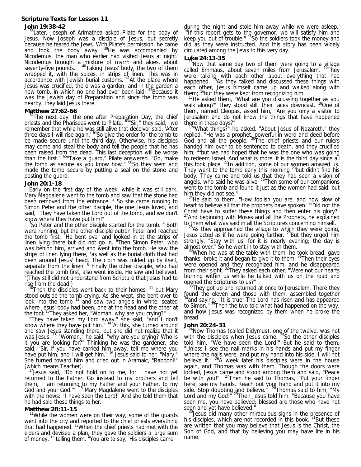# **Scripture Texts for Lesson 11 John 19:38-42**

#### <sup>38</sup>Later, Joseph of Arimathea asked Pilate for the body of Jesus. Now Joseph was a disciple of Jesus, but secretly because he feared the Jews. With Pilate's permission, he came and took the body away.  $39$ He was accompanied by Nicodemus, the man who earlier had visited Jesus at night. Nicodemus brought a mixture of myrrh and aloes, about seventy-five pounds. 40Taking Jesus' body, the two of them wrapped it, with the spices, in strips of linen. This was in accordance with Jewish burial customs. <sup>41</sup>At the place where Jesus was crucified, there was a garden, and in the garden a new tomb, in which no one had ever been laid. <sup>42</sup>Because it was the Jewish day of Preparation and since the tomb was nearby, they laid Jesus there.

#### **Matthew 27:62-66**

 $^{62}$ The next day, the one after Preparation Day, the chief priests and the Pharisees went to Pilate. 63"Sir," they said, "we remember that while he was still alive that deceiver said, 'After three days I will rise again.' <sup>64</sup>So give the order for the tomb to be made secure until the third day. Otherwise, his disciples may come and steal the body and tell the people that he has been raised from the dead. This last deception will be worse than the first." 65"Take a guard," Pilate answered. "Go, make the tomb as secure as you know how." <sup>66</sup>So they went and made the tomb secure by putting a seal on the stone and posting the guard.

#### **John 20:1-18**

Early on the first day of the week, while it was still dark, Mary Magdalene went to the tomb and saw that the stone had been removed from the entrance.  $2$  So she came running to Simon Peter and the other disciple, the one Jesus loved, and said, "They have taken the Lord out of the tomb, and we don't know where they have put him!"

So Peter and the other disciple started for the tomb. <sup>4</sup> Both were running, but the other disciple outran Peter and reached the tomb first. <sup>5</sup>He bent over and looked in at the strips of linen lying there but did not go in. <sup>6</sup>Then Simon Peter, who was behind him, arrived and went into the tomb. He saw the strips of linen lying there,  $7a$ s well as the burial cloth that had been around Jesus' head. The cloth was folded up by itself, separate from the linen. <sup>8</sup> Finally the other disciple, who had reached the tomb first, also went inside. He saw and believed. 9 (They still did not understand from Scripture that Jesus had to

rise from the dead.)<br><sup>10</sup>Then the disciples went back to their homes, <sup>11</sup> but Mary stood outside the tomb crying. As she wept, she bent over to look into the tomb <sup>12</sup> and saw two angels in white, seated where Jesus' body had been, one at the head and the other at the foot.<sup>13</sup>They asked her, "Woman, why are you crying?

 "They have taken my Lord away," she said, "and I don't know where they have put him."  $14$  At this, she turned around and saw Jesus standing there, but she did not realize that it was Jesus. <sup>15</sup> "Woman," he said, "why are you crying? Who is it you are looking for?" Thinking he was the gardener, she said, "Sir, if you have carried him away, tell me where you have put him, and I will get him." <sup>16</sup> Jesus said to her, "Mary." She turned toward him and cried out in Aramaic, "Rabboni!"

(which means Teacher). 17Jesus said, "Do not hold on to me, for I have not yet returned to the Father. Go instead to my brothers and tell them, 'I am returning to my Father and your Father, to my God and your God."" <sup>318</sup> Mary Magdalene went to the disciples with the news: "I have seen the Lord!" And she told them that he had said these things to her.

#### **Matthew 28:11-15**

<sup>11</sup>While the women were on their way, some of the guards went into the city and reported to the chief priests everything that had happened. <sup>12</sup>When the chief priests had met with the elders and devised a plan, they gave the soldiers a large sum of money, <sup>13</sup> telling them, "You are to say, 'His disciples came

during the night and stole him away while we were asleep.'<br><sup>14</sup>If this report gets to the governor, we will satisfy him and keep you out of trouble." <sup>15</sup>So the soldiers took the money and did as they were instructed. And this story has been widely circulated among the Jews to this very day.

#### **Luke 24:13-35**

<sup>13</sup>Now that same day two of them were going to a village called Emmaus, about seven miles from Jerusalem.  $14$ They were talking with each other about everything that had happened. <sup>15</sup>As they talked and discussed these things with each other, Jesus himself came up and walked along with them; <sup>16</sup> but they were kept from recognizing him. them;  $16$ but they were kept from recognizing him.<br> $17$ He asked them, "What are you discussing together as you

walk along?" They stood still, their faces downcast. <sup>18</sup>One of them, named Cleopas, asked him, "Are you only a visitor to Jerusalem and do not know the things that have happened there in these days?"

<sup>19"</sup>What things?" he asked. "About Jesus of Nazareth," they replied. "He was a prophet, powerful in word and deed before God and all the people. 20The chief priests and our rulers handed him over to be sentenced to death, and they crucified him;  $21$  but we had hoped that he was the one who was going to redeem Israel. And what is more, it is the third day since all this took place.  $^{22}$ In addition, some of our women amazed us. They went to the tomb early this morning  $^{23}$ but didn't find his body. They came and told us that they had seen a vision of angels, who said he was alive.  $24$ Then some of our companions went to the tomb and found it just as the women had said, but him they did not see."<br> $^{25}$ He said to them, "How foolish you are, and how slow of

heart to believe all that the prophets have spoken! <sup>26</sup>Did not the Christ have to suffer these things and then enter his glory?"  $^{27}$  And beginning with Moses and all the Prophets, he explained to them what was said in all the Scriptures concerning himself.

to them what was said in all the Scriptures concerning himself.<br><sup>28</sup>As they approached the village to which they were going, Jesus acted as if he were going farther. <sup>29</sup>But they urged him strongly, "Stay with us, for it is nearly evening; the day is

almost over." So he went in to stay with them.<br><sup>30</sup>When he was at the table with them, he took bread, gave thanks, broke it and began to give it to them. <sup>31</sup>Then their eyes were opened and they recognized him, and he disappeared from their sight. <sup>32</sup>They asked each other, "Were not our hearts burning within us while he talked with us on the road and opgned the Scriptures to us?"

 $33$ They got up and returned at once to Jerusalem. There they found the eleven and those with them, assembled together <sup>34</sup>and saying, "It is true! The Lord has risen and has appeared to Simon." <sup>35</sup>Then the two told what had happened on the way, and how Jesus was recognized by them when he broke the bread.

#### **John 20:24-31**

<sup>24</sup>Now Thomas (called Didymus), one of the twelve, was not with the disciples when Jesus came. <sup>25</sup>So the other disciples told him, "We have seen the Lord!" But he said to them, "Unless I see the nail marks in his hands and put my finger where the nails were, and put my hand into his side, I will not believe it." <sup>26</sup>A week later his disciples were in the house again, and Thomas was with them. Though the doors were locked, Jesus came and stood among them and said, "Peace be with you!" <sup>27</sup>Then he said to Thomas, "Put your finger here; see my hands. Reach out your hand and put it into my side. Stop doubting and believe." <sup>28</sup>Thomas said to him, "My Lord and my God!"<sup>29</sup>Then Jesus told him, "Because you have seen me, you have believed; blessed are those who have not

seen and yet have believed."<br><sup>30</sup>Jesus did many other miraculous signs in the presence of his disciples, which are not recorded in this book.<sup>31</sup>But these are written that you may believe that Jesus is the Christ, the Son of God, and that by believing you may have life in his name.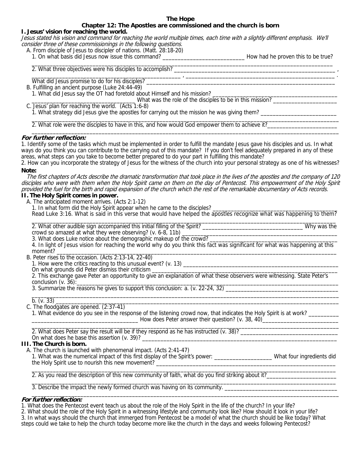#### **The Hope**

# **Chapter 12: The Apostles are commissioned and the church is born**

#### **I. Jesus' vision for reaching the world.**

Jesus stated his vision and command for reaching the world multiple times, each time with a slightly different emphasis. We'll consider three of these commissionings in the following questions.

- A. From disciple of Jesus to discipler of nations. (Matt. 28:18-20)
	- 1. On what basis did Jesus now issue this command? \_\_\_\_\_\_\_\_\_\_\_\_\_\_\_\_\_\_\_\_\_\_\_\_\_\_\_ How had he proven this to be true?

\_\_\_\_\_\_\_\_\_\_\_\_\_\_\_\_\_\_\_\_\_\_\_\_\_\_\_\_\_\_\_\_\_\_\_\_\_\_\_\_\_\_\_\_\_\_\_\_\_ , \_\_\_\_\_\_\_\_\_\_\_\_\_\_\_\_\_\_\_\_\_\_\_\_\_\_\_\_\_\_\_\_\_\_\_\_\_\_\_\_\_\_\_\_\_\_\_\_\_ .

 $\overline{\phantom{a}}$  ,  $\overline{\phantom{a}}$  ,  $\overline{\phantom{a}}$  ,  $\overline{\phantom{a}}$  ,  $\overline{\phantom{a}}$  ,  $\overline{\phantom{a}}$  ,  $\overline{\phantom{a}}$  ,  $\overline{\phantom{a}}$  ,  $\overline{\phantom{a}}$  ,  $\overline{\phantom{a}}$  ,  $\overline{\phantom{a}}$  ,  $\overline{\phantom{a}}$  ,  $\overline{\phantom{a}}$  ,  $\overline{\phantom{a}}$  ,  $\overline{\phantom{a}}$  ,  $\overline{\phantom{a}}$ 2. What three objectives were his disciples to accomplish?

What did Jesus promise to do for his disciples?

B. Fulfilling an ancient purpose (Luke 24:44-49)

1. What did Jesus say the OT had foretold about Himself and his mission? \_\_\_\_\_\_\_\_\_\_\_\_\_\_\_\_\_\_\_\_\_\_\_\_\_\_\_\_\_\_\_\_\_\_\_\_\_\_\_\_\_

\_\_\_\_\_\_\_\_\_\_\_\_\_\_\_\_\_\_\_\_\_\_\_\_\_\_\_\_\_\_\_\_\_\_ What was the role of the disciples to be in this mission? \_\_\_\_\_\_\_\_\_\_\_\_\_\_\_\_\_\_\_\_\_

C. Jesus' plan for reaching the world. (Acts 1:6-8)

 1. What strategy did Jesus give the apostles for carrying out the mission he was giving them? \_\_\_\_\_\_\_\_\_\_\_\_\_\_\_\_\_\_\_\_\_\_\_\_\_  $\frac{1}{2}$  ,  $\frac{1}{2}$  ,  $\frac{1}{2}$  ,  $\frac{1}{2}$  ,  $\frac{1}{2}$  ,  $\frac{1}{2}$  ,  $\frac{1}{2}$  ,  $\frac{1}{2}$  ,  $\frac{1}{2}$  ,  $\frac{1}{2}$  ,  $\frac{1}{2}$  ,  $\frac{1}{2}$  ,  $\frac{1}{2}$  ,  $\frac{1}{2}$  ,  $\frac{1}{2}$  ,  $\frac{1}{2}$  ,  $\frac{1}{2}$  ,  $\frac{1}{2}$  ,  $\frac{1$ 

2. What role were the disciples to have in this, and how would God empower them to achieve it?  $\overline{\phantom{a}}$  , and the set of the set of the set of the set of the set of the set of the set of the set of the set of the set of the set of the set of the set of the set of the set of the set of the set of the set of the s

# **For further reflection:**

1. Identify some of the tasks which must be implemented in order to fulfill the mandate Jesus gave his disciples and us. In what ways do you think you can contribute to the carrying out of this mandate? If you don't feel adequately prepared in any of these areas, what steps can you take to become better prepared to do your part in fulfilling this ma

2. How can you incorporate the strategy of Jesus for the witness of the church into your personal strategy as one of his witnesses? **Note:** 

 The first chapters of Acts describe the dramatic transformation that took place in the lives of the apostles and the company of 120 disciples who were with them when the Holy Spirit came on them on the day of Pentecost. This empowerment of the Holy Spirit provided the fuel for the birth and rapid expansion of the church which the rest of the remarkable documentary of Acts records.

# **II. The Holy Spirit comes in power.**

A. The anticipated moment arrives. (Acts 2:1-12)

1. In what form did the Holy Spirit appear when he came to the disciples?

Read Luke 3:16. What is said in this verse that would have helped the apostles recognize what was happening to them?

 $\overline{\phantom{a}}$  , and the set of the set of the set of the set of the set of the set of the set of the set of the set of the set of the set of the set of the set of the set of the set of the set of the set of the set of the s 2. What other audible sign accompanied this initial filling of the Spirit? \_\_\_\_\_\_\_\_\_\_\_\_\_\_\_\_\_\_\_\_\_\_\_\_\_\_\_\_\_\_\_\_\_ Why was the crowd so amazed at what they were observing? (v. 6-8, 11b) \_\_\_\_\_\_\_\_\_\_\_\_\_\_\_\_\_\_\_\_\_\_\_\_\_\_\_\_\_\_\_\_\_\_\_\_\_\_\_\_\_\_\_\_\_\_\_\_\_\_\_

3. What does Luke notice about the demographic makeup of the crowd? \_\_\_\_\_\_\_\_\_\_\_\_\_\_\_\_\_\_\_\_\_\_\_\_\_\_\_\_\_\_\_\_\_\_\_\_\_\_\_\_\_\_

4. In light of Jesus vision for reaching the world why do you think this fact was significant for what was happening at this moment? \_\_\_\_\_\_\_\_\_\_\_\_\_\_\_\_\_\_\_\_\_\_\_\_\_\_\_\_\_\_\_\_\_\_\_\_\_\_\_\_\_\_\_\_\_\_\_\_\_\_\_\_\_\_\_\_\_\_\_\_\_\_\_\_\_\_\_\_\_\_\_\_\_\_\_\_\_\_\_\_\_\_\_\_\_\_\_\_\_\_\_\_

B. Peter rises to the occasion. (Acts 2:13-14, 22-40)

1. How were the critics reacting to this unusual event? (v. 13) \_\_\_\_\_\_\_\_\_\_\_\_\_\_\_\_\_\_\_\_\_\_\_\_\_\_\_\_\_\_\_\_\_\_\_\_\_\_\_\_\_\_\_\_\_\_\_\_\_\_\_

On what grounds did Peter dismiss their criticism \_\_\_\_\_\_\_\_\_\_\_\_\_\_\_\_\_\_\_\_\_\_\_\_\_\_\_\_\_\_\_\_\_\_\_\_\_\_\_\_\_\_\_\_\_\_\_\_\_\_\_\_\_\_\_\_\_\_\_\_\_

 2. This exchange gave Peter an opportunity to give an explanation of what these observers were witnessing. State Peter's conclusion  $(v. 36)$ :

3. Summarize the reasons he gives to support this conclusion: a. (v. 22-24, 32)  $\overline{\phantom{a}}$  , and the set of the set of the set of the set of the set of the set of the set of the set of the set of the set of the set of the set of the set of the set of the set of the set of the set of the set of the s

b. (v. 33) \_\_\_\_\_\_\_\_\_\_\_\_\_\_\_\_\_\_\_\_\_\_\_\_\_\_\_\_\_\_\_\_\_\_\_\_\_\_\_\_\_\_\_\_\_\_\_\_\_\_\_\_\_\_\_\_\_\_\_\_\_\_\_\_\_\_\_\_\_\_\_\_\_\_\_\_\_\_\_\_\_\_\_\_\_\_\_\_\_\_\_\_\_

C. The floodgates are opened. (2:37-41)

1. What evidence do you see in the response of the listening crowd now, that indicates the Holy Spirit is at work? \_\_\_\_\_\_\_\_\_\_\_\_\_\_\_\_\_\_\_\_\_\_\_\_\_\_\_\_\_\_\_\_\_\_\_ How does Peter answer their question? (v. 38, 40)\_\_\_\_\_\_\_\_\_\_\_\_\_\_\_\_\_\_\_\_\_\_\_\_\_  $\overline{\phantom{a}}$  ,  $\overline{\phantom{a}}$  ,  $\overline{\phantom{a}}$  ,  $\overline{\phantom{a}}$  ,  $\overline{\phantom{a}}$  ,  $\overline{\phantom{a}}$  ,  $\overline{\phantom{a}}$  ,  $\overline{\phantom{a}}$  ,  $\overline{\phantom{a}}$  ,  $\overline{\phantom{a}}$  ,  $\overline{\phantom{a}}$  ,  $\overline{\phantom{a}}$  ,  $\overline{\phantom{a}}$  ,  $\overline{\phantom{a}}$  ,  $\overline{\phantom{a}}$  ,  $\overline{\phantom{a}}$ 

2. What does Peter say the result will be if they respond as he has instructed (v. 38)? On what does he base this assertion  $(v. 39)?$ 

# **III. The Church is born.**

A. The church is launched with phenomenal impact. (Acts 2:41-47)

 1. What was the numerical impact of this first display of the Spirit's power: \_\_\_\_\_\_\_\_\_\_\_\_\_\_\_\_\_\_\_ What four ingredients did the Holy Spirit use to nourish this new movement? \_\_\_\_\_\_\_\_\_\_\_\_\_\_\_\_\_\_\_\_\_\_\_\_\_\_\_\_\_\_  $\overline{\phantom{a}}$  , and the set of the set of the set of the set of the set of the set of the set of the set of the set of the set of the set of the set of the set of the set of the set of the set of the set of the set of the s

2. As you read the description of this new community of faith, what do you find striking about it?\_\_\_\_\_\_\_\_\_\_\_\_  $\mathcal{L}_\text{max} = \frac{1}{2} \frac{1}{2} \frac{1}{2} \frac{1}{2} \frac{1}{2} \frac{1}{2} \frac{1}{2} \frac{1}{2} \frac{1}{2} \frac{1}{2} \frac{1}{2} \frac{1}{2} \frac{1}{2} \frac{1}{2} \frac{1}{2} \frac{1}{2} \frac{1}{2} \frac{1}{2} \frac{1}{2} \frac{1}{2} \frac{1}{2} \frac{1}{2} \frac{1}{2} \frac{1}{2} \frac{1}{2} \frac{1}{2} \frac{1}{2} \frac{1}{2} \frac{1}{2} \frac{1}{$ 

3. Describe the impact the newly formed church was having on its community.  $\overline{\phantom{a}}$  , and the set of the set of the set of the set of the set of the set of the set of the set of the set of the set of the set of the set of the set of the set of the set of the set of the set of the set of the s

# **For further reflection:**

1. What does the Pentecost event teach us about the role of the Holy Spirit in the life of the church? In your life?

2. What should the role of the Holy Spirit in a witnessing lifestyle and community look like? How should it look in your life? 3. In what ways should the church that immerged from Pentecost be a model of what the church should be like today? What

steps could we take to help the church today become more like the church in the days and weeks following Pentecost?